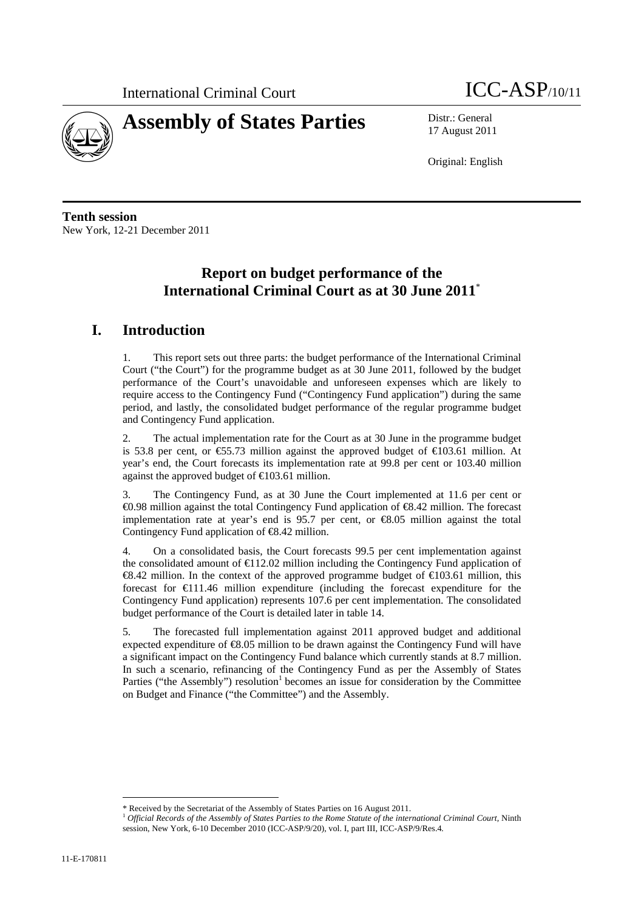



17 August 2011

Original: English

**Tenth session**  New York, 12-21 December 2011

# **Report on budget performance of the International Criminal Court as at 30 June 2011**\*

# **I. Introduction**

1. This report sets out three parts: the budget performance of the International Criminal Court ("the Court") for the programme budget as at 30 June 2011, followed by the budget performance of the Court's unavoidable and unforeseen expenses which are likely to require access to the Contingency Fund ("Contingency Fund application") during the same period, and lastly, the consolidated budget performance of the regular programme budget and Contingency Fund application.

2. The actual implementation rate for the Court as at 30 June in the programme budget is 53.8 per cent, or  $\epsilon$ 55.73 million against the approved budget of  $\epsilon$ 103.61 million. At year's end, the Court forecasts its implementation rate at 99.8 per cent or 103.40 million against the approved budget of  $\in$  103.61 million.

3. The Contingency Fund, as at 30 June the Court implemented at 11.6 per cent or €0.98 million against the total Contingency Fund application of €8.42 million. The forecast implementation rate at year's end is 95.7 per cent, or €8.05 million against the total Contingency Fund application of €8.42 million.

4. On a consolidated basis, the Court forecasts 99.5 per cent implementation against the consolidated amount of  $\text{ } \in \text{ } 12.02$  million including the Contingency Fund application of  $\textcircled{8.42}$  million. In the context of the approved programme budget of  $\textcircled{103.61}$  million, this forecast for  $\bigoplus$  11.46 million expenditure (including the forecast expenditure for the Contingency Fund application) represents 107.6 per cent implementation. The consolidated budget performance of the Court is detailed later in table 14.

5. The forecasted full implementation against 2011 approved budget and additional expected expenditure of €8.05 million to be drawn against the Contingency Fund will have a significant impact on the Contingency Fund balance which currently stands at 8.7 million. In such a scenario, refinancing of the Contingency Fund as per the Assembly of States Parties ("the Assembly") resolution<sup>1</sup> becomes an issue for consideration by the Committee on Budget and Finance ("the Committee") and the Assembly.

 $\overline{a}$ 

<sup>\*</sup> Received by the Secretariat of the Assembly of States Parties on 16 August 2011. 1 *Official Records of the Assembly of States Parties to the Rome Statute of the international Criminal Court,* Ninth session, New York, 6-10 December 2010 (ICC-ASP/9/20), vol. I, part III, ICC-ASP/9/Res.4*.*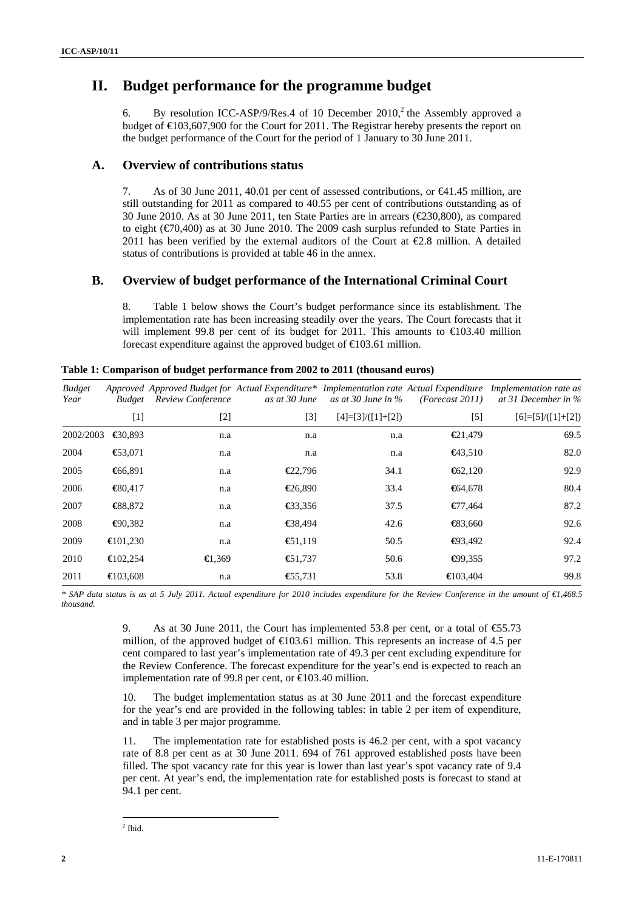## **II. Budget performance for the programme budget**

6. By resolution ICC-ASP/9/Res.4 of 10 December  $2010$ , the Assembly approved a budget of  $\text{E}103,607,900$  for the Court for 2011. The Registrar hereby presents the report on the budget performance of the Court for the period of 1 January to 30 June 2011.

### **A. Overview of contributions status**

7. As of 30 June 2011, 40.01 per cent of assessed contributions, or €41.45 million, are still outstanding for 2011 as compared to 40.55 per cent of contributions outstanding as of 30 June 2010. As at 30 June 2011, ten State Parties are in arrears  $(\text{\textcircled{230,800}})$ , as compared to eight (€70,400) as at 30 June 2010. The 2009 cash surplus refunded to State Parties in 2011 has been verified by the external auditors of the Court at  $\epsilon$ 2.8 million. A detailed status of contributions is provided at table 46 in the annex.

### **B. Overview of budget performance of the International Criminal Court**

8. Table 1 below shows the Court's budget performance since its establishment. The implementation rate has been increasing steadily over the years. The Court forecasts that it will implement 99.8 per cent of its budget for 2011. This amounts to  $\epsilon$ 103.40 million forecast expenditure against the approved budget of  $\in$  03.61 million.

| <b>Budget</b><br>Year | <i>Budget</i>      | Approved Approved Budget for Actual Expenditure* Implementation rate Actual Expenditure<br><b>Review Conference</b> | as at 30 June     | as at 30 June in $\%$ | (Forecast 2011)    | <i>Implementation rate as</i><br>at 31 December in $\%$ |
|-----------------------|--------------------|---------------------------------------------------------------------------------------------------------------------|-------------------|-----------------------|--------------------|---------------------------------------------------------|
|                       | [1]                | $[2]$                                                                                                               | [3]               | $[4]=[3]/([1]+[2])$   | $[5]$              | $[6]=[5]/([1]+[2])$                                     |
| 2002/2003             | $\bigoplus$ 0.893  | n.a                                                                                                                 | n.a               | n.a                   | € $21,479$         | 69.5                                                    |
| 2004                  | € $3,071$          | n.a                                                                                                                 | n.a               | n.a                   | $\bigoplus$ 3.510  | 82.0                                                    |
| 2005                  | €66,891            | n.a                                                                                                                 | €22,796           | 34.1                  | $\bigoplus 2,120$  | 92.9                                                    |
| 2006                  | $\bigoplus 0.417$  | n.a                                                                                                                 | $\bigoplus$ 6,890 | 33.4                  | $\bigoplus 4,678$  | 80.4                                                    |
| 2007                  | $\bigoplus 8,872$  | n.a                                                                                                                 | € $3,356$         | 37.5                  | $\epsilon$ 77.464  | 87.2                                                    |
| 2008                  | $\bigoplus$ 0.382  | n.a                                                                                                                 | € $8,494$         | 42.6                  | $\bigoplus$ 3,660  | 92.6                                                    |
| 2009                  | $\bigoplus$ 01.230 | n.a                                                                                                                 | $\bigoplus$ 1,119 | 50.5                  | $\bigoplus$ 3,492  | 92.4                                                    |
| 2010                  | $\bigoplus$ 02,254 | $\bigoplus$ , 369                                                                                                   | € $1,737$         | 50.6                  | €99,355            | 97.2                                                    |
| 2011                  | $\bigoplus$ 03.608 | n.a                                                                                                                 | € $5,731$         | 53.8                  | $\bigoplus$ 03,404 | 99.8                                                    |

**Table 1: Comparison of budget performance from 2002 to 2011 (thousand euros)** 

*\* SAP data status is as at 5 July 2011. Actual expenditure for 2010 includes expenditure for the Review Conference in the amount of €1,468.5 thousand.* 

> 9. As at 30 June 2011, the Court has implemented 53.8 per cent, or a total of  $\text{\textsterling}5.73$ million, of the approved budget of  $\epsilon$ 03.61 million. This represents an increase of 4.5 per cent compared to last year's implementation rate of 49.3 per cent excluding expenditure for the Review Conference. The forecast expenditure for the year's end is expected to reach an implementation rate of 99.8 per cent, or €103.40 million.

> 10. The budget implementation status as at 30 June 2011 and the forecast expenditure for the year's end are provided in the following tables: in table 2 per item of expenditure, and in table 3 per major programme.

> 11. The implementation rate for established posts is 46.2 per cent, with a spot vacancy rate of 8.8 per cent as at 30 June 2011. 694 of 761 approved established posts have been filled. The spot vacancy rate for this year is lower than last year's spot vacancy rate of 9.4 per cent. At year's end, the implementation rate for established posts is forecast to stand at 94.1 per cent.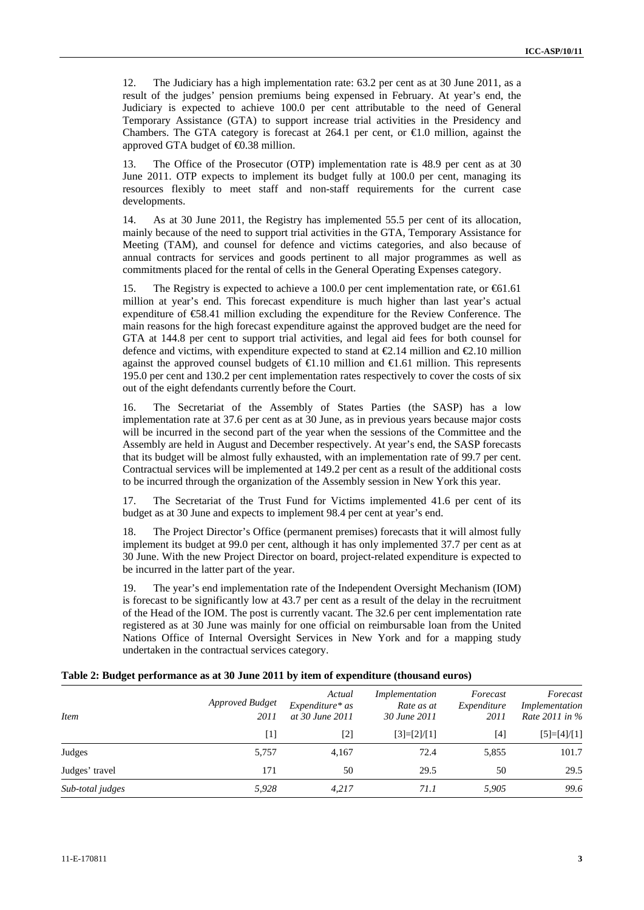12. The Judiciary has a high implementation rate: 63.2 per cent as at 30 June 2011, as a result of the judges' pension premiums being expensed in February. At year's end, the Judiciary is expected to achieve 100.0 per cent attributable to the need of General Temporary Assistance (GTA) to support increase trial activities in the Presidency and Chambers. The GTA category is forecast at 264.1 per cent, or  $\bigoplus$  0 million, against the approved GTA budget of  $\bigoplus$ .38 million.

13. The Office of the Prosecutor (OTP) implementation rate is 48.9 per cent as at 30 June 2011. OTP expects to implement its budget fully at 100.0 per cent, managing its resources flexibly to meet staff and non-staff requirements for the current case developments.

14. As at 30 June 2011, the Registry has implemented 55.5 per cent of its allocation, mainly because of the need to support trial activities in the GTA, Temporary Assistance for Meeting (TAM), and counsel for defence and victims categories, and also because of annual contracts for services and goods pertinent to all major programmes as well as commitments placed for the rental of cells in the General Operating Expenses category.

15. The Registry is expected to achieve a 100.0 per cent implementation rate, or €61.61 million at year's end. This forecast expenditure is much higher than last year's actual expenditure of  $\epsilon$ 58.41 million excluding the expenditure for the Review Conference. The main reasons for the high forecast expenditure against the approved budget are the need for GTA at 144.8 per cent to support trial activities, and legal aid fees for both counsel for defence and victims, with expenditure expected to stand at  $\epsilon 2.14$  million and  $\epsilon 2.10$  million against the approved counsel budgets of  $\bigoplus$ .10 million and  $\bigoplus$ .61 million. This represents 195.0 per cent and 130.2 per cent implementation rates respectively to cover the costs of six out of the eight defendants currently before the Court.

16. The Secretariat of the Assembly of States Parties (the SASP) has a low implementation rate at 37.6 per cent as at 30 June, as in previous years because major costs will be incurred in the second part of the year when the sessions of the Committee and the Assembly are held in August and December respectively. At year's end, the SASP forecasts that its budget will be almost fully exhausted, with an implementation rate of 99.7 per cent. Contractual services will be implemented at 149.2 per cent as a result of the additional costs to be incurred through the organization of the Assembly session in New York this year.

17. The Secretariat of the Trust Fund for Victims implemented 41.6 per cent of its budget as at 30 June and expects to implement 98.4 per cent at year's end.

18. The Project Director's Office (permanent premises) forecasts that it will almost fully implement its budget at 99.0 per cent, although it has only implemented 37.7 per cent as at 30 June. With the new Project Director on board, project-related expenditure is expected to be incurred in the latter part of the year.

19. The year's end implementation rate of the Independent Oversight Mechanism (IOM) is forecast to be significantly low at 43.7 per cent as a result of the delay in the recruitment of the Head of the IOM. The post is currently vacant. The 32.6 per cent implementation rate registered as at 30 June was mainly for one official on reimbursable loan from the United Nations Office of Internal Oversight Services in New York and for a mapping study undertaken in the contractual services category.

| Table 2: Budget performance as at 30 June 2011 by item of expenditure (thousand euros) |  |  |  |  |  |  |  |
|----------------------------------------------------------------------------------------|--|--|--|--|--|--|--|
|----------------------------------------------------------------------------------------|--|--|--|--|--|--|--|

| <b>Item</b>      | <b>Approved Budget</b><br>2011 | Actual<br>$Expenditure* as$<br>at 30 June 2011 | Implementation<br>Rate as at<br>30 June 2011 | Forecast<br>Expenditure<br>2011 | Forecast<br>Implementation<br>Rate 2011 in % |
|------------------|--------------------------------|------------------------------------------------|----------------------------------------------|---------------------------------|----------------------------------------------|
|                  | $[1]$                          | [2]                                            | $[3]=[2]/[1]$                                | [4]                             | $[5]=[4]/[1]$                                |
| Judges           | 5,757                          | 4.167                                          | 72.4                                         | 5,855                           | 101.7                                        |
| Judges' travel   | 171                            | 50                                             | 29.5                                         | 50                              | 29.5                                         |
| Sub-total judges | 5,928                          | 4.217                                          | <i>71.1</i>                                  | 5,905                           | 99.6                                         |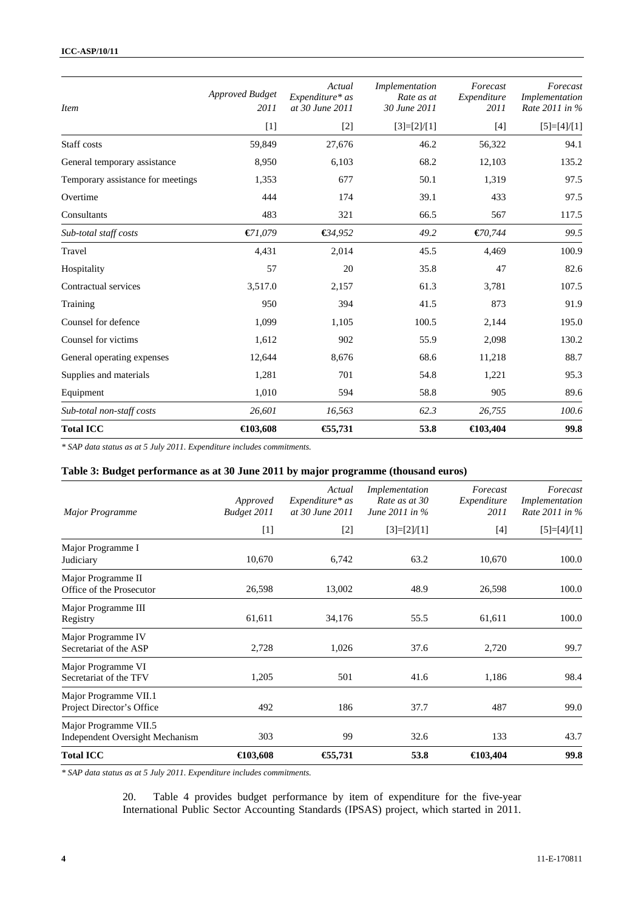| <b>Item</b>                       | <b>Approved Budget</b><br>2011 | Actual<br>Expenditure* as<br>at 30 June 2011 | Implementation<br>Rate as at<br>30 June 2011 | Forecast<br>Expenditure<br>2011 | Forecast<br>Implementation<br>Rate 2011 in % |
|-----------------------------------|--------------------------------|----------------------------------------------|----------------------------------------------|---------------------------------|----------------------------------------------|
|                                   | $[1]$                          | $[2]$                                        | $[3]=[2]/[1]$                                | $[4]$                           | $[5]=[4]/[1]$                                |
| Staff costs                       | 59,849                         | 27,676                                       | 46.2                                         | 56,322                          | 94.1                                         |
| General temporary assistance      | 8,950                          | 6,103                                        | 68.2                                         | 12,103                          | 135.2                                        |
| Temporary assistance for meetings | 1,353                          | 677                                          | 50.1                                         | 1,319                           | 97.5                                         |
| Overtime                          | 444                            | 174                                          | 39.1                                         | 433                             | 97.5                                         |
| Consultants                       | 483                            | 321                                          | 66.5                                         | 567                             | 117.5                                        |
| Sub-total staff costs             | E1,079                         | €34,952                                      | 49.2                                         | €70,744                         | 99.5                                         |
| Travel                            | 4,431                          | 2,014                                        | 45.5                                         | 4.469                           | 100.9                                        |
| Hospitality                       | 57                             | 20                                           | 35.8                                         | 47                              | 82.6                                         |
| Contractual services              | 3,517.0                        | 2,157                                        | 61.3                                         | 3,781                           | 107.5                                        |
| Training                          | 950                            | 394                                          | 41.5                                         | 873                             | 91.9                                         |
| Counsel for defence               | 1,099                          | 1,105                                        | 100.5                                        | 2,144                           | 195.0                                        |
| Counsel for victims               | 1,612                          | 902                                          | 55.9                                         | 2,098                           | 130.2                                        |
| General operating expenses        | 12,644                         | 8,676                                        | 68.6                                         | 11,218                          | 88.7                                         |
| Supplies and materials            | 1,281                          | 701                                          | 54.8                                         | 1,221                           | 95.3                                         |
| Equipment                         | 1,010                          | 594                                          | 58.8                                         | 905                             | 89.6                                         |
| Sub-total non-staff costs         | 26,601                         | 16,563                                       | 62.3                                         | 26,755                          | 100.6                                        |
| <b>Total ICC</b>                  | $\bigoplus$ 03,608             | €5,731                                       | 53.8                                         | €103,404                        | 99.8                                         |

*\* SAP data status as at 5 July 2011. Expenditure includes commitments.* 

### **Table 3: Budget performance as at 30 June 2011 by major programme (thousand euros)**

| Major Programme                                                 | Approved<br>Budget 2011 | Actual<br>Expenditure* as<br>at 30 June 2011 | Implementation<br>Rate as at 30<br>June 2011 in % | Forecast<br>Expenditure<br>2011 | Forecast<br>Implementation<br>Rate 2011 in % |
|-----------------------------------------------------------------|-------------------------|----------------------------------------------|---------------------------------------------------|---------------------------------|----------------------------------------------|
|                                                                 | $[1]$                   | $[2]$                                        | $[3]=[2]/[1]$                                     | $[4]$                           | $[5]=[4]/[1]$                                |
| Major Programme I<br>Judiciary                                  | 10,670                  | 6,742                                        | 63.2                                              | 10,670                          | 100.0                                        |
| Major Programme II<br>Office of the Prosecutor                  | 26,598                  | 13,002                                       | 48.9                                              | 26,598                          | 100.0                                        |
| Major Programme III<br>Registry                                 | 61,611                  | 34,176                                       | 55.5                                              | 61,611                          | 100.0                                        |
| Major Programme IV<br>Secretariat of the ASP                    | 2,728                   | 1,026                                        | 37.6                                              | 2,720                           | 99.7                                         |
| Major Programme VI<br>Secretariat of the TFV                    | 1,205                   | 501                                          | 41.6                                              | 1,186                           | 98.4                                         |
| Major Programme VII.1<br>Project Director's Office              | 492                     | 186                                          | 37.7                                              | 487                             | 99.0                                         |
| Major Programme VII.5<br><b>Independent Oversight Mechanism</b> | 303                     | 99                                           | 32.6                                              | 133                             | 43.7                                         |
| <b>Total ICC</b>                                                | €103,608                | €5,731                                       | 53.8                                              | $\bigoplus$ 03,404              | 99.8                                         |

*\* SAP data status as at 5 July 2011. Expenditure includes commitments.* 

20. Table 4 provides budget performance by item of expenditure for the five-year International Public Sector Accounting Standards (IPSAS) project, which started in 2011.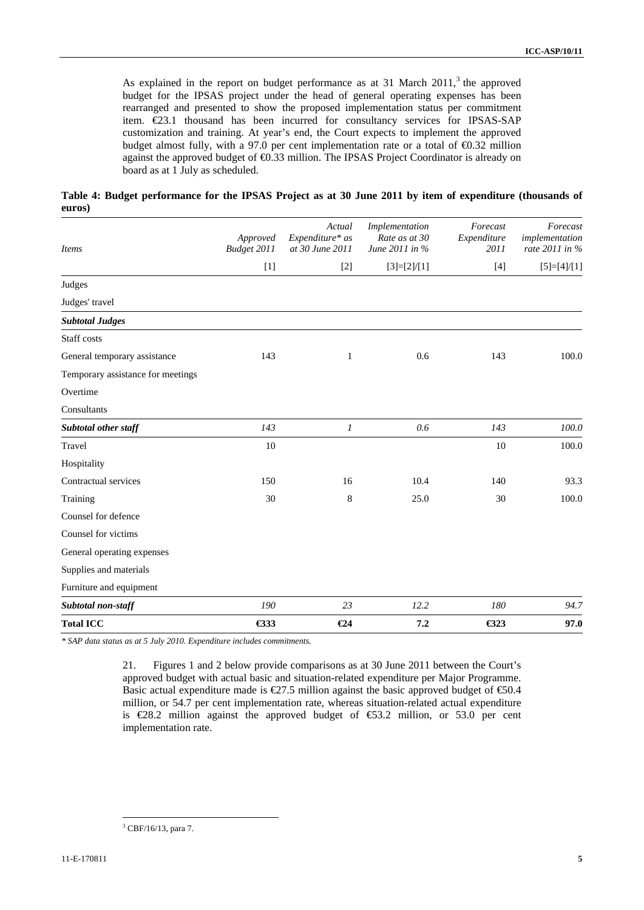As explained in the report on budget performance as at 31 March  $2011$ ,<sup>3</sup> the approved budget for the IPSAS project under the head of general operating expenses has been rearranged and presented to show the proposed implementation status per commitment item. €23.1 thousand has been incurred for consultancy services for IPSAS-SAP customization and training. At year's end, the Court expects to implement the approved budget almost fully, with a 97.0 per cent implementation rate or a total of  $\bigoplus$ .32 million against the approved budget of €0.33 million. The IPSAS Project Coordinator is already on board as at 1 July as scheduled.

**Table 4: Budget performance for the IPSAS Project as at 30 June 2011 by item of expenditure (thousands of euros)** 

| <b>Items</b>                      | Approved<br>Budget 2011 | Actual<br>Expenditure* as<br>at 30 June 2011 | Implementation<br>Rate as at 30<br>June 2011 in % | Forecast<br>Expenditure<br>2011 | Forecast<br>implementation<br>rate 2011 in % |
|-----------------------------------|-------------------------|----------------------------------------------|---------------------------------------------------|---------------------------------|----------------------------------------------|
|                                   | $[1]$                   | $[2]$                                        | $[3]=[2]/[1]$                                     | $[4]$                           | $[5]=[4]/[1]$                                |
| Judges                            |                         |                                              |                                                   |                                 |                                              |
| Judges' travel                    |                         |                                              |                                                   |                                 |                                              |
| <b>Subtotal Judges</b>            |                         |                                              |                                                   |                                 |                                              |
| Staff costs                       |                         |                                              |                                                   |                                 |                                              |
| General temporary assistance      | 143                     | $\mathbf{1}$                                 | 0.6                                               | 143                             | 100.0                                        |
| Temporary assistance for meetings |                         |                                              |                                                   |                                 |                                              |
| Overtime                          |                         |                                              |                                                   |                                 |                                              |
| Consultants                       |                         |                                              |                                                   |                                 |                                              |
| Subtotal other staff              | 143                     | $\mathfrak{I}$                               | 0.6                                               | 143                             | 100.0                                        |
| Travel                            | 10                      |                                              |                                                   | 10                              | 100.0                                        |
| Hospitality                       |                         |                                              |                                                   |                                 |                                              |
| Contractual services              | 150                     | 16                                           | 10.4                                              | 140                             | 93.3                                         |
| Training                          | 30                      | 8                                            | 25.0                                              | 30                              | 100.0                                        |
| Counsel for defence               |                         |                                              |                                                   |                                 |                                              |
| Counsel for victims               |                         |                                              |                                                   |                                 |                                              |
| General operating expenses        |                         |                                              |                                                   |                                 |                                              |
| Supplies and materials            |                         |                                              |                                                   |                                 |                                              |
| Furniture and equipment           |                         |                                              |                                                   |                                 |                                              |
| Subtotal non-staff                | 190                     | 23                                           | 12.2                                              | 180                             | 94.7                                         |
| <b>Total ICC</b>                  | $\bigoplus$ 33          | $\epsilon$ 24                                | 7.2                                               | $\bigoplus$ 23                  | 97.0                                         |

*\* SAP data status as at 5 July 2010. Expenditure includes commitments.* 

21. Figures 1 and 2 below provide comparisons as at 30 June 2011 between the Court's approved budget with actual basic and situation-related expenditure per Major Programme. Basic actual expenditure made is  $\text{\textcircled{27.5}}$  million against the basic approved budget of  $\text{\textcircled{50.4}}$ million, or 54.7 per cent implementation rate, whereas situation-related actual expenditure is  $E28.2$  million against the approved budget of  $E3.2$  million, or 53.0 per cent implementation rate.

 $\overline{a}$ <sup>3</sup> CBF/16/13, para 7.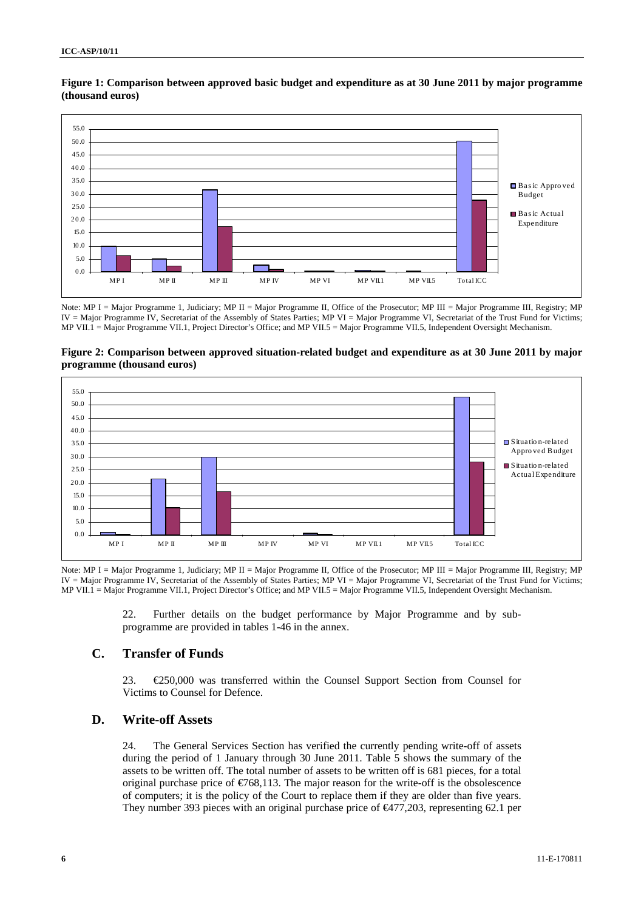

### **Figure 1: Comparison between approved basic budget and expenditure as at 30 June 2011 by major programme (thousand euros)**

Note: MP I = Major Programme 1, Judiciary; MP II = Major Programme II, Office of the Prosecutor; MP III = Major Programme III, Registry; MP IV = Major Programme IV, Secretariat of the Assembly of States Parties; MP VI = Major Programme VI, Secretariat of the Trust Fund for Victims; MP VII.1 = Major Programme VII.1, Project Director's Office; and MP VII.5 = Major Programme VII.5, Independent Oversight Mechanism.

**Figure 2: Comparison between approved situation-related budget and expenditure as at 30 June 2011 by major programme (thousand euros)** 



Note: MP I = Major Programme 1, Judiciary; MP II = Major Programme II, Office of the Prosecutor; MP III = Major Programme III, Registry; MP IV = Major Programme IV, Secretariat of the Assembly of States Parties; MP VI = Major Programme VI, Secretariat of the Trust Fund for Victims; MP VII.1 = Major Programme VII.1, Project Director's Office; and MP VII.5 = Major Programme VII.5, Independent Oversight Mechanism.

> 22. Further details on the budget performance by Major Programme and by subprogramme are provided in tables 1-46 in the annex.

#### **C. Transfer of Funds**

23. €250,000 was transferred within the Counsel Support Section from Counsel for Victims to Counsel for Defence.

### **D. Write-off Assets**

24. The General Services Section has verified the currently pending write-off of assets during the period of 1 January through 30 June 2011. Table 5 shows the summary of the assets to be written off. The total number of assets to be written off is 681 pieces, for a total original purchase price of  $\epsilon$ 768,113. The major reason for the write-off is the obsolescence of computers; it is the policy of the Court to replace them if they are older than five years. They number 393 pieces with an original purchase price of  $\epsilon$ 477,203, representing 62.1 per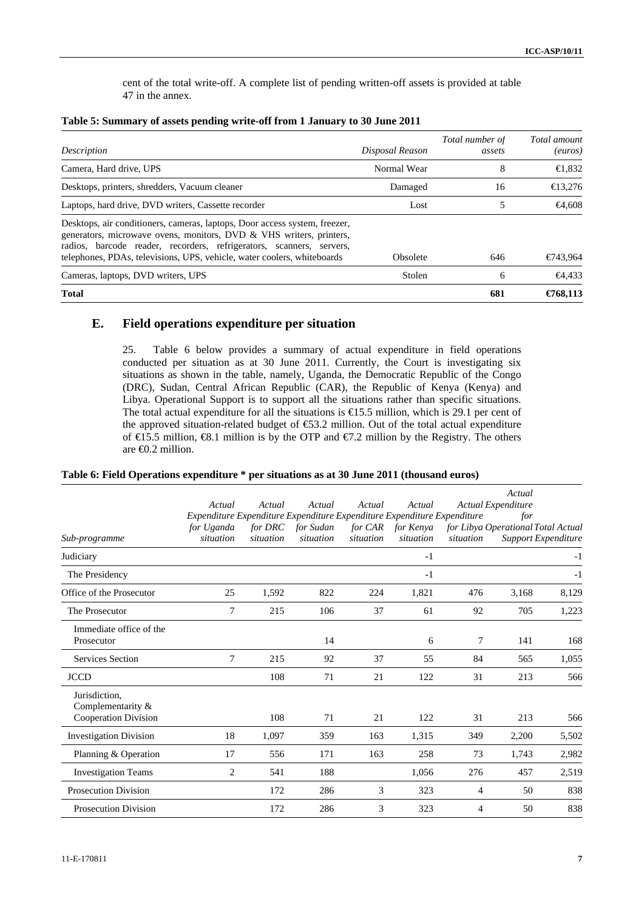cent of the total write-off. A complete list of pending written-off assets is provided at table 47 in the annex.

| Description                                                                                                                                                                                                                                                                                          | Disposal Reason | Total number of<br>assets | Total amount<br>(euros) |
|------------------------------------------------------------------------------------------------------------------------------------------------------------------------------------------------------------------------------------------------------------------------------------------------------|-----------------|---------------------------|-------------------------|
|                                                                                                                                                                                                                                                                                                      |                 |                           |                         |
| Camera, Hard drive, UPS                                                                                                                                                                                                                                                                              | Normal Wear     | 8                         | $\bigoplus$ 832         |
| Desktops, printers, shredders, Vacuum cleaner                                                                                                                                                                                                                                                        | Damaged         | 16                        | $\bigoplus$ 3.276       |
| Laptops, hard drive, DVD writers, Cassette recorder                                                                                                                                                                                                                                                  | Lost            |                           | <del>€</del> 4.608      |
| Desktops, air conditioners, cameras, laptops, Door access system, freezer,<br>generators, microwave ovens, monitors, DVD & VHS writers, printers,<br>radios, barcode reader, recorders, refrigerators, scanners, servers,<br>telephones, PDAs, televisions, UPS, vehicle, water coolers, whiteboards | Obsolete        | 646                       | €743,964                |
| Cameras, laptops, DVD writers, UPS                                                                                                                                                                                                                                                                   | Stolen          | 6                         | $-64.433$               |
| <b>Total</b>                                                                                                                                                                                                                                                                                         |                 | 681                       | €768.113                |

#### **Table 5: Summary of assets pending write-off from 1 January to 30 June 2011**

### **E. Field operations expenditure per situation**

25. Table 6 below provides a summary of actual expenditure in field operations conducted per situation as at 30 June 2011. Currently, the Court is investigating six situations as shown in the table, namely, Uganda, the Democratic Republic of the Congo (DRC), Sudan, Central African Republic (CAR), the Republic of Kenya (Kenya) and Libya. Operational Support is to support all the situations rather than specific situations. The total actual expenditure for all the situations is  $\epsilon$ 6.5 million, which is 29.1 per cent of the approved situation-related budget of  $$3.2$  million. Out of the total actual expenditure of  $\in$  5.5 million,  $\in$  8.1 million is by the OTP and  $\in$  7.2 million by the Registry. The others are €0.2 million.

| Table 6: Field Operations expenditure * per situations as at 30 June 2011 (thousand euros) |  |  |
|--------------------------------------------------------------------------------------------|--|--|
|--------------------------------------------------------------------------------------------|--|--|

|                                                              | Actual<br>Expenditure Expenditure Expenditure Expenditure Expenditure Expenditure | Actual                      | Actual                 | Actual    | Actual                         |                | Actual<br>Actual Expenditure<br>for |                            |
|--------------------------------------------------------------|-----------------------------------------------------------------------------------|-----------------------------|------------------------|-----------|--------------------------------|----------------|-------------------------------------|----------------------------|
| Sub-programme                                                | for Uganda<br>situation                                                           | for <b>DRC</b><br>situation | for Sudan<br>situation | situation | for CAR for Kenya<br>situation | situation      | for Libya Operational Total Actual  | <b>Support Expenditure</b> |
| Judiciary                                                    |                                                                                   |                             |                        |           | $-1$                           |                |                                     | $-1$                       |
| The Presidency                                               |                                                                                   |                             |                        |           | $-1$                           |                |                                     | $-1$                       |
| Office of the Prosecutor                                     | 25                                                                                | 1,592                       | 822                    | 224       | 1,821                          | 476            | 3,168                               | 8,129                      |
| The Prosecutor                                               | 7                                                                                 | 215                         | 106                    | 37        | 61                             | 92             | 705                                 | 1,223                      |
| Immediate office of the<br>Prosecutor                        |                                                                                   |                             | 14                     |           | 6                              | 7              | 141                                 | 168                        |
| <b>Services Section</b>                                      | 7                                                                                 | 215                         | 92                     | 37        | 55                             | 84             | 565                                 | 1,055                      |
| <b>JCCD</b>                                                  |                                                                                   | 108                         | 71                     | 21        | 122                            | 31             | 213                                 | 566                        |
| Jurisdiction,<br>Complementarity $&$<br>Cooperation Division |                                                                                   | 108                         | 71                     | 21        | 122                            | 31             | 213                                 | 566                        |
| <b>Investigation Division</b>                                | 18                                                                                | 1,097                       | 359                    | 163       | 1,315                          | 349            | 2,200                               | 5,502                      |
| Planning & Operation                                         | 17                                                                                | 556                         | 171                    | 163       | 258                            | 73             | 1,743                               | 2,982                      |
| <b>Investigation Teams</b>                                   | 2                                                                                 | 541                         | 188                    |           | 1,056                          | 276            | 457                                 | 2,519                      |
| <b>Prosecution Division</b>                                  |                                                                                   | 172                         | 286                    | 3         | 323                            | $\overline{4}$ | 50                                  | 838                        |
| <b>Prosecution Division</b>                                  |                                                                                   | 172                         | 286                    | 3         | 323                            | 4              | 50                                  | 838                        |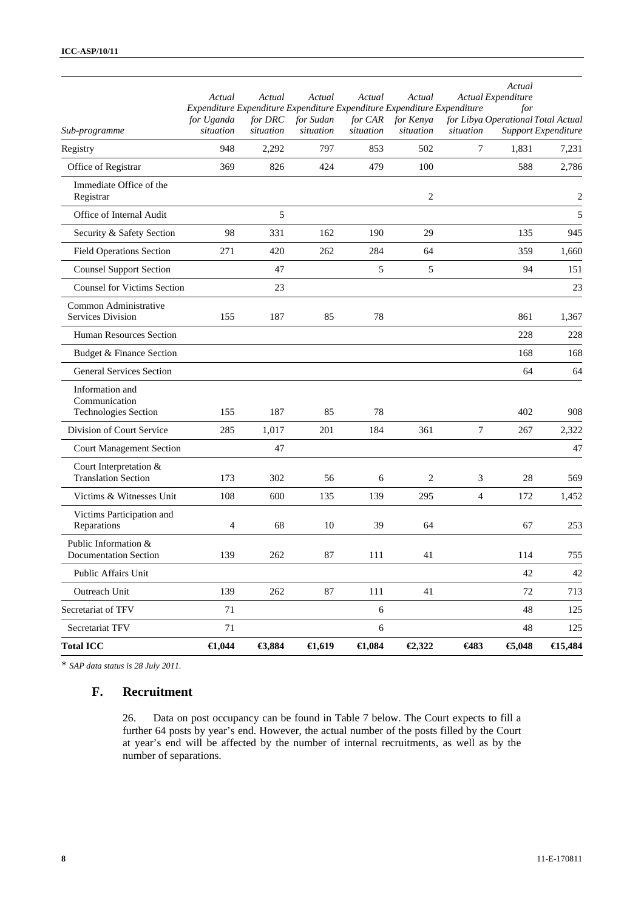| Registry                                                 | 948                     | 2,292  | 797              | 853              | 502               | 7    | 1,831    | 7,231          |
|----------------------------------------------------------|-------------------------|--------|------------------|------------------|-------------------|------|----------|----------------|
| Office of Registrar                                      | 369                     | 826    | 424              | 479              | 100               |      | 588      | 2,786          |
| Immediate Office of the<br>Registrar                     |                         |        |                  |                  | 2                 |      |          | $\overline{c}$ |
| Office of Internal Audit                                 |                         | 5      |                  |                  |                   |      |          | 5              |
| Security & Safety Section                                | 98                      | 331    | 162              | 190              | 29                |      | 135      | 945            |
| <b>Field Operations Section</b>                          | 271                     | 420    | 262              | 284              | 64                |      | 359      | 1,660          |
| <b>Counsel Support Section</b>                           |                         | 47     |                  | 5                | 5                 |      | 94       | 151            |
| <b>Counsel for Victims Section</b>                       |                         | 23     |                  |                  |                   |      |          | 23             |
| Common Administrative<br>Services Division               | 155                     | 187    | 85               | 78               |                   |      | 861      | 1,367          |
| Human Resources Section                                  |                         |        |                  |                  |                   |      | 228      | 228            |
| Budget & Finance Section                                 |                         |        |                  |                  |                   |      | 168      | 168            |
| <b>General Services Section</b>                          |                         |        |                  |                  |                   |      | 64       | 64             |
| Information and<br>Communication<br>Technologies Section | 155                     | 187    | 85               | 78               |                   |      | 402      | 908            |
| Division of Court Service                                | 285                     | 1,017  | 201              | 184              | 361               | 7    | 267      | 2,322          |
| <b>Court Management Section</b>                          |                         | 47     |                  |                  |                   |      |          | 47             |
| Court Interpretation &<br><b>Translation Section</b>     | 173                     | 302    | 56               | 6                | 2                 | 3    | 28       | 569            |
| Victims & Witnesses Unit                                 | 108                     | 600    | 135              | 139              | 295               | 4    | 172      | 1,452          |
| Victims Participation and<br>Reparations                 | 4                       | 68     | 10               | 39               | 64                |      | 67       | 253            |
| Public Information &<br><b>Documentation Section</b>     | 139                     | 262    | 87               | 111              | 41                |      | 114      | 755            |
| Public Affairs Unit                                      |                         |        |                  |                  |                   |      | 42       | 42             |
| Outreach Unit                                            | 139                     | 262    | 87               | 111              | 41                |      | 72       | 713            |
| Secretariat of TFV                                       | 71                      |        |                  | $\sqrt{6}$       |                   |      | 48       | 125            |
| Secretariat TFV                                          | 71                      |        |                  | $\sqrt{6}$       |                   |      | 48       | 125            |
| <b>Total ICC</b>                                         | $\boldsymbol{\in}$ .044 | €3,884 | $\epsilon$ 1,619 | $\bigoplus$ ,084 | $\bigoplus$ , 322 | €483 | € $,048$ | €15,484        |

\* *SAP data status is 28 July 2011.* 

## **F. Recruitment**

26. Data on post occupancy can be found in Table 7 below. The Court expects to fill a further 64 posts by year's end. However, the actual number of the posts filled by the Court at year's end will be affected by the number of internal recruitments, as well as by the number of separations.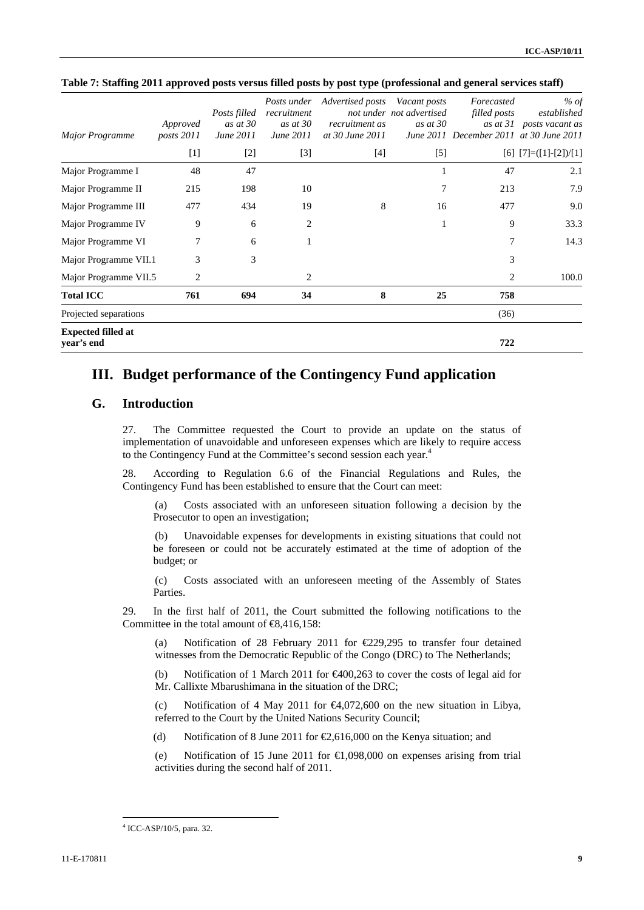| Major Programme                         | Approved<br>posts 2011 | Posts filled<br>as at $30$<br>June 2011 | Posts under<br>recruitment<br>as at 30<br>June 2011 | Advertised posts<br>recruitment as<br>at 30 June 2011 | Vacant posts<br>not under not advertised<br>as at $30$ | Forecasted<br>filled posts | % of<br>established<br>as at 31 posts vacant as<br>June 2011 December 2011 at 30 June 2011 |
|-----------------------------------------|------------------------|-----------------------------------------|-----------------------------------------------------|-------------------------------------------------------|--------------------------------------------------------|----------------------------|--------------------------------------------------------------------------------------------|
|                                         | $[1]$                  | $[2]$                                   | $[3]$                                               | $[4]$                                                 | $[5]$                                                  |                            | $[6]$ $[7] = ([1] - [2]) / [1]$                                                            |
| Major Programme I                       | 48                     | 47                                      |                                                     |                                                       |                                                        | 47                         | 2.1                                                                                        |
| Major Programme II                      | 215                    | 198                                     | 10                                                  |                                                       | 7                                                      | 213                        | 7.9                                                                                        |
| Major Programme III                     | 477                    | 434                                     | 19                                                  | 8                                                     | 16                                                     | 477                        | 9.0                                                                                        |
| Major Programme IV                      | 9                      | 6                                       | 2                                                   |                                                       | 1                                                      | 9                          | 33.3                                                                                       |
| Major Programme VI                      | 7                      | 6                                       |                                                     |                                                       |                                                        | 7                          | 14.3                                                                                       |
| Major Programme VII.1                   | 3                      | 3                                       |                                                     |                                                       |                                                        | 3                          |                                                                                            |
| Major Programme VII.5                   | 2                      |                                         | $\overline{2}$                                      |                                                       |                                                        | $\overline{2}$             | 100.0                                                                                      |
| <b>Total ICC</b>                        | 761                    | 694                                     | 34                                                  | 8                                                     | 25                                                     | 758                        |                                                                                            |
| Projected separations                   |                        |                                         |                                                     |                                                       |                                                        | (36)                       |                                                                                            |
| <b>Expected filled at</b><br>year's end |                        |                                         |                                                     |                                                       |                                                        | 722                        |                                                                                            |

#### **Table 7: Staffing 2011 approved posts versus filled posts by post type (professional and general services staff)**

## **III. Budget performance of the Contingency Fund application**

### **G. Introduction**

27. The Committee requested the Court to provide an update on the status of implementation of unavoidable and unforeseen expenses which are likely to require access to the Contingency Fund at the Committee's second session each year.<sup>4</sup>

28. According to Regulation 6.6 of the Financial Regulations and Rules, the Contingency Fund has been established to ensure that the Court can meet:

(a) Costs associated with an unforeseen situation following a decision by the Prosecutor to open an investigation;

(b) Unavoidable expenses for developments in existing situations that could not be foreseen or could not be accurately estimated at the time of adoption of the budget; or

(c) Costs associated with an unforeseen meeting of the Assembly of States Parties.

29. In the first half of 2011, the Court submitted the following notifications to the Committee in the total amount of  $\epsilon$ 8.416.158:

(a) Notification of 28 February 2011 for €229,295 to transfer four detained witnesses from the Democratic Republic of the Congo (DRC) to The Netherlands;

(b) Notification of 1 March 2011 for €400,263 to cover the costs of legal aid for Mr. Callixte Mbarushimana in the situation of the DRC;

(c) Notification of 4 May 2011 for  $\epsilon 4,072,600$  on the new situation in Libya, referred to the Court by the United Nations Security Council;

(d) Notification of 8 June 2011 for  $\epsilon$ 2,616,000 on the Kenya situation; and

(e) Notification of 15 June 2011 for  $\epsilon 1,098,000$  on expenses arising from trial activities during the second half of 2011.

 $\overline{a}$ 

<sup>4</sup> ICC-ASP/10/5, para. 32.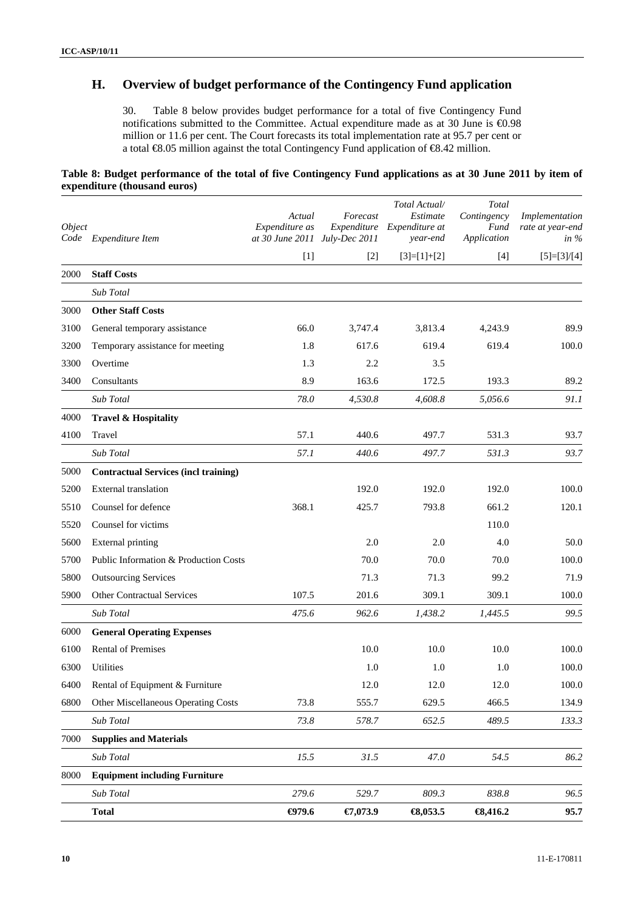## **H. Overview of budget performance of the Contingency Fund application**

30. Table 8 below provides budget performance for a total of five Contingency Fund notifications submitted to the Committee. Actual expenditure made as at 30 June is €0.98 million or 11.6 per cent. The Court forecasts its total implementation rate at 95.7 per cent or a total €8.05 million against the total Contingency Fund application of €8.42 million.

### **Table 8: Budget performance of the total of five Contingency Fund applications as at 30 June 2011 by item of expenditure (thousand euros)**

| Object<br>Code | Expenditure Item                            | Actual<br>Expenditure as<br>at 30 June 2011 July-Dec 2011 | Forecast | Total Actual/<br>Estimate<br>Expenditure Expenditure at<br>year-end | Total<br>Contingency<br>Fund<br>Application | Implementation<br>rate at year-end<br>in $\%$ |
|----------------|---------------------------------------------|-----------------------------------------------------------|----------|---------------------------------------------------------------------|---------------------------------------------|-----------------------------------------------|
|                |                                             | $[1]$                                                     | $[2]$    | $[3]=[1]+[2]$                                                       | $[4]$                                       | $[5]=[3]/[4]$                                 |
| 2000           | <b>Staff Costs</b>                          |                                                           |          |                                                                     |                                             |                                               |
|                | Sub Total                                   |                                                           |          |                                                                     |                                             |                                               |
| 3000           | <b>Other Staff Costs</b>                    |                                                           |          |                                                                     |                                             |                                               |
| 3100           | General temporary assistance                | 66.0                                                      | 3,747.4  | 3,813.4                                                             | 4,243.9                                     | 89.9                                          |
| 3200           | Temporary assistance for meeting            | 1.8                                                       | 617.6    | 619.4                                                               | 619.4                                       | 100.0                                         |
| 3300           | Overtime                                    | 1.3                                                       | 2.2      | 3.5                                                                 |                                             |                                               |
| 3400           | Consultants                                 | 8.9                                                       | 163.6    | 172.5                                                               | 193.3                                       | 89.2                                          |
|                | Sub Total                                   | 78.0                                                      | 4,530.8  | 4,608.8                                                             | 5,056.6                                     | 91.1                                          |
| 4000           | <b>Travel &amp; Hospitality</b>             |                                                           |          |                                                                     |                                             |                                               |
| 4100           | Travel                                      | 57.1                                                      | 440.6    | 497.7                                                               | 531.3                                       | 93.7                                          |
|                | Sub Total                                   | 57.1                                                      | 440.6    | 497.7                                                               | 531.3                                       | 93.7                                          |
| 5000           | <b>Contractual Services (incl training)</b> |                                                           |          |                                                                     |                                             |                                               |
| 5200           | External translation                        |                                                           | 192.0    | 192.0                                                               | 192.0                                       | 100.0                                         |
| 5510           | Counsel for defence                         | 368.1                                                     | 425.7    | 793.8                                                               | 661.2                                       | 120.1                                         |
| 5520           | Counsel for victims                         |                                                           |          |                                                                     | 110.0                                       |                                               |
| 5600           | <b>External printing</b>                    |                                                           | 2.0      | 2.0                                                                 | 4.0                                         | 50.0                                          |
| 5700           | Public Information & Production Costs       |                                                           | 70.0     | 70.0                                                                | 70.0                                        | 100.0                                         |
| 5800           | <b>Outsourcing Services</b>                 |                                                           | 71.3     | 71.3                                                                | 99.2                                        | 71.9                                          |
| 5900           | <b>Other Contractual Services</b>           | 107.5                                                     | 201.6    | 309.1                                                               | 309.1                                       | 100.0                                         |
|                | Sub Total                                   | 475.6                                                     | 962.6    | 1,438.2                                                             | 1.445.5                                     | 99.5                                          |
| 6000           | <b>General Operating Expenses</b>           |                                                           |          |                                                                     |                                             |                                               |
| 6100           | Rental of Premises                          |                                                           | 10.0     | 10.0                                                                | 10.0                                        | 100.0                                         |
| 6300           | <b>Utilities</b>                            |                                                           | 1.0      | 1.0                                                                 | 1.0                                         | 100.0                                         |
| 6400           | Rental of Equipment & Furniture             |                                                           | 12.0     | 12.0                                                                | 12.0                                        | 100.0                                         |
| 6800           | Other Miscellaneous Operating Costs         | 73.8                                                      | 555.7    | 629.5                                                               | 466.5                                       | 134.9                                         |
|                | Sub Total                                   | 73.8                                                      | 578.7    | 652.5                                                               | 489.5                                       | 133.3                                         |
| 7000           | <b>Supplies and Materials</b>               |                                                           |          |                                                                     |                                             |                                               |
|                | Sub Total                                   | 15.5                                                      | 31.5     | 47.0                                                                | 54.5                                        | 86.2                                          |
| 8000           | <b>Equipment including Furniture</b>        |                                                           |          |                                                                     |                                             |                                               |
|                | Sub Total                                   | 279.6                                                     | 529.7    | 809.3                                                               | 838.8                                       | 96.5                                          |
|                | <b>Total</b>                                | $\Theta$ 79.6                                             | €7,073.9 | $\textbf{63,}053.5$                                                 | $\textbf{63,}416.2$                         | 95.7                                          |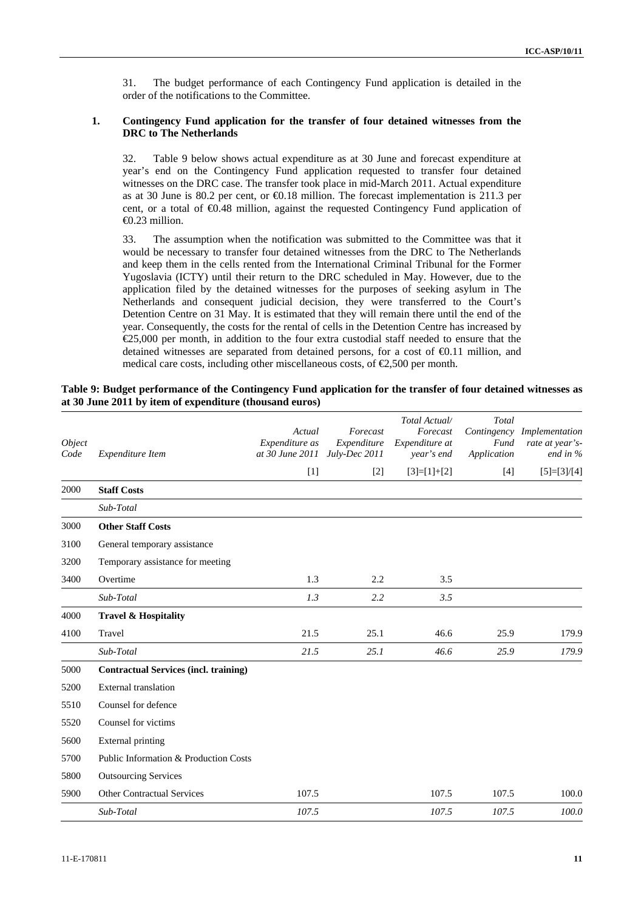31. The budget performance of each Contingency Fund application is detailed in the order of the notifications to the Committee.

#### **1. Contingency Fund application for the transfer of four detained witnesses from the DRC to The Netherlands**

32. Table 9 below shows actual expenditure as at 30 June and forecast expenditure at year's end on the Contingency Fund application requested to transfer four detained witnesses on the DRC case. The transfer took place in mid-March 2011. Actual expenditure as at 30 June is 80.2 per cent, or  $\bigoplus$  18 million. The forecast implementation is 211.3 per cent, or a total of €0.48 million, against the requested Contingency Fund application of €0.23 million.

33. The assumption when the notification was submitted to the Committee was that it would be necessary to transfer four detained witnesses from the DRC to The Netherlands and keep them in the cells rented from the International Criminal Tribunal for the Former Yugoslavia (ICTY) until their return to the DRC scheduled in May. However, due to the application filed by the detained witnesses for the purposes of seeking asylum in The Netherlands and consequent judicial decision, they were transferred to the Court's Detention Centre on 31 May. It is estimated that they will remain there until the end of the year. Consequently, the costs for the rental of cells in the Detention Centre has increased by €25,000 per month, in addition to the four extra custodial staff needed to ensure that the detained witnesses are separated from detained persons, for a cost of €0.11 million, and medical care costs, including other miscellaneous costs, of  $\epsilon$ 2,500 per month.

| Table 9: Budget performance of the Contingency Fund application for the transfer of four detained witnesses as |  |  |
|----------------------------------------------------------------------------------------------------------------|--|--|
| at 30 June 2011 by item of expenditure (thousand euros)                                                        |  |  |

| Object<br>Code | Expenditure Item                             | Actual<br>Expenditure as<br>at 30 June 2011 July-Dec 2011 | Forecast<br>Expenditure | Total Actual/<br>Forecast<br>Expenditure at<br>year's end | Total<br>Fund<br>Application | Contingency Implementation<br>rate at year's-<br>end in % |
|----------------|----------------------------------------------|-----------------------------------------------------------|-------------------------|-----------------------------------------------------------|------------------------------|-----------------------------------------------------------|
|                |                                              | $[1]$                                                     | $[2]$                   | $[3]=[1]+[2]$                                             | [4]                          | $[5]=[3]/[4]$                                             |
| 2000           | <b>Staff Costs</b>                           |                                                           |                         |                                                           |                              |                                                           |
|                | Sub-Total                                    |                                                           |                         |                                                           |                              |                                                           |
| 3000           | <b>Other Staff Costs</b>                     |                                                           |                         |                                                           |                              |                                                           |
| 3100           | General temporary assistance                 |                                                           |                         |                                                           |                              |                                                           |
| 3200           | Temporary assistance for meeting             |                                                           |                         |                                                           |                              |                                                           |
| 3400           | Overtime                                     | 1.3                                                       | 2.2                     | 3.5                                                       |                              |                                                           |
|                | Sub-Total                                    | 1.3                                                       | 2.2                     | 3.5                                                       |                              |                                                           |
| 4000           | <b>Travel &amp; Hospitality</b>              |                                                           |                         |                                                           |                              |                                                           |
| 4100           | Travel                                       | 21.5                                                      | 25.1                    | 46.6                                                      | 25.9                         | 179.9                                                     |
|                | Sub-Total                                    | 21.5                                                      | 25.1                    | 46.6                                                      | 25.9                         | 179.9                                                     |
| 5000           | <b>Contractual Services (incl. training)</b> |                                                           |                         |                                                           |                              |                                                           |
| 5200           | <b>External</b> translation                  |                                                           |                         |                                                           |                              |                                                           |
| 5510           | Counsel for defence                          |                                                           |                         |                                                           |                              |                                                           |
| 5520           | Counsel for victims                          |                                                           |                         |                                                           |                              |                                                           |
| 5600           | <b>External printing</b>                     |                                                           |                         |                                                           |                              |                                                           |
| 5700           | Public Information & Production Costs        |                                                           |                         |                                                           |                              |                                                           |
| 5800           | <b>Outsourcing Services</b>                  |                                                           |                         |                                                           |                              |                                                           |
| 5900           | <b>Other Contractual Services</b>            | 107.5                                                     |                         | 107.5                                                     | 107.5                        | 100.0                                                     |
|                | Sub-Total                                    | 107.5                                                     |                         | 107.5                                                     | 107.5                        | 100.0                                                     |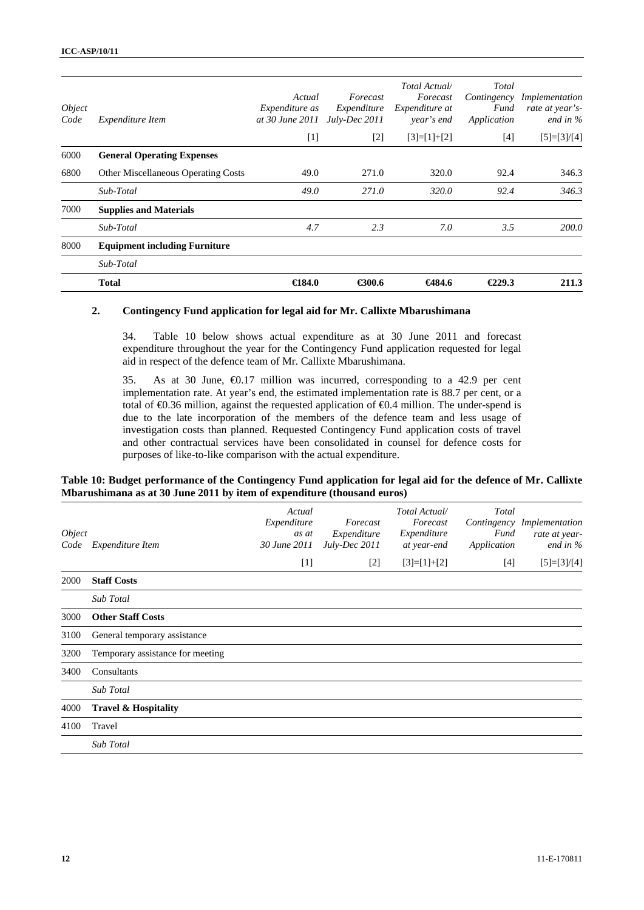| <i>Object</i><br>Code | Expenditure Item                           | Actual<br><i>Expenditure as</i><br>at 30 June 2011 | Forecast<br>Expenditure<br>July-Dec 2011 | Total Actual/<br>Forecast<br>Expenditure at<br>year's end | Total<br>Contingency<br>Fund<br>Application | Implementation<br>rate at year's-<br>end in $\%$ |
|-----------------------|--------------------------------------------|----------------------------------------------------|------------------------------------------|-----------------------------------------------------------|---------------------------------------------|--------------------------------------------------|
|                       |                                            | $[1]$                                              | $[2]$                                    | $[3]=[1]+[2]$                                             | $[4]$                                       | $[5]=[3]/[4]$                                    |
| 6000                  | <b>General Operating Expenses</b>          |                                                    |                                          |                                                           |                                             |                                                  |
| 6800                  | <b>Other Miscellaneous Operating Costs</b> | 49.0                                               | 271.0                                    | 320.0                                                     | 92.4                                        | 346.3                                            |
|                       | Sub-Total                                  | 49.0                                               | 271.0                                    | 320.0                                                     | 92.4                                        | 346.3                                            |
| 7000                  | <b>Supplies and Materials</b>              |                                                    |                                          |                                                           |                                             |                                                  |
|                       | Sub-Total                                  | 4.7                                                | 2.3                                      | 7.0                                                       | 3.5                                         | 200.0                                            |
| 8000                  | <b>Equipment including Furniture</b>       |                                                    |                                          |                                                           |                                             |                                                  |
|                       | Sub-Total                                  |                                                    |                                          |                                                           |                                             |                                                  |
|                       | <b>Total</b>                               | $\bigoplus 84.0$                                   | €300.6                                   | €484.6                                                    | €229.3                                      | 211.3                                            |

#### **2. Contingency Fund application for legal aid for Mr. Callixte Mbarushimana**

34. Table 10 below shows actual expenditure as at 30 June 2011 and forecast expenditure throughout the year for the Contingency Fund application requested for legal aid in respect of the defence team of Mr. Callixte Mbarushimana.

35. As at 30 June, €0.17 million was incurred, corresponding to a 42.9 per cent implementation rate. At year's end, the estimated implementation rate is 88.7 per cent, or a total of €0.36 million, against the requested application of €0.4 million. The under-spend is due to the late incorporation of the members of the defence team and less usage of investigation costs than planned. Requested Contingency Fund application costs of travel and other contractual services have been consolidated in counsel for defence costs for purposes of like-to-like comparison with the actual expenditure.

#### **Table 10: Budget performance of the Contingency Fund application for legal aid for the defence of Mr. Callixte Mbarushimana as at 30 June 2011 by item of expenditure (thousand euros)**

| Object<br>Code | Expenditure Item                 | Actual<br>Expenditure<br>as at<br>30 June 2011 | Forecast<br>Expenditure<br>July-Dec 2011 | Total Actual/<br>Forecast<br>Expenditure<br>at year-end | Total<br>Fund<br>Application | Contingency Implementation<br>rate at year-<br>end in $\%$ |
|----------------|----------------------------------|------------------------------------------------|------------------------------------------|---------------------------------------------------------|------------------------------|------------------------------------------------------------|
|                |                                  | $[1]$                                          | $[2]$                                    | $[3]=[1]+[2]$                                           | [4]                          | $[5]=[3]/[4]$                                              |
| 2000           | <b>Staff Costs</b>               |                                                |                                          |                                                         |                              |                                                            |
|                | <b>Sub</b> Total                 |                                                |                                          |                                                         |                              |                                                            |
| 3000           | <b>Other Staff Costs</b>         |                                                |                                          |                                                         |                              |                                                            |
| 3100           | General temporary assistance     |                                                |                                          |                                                         |                              |                                                            |
| 3200           | Temporary assistance for meeting |                                                |                                          |                                                         |                              |                                                            |
| 3400           | Consultants                      |                                                |                                          |                                                         |                              |                                                            |
|                | <b>Sub Total</b>                 |                                                |                                          |                                                         |                              |                                                            |
| 4000           | <b>Travel &amp; Hospitality</b>  |                                                |                                          |                                                         |                              |                                                            |
| 4100           | Travel                           |                                                |                                          |                                                         |                              |                                                            |
|                | Sub Total                        |                                                |                                          |                                                         |                              |                                                            |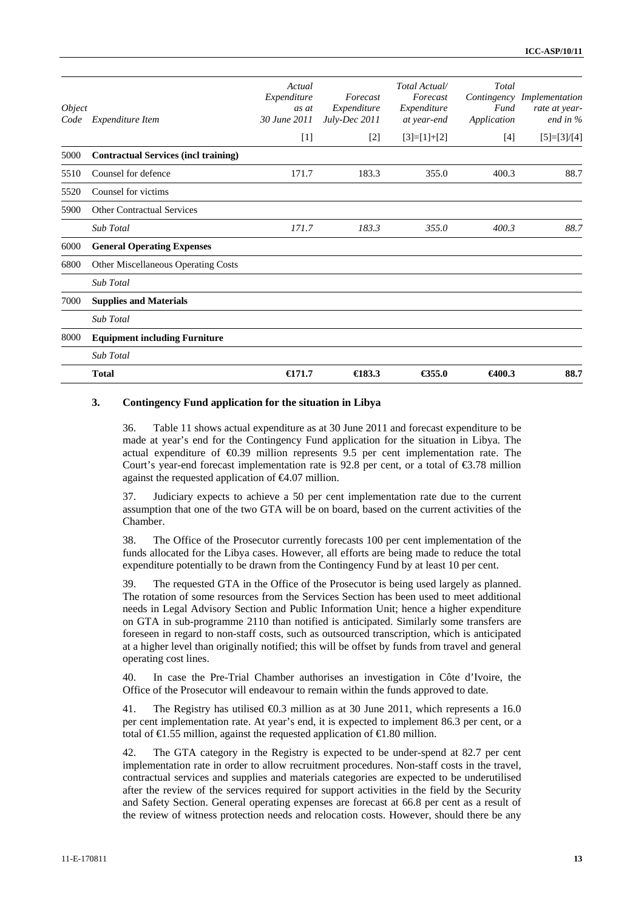| Object<br>Code | Expenditure Item                            | Actual<br>Expenditure<br>as at<br>30 June 2011 | Forecast<br>Expenditure<br>July-Dec 2011 | Total Actual/<br>Forecast<br>Expenditure<br>at year-end | Total<br>Fund<br>Application | Contingency Implementation<br>rate at year-<br>end in $%$ |
|----------------|---------------------------------------------|------------------------------------------------|------------------------------------------|---------------------------------------------------------|------------------------------|-----------------------------------------------------------|
|                |                                             | $[1]$                                          | $[2]$                                    | $[3]=[1]+[2]$                                           | $[4]$                        | $[5]=[3]/[4]$                                             |
| 5000           | <b>Contractual Services (incl training)</b> |                                                |                                          |                                                         |                              |                                                           |
| 5510           | Counsel for defence                         | 171.7                                          | 183.3                                    | 355.0                                                   | 400.3                        | 88.7                                                      |
| 5520           | Counsel for victims                         |                                                |                                          |                                                         |                              |                                                           |
| 5900           | <b>Other Contractual Services</b>           |                                                |                                          |                                                         |                              |                                                           |
|                | <b>Sub Total</b>                            | 171.7                                          | 183.3                                    | 355.0                                                   | 400.3                        | 88.7                                                      |
| 6000           | <b>General Operating Expenses</b>           |                                                |                                          |                                                         |                              |                                                           |
| 6800           | Other Miscellaneous Operating Costs         |                                                |                                          |                                                         |                              |                                                           |
|                | Sub Total                                   |                                                |                                          |                                                         |                              |                                                           |
| 7000           | <b>Supplies and Materials</b>               |                                                |                                          |                                                         |                              |                                                           |
|                | <b>Sub Total</b>                            |                                                |                                          |                                                         |                              |                                                           |
| 8000           | <b>Equipment including Furniture</b>        |                                                |                                          |                                                         |                              |                                                           |
|                | <b>Sub Total</b>                            |                                                |                                          |                                                         |                              |                                                           |
|                | <b>Total</b>                                | $\epsilon$ 171.7                               | $\bigoplus$ 83.3                         | €355.0                                                  | €400.3                       | 88.7                                                      |

#### **3. Contingency Fund application for the situation in Libya**

36. Table 11 shows actual expenditure as at 30 June 2011 and forecast expenditure to be made at year's end for the Contingency Fund application for the situation in Libya. The actual expenditure of €0.39 million represents 9.5 per cent implementation rate. The Court's year-end forecast implementation rate is 92.8 per cent, or a total of  $\epsilon$ 3.78 million against the requested application of  $\epsilon 4.07$  million.

37. Judiciary expects to achieve a 50 per cent implementation rate due to the current assumption that one of the two GTA will be on board, based on the current activities of the Chamber.

38. The Office of the Prosecutor currently forecasts 100 per cent implementation of the funds allocated for the Libya cases. However, all efforts are being made to reduce the total expenditure potentially to be drawn from the Contingency Fund by at least 10 per cent.

39. The requested GTA in the Office of the Prosecutor is being used largely as planned. The rotation of some resources from the Services Section has been used to meet additional needs in Legal Advisory Section and Public Information Unit; hence a higher expenditure on GTA in sub-programme 2110 than notified is anticipated. Similarly some transfers are foreseen in regard to non-staff costs, such as outsourced transcription, which is anticipated at a higher level than originally notified; this will be offset by funds from travel and general operating cost lines.

40. In case the Pre-Trial Chamber authorises an investigation in Côte d'Ivoire, the Office of the Prosecutor will endeavour to remain within the funds approved to date.

41. The Registry has utilised €0.3 million as at 30 June 2011, which represents a 16.0 per cent implementation rate. At year's end, it is expected to implement 86.3 per cent, or a total of  $\in$ 1.55 million, against the requested application of  $\in$ 1.80 million.

42. The GTA category in the Registry is expected to be under-spend at 82.7 per cent implementation rate in order to allow recruitment procedures. Non-staff costs in the travel, contractual services and supplies and materials categories are expected to be underutilised after the review of the services required for support activities in the field by the Security and Safety Section. General operating expenses are forecast at 66.8 per cent as a result of the review of witness protection needs and relocation costs. However, should there be any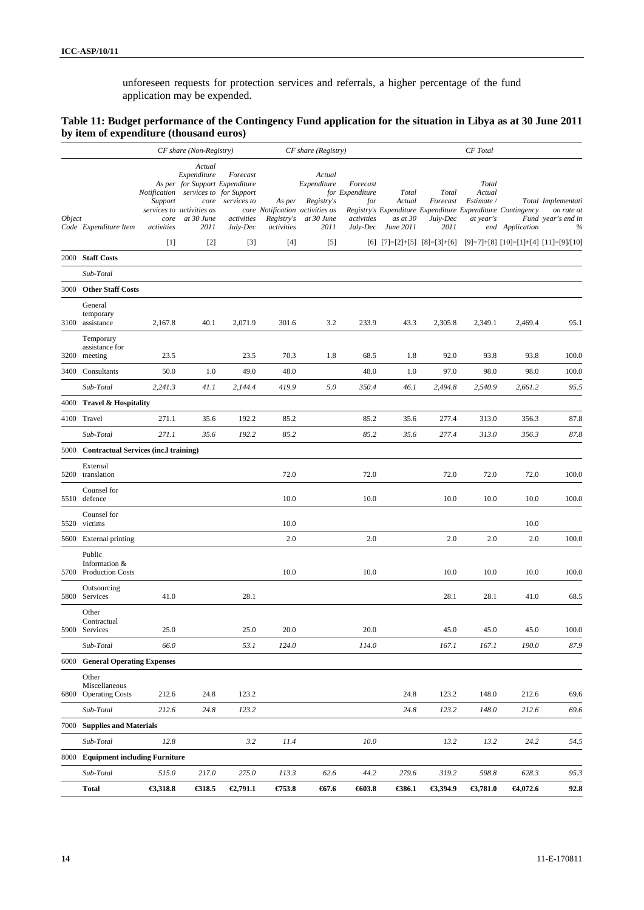unforeseen requests for protection services and referrals, a higher percentage of the fund application may be expended.

#### **Table 11: Budget performance of the Contingency Fund application for the situation in Libya as at 30 June 2011 by item of expenditure (thousand euros)**

|               |                                                  |                               | CF share (Non-Registry)                                                                                                                                    |                                                   |                                    | CF share (Registry)                                                                          |                                                              |                                                 |                                       | CF Total                                   |                                                                               |                                                             |
|---------------|--------------------------------------------------|-------------------------------|------------------------------------------------------------------------------------------------------------------------------------------------------------|---------------------------------------------------|------------------------------------|----------------------------------------------------------------------------------------------|--------------------------------------------------------------|-------------------------------------------------|---------------------------------------|--------------------------------------------|-------------------------------------------------------------------------------|-------------------------------------------------------------|
| <i>Object</i> | Code Expenditure Item                            | Support<br>core<br>activities | Actual<br>Expenditure<br>As per for Support Expenditure<br>Notification services to for Support<br>core<br>services to activities as<br>at 30 June<br>2011 | Forecast<br>services to<br>activities<br>July-Dec | As per<br>Registry's<br>activities | Actual<br>Expenditure<br>Registry's<br>core Notification activities as<br>at 30 June<br>2011 | Forecast<br>for Expenditure<br>for<br>activities<br>July-Dec | <b>Total</b><br>Actual<br>as at 30<br>June 2011 | Total<br>Forecast<br>July-Dec<br>2011 | Total<br>Actual<br>Estimate /<br>at year's | Registry's Expenditure Expenditure Expenditure Contingency<br>end Application | Total Implementati<br>on rate at<br>Fund year's end in<br>% |
|               |                                                  | $[1]$                         | $[2]$                                                                                                                                                      | $[3]$                                             | $[4]$                              | $[5]$                                                                                        |                                                              |                                                 | $[6]$ $[7]=[2]+[5]$ $[8]=[3]+[6]$     |                                            |                                                                               | $[9]=7]+[8]$ $[10]=[1]+[4]$ $[11]=[9]/[10]$                 |
|               | 2000 Staff Costs                                 |                               |                                                                                                                                                            |                                                   |                                    |                                                                                              |                                                              |                                                 |                                       |                                            |                                                                               |                                                             |
|               | Sub-Total                                        |                               |                                                                                                                                                            |                                                   |                                    |                                                                                              |                                                              |                                                 |                                       |                                            |                                                                               |                                                             |
|               | 3000 Other Staff Costs                           |                               |                                                                                                                                                            |                                                   |                                    |                                                                                              |                                                              |                                                 |                                       |                                            |                                                                               |                                                             |
|               | General<br>temporary<br>3100 assistance          | 2,167.8                       | 40.1                                                                                                                                                       | 2,071.9                                           | 301.6                              | 3.2                                                                                          | 233.9                                                        | 43.3                                            | 2,305.8                               | 2,349.1                                    | 2,469.4                                                                       | 95.1                                                        |
|               | Temporary<br>assistance for<br>3200 meeting      | 23.5                          |                                                                                                                                                            | 23.5                                              | 70.3                               | 1.8                                                                                          | 68.5                                                         | 1.8                                             | 92.0                                  | 93.8                                       | 93.8                                                                          | 100.0                                                       |
|               | 3400 Consultants                                 | 50.0                          | 1.0                                                                                                                                                        | 49.0                                              | 48.0                               |                                                                                              | 48.0                                                         | 1.0                                             | 97.0                                  | 98.0                                       | 98.0                                                                          | 100.0                                                       |
|               | Sub-Total                                        | 2,241.3                       | 41.1                                                                                                                                                       | 2.144.4                                           | 419.9                              | 5.0                                                                                          | 350.4                                                        | 46.1                                            | 2,494.8                               | 2,540.9                                    | 2,661.2                                                                       | 95.5                                                        |
|               | 4000 Travel & Hospitality                        |                               |                                                                                                                                                            |                                                   |                                    |                                                                                              |                                                              |                                                 |                                       |                                            |                                                                               |                                                             |
|               | 4100 Travel                                      | 271.1                         | 35.6                                                                                                                                                       | 192.2                                             | 85.2                               |                                                                                              | 85.2                                                         | 35.6                                            | 277.4                                 | 313.0                                      | 356.3                                                                         | 87.8                                                        |
|               | Sub-Total                                        | 271.1                         | 35.6                                                                                                                                                       | 192.2                                             | 85.2                               |                                                                                              | 85.2                                                         | 35.6                                            | 277.4                                 | 313.0                                      | 356.3                                                                         | 87.8                                                        |
|               | 5000 Contractual Services (inc.l training)       |                               |                                                                                                                                                            |                                                   |                                    |                                                                                              |                                                              |                                                 |                                       |                                            |                                                                               |                                                             |
|               | External<br>5200 translation                     |                               |                                                                                                                                                            |                                                   | 72.0                               |                                                                                              | 72.0                                                         |                                                 | 72.0                                  | 72.0                                       | 72.0                                                                          | 100.0                                                       |
|               | Counsel for<br>5510 defence                      |                               |                                                                                                                                                            |                                                   | 10.0                               |                                                                                              | 10.0                                                         |                                                 | 10.0                                  | 10.0                                       | 10.0                                                                          | 100.0                                                       |
|               | Counsel for<br>5520 victims                      |                               |                                                                                                                                                            |                                                   | 10.0                               |                                                                                              |                                                              |                                                 |                                       |                                            | 10.0                                                                          |                                                             |
|               | 5600 External printing                           |                               |                                                                                                                                                            |                                                   | 2.0                                |                                                                                              | 2.0                                                          |                                                 | 2.0                                   | 2.0                                        | 2.0                                                                           | 100.0                                                       |
|               | Public<br>Information &<br>5700 Production Costs |                               |                                                                                                                                                            |                                                   | 10.0                               |                                                                                              | 10.0                                                         |                                                 | 10.0                                  | 10.0                                       | 10.0                                                                          | 100.0                                                       |
| 5800          | Outsourcing<br>Services                          | 41.0                          |                                                                                                                                                            | 28.1                                              |                                    |                                                                                              |                                                              |                                                 | 28.1                                  | 28.1                                       | 41.0                                                                          | 68.5                                                        |
|               | Other<br>Contractual<br>5900 Services            | 25.0                          |                                                                                                                                                            | 25.0                                              | 20.0                               |                                                                                              | 20.0                                                         |                                                 | 45.0                                  | 45.0                                       | 45.0                                                                          | 100.0                                                       |
|               | Sub-Total                                        | 66.0                          |                                                                                                                                                            | 53.1                                              | 124.0                              |                                                                                              | 114.0                                                        |                                                 | 167.1                                 | 167.1                                      | 190.0                                                                         | 87.9                                                        |
|               | 6000 General Operating Expenses                  |                               |                                                                                                                                                            |                                                   |                                    |                                                                                              |                                                              |                                                 |                                       |                                            |                                                                               |                                                             |
| 6800          | Other<br>Miscellaneous<br><b>Operating Costs</b> | 212.6                         | 24.8                                                                                                                                                       | 123.2                                             |                                    |                                                                                              |                                                              | 24.8                                            | 123.2                                 | 148.0                                      | 212.6                                                                         | 69.6                                                        |
|               | Sub-Total                                        | 212.6                         | 24.8                                                                                                                                                       | 123.2                                             |                                    |                                                                                              |                                                              | 24.8                                            | 123.2                                 | 148.0                                      | 212.6                                                                         | 69.6                                                        |
|               | 7000 Supplies and Materials                      |                               |                                                                                                                                                            |                                                   |                                    |                                                                                              |                                                              |                                                 |                                       |                                            |                                                                               |                                                             |
|               | Sub-Total                                        | 12.8                          |                                                                                                                                                            | 3.2                                               | 11.4                               |                                                                                              | 10.0                                                         |                                                 | 13.2                                  | 13.2                                       | 24.2                                                                          | 54.5                                                        |
|               | 8000 Equipment including Furniture               |                               |                                                                                                                                                            |                                                   |                                    |                                                                                              |                                                              |                                                 |                                       |                                            |                                                                               |                                                             |
|               | Sub-Total                                        | 515.0                         | 217.0                                                                                                                                                      | 275.0                                             | 113.3                              | 62.6                                                                                         | 44.2                                                         | 279.6                                           | 319.2                                 | 598.8                                      | 628.3                                                                         | 95.3                                                        |
|               | <b>Total</b>                                     | €3,318.8                      | €318.5                                                                                                                                                     | €2,791.1                                          | €753.8                             | 657.6                                                                                        | 603.8                                                        | €386.1                                          | €3,394.9                              | €3,781.0                                   | 64,072.6                                                                      | 92.8                                                        |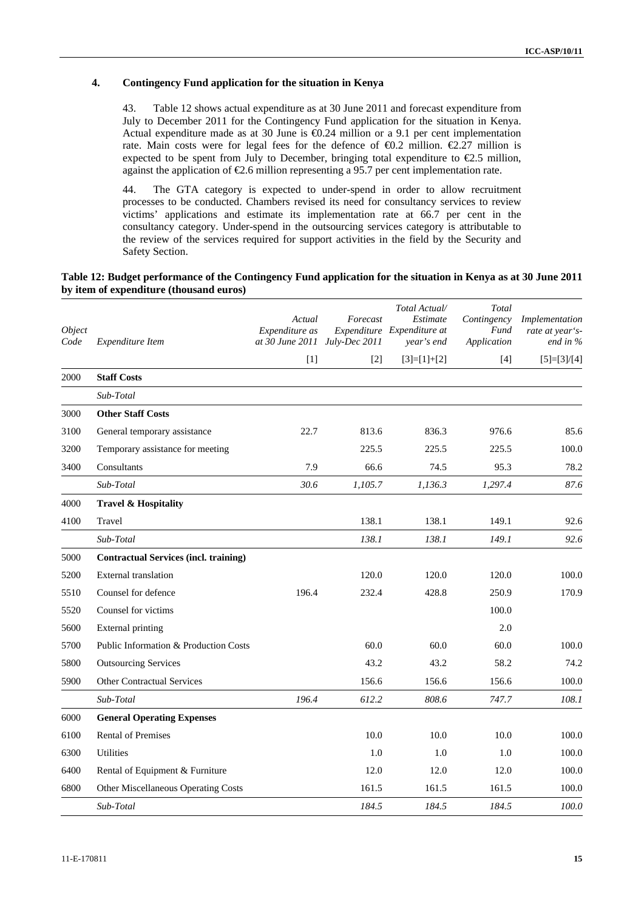#### **4. Contingency Fund application for the situation in Kenya**

43. Table 12 shows actual expenditure as at 30 June 2011 and forecast expenditure from July to December 2011 for the Contingency Fund application for the situation in Kenya. Actual expenditure made as at 30 June is  $\epsilon 0.24$  million or a 9.1 per cent implementation rate. Main costs were for legal fees for the defence of  $\Theta$ . 2 million.  $\epsilon$ 2.27 million is expected to be spent from July to December, bringing total expenditure to  $\epsilon$ 2.5 million, against the application of  $\epsilon$ 2.6 million representing a 95.7 per cent implementation rate.

44. The GTA category is expected to under-spend in order to allow recruitment processes to be conducted. Chambers revised its need for consultancy services to review victims' applications and estimate its implementation rate at 66.7 per cent in the consultancy category. Under-spend in the outsourcing services category is attributable to the review of the services required for support activities in the field by the Security and Safety Section.

#### **Table 12: Budget performance of the Contingency Fund application for the situation in Kenya as at 30 June 2011 by item of expenditure (thousand euros)**

| Object<br>Code | Expenditure Item                             | Actual<br>Expenditure as<br>at 30 June 2011 July-Dec 2011 | Forecast | Total Actual/<br>Estimate<br>Expenditure Expenditure at<br>year's end | Total<br>Contingency<br>Fund<br>Application | Implementation<br>rate at year's-<br>end in % |
|----------------|----------------------------------------------|-----------------------------------------------------------|----------|-----------------------------------------------------------------------|---------------------------------------------|-----------------------------------------------|
|                |                                              | $[1]$                                                     | $[2]$    | $[3]=[1]+[2]$                                                         | $[4]$                                       | $[5]=[3]/[4]$                                 |
| 2000           | <b>Staff Costs</b>                           |                                                           |          |                                                                       |                                             |                                               |
|                | Sub-Total                                    |                                                           |          |                                                                       |                                             |                                               |
| 3000           | <b>Other Staff Costs</b>                     |                                                           |          |                                                                       |                                             |                                               |
| 3100           | General temporary assistance                 | 22.7                                                      | 813.6    | 836.3                                                                 | 976.6                                       | 85.6                                          |
| 3200           | Temporary assistance for meeting             |                                                           | 225.5    | 225.5                                                                 | 225.5                                       | 100.0                                         |
| 3400           | Consultants                                  | 7.9                                                       | 66.6     | 74.5                                                                  | 95.3                                        | 78.2                                          |
|                | Sub-Total                                    | 30.6                                                      | 1,105.7  | 1,136.3                                                               | 1,297.4                                     | 87.6                                          |
| 4000           | <b>Travel &amp; Hospitality</b>              |                                                           |          |                                                                       |                                             |                                               |
| 4100           | Travel                                       |                                                           | 138.1    | 138.1                                                                 | 149.1                                       | 92.6                                          |
|                | Sub-Total                                    |                                                           | 138.1    | 138.1                                                                 | 149.1                                       | 92.6                                          |
| 5000           | <b>Contractual Services (incl. training)</b> |                                                           |          |                                                                       |                                             |                                               |
| 5200           | <b>External translation</b>                  |                                                           | 120.0    | 120.0                                                                 | 120.0                                       | 100.0                                         |
| 5510           | Counsel for defence                          | 196.4                                                     | 232.4    | 428.8                                                                 | 250.9                                       | 170.9                                         |
| 5520           | Counsel for victims                          |                                                           |          |                                                                       | 100.0                                       |                                               |
| 5600           | <b>External printing</b>                     |                                                           |          |                                                                       | 2.0                                         |                                               |
| 5700           | Public Information & Production Costs        |                                                           | 60.0     | 60.0                                                                  | 60.0                                        | 100.0                                         |
| 5800           | <b>Outsourcing Services</b>                  |                                                           | 43.2     | 43.2                                                                  | 58.2                                        | 74.2                                          |
| 5900           | <b>Other Contractual Services</b>            |                                                           | 156.6    | 156.6                                                                 | 156.6                                       | 100.0                                         |
|                | Sub-Total                                    | 196.4                                                     | 612.2    | 808.6                                                                 | 747.7                                       | 108.1                                         |
| 6000           | <b>General Operating Expenses</b>            |                                                           |          |                                                                       |                                             |                                               |
| 6100           | <b>Rental of Premises</b>                    |                                                           | 10.0     | 10.0                                                                  | 10.0                                        | 100.0                                         |
| 6300           | Utilities                                    |                                                           | 1.0      | 1.0                                                                   | 1.0                                         | 100.0                                         |
| 6400           | Rental of Equipment & Furniture              |                                                           | 12.0     | 12.0                                                                  | 12.0                                        | 100.0                                         |
| 6800           | Other Miscellaneous Operating Costs          |                                                           | 161.5    | 161.5                                                                 | 161.5                                       | 100.0                                         |
|                | Sub-Total                                    |                                                           | 184.5    | 184.5                                                                 | 184.5                                       | 100.0                                         |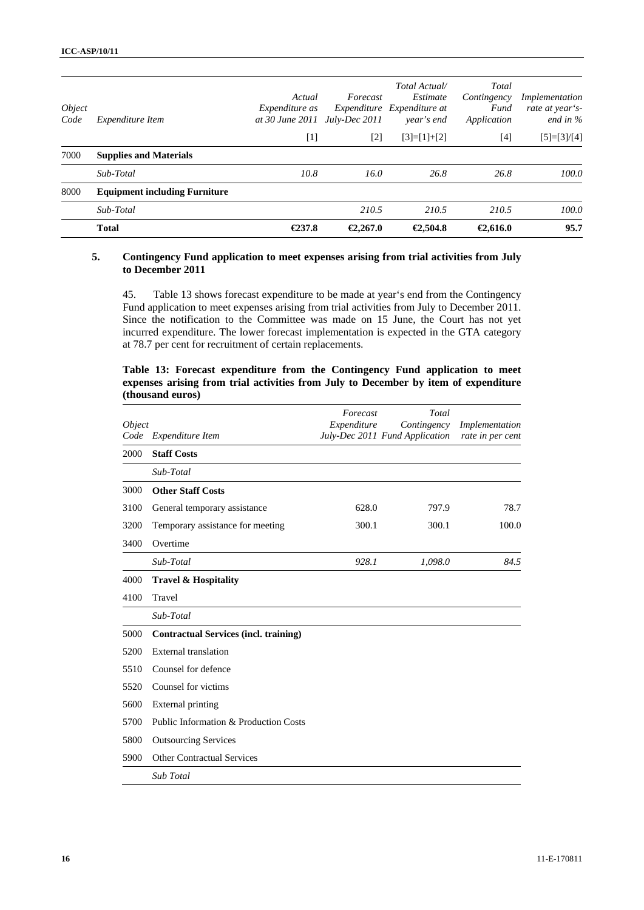|                       | <b>Total</b>                         | €237.8                                      | €2,267.0                  | €2,504.8                                                              | €2.616.0                                    | 95.7                                             |
|-----------------------|--------------------------------------|---------------------------------------------|---------------------------|-----------------------------------------------------------------------|---------------------------------------------|--------------------------------------------------|
|                       | Sub-Total                            |                                             | 210.5                     | 210.5                                                                 | 210.5                                       | 100.0                                            |
| 8000                  | <b>Equipment including Furniture</b> |                                             |                           |                                                                       |                                             |                                                  |
|                       | Sub-Total                            | 10.8                                        | 16.0                      | 26.8                                                                  | 26.8                                        | 100.0                                            |
| 7000                  | <b>Supplies and Materials</b>        |                                             |                           |                                                                       |                                             |                                                  |
|                       |                                      | $[1]$                                       | $\lceil 2 \rceil$         | $[3]=[1]+[2]$                                                         | $[4]$                                       | $[5]=[3]/[4]$                                    |
| <i>Object</i><br>Code | <i>Expenditure Item</i>              | Actual<br>Expenditure as<br>at 30 June 2011 | Forecast<br>July-Dec 2011 | Total Actual/<br>Estimate<br>Expenditure Expenditure at<br>year's end | Total<br>Contingency<br>Fund<br>Application | Implementation<br>rate at year's-<br>end in $\%$ |

#### **5. Contingency Fund application to meet expenses arising from trial activities from July to December 2011**

45. Table 13 shows forecast expenditure to be made at year's end from the Contingency Fund application to meet expenses arising from trial activities from July to December 2011. Since the notification to the Committee was made on 15 June, the Court has not yet incurred expenditure. The lower forecast implementation is expected in the GTA category at 78.7 per cent for recruitment of certain replacements.

|  | Table 13: Forecast expenditure from the Contingency Fund application to meet        |  |  |  |  |  |  |
|--|-------------------------------------------------------------------------------------|--|--|--|--|--|--|
|  | expenses arising from trial activities from July to December by item of expenditure |  |  |  |  |  |  |
|  | (thousand euros)                                                                    |  |  |  |  |  |  |

|                              |                                              | Forecast    | Total                                         |                                    |
|------------------------------|----------------------------------------------|-------------|-----------------------------------------------|------------------------------------|
| <i><b>Object</b></i><br>Code | Expenditure Item                             | Expenditure | Contingency<br>July-Dec 2011 Fund Application | Implementation<br>rate in per cent |
| 2000                         | <b>Staff Costs</b>                           |             |                                               |                                    |
|                              | Sub-Total                                    |             |                                               |                                    |
| 3000                         | <b>Other Staff Costs</b>                     |             |                                               |                                    |
| 3100                         | General temporary assistance                 | 628.0       | 797.9                                         | 78.7                               |
| 3200                         | Temporary assistance for meeting             | 300.1       | 300.1                                         | 100.0                              |
| 3400                         | Overtime                                     |             |                                               |                                    |
|                              | Sub-Total                                    | 928.1       | 1,098.0                                       | 84.5                               |
| 4000                         | <b>Travel &amp; Hospitality</b>              |             |                                               |                                    |
| 4100                         | Travel                                       |             |                                               |                                    |
|                              | Sub-Total                                    |             |                                               |                                    |
| 5000                         | <b>Contractual Services (incl. training)</b> |             |                                               |                                    |
| 5200                         | <b>External translation</b>                  |             |                                               |                                    |
| 5510                         | Counsel for defence                          |             |                                               |                                    |
| 5520                         | Counsel for victims                          |             |                                               |                                    |
| 5600                         | External printing                            |             |                                               |                                    |
| 5700                         | Public Information & Production Costs        |             |                                               |                                    |
| 5800                         | <b>Outsourcing Services</b>                  |             |                                               |                                    |
| 5900                         | <b>Other Contractual Services</b>            |             |                                               |                                    |
|                              | Sub Total                                    |             |                                               |                                    |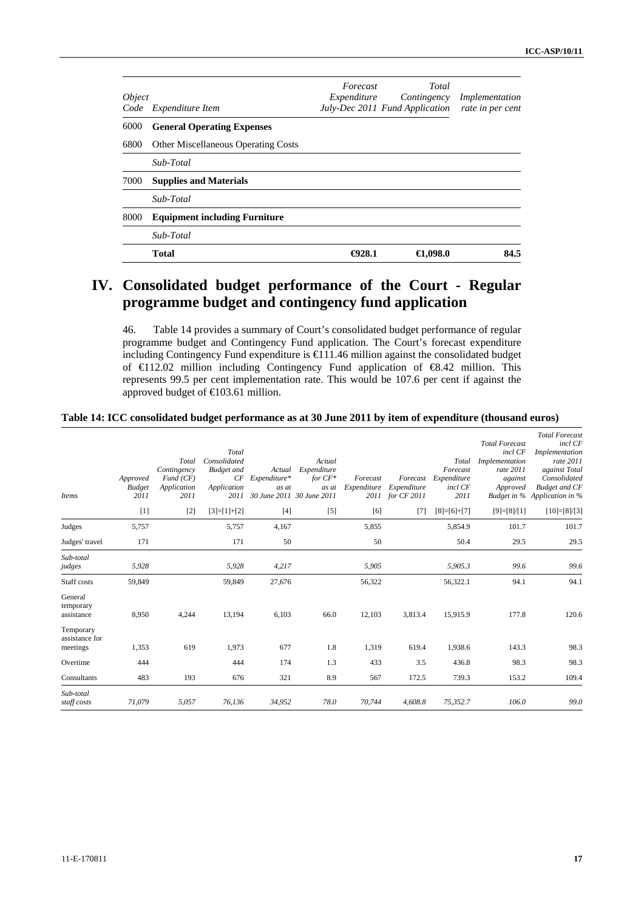| <i>Object</i><br>Code | Expenditure Item                           | Forecast<br>Expenditure | Total<br>Contingency<br>July-Dec 2011 Fund Application | Implementation<br>rate in per cent |
|-----------------------|--------------------------------------------|-------------------------|--------------------------------------------------------|------------------------------------|
| 6000                  | <b>General Operating Expenses</b>          |                         |                                                        |                                    |
| 6800                  | <b>Other Miscellaneous Operating Costs</b> |                         |                                                        |                                    |
|                       | Sub-Total                                  |                         |                                                        |                                    |
| 7000                  | <b>Supplies and Materials</b>              |                         |                                                        |                                    |
|                       | Sub-Total                                  |                         |                                                        |                                    |
| 8000                  | <b>Equipment including Furniture</b>       |                         |                                                        |                                    |
|                       | Sub-Total                                  |                         |                                                        |                                    |
|                       | <b>Total</b>                               | $\bigoplus$ 28.1        | €1,098.0                                               | 84.5                               |

# **IV. Consolidated budget performance of the Court - Regular programme budget and contingency fund application**

46. Table 14 provides a summary of Court's consolidated budget performance of regular programme budget and Contingency Fund application. The Court's forecast expenditure including Contingency Fund expenditure is €111.46 million against the consolidated budget of €112.02 million including Contingency Fund application of €8.42 million. This represents 99.5 per cent implementation rate. This would be 107.6 per cent if against the approved budget of €103.61 million.

#### **Table 14: ICC consolidated budget performance as at 30 June 2011 by item of expenditure (thousand euros)**

| <b>Items</b>                            | Approved<br><b>Budget</b><br>2011<br>$[1]$ | Total<br>Contingency<br>Fund(CF)<br>Application<br>2011<br>$[2]$ | Total<br>Consolidated<br><b>Budget</b> and<br>CF<br>Application<br>$[3]=[1]+[2]$ | Actual<br>Expenditure*<br>as at<br>2011 30 June 2011 30 June 2011<br>$[4]$ | Actual<br>Expenditure<br>for $CF^*$<br>as at<br>$[5]$ | Forecast<br>Expenditure<br>[6] | Forecast<br>Expenditure<br>2011 for CF 2011<br>$[7]$ | Total<br>Forecast<br>Expenditure<br>incl CF<br>2011<br>$[8]=[6]+[7]$ | <b>Total Forecast</b><br>incl CF<br>Implementation<br>rate 2011<br>against<br>Approved<br>$[9]=[8]/[1]$ | <b>Total Forecast</b><br>incl CF<br>Implementation<br>rate 2011<br>against Total<br>Consolidated<br><b>Budget and CF</b><br>Budget in % Application in %<br>$[10]=[8]/[3]$ |
|-----------------------------------------|--------------------------------------------|------------------------------------------------------------------|----------------------------------------------------------------------------------|----------------------------------------------------------------------------|-------------------------------------------------------|--------------------------------|------------------------------------------------------|----------------------------------------------------------------------|---------------------------------------------------------------------------------------------------------|----------------------------------------------------------------------------------------------------------------------------------------------------------------------------|
|                                         |                                            |                                                                  |                                                                                  |                                                                            |                                                       |                                |                                                      |                                                                      |                                                                                                         |                                                                                                                                                                            |
| Judges                                  | 5,757                                      |                                                                  | 5,757                                                                            | 4,167                                                                      |                                                       | 5,855                          |                                                      | 5,854.9                                                              | 101.7                                                                                                   | 101.7                                                                                                                                                                      |
| Judges' travel                          | 171                                        |                                                                  | 171                                                                              | 50                                                                         |                                                       | 50                             |                                                      | 50.4                                                                 | 29.5                                                                                                    | 29.5                                                                                                                                                                       |
| Sub-total<br>judges                     | 5,928                                      |                                                                  | 5,928                                                                            | 4,217                                                                      |                                                       | 5,905                          |                                                      | 5,905.3                                                              | 99.6                                                                                                    | 99.6                                                                                                                                                                       |
| Staff costs                             | 59,849                                     |                                                                  | 59,849                                                                           | 27,676                                                                     |                                                       | 56,322                         |                                                      | 56,322.1                                                             | 94.1                                                                                                    | 94.1                                                                                                                                                                       |
| General<br>temporary<br>assistance      | 8,950                                      | 4,244                                                            | 13,194                                                                           | 6,103                                                                      | 66.0                                                  | 12,103                         | 3,813.4                                              | 15,915.9                                                             | 177.8                                                                                                   | 120.6                                                                                                                                                                      |
| Temporary<br>assistance for<br>meetings | 1,353                                      | 619                                                              | 1,973                                                                            | 677                                                                        | 1.8                                                   | 1,319                          | 619.4                                                | 1,938.6                                                              | 143.3                                                                                                   | 98.3                                                                                                                                                                       |
| Overtime                                | 444                                        |                                                                  | 444                                                                              | 174                                                                        | 1.3                                                   | 433                            | 3.5                                                  | 436.8                                                                | 98.3                                                                                                    | 98.3                                                                                                                                                                       |
| Consultants                             | 483                                        | 193                                                              | 676                                                                              | 321                                                                        | 8.9                                                   | 567                            | 172.5                                                | 739.3                                                                | 153.2                                                                                                   | 109.4                                                                                                                                                                      |
| Sub-total<br>staff costs                | 71,079                                     | 5,057                                                            | 76,136                                                                           | 34,952                                                                     | 78.0                                                  | 70,744                         | 4,608.8                                              | 75,352.7                                                             | 106.0                                                                                                   | 99.0                                                                                                                                                                       |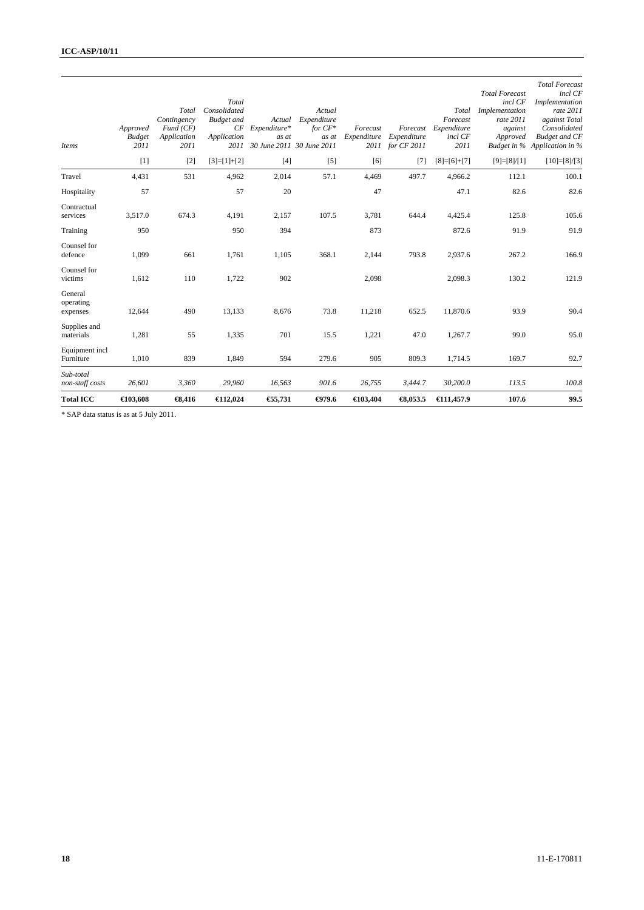| <b>Total ICC</b>                 | $\bigoplus$ 03,608                | $\bigoplus$ ,416                                        | $\bigoplus$ 12,024                                        | €5,731                                                                 | $-079.6$                                    | €103,404                | $\bigoplus$ , 053.5             | €11,457.9                                                    | 107.6                                                                                  | 99.5                                                                                                                                                     |
|----------------------------------|-----------------------------------|---------------------------------------------------------|-----------------------------------------------------------|------------------------------------------------------------------------|---------------------------------------------|-------------------------|---------------------------------|--------------------------------------------------------------|----------------------------------------------------------------------------------------|----------------------------------------------------------------------------------------------------------------------------------------------------------|
| Sub-total<br>non-staff costs     | 26,601                            | 3,360                                                   | 29,960                                                    | 16,563                                                                 | 901.6                                       | 26,755                  | 3,444.7                         | 30,200.0                                                     | 113.5                                                                                  | 100.8                                                                                                                                                    |
| Equipment incl<br>Furniture      | 1,010                             | 839                                                     | 1,849                                                     | 594                                                                    | 279.6                                       | 905                     | 809.3                           | 1,714.5                                                      | 169.7                                                                                  | 92.7                                                                                                                                                     |
| Supplies and<br>materials        | 1,281                             | 55                                                      | 1,335                                                     | 701                                                                    | 15.5                                        | 1,221                   | 47.0                            | 1,267.7                                                      | 99.0                                                                                   | 95.0                                                                                                                                                     |
| General<br>operating<br>expenses | 12,644                            | 490                                                     | 13,133                                                    | 8,676                                                                  | 73.8                                        | 11,218                  | 652.5                           | 11,870.6                                                     | 93.9                                                                                   | 90.4                                                                                                                                                     |
| Counsel for<br>victims           | 1,612                             | 110                                                     | 1,722                                                     | 902                                                                    |                                             | 2,098                   |                                 | 2,098.3                                                      | 130.2                                                                                  | 121.9                                                                                                                                                    |
| Counsel for<br>defence           | 1,099                             | 661                                                     | 1,761                                                     | 1,105                                                                  | 368.1                                       | 2,144                   | 793.8                           | 2,937.6                                                      | 267.2                                                                                  | 166.9                                                                                                                                                    |
| Training                         | 950                               |                                                         | 950                                                       | 394                                                                    |                                             | 873                     |                                 | 872.6                                                        | 91.9                                                                                   | 91.9                                                                                                                                                     |
| Contractual<br>services          | 3,517.0                           | 674.3                                                   | 4,191                                                     | 2,157                                                                  | 107.5                                       | 3,781                   | 644.4                           | 4,425.4                                                      | 125.8                                                                                  | 105.6                                                                                                                                                    |
| Hospitality                      | 57                                |                                                         | 57                                                        | 20                                                                     |                                             | 47                      |                                 | 47.1                                                         | 82.6                                                                                   | 82.6                                                                                                                                                     |
| Travel                           | 4,431                             | 531                                                     | 4,962                                                     | 2,014                                                                  | 57.1                                        | 4,469                   | 497.7                           | 4,966.2                                                      | 112.1                                                                                  | 100.1                                                                                                                                                    |
|                                  | $[1]$                             | $[2]$                                                   | $[3]=[1]+[2]$                                             | $[4]$                                                                  | $[5]$                                       | [6]                     | $[7]$                           | $[8]=[6]+[7]$                                                | $[9]=[8]/[1]$                                                                          | $[10]=[8]/[3]$                                                                                                                                           |
| <b>Items</b>                     | Approved<br><b>Budget</b><br>2011 | Total<br>Contingency<br>Fund(CF)<br>Application<br>2011 | Total<br>Consolidated<br><b>Budget</b> and<br>Application | Actual<br>$CF$ Expenditure*<br>as at<br>2011 30 June 2011 30 June 2011 | Actual<br>Expenditure<br>for $CF*$<br>as at | Forecast<br>Expenditure | Expenditure<br>2011 for CF 2011 | Total<br>Forecast<br>Forecast Expenditure<br>incl CF<br>2011 | <b>Total Forecast</b><br>incl CF<br>Implementation<br>rate 2011<br>against<br>Approved | <b>Total Forecast</b><br>incl CF<br>Implementation<br>rate 2011<br>against Total<br>Consolidated<br><b>Budget and CF</b><br>Budget in % Application in % |

\* SAP data status is as at 5 July 2011.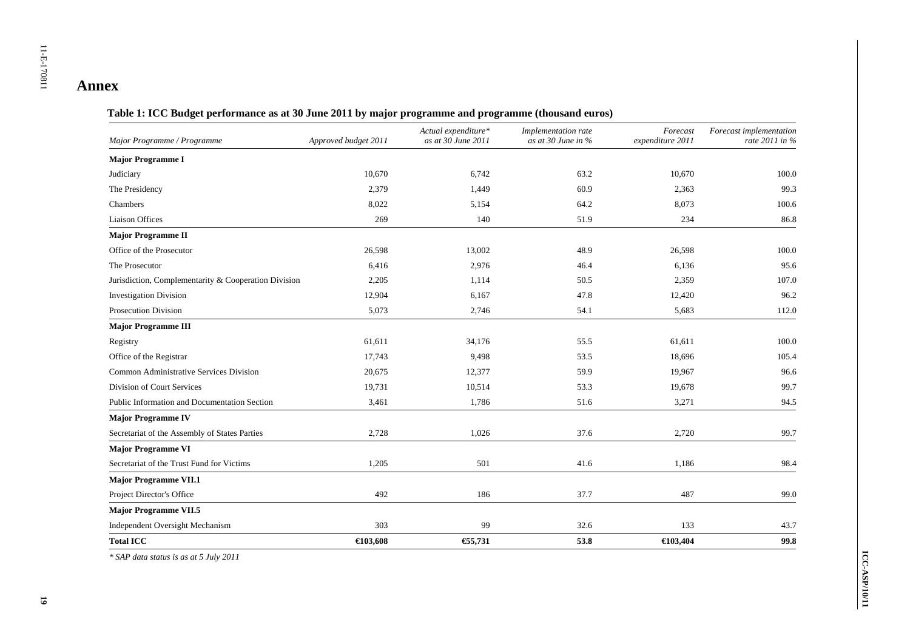| Major Programme / Programme                          | Approved budget 2011 | Actual expenditure*<br>as at 30 June 2011 | Implementation rate<br>as at 30 June in $\%$ | Forecast<br>expenditure 2011 | Forecast implementation<br>rate $2011$ in % |
|------------------------------------------------------|----------------------|-------------------------------------------|----------------------------------------------|------------------------------|---------------------------------------------|
| <b>Major Programme I</b>                             |                      |                                           |                                              |                              |                                             |
| Judiciary                                            | 10,670               | 6,742                                     | 63.2                                         | 10,670                       | 100.0                                       |
| The Presidency                                       | 2,379                | 1,449                                     | 60.9                                         | 2,363                        | 99.3                                        |
| Chambers                                             | 8,022                | 5,154                                     | 64.2                                         | 8,073                        | 100.6                                       |
| <b>Liaison Offices</b>                               | 269                  | 140                                       | 51.9                                         | 234                          | 86.8                                        |
| <b>Major Programme II</b>                            |                      |                                           |                                              |                              |                                             |
| Office of the Prosecutor                             | 26,598               | 13,002                                    | 48.9                                         | 26,598                       | 100.0                                       |
| The Prosecutor                                       | 6,416                | 2,976                                     | 46.4                                         | 6,136                        | 95.6                                        |
| Jurisdiction, Complementarity & Cooperation Division | 2,205                | 1,114                                     | 50.5                                         | 2,359                        | 107.0                                       |
| <b>Investigation Division</b>                        | 12,904               | 6,167                                     | 47.8                                         | 12,420                       | 96.2                                        |
| <b>Prosecution Division</b>                          | 5,073                | 2,746                                     | 54.1                                         | 5,683                        | 112.0                                       |
| <b>Major Programme III</b>                           |                      |                                           |                                              |                              |                                             |
| Registry                                             | 61,611               | 34,176                                    | 55.5                                         | 61,611                       | 100.0                                       |
| Office of the Registrar                              | 17,743               | 9,498                                     | 53.5                                         | 18,696                       | 105.4                                       |
| Common Administrative Services Division              | 20,675               | 12,377                                    | 59.9                                         | 19,967                       | 96.6                                        |
| Division of Court Services                           | 19,731               | 10,514                                    | 53.3                                         | 19,678                       | 99.7                                        |
| Public Information and Documentation Section         | 3,461                | 1,786                                     | 51.6                                         | 3,271                        | 94.5                                        |
| <b>Major Programme IV</b>                            |                      |                                           |                                              |                              |                                             |
| Secretariat of the Assembly of States Parties        | 2,728                | 1,026                                     | 37.6                                         | 2,720                        | 99.7                                        |
| <b>Major Programme VI</b>                            |                      |                                           |                                              |                              |                                             |
| Secretariat of the Trust Fund for Victims            | 1,205                | 501                                       | 41.6                                         | 1,186                        | 98.4                                        |
| <b>Major Programme VII.1</b>                         |                      |                                           |                                              |                              |                                             |
| Project Director's Office                            | 492                  | 186                                       | 37.7                                         | 487                          | 99.0                                        |
| <b>Major Programme VII.5</b>                         |                      |                                           |                                              |                              |                                             |
| Independent Oversight Mechanism                      | 303                  | 99                                        | 32.6                                         | 133                          | 43.7                                        |
| <b>Total ICC</b>                                     | $\bigoplus$ 03.608   | €5,731                                    | 53.8                                         | €103,404                     | 99.8                                        |

### **Table 1: ICC Budget performance as at 30 June 2011 by major programme and programme (thousand euros)**

*\* SAP data status is as at 5 July 2011*

**Annex**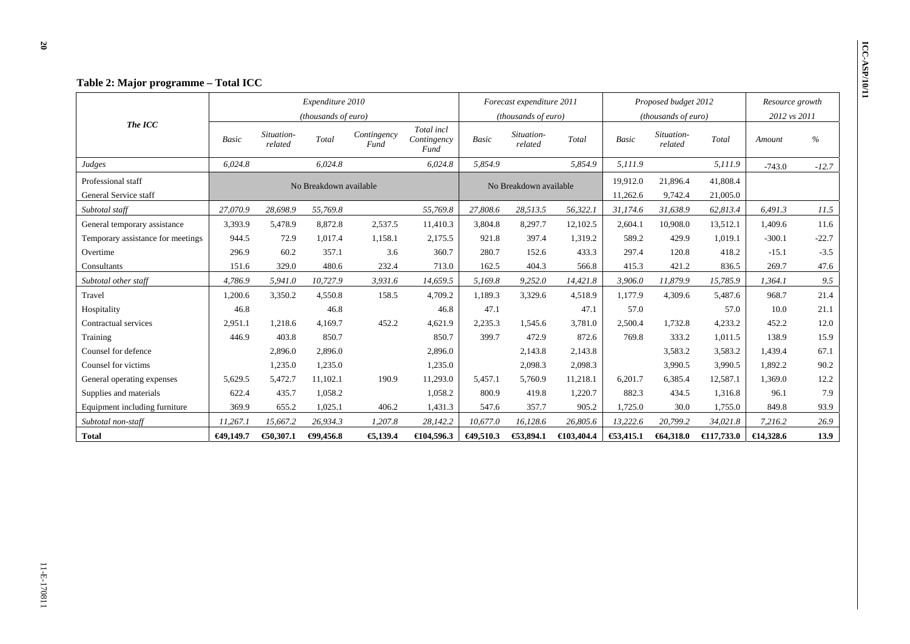|                                   |              |                       | Expenditure 2010       |                     |                                   |                      | Forecast expenditure 2011    |            |              | Proposed budget 2012  |                      | Resource growth |         |
|-----------------------------------|--------------|-----------------------|------------------------|---------------------|-----------------------------------|----------------------|------------------------------|------------|--------------|-----------------------|----------------------|-----------------|---------|
|                                   |              |                       | (thousands of euro)    |                     |                                   |                      | ( <i>thousands of euro</i> ) |            |              | (thousands of euro)   |                      | 2012 vs 2011    |         |
| The ICC                           | <b>Basic</b> | Situation-<br>related | Total                  | Contingency<br>Fund | Total incl<br>Contingency<br>Fund | Basic                | Situation-<br>related        | Total      | <b>Basic</b> | Situation-<br>related | Total                | Amount          | %       |
| Judges                            | 6,024.8      |                       | 6,024.8                |                     | 6,024.8                           | 5,854.9              |                              | 5,854.9    | 5,111.9      |                       | 5,111.9              | $-743.0$        | $-12.7$ |
| Professional staff                |              |                       | No Breakdown available |                     |                                   |                      | No Breakdown available       |            | 19,912.0     | 21,896.4              | 41,808.4             |                 |         |
| General Service staff             |              |                       |                        |                     |                                   |                      |                              |            | 11,262.6     | 9,742.4               | 21,005.0             |                 |         |
| Subtotal staff                    | 27,070.9     | 28,698.9              | 55,769.8               |                     | 55,769.8                          | 27,808.6             | 28,513.5                     | 56,322.1   | 31,174.6     | 31,638.9              | 62,813.4             | 6,491.3         | 11.5    |
| General temporary assistance      | 3,393.9      | 5,478.9               | 8,872.8                | 2,537.5             | 11,410.3                          | 3,804.8              | 8,297.7                      | 12,102.5   | 2,604.1      | 10,908.0              | 13,512.1             | 1,409.6         | 11.6    |
| Temporary assistance for meetings | 944.5        | 72.9                  | 1,017.4                | 1,158.1             | 2,175.5                           | 921.8                | 397.4                        | 1,319.2    | 589.2        | 429.9                 | 1,019.1              | $-300.1$        | $-22.7$ |
| Overtime                          | 296.9        | 60.2                  | 357.1                  | 3.6                 | 360.7                             | 280.7                | 152.6                        | 433.3      | 297.4        | 120.8                 | 418.2                | $-15.1$         | $-3.5$  |
| Consultants                       | 151.6        | 329.0                 | 480.6                  | 232.4               | 713.0                             | 162.5                | 404.3                        | 566.8      | 415.3        | 421.2                 | 836.5                | 269.7           | 47.6    |
| Subtotal other staff              | 4,786.9      | 5,941.0               | 10.727.9               | 3,931.6             | 14,659.5                          | 5,169.8              | 9,252.0                      | 14,421.8   | 3,906.0      | 11,879.9              | 15,785.9             | 1.364.1         | 9.5     |
| Travel                            | 1,200.6      | 3,350.2               | 4,550.8                | 158.5               | 4,709.2                           | 1,189.3              | 3,329.6                      | 4,518.9    | 1.177.9      | 4,309.6               | 5.487.6              | 968.7           | 21.4    |
| Hospitality                       | 46.8         |                       | 46.8                   |                     | 46.8                              | 47.1                 |                              | 47.1       | 57.0         |                       | 57.0                 | 10.0            | 21.1    |
| Contractual services              | 2,951.1      | 1,218.6               | 4,169.7                | 452.2               | 4,621.9                           | 2,235.3              | 1,545.6                      | 3,781.0    | 2,500.4      | 1,732.8               | 4,233.2              | 452.2           | 12.0    |
| Training                          | 446.9        | 403.8                 | 850.7                  |                     | 850.7                             | 399.7                | 472.9                        | 872.6      | 769.8        | 333.2                 | 1.011.5              | 138.9           | 15.9    |
| Counsel for defence               |              | 2,896.0               | 2,896.0                |                     | 2,896.0                           |                      | 2,143.8                      | 2,143.8    |              | 3,583.2               | 3,583.2              | 1,439.4         | 67.1    |
| Counsel for victims               |              | 1,235.0               | 1,235.0                |                     | 1,235.0                           |                      | 2,098.3                      | 2,098.3    |              | 3,990.5               | 3,990.5              | 1,892.2         | 90.2    |
| General operating expenses        | 5,629.5      | 5,472.7               | 11,102.1               | 190.9               | 11,293.0                          | 5,457.1              | 5,760.9                      | 11,218.1   | 6,201.7      | 6,385.4               | 12,587.1             | 1,369.0         | 12.2    |
| Supplies and materials            | 622.4        | 435.7                 | 1,058.2                |                     | 1,058.2                           | 800.9                | 419.8                        | 1,220.7    | 882.3        | 434.5                 | 1.316.8              | 96.1            | 7.9     |
| Equipment including furniture     | 369.9        | 655.2                 | 1,025.1                | 406.2               | 1,431.3                           | 547.6                | 357.7                        | 905.2      | 1,725.0      | 30.0                  | 1,755.0              | 849.8           | 93.9    |
| Subtotal non-staff                | 11,267.1     | 15,667.2              | 26,934.3               | 1,207.8             | 28,142.2                          | 10,677.0             | 16,128.6                     | 26,805.6   | 13,222.6     | 20,799.2              | 34,021.8             | 7,216.2         | 26.9    |
| <b>Total</b>                      | €49,149.7    | €0,307.1              | $-49,456.8$            | €,139.4             | €104,596.3                        | $\bigoplus$ 49,510.3 | €3,894.1                     | €103,404.4 | €3,415.1     | €64,318.0             | $\bigoplus$ 17,733.0 | €14,328.6       | 13.9    |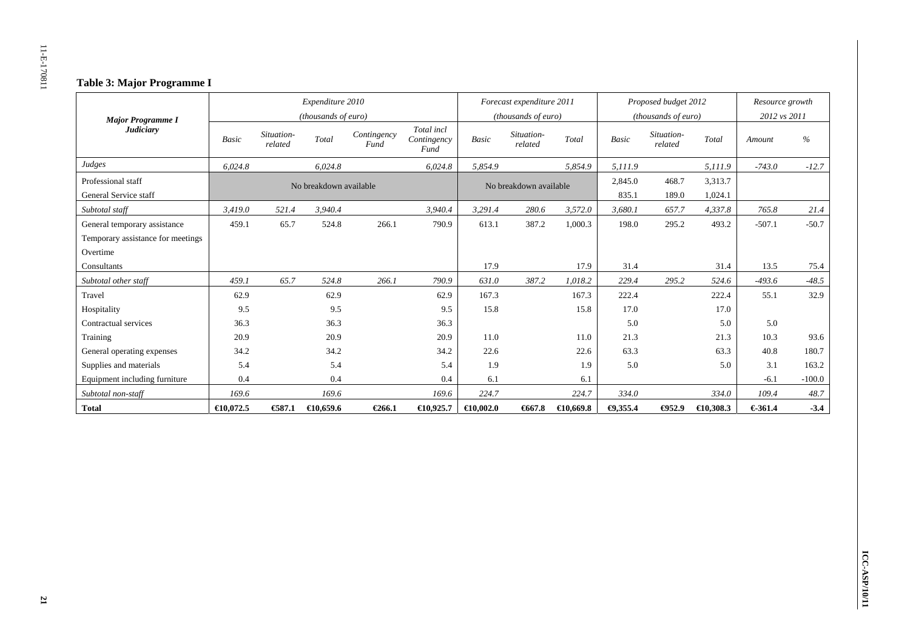## **Table 3: Major Programme I**

|                                   |                     |                       | Expenditure 2010       |                     |                                   |                     | Forecast expenditure 2011 |           |              | Proposed budget 2012  |                     | Resource growth |          |
|-----------------------------------|---------------------|-----------------------|------------------------|---------------------|-----------------------------------|---------------------|---------------------------|-----------|--------------|-----------------------|---------------------|-----------------|----------|
| <b>Major Programme I</b>          |                     |                       | (thousands of euro)    |                     |                                   |                     | (thousands of euro)       |           |              | (thousands of euro)   |                     | 2012 vs 2011    |          |
| <b>Judiciary</b>                  | <b>Basic</b>        | Situation-<br>related | Total                  | Contingency<br>Fund | Total incl<br>Contingency<br>Fund | <b>Basic</b>        | Situation-<br>related     | Total     | <b>Basic</b> | Situation-<br>related | Total               | Amount          | $\%$     |
| Judges                            | 6.024.8             |                       | 6.024.8                |                     | 6.024.8                           | 5.854.9             |                           | 5.854.9   | 5.111.9      |                       | 5,111.9             | $-743.0$        | $-12.7$  |
| Professional staff                |                     |                       | No breakdown available |                     |                                   |                     | No breakdown available    |           | 2,845.0      | 468.7                 | 3,313.7             |                 |          |
| General Service staff             |                     |                       |                        |                     |                                   |                     |                           |           | 835.1        | 189.0                 | 1,024.1             |                 |          |
| Subtotal staff                    | 3,419.0             | 521.4                 | 3,940.4                |                     | 3,940.4                           | 3,291.4             | 280.6                     | 3,572.0   | 3,680.1      | 657.7                 | 4,337.8             | 765.8           | 21.4     |
| General temporary assistance      | 459.1               | 65.7                  | 524.8                  | 266.1               | 790.9                             | 613.1               | 387.2                     | 1,000.3   | 198.0        | 295.2                 | 493.2               | $-507.1$        | $-50.7$  |
| Temporary assistance for meetings |                     |                       |                        |                     |                                   |                     |                           |           |              |                       |                     |                 |          |
| Overtime                          |                     |                       |                        |                     |                                   |                     |                           |           |              |                       |                     |                 |          |
| Consultants                       |                     |                       |                        |                     |                                   | 17.9                |                           | 17.9      | 31.4         |                       | 31.4                | 13.5            | 75.4     |
| Subtotal other staff              | 459.1               | 65.7                  | 524.8                  | 266.1               | 790.9                             | 631.0               | 387.2                     | 1,018.2   | 229.4        | 295.2                 | 524.6               | $-493.6$        | $-48.5$  |
| Travel                            | 62.9                |                       | 62.9                   |                     | 62.9                              | 167.3               |                           | 167.3     | 222.4        |                       | 222.4               | 55.1            | 32.9     |
| Hospitality                       | 9.5                 |                       | 9.5                    |                     | 9.5                               | 15.8                |                           | 15.8      | 17.0         |                       | 17.0                |                 |          |
| Contractual services              | 36.3                |                       | 36.3                   |                     | 36.3                              |                     |                           |           | 5.0          |                       | 5.0                 | 5.0             |          |
| Training                          | 20.9                |                       | 20.9                   |                     | 20.9                              | 11.0                |                           | 11.0      | 21.3         |                       | 21.3                | 10.3            | 93.6     |
| General operating expenses        | 34.2                |                       | 34.2                   |                     | 34.2                              | 22.6                |                           | 22.6      | 63.3         |                       | 63.3                | 40.8            | 180.7    |
| Supplies and materials            | 5.4                 |                       | 5.4                    |                     | 5.4                               | 1.9                 |                           | 1.9       | 5.0          |                       | 5.0                 | 3.1             | 163.2    |
| Equipment including furniture     | 0.4                 |                       | 0.4                    |                     | 0.4                               | 6.1                 |                           | 6.1       |              |                       |                     | $-6.1$          | $-100.0$ |
| Subtotal non-staff                | 169.6               |                       | 169.6                  |                     | 169.6                             | 224.7               |                           | 224.7     | 334.0        |                       | 334.0               | 109.4           | 48.7     |
| <b>Total</b>                      | $\bigoplus$ 0.072.5 | €87.1                 | $\bigoplus$ 0.659.6    | €266.1              | $\bigoplus$ 0,925.7               | $\bigoplus$ 0.002.0 | $-667.8$                  | €10,669.8 | $-0.355.4$   | $\bigoplus 52.9$      | $\bigoplus$ 0,308.3 | €361.4          | $-3.4$   |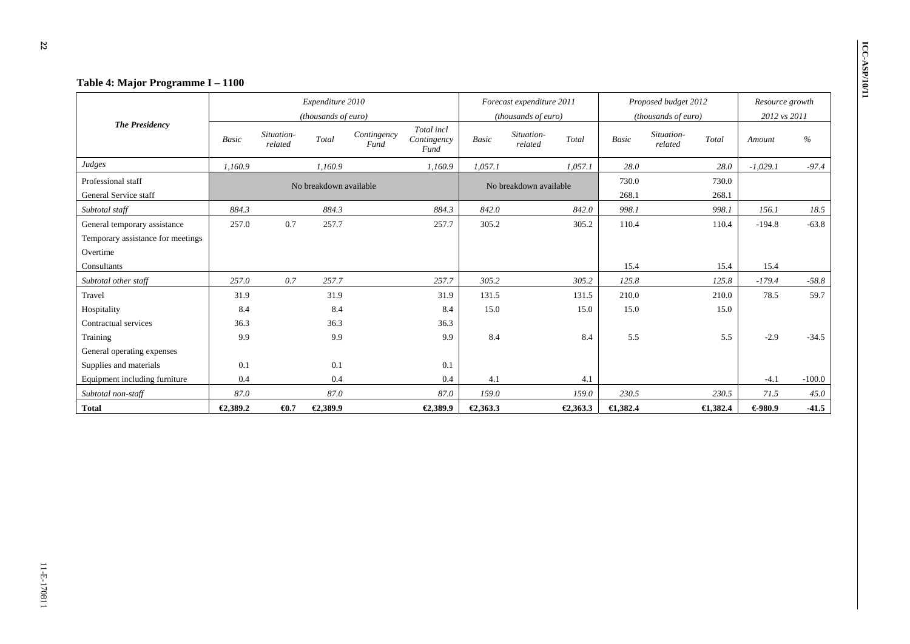|                                   | Table 4: Major Programme I - 1100                  |                       |                        |                     |                                   |              |                           |          |              |                       |                     |                 |          |
|-----------------------------------|----------------------------------------------------|-----------------------|------------------------|---------------------|-----------------------------------|--------------|---------------------------|----------|--------------|-----------------------|---------------------|-----------------|----------|
|                                   |                                                    |                       | Expenditure 2010       |                     |                                   |              | Forecast expenditure 2011 |          |              | Proposed budget 2012  |                     | Resource growth |          |
|                                   |                                                    |                       | (thousands of euro)    |                     |                                   |              | (thousands of euro)       |          |              | (thousands of euro)   |                     | 2012 vs 2011    |          |
| <b>The Presidency</b>             | <b>Basic</b>                                       | Situation-<br>related | Total                  | Contingency<br>Fund | Total incl<br>Contingency<br>Fund | <b>Basic</b> | Situation-<br>related     | Total    | <b>Basic</b> | Situation-<br>related | Total               | Amount          | $\%$     |
| Judges                            | 1,160.9                                            |                       | 1.160.9                |                     | 1,160.9                           | 1,057.1      |                           | 1.057.1  | 28.0         |                       | 28.0                | $-1,029.1$      | $-97.4$  |
| Professional staff                |                                                    |                       | No breakdown available |                     |                                   |              | No breakdown available    |          | 730.0        |                       | 730.0               |                 |          |
| General Service staff             |                                                    |                       |                        |                     |                                   |              |                           |          | 268.1        |                       | 268.1               |                 |          |
| Subtotal staff                    | 884.3                                              |                       | 884.3                  |                     | 884.3                             | 842.0        |                           | 842.0    | 998.1        |                       | 998.1               | 156.1           | 18.5     |
| General temporary assistance      | 257.0                                              | 0.7                   | 257.7                  |                     | 257.7                             | 305.2        |                           | 305.2    | 110.4        |                       | 110.4               | $-194.8$        | $-63.8$  |
| Temporary assistance for meetings |                                                    |                       |                        |                     |                                   |              |                           |          |              |                       |                     |                 |          |
| Overtime                          |                                                    |                       |                        |                     |                                   |              |                           |          |              |                       |                     |                 |          |
| Consultants                       |                                                    |                       |                        |                     |                                   |              |                           |          | 15.4         |                       | 15.4                | 15.4            |          |
| Subtotal other staff              | 257.0                                              | 0.7                   | 257.7                  |                     | 257.7                             | 305.2        |                           | 305.2    | 125.8        |                       | 125.8               | $-179.4$        | $-58.8$  |
| Travel                            | 31.9                                               |                       | 31.9                   |                     | 31.9                              | 131.5        |                           | 131.5    | 210.0        |                       | 210.0               | 78.5            | 59.7     |
| Hospitality                       | 8.4                                                |                       | 8.4                    |                     | 8.4                               | 15.0         |                           | 15.0     | 15.0         |                       | 15.0                |                 |          |
| Contractual services              | 36.3                                               |                       | 36.3                   |                     | 36.3                              |              |                           |          |              |                       |                     |                 |          |
| Training                          | 9.9                                                |                       | 9.9                    |                     | 9.9                               | 8.4          |                           | 8.4      | 5.5          |                       | 5.5                 | $-2.9$          | $-34.5$  |
| General operating expenses        |                                                    |                       |                        |                     |                                   |              |                           |          |              |                       |                     |                 |          |
| Supplies and materials            | 0.1                                                |                       | 0.1                    |                     | 0.1                               |              |                           |          |              |                       |                     |                 |          |
| Equipment including furniture     | 0.4                                                |                       | 0.4                    |                     | 0.4                               | 4.1          |                           | 4.1      |              |                       |                     | $-4.1$          | $-100.0$ |
| Subtotal non-staff                | 87.0                                               |                       | 87.0                   |                     | 87.0                              | 159.0        |                           | 159.0    | 230.5        |                       | 230.5               | 71.5            | 45.0     |
| <b>Total</b>                      | €2,389.2<br>$\bigoplus$ .7<br>€2,389.9<br>€2,389.9 |                       |                        |                     |                                   | €2,363.3     |                           | €2,363.3 | $-4,382.4$   |                       | $\bigoplus$ , 382.4 | €980.9          | $-41.5$  |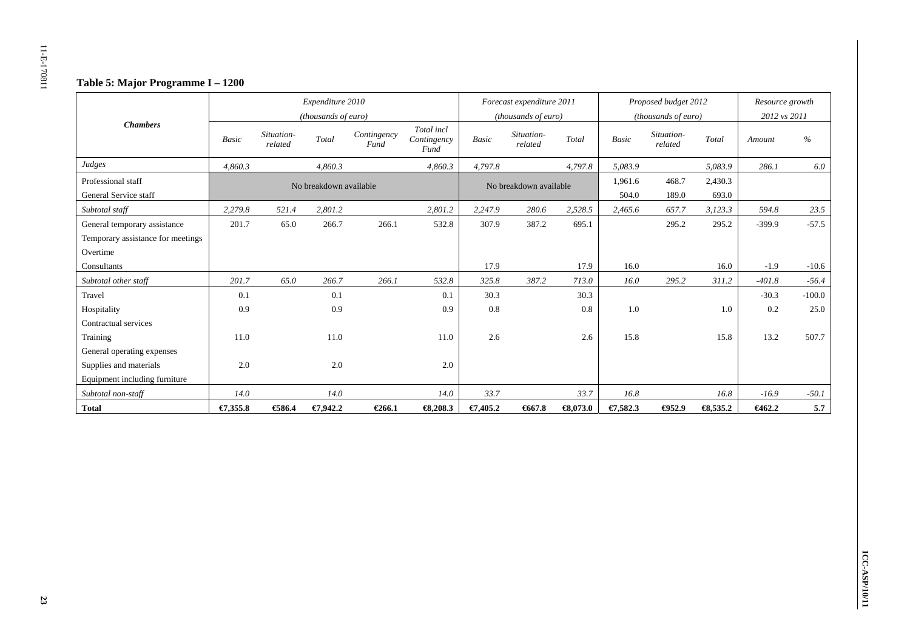## **Table 5: Major Programme I – 1200**

|                                   |              |                       | Expenditure 2010<br>(thousands of euro) |                     |                                   |              | Forecast expenditure 2011<br>(thousands of euro) |                     |              | Proposed budget 2012<br>(thousands of euro) |                     | Resource growth<br>2012 vs 2011 |          |
|-----------------------------------|--------------|-----------------------|-----------------------------------------|---------------------|-----------------------------------|--------------|--------------------------------------------------|---------------------|--------------|---------------------------------------------|---------------------|---------------------------------|----------|
| <b>Chambers</b>                   | <b>Basic</b> | Situation-<br>related | Total                                   | Contingency<br>Fund | Total incl<br>Contingency<br>Fund | <b>Basic</b> | Situation-<br>related                            | Total               | <b>Basic</b> | Situation-<br>related                       | Total               | Amount                          | $\%$     |
| Judges                            | 4.860.3      |                       | 4,860.3                                 |                     | 4,860.3                           | 4,797.8      |                                                  | 4,797.8             | 5,083.9      |                                             | 5,083.9             | 286.1                           | 6.0      |
| Professional staff                |              |                       | No breakdown available                  |                     |                                   |              | No breakdown available                           |                     | 1,961.6      | 468.7                                       | 2,430.3             |                                 |          |
| General Service staff             |              |                       |                                         |                     |                                   |              |                                                  |                     | 504.0        | 189.0                                       | 693.0               |                                 |          |
| Subtotal staff                    | 2,279.8      | 521.4                 | 2.801.2                                 |                     | 2,801.2                           | 2,247.9      | 280.6                                            | 2,528.5             | 2,465.6      | 657.7                                       | 3,123.3             | 594.8                           | 23.5     |
| General temporary assistance      | 201.7        | 65.0                  | 266.7                                   | 266.1               | 532.8                             | 307.9        | 387.2                                            | 695.1               |              | 295.2                                       | 295.2               | $-399.9$                        | $-57.5$  |
| Temporary assistance for meetings |              |                       |                                         |                     |                                   |              |                                                  |                     |              |                                             |                     |                                 |          |
| Overtime                          |              |                       |                                         |                     |                                   |              |                                                  |                     |              |                                             |                     |                                 |          |
| Consultants                       |              |                       |                                         |                     |                                   | 17.9         |                                                  | 17.9                | 16.0         |                                             | 16.0                | $-1.9$                          | $-10.6$  |
| Subtotal other staff              | 201.7        | 65.0                  | 266.7                                   | 266.1               | 532.8                             | 325.8        | 387.2                                            | 713.0               | 16.0         | 295.2                                       | 311.2               | $-401.8$                        | $-56.4$  |
| Travel                            | 0.1          |                       | 0.1                                     |                     | 0.1                               | 30.3         |                                                  | 30.3                |              |                                             |                     | $-30.3$                         | $-100.0$ |
| Hospitality                       | 0.9          |                       | 0.9                                     |                     | 0.9                               | 0.8          |                                                  | 0.8                 | 1.0          |                                             | 1.0                 | 0.2                             | 25.0     |
| Contractual services              |              |                       |                                         |                     |                                   |              |                                                  |                     |              |                                             |                     |                                 |          |
| Training                          | 11.0         |                       | 11.0                                    |                     | 11.0                              | 2.6          |                                                  | 2.6                 | 15.8         |                                             | 15.8                | 13.2                            | 507.7    |
| General operating expenses        |              |                       |                                         |                     |                                   |              |                                                  |                     |              |                                             |                     |                                 |          |
| Supplies and materials            | 2.0          |                       | 2.0                                     |                     | 2.0                               |              |                                                  |                     |              |                                             |                     |                                 |          |
| Equipment including furniture     |              |                       |                                         |                     |                                   |              |                                                  |                     |              |                                             |                     |                                 |          |
| Subtotal non-staff                | 14.0         |                       | 14.0                                    |                     | 14.0                              | 33.7         |                                                  | 33.7                | 16.8         |                                             | 16.8                | $-16.9$                         | $-50.1$  |
| <b>Total</b>                      | €7,355.8     | €586.4                | €7,942.2                                | €266.1              | $\bigoplus$ , 208.3               | €7,405.2     | 6667.8                                           | $\bigoplus$ , 073.0 | €7,582.3     | $\bigoplus 52.9$                            | $\textbf{63,535.2}$ | €462.2                          | 5.7      |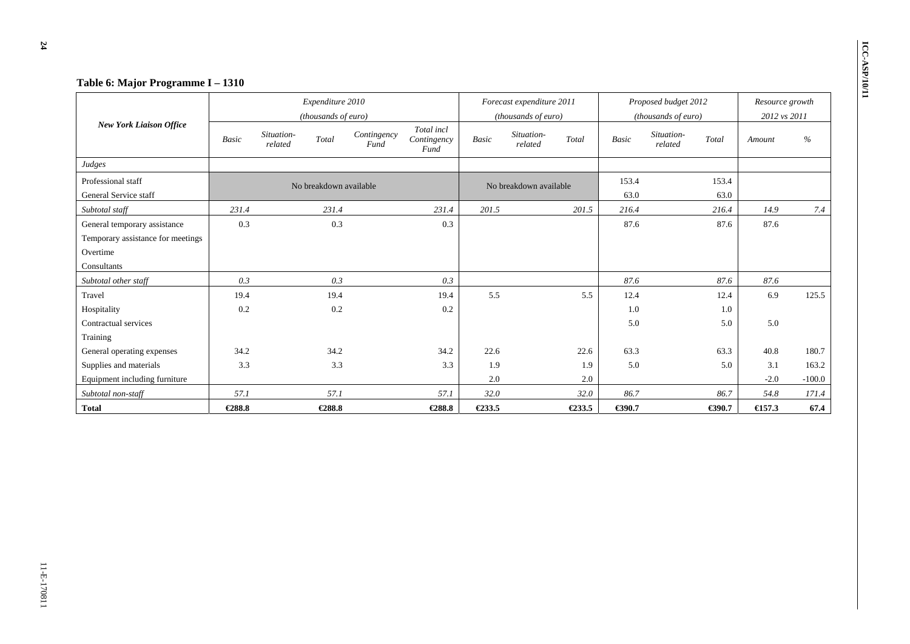| Table 6: Major Programme I - 1310 |                   |                                         |                     |                                   |       |                                                  |        |              |                                             |                  |                                 |          |
|-----------------------------------|-------------------|-----------------------------------------|---------------------|-----------------------------------|-------|--------------------------------------------------|--------|--------------|---------------------------------------------|------------------|---------------------------------|----------|
|                                   |                   | Expenditure 2010<br>(thousands of euro) |                     |                                   |       | Forecast expenditure 2011<br>(thousands of euro) |        |              | Proposed budget 2012<br>(thousands of euro) |                  | Resource growth<br>2012 vs 2011 |          |
| <b>New York Liaison Office</b>    | Basic             | Situation-<br>Total<br>related          | Contingency<br>Fund | Total incl<br>Contingency<br>Fund | Basic | Situation-<br>related                            | Total  | <b>Basic</b> | Situation-<br>related                       | Total            | Amount                          | $\%$     |
| Judges                            |                   |                                         |                     |                                   |       |                                                  |        |              |                                             |                  |                                 |          |
| Professional staff                |                   | No breakdown available                  |                     |                                   |       | No breakdown available                           |        | 153.4        |                                             | 153.4            |                                 |          |
| General Service staff             |                   |                                         |                     |                                   |       |                                                  |        | 63.0         |                                             | 63.0             |                                 |          |
| Subtotal staff                    | 231.4             | 231.4                                   |                     | 231.4                             | 201.5 |                                                  | 201.5  | 216.4        |                                             | 216.4            | 14.9                            | 7.4      |
| General temporary assistance      | 0.3               | 0.3                                     | 0.3                 |                                   |       |                                                  | 87.6   |              | 87.6                                        | 87.6             |                                 |          |
| Temporary assistance for meetings |                   |                                         |                     |                                   |       |                                                  |        |              |                                             |                  |                                 |          |
| Overtime                          |                   |                                         |                     |                                   |       |                                                  |        |              |                                             |                  |                                 |          |
| Consultants                       |                   |                                         |                     |                                   |       |                                                  |        |              |                                             |                  |                                 |          |
| Subtotal other staff              | 0.3               |                                         | 0.3                 | 0.3                               |       |                                                  |        | 87.6         |                                             | 87.6             | 87.6                            |          |
| Travel                            | 19.4              |                                         | 19.4                | 19.4                              | 5.5   |                                                  | 5.5    | 12.4         |                                             | 12.4             | 6.9                             | 125.5    |
| Hospitality                       | 0.2               |                                         | 0.2                 | 0.2                               |       |                                                  |        | 1.0          |                                             | 1.0              |                                 |          |
| Contractual services              |                   |                                         |                     |                                   |       |                                                  |        | 5.0          |                                             | 5.0              | 5.0                             |          |
| Training                          |                   |                                         |                     |                                   |       |                                                  |        |              |                                             |                  |                                 |          |
| General operating expenses        | 34.2              |                                         | 34.2                | 34.2                              | 22.6  |                                                  | 22.6   | 63.3         |                                             | 63.3             | 40.8                            | 180.7    |
| Supplies and materials            | 3.3<br>3.3<br>3.3 |                                         |                     |                                   |       |                                                  | 1.9    | 5.0          |                                             | 5.0              | 3.1                             | 163.2    |
| Equipment including furniture     |                   |                                         |                     |                                   | 2.0   |                                                  | 2.0    |              |                                             |                  | $-2.0$                          | $-100.0$ |
| Subtotal non-staff                | 57.1              |                                         | 57.1                | 57.1                              | 32.0  |                                                  | 32.0   | 86.7         |                                             | 86.7             | 54.8                            | 171.4    |
| <b>Total</b>                      | €288.8            | €288.8                                  | €288.8              | €233.5                            |       | €233.5                                           | €390.7 |              | €390.7                                      | $\epsilon$ 157.3 | 67.4                            |          |

**24**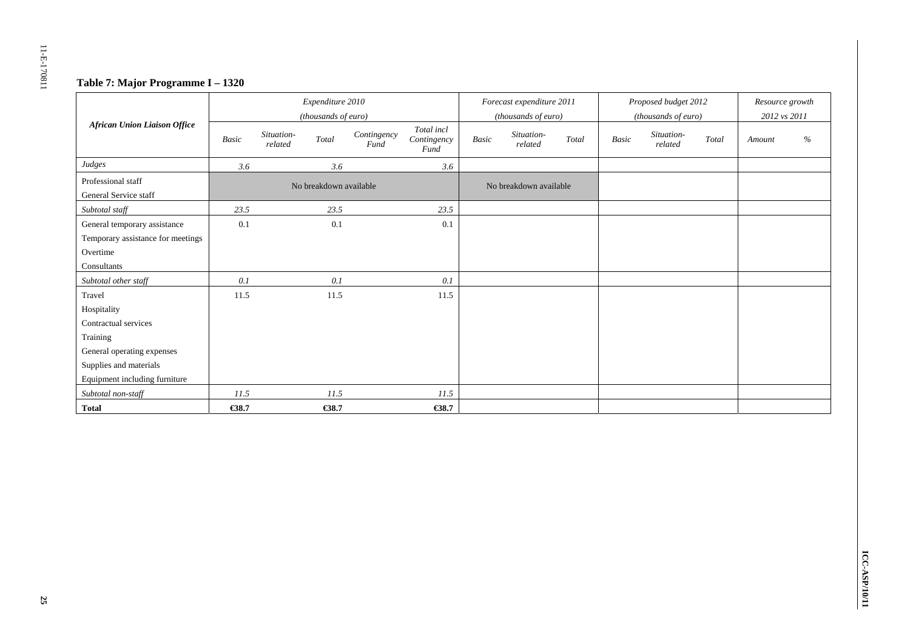## **Table 7: Major Programme I – 1320**

|                                     |       |                       | Expenditure 2010<br>(thousands of euro) |                     |                                   |       | Forecast expenditure 2011<br>(thousands of euro) |       |              | Proposed budget 2012<br>(thousands of euro) |       | Resource growth<br>2012 vs 2011 |      |
|-------------------------------------|-------|-----------------------|-----------------------------------------|---------------------|-----------------------------------|-------|--------------------------------------------------|-------|--------------|---------------------------------------------|-------|---------------------------------|------|
| <b>African Union Liaison Office</b> | Basic | Situation-<br>related | Total                                   | Contingency<br>Fund | Total incl<br>Contingency<br>Fund | Basic | Situation-<br>related                            | Total | <b>Basic</b> | Situation-<br>related                       | Total | Amount                          | $\%$ |
| Judges                              | 3.6   |                       | 3.6                                     |                     | 3.6                               |       |                                                  |       |              |                                             |       |                                 |      |
| Professional staff                  |       |                       | No breakdown available                  |                     |                                   |       | No breakdown available                           |       |              |                                             |       |                                 |      |
| General Service staff               |       |                       |                                         |                     |                                   |       |                                                  |       |              |                                             |       |                                 |      |
| Subtotal staff                      | 23.5  |                       | 23.5                                    |                     | 23.5                              |       |                                                  |       |              |                                             |       |                                 |      |
| General temporary assistance        | 0.1   |                       | 0.1                                     |                     | 0.1                               |       |                                                  |       |              |                                             |       |                                 |      |
| Temporary assistance for meetings   |       |                       |                                         |                     |                                   |       |                                                  |       |              |                                             |       |                                 |      |
| Overtime                            |       |                       |                                         |                     |                                   |       |                                                  |       |              |                                             |       |                                 |      |
| Consultants                         |       |                       |                                         |                     |                                   |       |                                                  |       |              |                                             |       |                                 |      |
| Subtotal other staff                | 0.1   |                       | 0.1                                     |                     | 0.1                               |       |                                                  |       |              |                                             |       |                                 |      |
| Travel                              | 11.5  |                       | 11.5                                    |                     | 11.5                              |       |                                                  |       |              |                                             |       |                                 |      |
| Hospitality                         |       |                       |                                         |                     |                                   |       |                                                  |       |              |                                             |       |                                 |      |
| Contractual services                |       |                       |                                         |                     |                                   |       |                                                  |       |              |                                             |       |                                 |      |
| Training                            |       |                       |                                         |                     |                                   |       |                                                  |       |              |                                             |       |                                 |      |
| General operating expenses          |       |                       |                                         |                     |                                   |       |                                                  |       |              |                                             |       |                                 |      |
| Supplies and materials              |       |                       |                                         |                     |                                   |       |                                                  |       |              |                                             |       |                                 |      |
| Equipment including furniture       |       |                       |                                         |                     |                                   |       |                                                  |       |              |                                             |       |                                 |      |
| Subtotal non-staff                  | 11.5  |                       | 11.5                                    |                     | 11.5                              |       |                                                  |       |              |                                             |       |                                 |      |
| <b>Total</b>                        | €38.7 |                       | €38.7                                   |                     | €38.7                             |       |                                                  |       |              |                                             |       |                                 |      |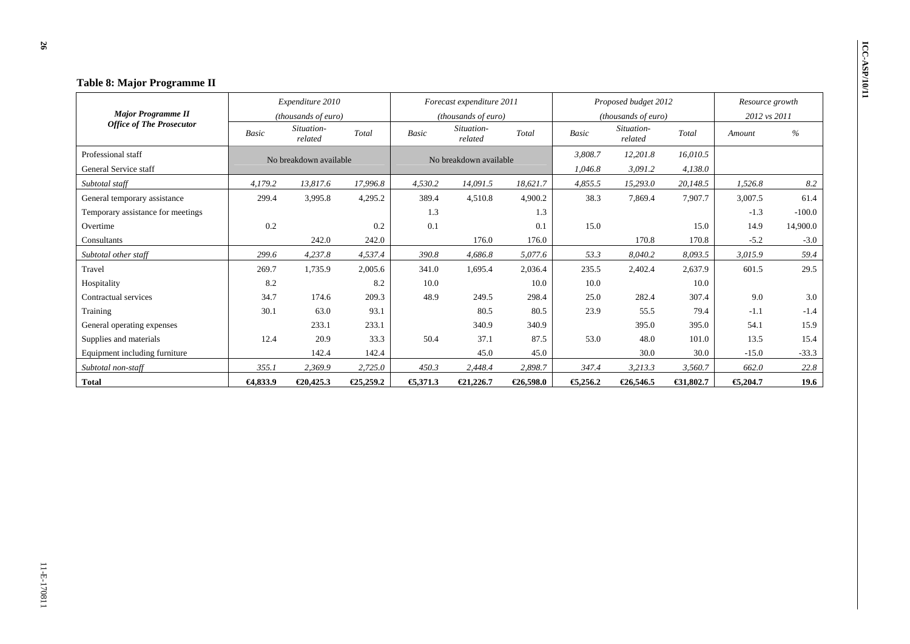| Table 8: Major Programme II       |              |                        |           |              |                           |           |              |                       |           |                 |          |
|-----------------------------------|--------------|------------------------|-----------|--------------|---------------------------|-----------|--------------|-----------------------|-----------|-----------------|----------|
|                                   |              | Expenditure 2010       |           |              | Forecast expenditure 2011 |           |              | Proposed budget 2012  |           | Resource growth |          |
| <b>Major Programme II</b>         |              | (thousands of euro)    |           |              | (thousands of euro)       |           |              | (thousands of euro)   |           | 2012 vs 2011    |          |
| <b>Office of The Prosecutor</b>   | <b>Basic</b> | Situation-<br>related  | Total     | <b>Basic</b> | Situation-<br>related     | Total     | <b>Basic</b> | Situation-<br>related | Total     | Amount          | $\%$     |
| Professional staff                |              | No breakdown available |           |              | No breakdown available    |           | 3,808.7      | 12,201.8              | 16,010.5  |                 |          |
| General Service staff             |              |                        |           |              |                           |           | 1,046.8      | 3,091.2               | 4,138.0   |                 |          |
| Subtotal staff                    | 4,179.2      | 13,817.6               | 17,996.8  | 4,530.2      | 14,091.5                  | 18,621.7  | 4,855.5      | 15,293.0              | 20,148.5  | 1,526.8         | 8.2      |
| General temporary assistance      | 299.4        | 3,995.8                | 4,295.2   | 389.4        | 4,510.8                   | 4,900.2   | 38.3         | 7,869.4               | 7,907.7   | 3,007.5         | 61.4     |
| Temporary assistance for meetings |              |                        |           | 1.3          |                           | 1.3       |              |                       |           | $-1.3$          | $-100.0$ |
| Overtime                          | 0.2          |                        | 0.2       | 0.1          |                           | 0.1       | 15.0         |                       | 15.0      | 14.9            | 14,900.0 |
| Consultants                       |              | 242.0                  | 242.0     |              | 176.0                     | 176.0     |              | 170.8                 | 170.8     | $-5.2$          | $-3.0$   |
| Subtotal other staff              | 299.6        | 4,237.8                | 4,537.4   | 390.8        | 4,686.8                   | 5,077.6   | 53.3         | 8,040.2               | 8,093.5   | 3,015.9         | 59.4     |
| Travel                            | 269.7        | 1.735.9                | 2,005.6   | 341.0        | 1.695.4                   | 2,036.4   | 235.5        | 2,402.4               | 2.637.9   | 601.5           | 29.5     |
| Hospitality                       | 8.2          |                        | 8.2       | 10.0         |                           | 10.0      | 10.0         |                       | 10.0      |                 |          |
| Contractual services              | 34.7         | 174.6                  | 209.3     | 48.9         | 249.5                     | 298.4     | 25.0         | 282.4                 | 307.4     | 9.0             | 3.0      |
| Training                          | 30.1         | 63.0                   | 93.1      |              | 80.5                      | 80.5      | 23.9         | 55.5                  | 79.4      | $-1.1$          | $-1.4$   |
| General operating expenses        |              | 233.1                  | 233.1     |              | 340.9                     | 340.9     |              | 395.0                 | 395.0     | 54.1            | 15.9     |
| Supplies and materials            | 12.4         | 20.9                   | 33.3      | 50.4         | 37.1                      | 87.5      | 53.0         | 48.0                  | 101.0     | 13.5            | 15.4     |
| Equipment including furniture     |              | 142.4                  | 142.4     |              | 45.0                      | 45.0      |              | 30.0                  | 30.0      | $-15.0$         | $-33.3$  |
| Subtotal non-staff                | 355.1        | 2,369.9                | 2,725.0   | 450.3        | 2,448.4                   | 2,898.7   | 347.4        | 3,213.3               | 3,560.7   | 662.0           | 22.8     |
| <b>Total</b>                      | $-64,833.9$  | €20,425.3              | €25,259.2 | €,371.3      | €21,226.7                 | €26,598.0 | €5,256.2     | €26,546.5             | €31,802.7 | €,204.7         | 19.6     |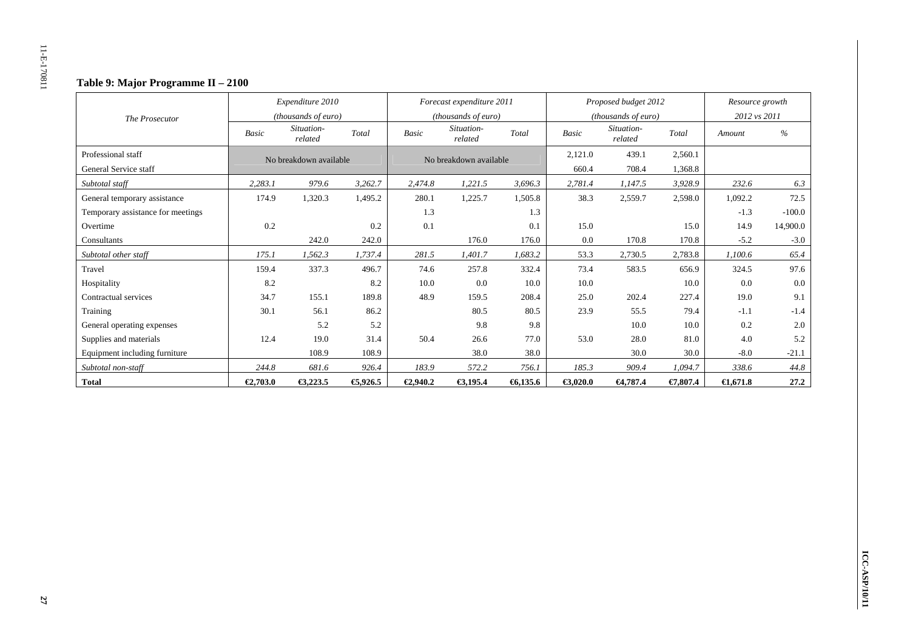## **Table 9: Major Programme II – 2100**

|                                   |              | Expenditure 2010       |         |              | Forecast expenditure 2011    |         |              | Proposed budget 2012  |          | Resource growth     |               |
|-----------------------------------|--------------|------------------------|---------|--------------|------------------------------|---------|--------------|-----------------------|----------|---------------------|---------------|
| The Prosecutor                    |              | (thousands of euro)    |         |              | ( <i>thousands of euro</i> ) |         |              | (thousands of euro)   |          | 2012 vs 2011        |               |
|                                   | <b>Basic</b> | Situation-<br>related  | Total   | <b>Basic</b> | Situation-<br>related        | Total   | <b>Basic</b> | Situation-<br>related | Total    | Amount              | $\frac{0}{6}$ |
| Professional staff                |              | No breakdown available |         |              | No breakdown available       |         | 2,121.0      | 439.1                 | 2,560.1  |                     |               |
| General Service staff             |              |                        |         |              |                              |         | 660.4        | 708.4                 | 1,368.8  |                     |               |
| Subtotal staff                    | 2,283.1      | 979.6                  | 3.262.7 | 2,474.8      | 1,221.5                      | 3.696.3 | 2,781.4      | 1,147.5               | 3,928.9  | 232.6               | 6.3           |
| General temporary assistance      | 174.9        | 1,320.3                | 1,495.2 | 280.1        | 1,225.7                      | 1,505.8 | 38.3         | 2,559.7               | 2,598.0  | 1,092.2             | 72.5          |
| Temporary assistance for meetings |              |                        |         | 1.3          |                              | 1.3     |              |                       |          | $-1.3$              | $-100.0$      |
| Overtime                          | 0.2          |                        | 0.2     | 0.1          |                              | 0.1     | 15.0         |                       | 15.0     | 14.9                | 14,900.0      |
| Consultants                       |              | 242.0                  | 242.0   |              | 176.0                        | 176.0   | 0.0          | 170.8                 | 170.8    | $-5.2$              | $-3.0$        |
| Subtotal other staff              | 175.1        | 1,562.3                | 1,737.4 | 281.5        | 1,401.7                      | 1,683.2 | 53.3         | 2,730.5               | 2,783.8  | 1,100.6             | 65.4          |
| Travel                            | 159.4        | 337.3                  | 496.7   | 74.6         | 257.8                        | 332.4   | 73.4         | 583.5                 | 656.9    | 324.5               | 97.6          |
| Hospitality                       | 8.2          |                        | 8.2     | 10.0         | 0.0                          | 10.0    | 10.0         |                       | 10.0     | 0.0                 | 0.0           |
| Contractual services              | 34.7         | 155.1                  | 189.8   | 48.9         | 159.5                        | 208.4   | 25.0         | 202.4                 | 227.4    | 19.0                | 9.1           |
| Training                          | 30.1         | 56.1                   | 86.2    |              | 80.5                         | 80.5    | 23.9         | 55.5                  | 79.4     | $-1.1$              | $-1.4$        |
| General operating expenses        |              | 5.2                    | 5.2     |              | 9.8                          | 9.8     |              | 10.0                  | 10.0     | 0.2                 | 2.0           |
| Supplies and materials            | 12.4         | 19.0                   | 31.4    | 50.4         | 26.6                         | 77.0    | 53.0         | 28.0                  | 81.0     | 4.0                 | 5.2           |
| Equipment including furniture     |              | 108.9                  | 108.9   |              | 38.0                         | 38.0    |              | 30.0                  | 30.0     | $-8.0$              | $-21.1$       |
| Subtotal non-staff                | 244.8        | 681.6                  | 926.4   | 183.9        | 572.2                        | 756.1   | 185.3        | 909.4                 | 1,094.7  | 338.6               | 44.8          |
| <b>Total</b>                      | €2,703.0     | €3,223.5               | €,926.5 | €2,940.2     | €3,195.4                     | 6,135.6 | €3,020.0     | 64,787.4              | €7,807.4 | $\bigoplus$ , 671.8 | 27.2          |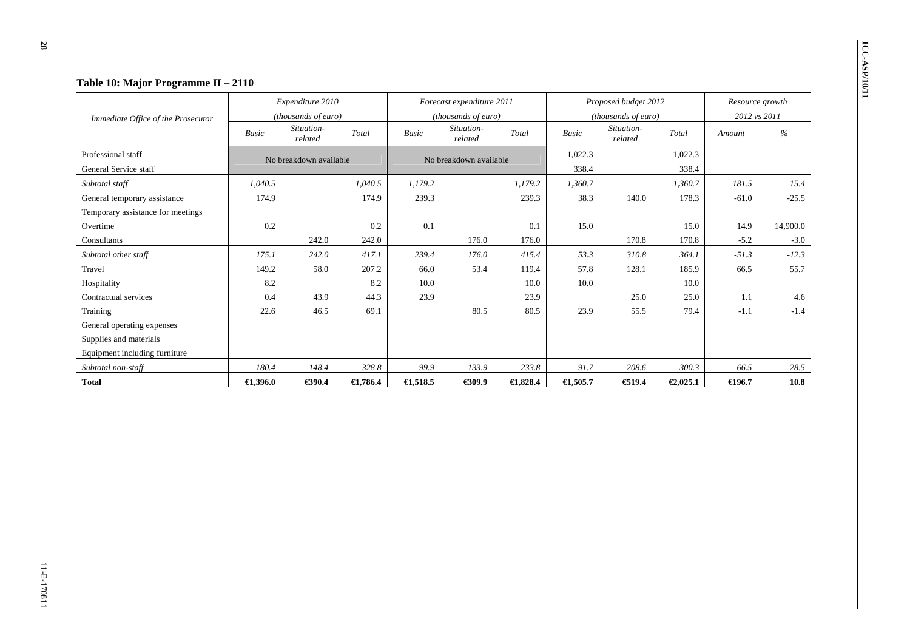|                                    |                    | Expenditure 2010       |                     |                    | Forecast expenditure 2011 |                     |                     | Proposed budget 2012  |          | Resource growth  |          |
|------------------------------------|--------------------|------------------------|---------------------|--------------------|---------------------------|---------------------|---------------------|-----------------------|----------|------------------|----------|
| Immediate Office of the Prosecutor |                    | (thousands of euro)    |                     |                    | (thousands of euro)       |                     |                     | (thousands of euro)   |          | 2012 vs 2011     |          |
|                                    | Basic              | Situation-<br>related  | Total               | <b>Basic</b>       | Situation-<br>related     | Total               | <b>Basic</b>        | Situation-<br>related | Total    | Amount           | %        |
| Professional staff                 |                    | No breakdown available |                     |                    | No breakdown available    |                     | 1,022.3             |                       | 1,022.3  |                  |          |
| General Service staff              |                    |                        |                     |                    |                           |                     | 338.4               |                       | 338.4    |                  |          |
| Subtotal staff                     | 1.040.5            |                        | 1.040.5             | 1.179.2            |                           | 1.179.2             | 1,360.7             |                       | 1,360.7  | 181.5            | 15.4     |
| General temporary assistance       | 174.9              |                        | 174.9               | 239.3              |                           | 239.3               | 38.3                | 140.0                 | 178.3    | $-61.0$          | $-25.5$  |
| Temporary assistance for meetings  |                    |                        |                     |                    |                           |                     |                     |                       |          |                  |          |
| Overtime                           | 0.2                |                        | 0.2                 | 0.1                |                           | 0.1                 | 15.0                |                       | 15.0     | 14.9             | 14,900.0 |
| Consultants                        |                    | 242.0                  | 242.0               |                    | 176.0                     | 176.0               |                     | 170.8                 | 170.8    | $-5.2$           | $-3.0$   |
| Subtotal other staff               | 175.1              | 242.0                  | 417.1               | 239.4              | 176.0                     | 415.4               | 53.3                | 310.8                 | 364.1    | $-51.3$          | $-12.3$  |
| Travel                             | 149.2              | 58.0                   | 207.2               | 66.0               | 53.4                      | 119.4               | 57.8                | 128.1                 | 185.9    | 66.5             | 55.7     |
| Hospitality                        | 8.2                |                        | 8.2                 | 10.0               |                           | 10.0                | 10.0                |                       | 10.0     |                  |          |
| Contractual services               | 0.4                | 43.9                   | 44.3                | 23.9               |                           | 23.9                |                     | 25.0                  | 25.0     | 1.1              | 4.6      |
| Training                           | 22.6               | 46.5                   | 69.1                |                    | 80.5                      | 80.5                | 23.9                | 55.5                  | 79.4     | $-1.1$           | $-1.4$   |
| General operating expenses         |                    |                        |                     |                    |                           |                     |                     |                       |          |                  |          |
| Supplies and materials             |                    |                        |                     |                    |                           |                     |                     |                       |          |                  |          |
| Equipment including furniture      |                    |                        |                     |                    |                           |                     |                     |                       |          |                  |          |
| Subtotal non-staff                 | 180.4              | 148.4                  | 328.8               | 99.9               | 133.9                     | 233.8               | 91.7                | 208.6                 | 300.3    | 66.5             | 28.5     |
| <b>Total</b>                       | $\bigoplus .396.0$ | €390.4                 | $\bigoplus$ , 786.4 | $\epsilon$ 1,518.5 | €309.9                    | $\bigoplus$ , 828.4 | $\bigoplus$ , 505.7 | €19.4                 | €2,025.1 | $\epsilon$ 196.7 | 10.8     |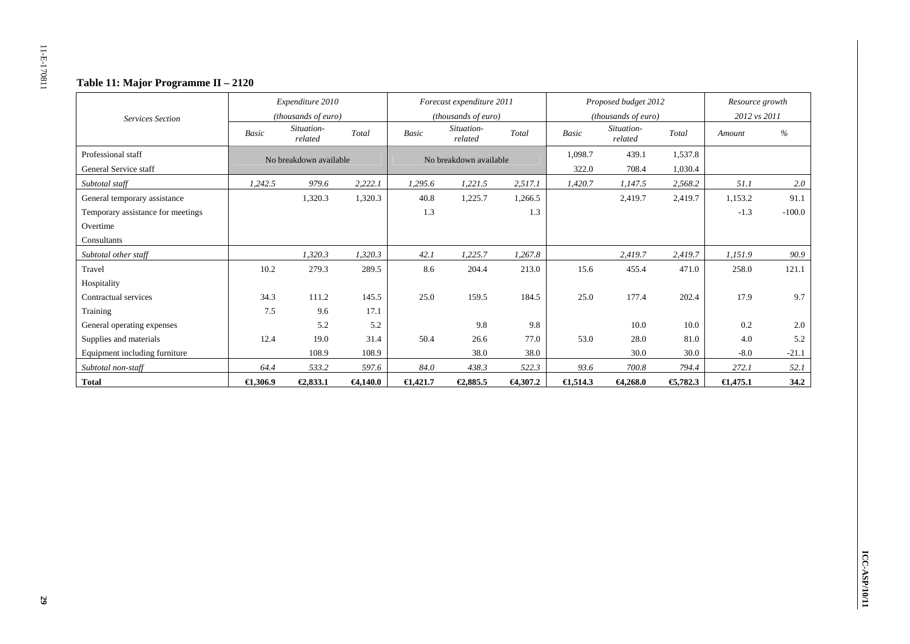## **Table 11: Major Programme II – 2120**

|                                   |            | Expenditure 2010       |                      |                    | Forecast expenditure 2011 |             |                    | Proposed budget 2012  |          | Resource growth    |          |
|-----------------------------------|------------|------------------------|----------------------|--------------------|---------------------------|-------------|--------------------|-----------------------|----------|--------------------|----------|
| <b>Services Section</b>           |            | (thousands of euro)    |                      |                    | (thousands of euro)       |             |                    | (thousands of euro)   |          | 2012 vs 2011       |          |
|                                   | Basic      | Situation-<br>related  | Total                | Basic              | Situation-<br>related     | Total       | <b>Basic</b>       | Situation-<br>related | Total    | Amount             | $\%$     |
| Professional staff                |            | No breakdown available |                      |                    | No breakdown available    |             | 1,098.7            | 439.1                 | 1,537.8  |                    |          |
| General Service staff             |            |                        |                      |                    |                           |             | 322.0              | 708.4                 | 1,030.4  |                    |          |
| Subtotal staff                    | 1,242.5    | 979.6                  | 2,222.1              | 1,295.6            | 1,221.5                   | 2,517.1     | 1,420.7            | 1,147.5               | 2,568.2  | 51.1               | 2.0      |
| General temporary assistance      |            | 1,320.3                | 1,320.3              | 40.8               | 1,225.7                   | 1,266.5     |                    | 2,419.7               | 2,419.7  | 1,153.2            | 91.1     |
| Temporary assistance for meetings |            |                        |                      | 1.3                |                           | 1.3         |                    |                       |          | $-1.3$             | $-100.0$ |
| Overtime                          |            |                        |                      |                    |                           |             |                    |                       |          |                    |          |
| Consultants                       |            |                        |                      |                    |                           |             |                    |                       |          |                    |          |
| Subtotal other staff              |            | 1,320.3                | 1,320.3              | 42.1               | 1,225.7                   | 1.267.8     |                    | 2,419.7               | 2,419.7  | 1,151.9            | 90.9     |
| Travel                            | 10.2       | 279.3                  | 289.5                | 8.6                | 204.4                     | 213.0       | 15.6               | 455.4                 | 471.0    | 258.0              | 121.1    |
| Hospitality                       |            |                        |                      |                    |                           |             |                    |                       |          |                    |          |
| Contractual services              | 34.3       | 111.2                  | 145.5                | 25.0               | 159.5                     | 184.5       | 25.0               | 177.4                 | 202.4    | 17.9               | 9.7      |
| Training                          | 7.5        | 9.6                    | 17.1                 |                    |                           |             |                    |                       |          |                    |          |
| General operating expenses        |            | 5.2                    | 5.2                  |                    | 9.8                       | 9.8         |                    | 10.0                  | 10.0     | 0.2                | 2.0      |
| Supplies and materials            | 12.4       | 19.0                   | 31.4                 | 50.4               | 26.6                      | 77.0        | 53.0               | 28.0                  | 81.0     | 4.0                | 5.2      |
| Equipment including furniture     |            | 108.9                  | 108.9                |                    | 38.0                      | 38.0        |                    | 30.0                  | 30.0     | $-8.0$             | $-21.1$  |
| Subtotal non-staff                | 64.4       | 533.2                  | 597.6                | 84.0               | 438.3                     | 522.3       | 93.6               | 700.8                 | 794.4    | 272.1              | 52.1     |
| <b>Total</b>                      | $-4,306.9$ | €2,833.1               | <del>€</del> 4,140.0 | $\epsilon$ 1,421.7 | €2,885.5                  | $-64,307.2$ | $\epsilon$ 1,514.3 | $-4,268.0$            | €5,782.3 | $\epsilon$ 1,475.1 | 34.2     |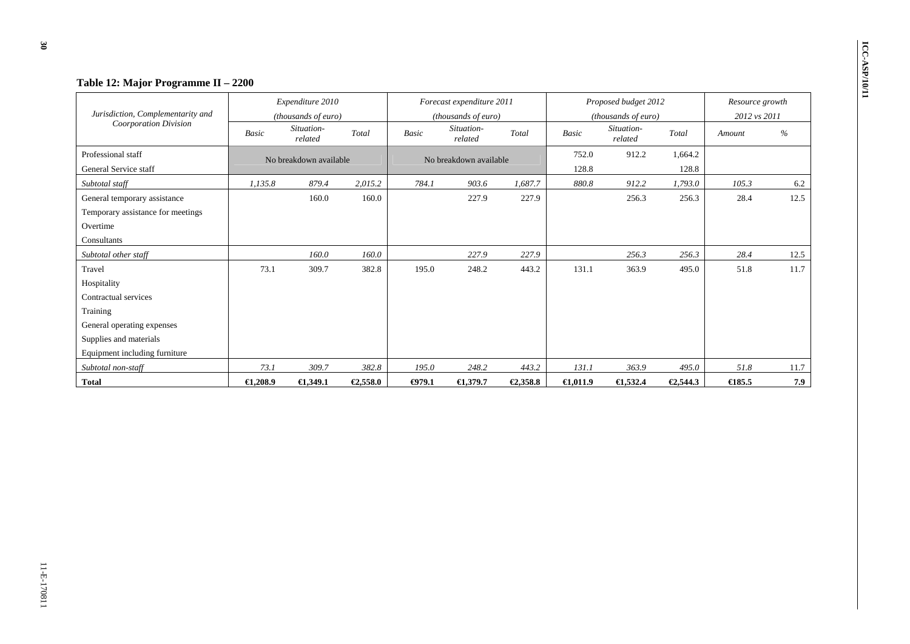|                                   | Table 12: Major Programme II - 2200 |                        |          |                        |                           |          |                    |                       |              |                  |      |  |
|-----------------------------------|-------------------------------------|------------------------|----------|------------------------|---------------------------|----------|--------------------|-----------------------|--------------|------------------|------|--|
|                                   |                                     | Expenditure 2010       |          |                        | Forecast expenditure 2011 |          |                    | Proposed budget 2012  |              | Resource growth  |      |  |
| Jurisdiction, Complementarity and |                                     | (thousands of euro)    |          |                        | (thousands of euro)       |          |                    | (thousands of euro)   | 2012 vs 2011 |                  |      |  |
| <b>Coorporation Division</b>      | Basic                               | Situation-<br>related  | Total    | <b>Basic</b>           | Situation-<br>related     | Total    | <b>Basic</b>       | Situation-<br>related | Total        | Amount           | %    |  |
| Professional staff                |                                     | No breakdown available |          | No breakdown available |                           |          | 752.0              | 912.2                 | 1,664.2      |                  |      |  |
| General Service staff             |                                     |                        |          |                        |                           |          | 128.8              |                       | 128.8        |                  |      |  |
| Subtotal staff                    | 1.135.8                             | 879.4                  | 2,015.2  | 784.1                  | 903.6                     | 1,687.7  | 880.8              | 912.2                 | 1,793.0      | 105.3            | 6.2  |  |
| General temporary assistance      |                                     | 160.0                  | 160.0    |                        | 227.9                     | 227.9    |                    | 256.3                 | 256.3        | 28.4             | 12.5 |  |
| Temporary assistance for meetings |                                     |                        |          |                        |                           |          |                    |                       |              |                  |      |  |
| Overtime                          |                                     |                        |          |                        |                           |          |                    |                       |              |                  |      |  |
| Consultants                       |                                     |                        |          |                        |                           |          |                    |                       |              |                  |      |  |
| Subtotal other staff              |                                     | 160.0                  | 160.0    |                        | 227.9                     | 227.9    |                    | 256.3                 | 256.3        | 28.4             | 12.5 |  |
| Travel                            | 73.1                                | 309.7                  | 382.8    | 195.0                  | 248.2                     | 443.2    | 131.1              | 363.9                 | 495.0        | 51.8             | 11.7 |  |
| Hospitality                       |                                     |                        |          |                        |                           |          |                    |                       |              |                  |      |  |
| Contractual services              |                                     |                        |          |                        |                           |          |                    |                       |              |                  |      |  |
| Training                          |                                     |                        |          |                        |                           |          |                    |                       |              |                  |      |  |
| General operating expenses        |                                     |                        |          |                        |                           |          |                    |                       |              |                  |      |  |
| Supplies and materials            |                                     |                        |          |                        |                           |          |                    |                       |              |                  |      |  |
| Equipment including furniture     |                                     |                        |          |                        |                           |          |                    |                       |              |                  |      |  |
| Subtotal non-staff                | 73.1                                | 309.7                  | 382.8    | 195.0                  | 248.2                     | 443.2    | 131.1              | 363.9                 | 495.0        | 51.8             | 11.7 |  |
| <b>Total</b>                      | $\bigoplus$ , 208.9                 | €1,349.1               | €2,558.0 | $\Theta$ 79.1          | $\bigoplus$ , 379.7       | €2,358.8 | $\bigoplus$ ,011.9 | $\epsilon$ 1,532.4    | €2,544.3     | $\bigoplus$ 85.5 | 7.9  |  |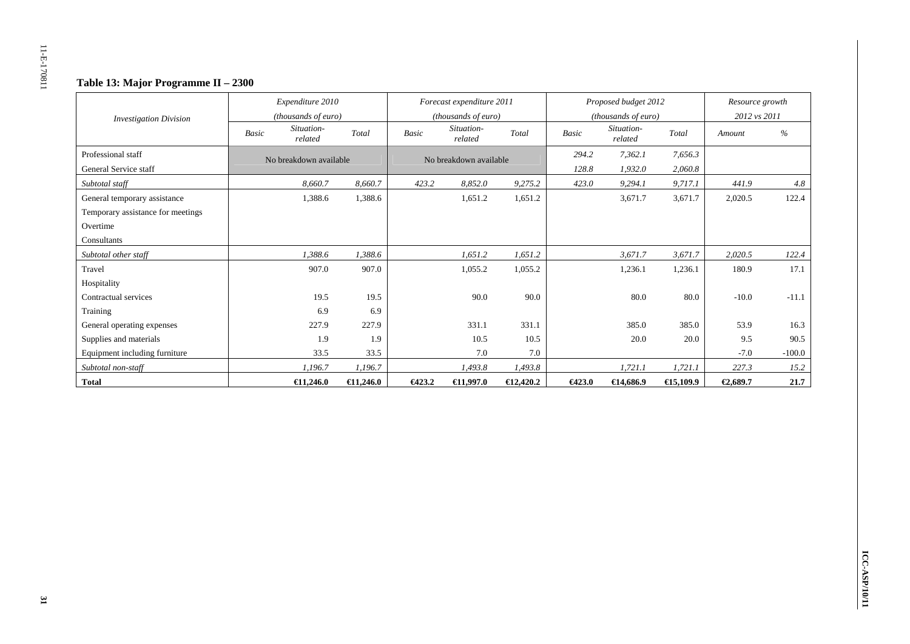# **Table 13: Major Programme II – 2300**

|                                   |              | Expenditure 2010       |                    |        | Forecast expenditure 2011 |                     |              | Proposed budget 2012  |                     | Resource growth |          |
|-----------------------------------|--------------|------------------------|--------------------|--------|---------------------------|---------------------|--------------|-----------------------|---------------------|-----------------|----------|
| <b>Investigation Division</b>     |              | (thousands of euro)    |                    |        | (thousands of euro)       |                     |              | (thousands of euro)   |                     | 2012 vs 2011    |          |
|                                   | <b>Basic</b> | Situation-<br>related  | Total              | Basic  | Situation-<br>related     | Total               | <b>Basic</b> | Situation-<br>related | Total               | Amount          | $\%$     |
| Professional staff                |              | No breakdown available |                    |        | No breakdown available    |                     | 294.2        | 7,362.1               | 7,656.3             |                 |          |
| General Service staff             |              |                        |                    |        |                           |                     | 128.8        | 1,932.0               | 2,060.8             |                 |          |
| Subtotal staff                    |              | 8,660.7                | 8,660.7            | 423.2  | 8,852.0                   | 9,275.2             | 423.0        | 9,294.1               | 9,717.1             | 441.9           | 4.8      |
| General temporary assistance      |              | 1,388.6                | 1,388.6            |        | 1,651.2                   | 1,651.2             |              | 3,671.7               | 3,671.7             | 2,020.5         | 122.4    |
| Temporary assistance for meetings |              |                        |                    |        |                           |                     |              |                       |                     |                 |          |
| Overtime                          |              |                        |                    |        |                           |                     |              |                       |                     |                 |          |
| Consultants                       |              |                        |                    |        |                           |                     |              |                       |                     |                 |          |
| Subtotal other staff              |              | 1,388.6                | 1,388.6            |        | 1,651.2                   | 1,651.2             |              | 3,671.7               | 3,671.7             | 2,020.5         | 122.4    |
| Travel                            |              | 907.0                  | 907.0              |        | 1,055.2                   | 1,055.2             |              | 1,236.1               | 1,236.1             | 180.9           | 17.1     |
| Hospitality                       |              |                        |                    |        |                           |                     |              |                       |                     |                 |          |
| Contractual services              |              | 19.5                   | 19.5               |        | 90.0                      | 90.0                |              | 80.0                  | 80.0                | $-10.0$         | $-11.1$  |
| Training                          |              | 6.9                    | 6.9                |        |                           |                     |              |                       |                     |                 |          |
| General operating expenses        |              | 227.9                  | 227.9              |        | 331.1                     | 331.1               |              | 385.0                 | 385.0               | 53.9            | 16.3     |
| Supplies and materials            |              | 1.9                    | 1.9                |        | 10.5                      | 10.5                |              | 20.0                  | 20.0                | 9.5             | 90.5     |
| Equipment including furniture     |              | 33.5                   | 33.5               |        | 7.0                       | 7.0                 |              |                       |                     | $-7.0$          | $-100.0$ |
| Subtotal non-staff                |              | 1,196.7                | 1,196.7            |        | 1,493.8                   | 1,493.8             |              | 1,721.1               | 1,721.1             | 227.3           | 15.2     |
| <b>Total</b>                      |              | $\bigoplus$ 1.246.0    | $\epsilon$ 1,246.0 | 6423.2 | €1,997.0                  | $\bigoplus 2,420.2$ | 6423.0       | €14,686.9             | $\bigoplus 5,109.9$ | €2,689.7        | 21.7     |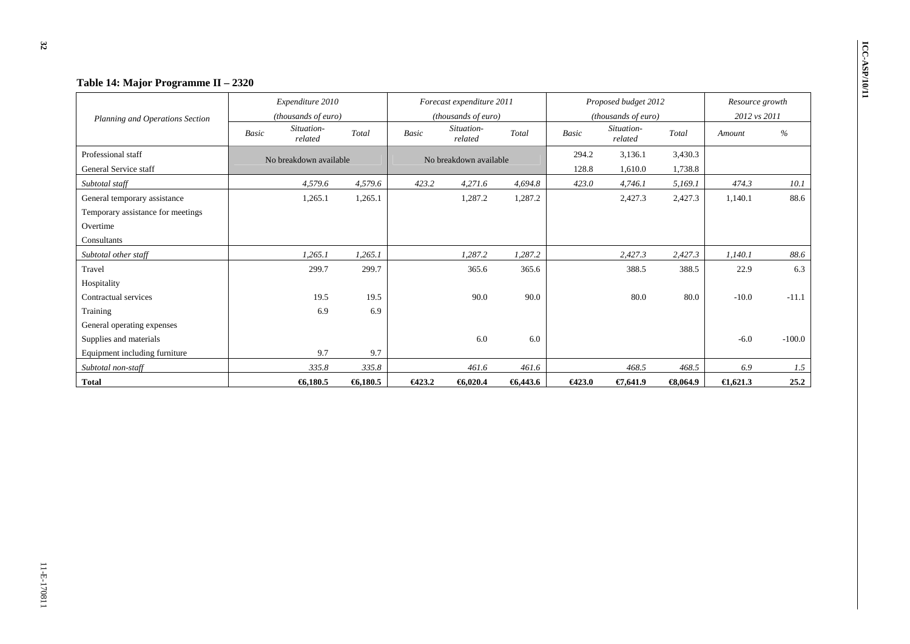| Table 14: Major Programme II - 2320<br>Planning and Operations Section |                                | Expenditure 2010<br>(thousands of euro) |         |                                       | Forecast expenditure 2011<br>(thousands of euro) |         |                                                | Proposed budget 2012<br>(thousands of euro) |                     | Resource growth<br>2012 vs 2011 |          |  |
|------------------------------------------------------------------------|--------------------------------|-----------------------------------------|---------|---------------------------------------|--------------------------------------------------|---------|------------------------------------------------|---------------------------------------------|---------------------|---------------------------------|----------|--|
|                                                                        | Situation-<br>Basic<br>related |                                         | Total   | Situation-<br><b>Basic</b><br>related |                                                  | Total   | Situation-<br><b>Basic</b><br>Total<br>related |                                             |                     | Amount                          | %        |  |
| Professional staff                                                     |                                | No breakdown available                  |         | No breakdown available                |                                                  |         | 294.2                                          | 3,136.1                                     | 3,430.3             |                                 |          |  |
| General Service staff                                                  |                                |                                         |         |                                       |                                                  |         | 128.8                                          | 1,610.0                                     | 1,738.8             |                                 |          |  |
| Subtotal staff                                                         |                                | 4,579.6                                 | 4,579.6 | 423.2                                 | 4,271.6                                          | 4,694.8 | 423.0                                          | 4,746.1                                     | 5,169.1             | 474.3                           | 10.1     |  |
| General temporary assistance                                           |                                | 1,265.1                                 | 1,265.1 |                                       | 1,287.2                                          | 1,287.2 |                                                | 2,427.3                                     | 2,427.3             | 1.140.1                         | 88.6     |  |
| Temporary assistance for meetings                                      |                                |                                         |         |                                       |                                                  |         |                                                |                                             |                     |                                 |          |  |
| Overtime                                                               |                                |                                         |         |                                       |                                                  |         |                                                |                                             |                     |                                 |          |  |
| Consultants                                                            |                                |                                         |         |                                       |                                                  |         |                                                |                                             |                     |                                 |          |  |
| Subtotal other staff                                                   |                                | 1,265.1                                 | 1,265.1 |                                       | 1,287.2                                          | 1,287.2 |                                                | 2,427.3                                     | 2,427.3             | 1,140.1                         | 88.6     |  |
| Travel                                                                 |                                | 299.7                                   | 299.7   |                                       | 365.6                                            | 365.6   |                                                | 388.5                                       | 388.5               | 22.9                            | 6.3      |  |
| Hospitality                                                            |                                |                                         |         |                                       |                                                  |         |                                                |                                             |                     |                                 |          |  |
| Contractual services                                                   |                                | 19.5                                    | 19.5    |                                       | 90.0                                             | 90.0    |                                                | 80.0                                        | 80.0                | $-10.0$                         | $-11.1$  |  |
| Training                                                               |                                | 6.9                                     | 6.9     |                                       |                                                  |         |                                                |                                             |                     |                                 |          |  |
| General operating expenses                                             |                                |                                         |         |                                       |                                                  |         |                                                |                                             |                     |                                 |          |  |
| Supplies and materials                                                 |                                |                                         |         |                                       | 6.0                                              | 6.0     |                                                |                                             |                     | $-6.0$                          | $-100.0$ |  |
| Equipment including furniture                                          |                                | 9.7                                     | 9.7     |                                       |                                                  |         |                                                |                                             |                     |                                 |          |  |
| Subtotal non-staff                                                     |                                | 335.8                                   | 335.8   |                                       | 461.6                                            | 461.6   |                                                | 468.5                                       | 468.5               | 6.9                             | 1.5      |  |
| <b>Total</b>                                                           |                                | 6,180.5                                 | 6,180.5 | 6423.2                                | 6,020.4                                          | 6,443.6 | 6423.0                                         | €7,641.9                                    | $\bigoplus$ , 064.9 | $\bigoplus$ , 621.3             | 25.2     |  |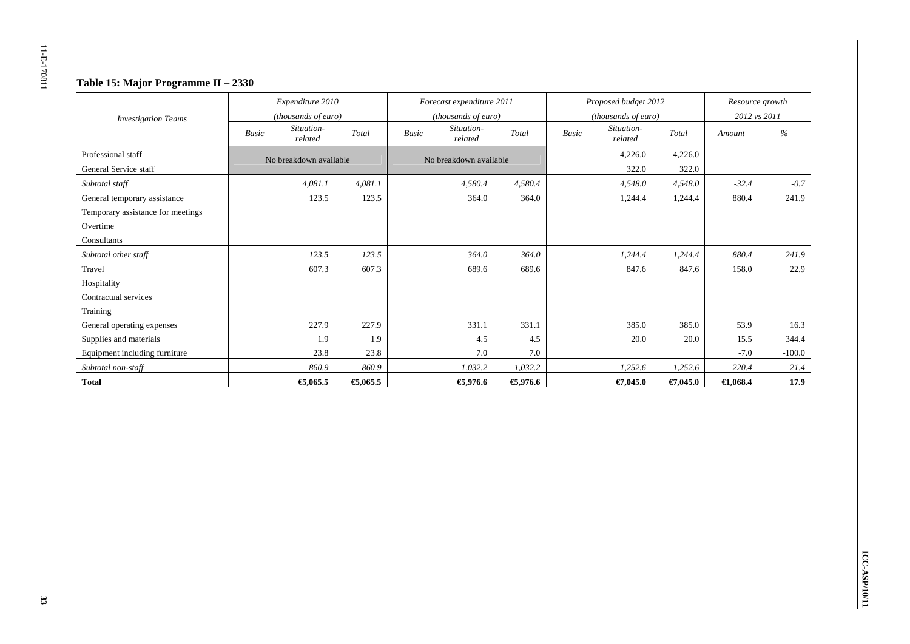## **Table 15: Major Programme II – 2330**

|                                   |              | Expenditure 2010       |         |              | Forecast expenditure 2011 |         |              | Proposed budget 2012  |          | Resource growth     |          |
|-----------------------------------|--------------|------------------------|---------|--------------|---------------------------|---------|--------------|-----------------------|----------|---------------------|----------|
| <b>Investigation Teams</b>        |              | (thousands of euro)    |         |              | (thousands of euro)       |         |              | (thousands of euro)   |          | 2012 vs 2011        |          |
|                                   | <b>Basic</b> | Situation-<br>related  | Total   | <b>Basic</b> | Situation-<br>related     | Total   | <b>Basic</b> | Situation-<br>related | Total    | Amount              | $\%$     |
| Professional staff                |              | No breakdown available |         |              | No breakdown available    |         |              | 4,226.0               | 4,226.0  |                     |          |
| General Service staff             |              |                        |         |              |                           |         |              | 322.0                 | 322.0    |                     |          |
| Subtotal staff                    |              | 4,081.1                | 4,081.1 |              | 4,580.4                   | 4,580.4 |              | 4,548.0               | 4,548.0  | $-32.4$             | $-0.7$   |
| General temporary assistance      |              | 123.5                  | 123.5   |              | 364.0                     | 364.0   |              | 1,244.4               | 1,244.4  | 880.4               | 241.9    |
| Temporary assistance for meetings |              |                        |         |              |                           |         |              |                       |          |                     |          |
| Overtime                          |              |                        |         |              |                           |         |              |                       |          |                     |          |
| Consultants                       |              |                        |         |              |                           |         |              |                       |          |                     |          |
| Subtotal other staff              |              | 123.5                  | 123.5   |              | 364.0                     | 364.0   |              | 1,244.4               | 1,244.4  | 880.4               | 241.9    |
| Travel                            |              | 607.3                  | 607.3   |              | 689.6                     | 689.6   |              | 847.6                 | 847.6    | 158.0               | 22.9     |
| Hospitality                       |              |                        |         |              |                           |         |              |                       |          |                     |          |
| Contractual services              |              |                        |         |              |                           |         |              |                       |          |                     |          |
| Training                          |              |                        |         |              |                           |         |              |                       |          |                     |          |
| General operating expenses        |              | 227.9                  | 227.9   |              | 331.1                     | 331.1   |              | 385.0                 | 385.0    | 53.9                | 16.3     |
| Supplies and materials            |              | 1.9                    | 1.9     |              | 4.5                       | 4.5     |              | 20.0                  | 20.0     | 15.5                | 344.4    |
| Equipment including furniture     |              | 23.8                   | 23.8    |              | 7.0                       | 7.0     |              |                       |          | $-7.0$              | $-100.0$ |
| Subtotal non-staff                |              | 860.9                  | 860.9   |              | 1,032.2                   | 1,032.2 |              | 1,252.6               | 1,252.6  | 220.4               | 21.4     |
| <b>Total</b>                      |              | €,065.5                | €,065.5 |              | €,976.6                   | €,976.6 |              | €7,045.0              | €7,045.0 | $\bigoplus$ , 068.4 | 17.9     |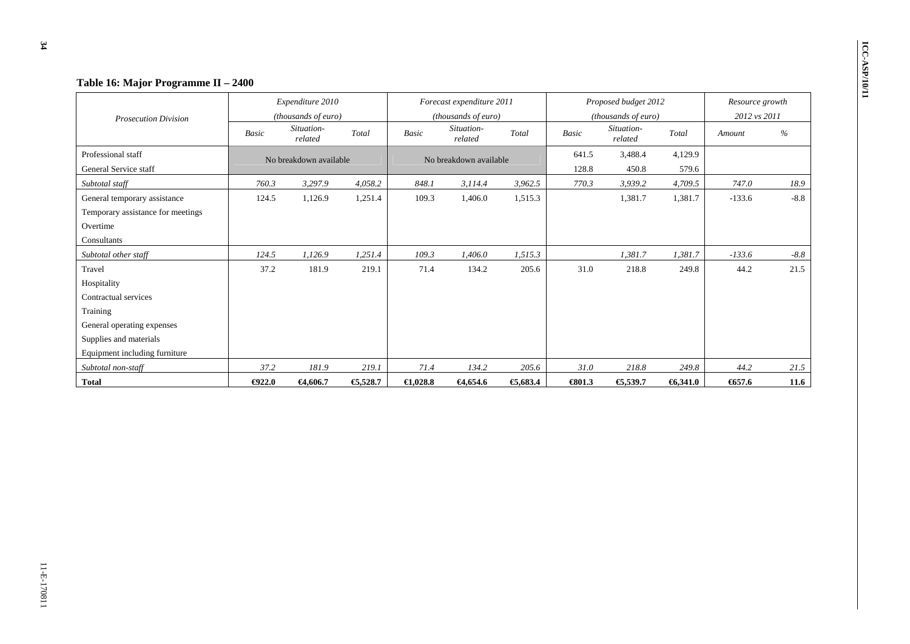|                                   | Table 16: Major Programme II - 2400 |                        |          |              |                           |         |                        |                       |                 |          |        |
|-----------------------------------|-------------------------------------|------------------------|----------|--------------|---------------------------|---------|------------------------|-----------------------|-----------------|----------|--------|
|                                   |                                     | Expenditure 2010       |          |              | Forecast expenditure 2011 |         |                        | Proposed budget 2012  | Resource growth |          |        |
| <b>Prosecution Division</b>       |                                     | (thousands of euro)    |          |              | (thousands of euro)       |         |                        | (thousands of euro)   | 2012 vs 2011    |          |        |
|                                   | Basic                               | Situation-<br>related  | Total    | <b>Basic</b> | Situation-<br>related     | Total   | <b>Basic</b>           | Situation-<br>related | Total           | Amount   | %      |
| Professional staff                |                                     | No breakdown available |          |              | No breakdown available    |         | 641.5                  | 3,488.4               | 4,129.9         |          |        |
| General Service staff             |                                     |                        |          |              |                           |         | 128.8                  | 450.8                 | 579.6           |          |        |
| Subtotal staff                    | 760.3                               | 3,297.9                | 4,058.2  | 848.1        | 3,114.4                   | 3,962.5 | 770.3                  | 3,939.2               | 4,709.5         | 747.0    | 18.9   |
| General temporary assistance      | 124.5                               | 1,126.9                | 1,251.4  | 109.3        | 1,406.0                   | 1,515.3 |                        | 1,381.7               | 1,381.7         | $-133.6$ | $-8.8$ |
| Temporary assistance for meetings |                                     |                        |          |              |                           |         |                        |                       |                 |          |        |
| Overtime                          |                                     |                        |          |              |                           |         |                        |                       |                 |          |        |
| Consultants                       |                                     |                        |          |              |                           |         |                        |                       |                 |          |        |
| Subtotal other staff              | 124.5                               | 1,126.9                | 1,251.4  | 109.3        | 1,406.0                   | 1,515.3 |                        | 1,381.7               | 1,381.7         | $-133.6$ | $-8.8$ |
| Travel                            | 37.2                                | 181.9                  | 219.1    | 71.4         | 134.2                     | 205.6   | 31.0                   | 218.8                 | 249.8           | 44.2     | 21.5   |
| Hospitality                       |                                     |                        |          |              |                           |         |                        |                       |                 |          |        |
| Contractual services              |                                     |                        |          |              |                           |         |                        |                       |                 |          |        |
| Training                          |                                     |                        |          |              |                           |         |                        |                       |                 |          |        |
| General operating expenses        |                                     |                        |          |              |                           |         |                        |                       |                 |          |        |
| Supplies and materials            |                                     |                        |          |              |                           |         |                        |                       |                 |          |        |
| Equipment including furniture     |                                     |                        |          |              |                           |         |                        |                       |                 |          |        |
| Subtotal non-staff                | 37.2                                | 181.9                  | 219.1    | 71.4         | 134.2                     | 205.6   | 31.0                   | 218.8                 | 249.8           | 44.2     | 21.5   |
| Total                             | $\bigoplus$ 22.0                    | €4,606.7               | €5,528.7 | €1,028.8     | €4,654.6                  | €,683.4 | $\Leftrightarrow$ 01.3 | €5,539.7              | 6,341.0         | 657.6    | 11.6   |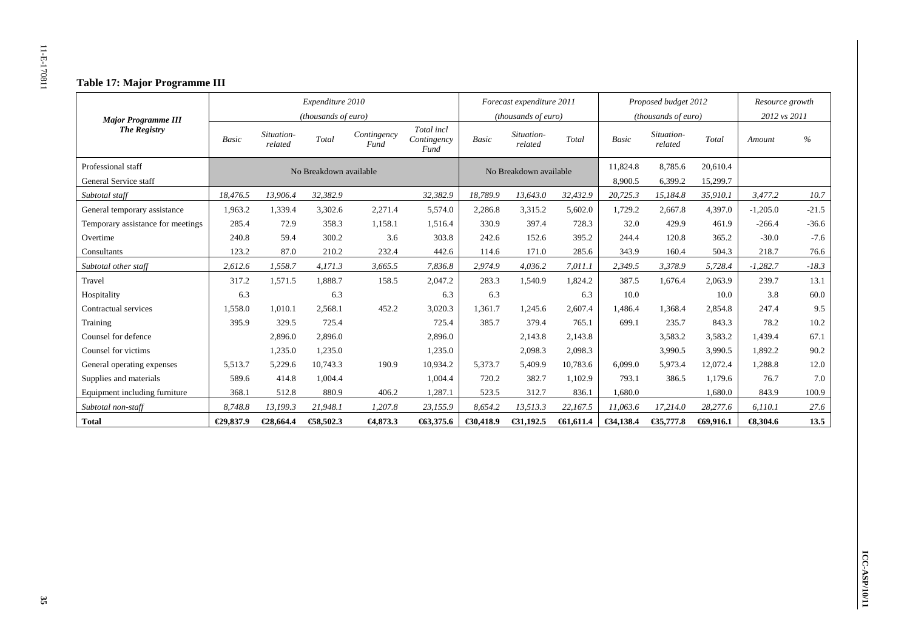## **Table 17: Major Programme III**

|                                   |              |                       | Expenditure 2010       |                     |                                   |              | Forecast expenditure 2011 |          |              | Proposed budget 2012  |          | Resource growth     |               |
|-----------------------------------|--------------|-----------------------|------------------------|---------------------|-----------------------------------|--------------|---------------------------|----------|--------------|-----------------------|----------|---------------------|---------------|
| <b>Major Programme III</b>        |              |                       | (thousands of euro)    |                     |                                   |              | (thousands of euro)       |          |              | (thousands of euro)   |          | 2012 vs 2011        |               |
| <b>The Registry</b>               | <b>Basic</b> | Situation-<br>related | Total                  | Contingency<br>Fund | Total incl<br>Contingency<br>Fund | <b>Basic</b> | Situation-<br>related     | Total    | <b>Basic</b> | Situation-<br>related | Total    | Amount              | $\frac{0}{6}$ |
| Professional staff                |              |                       | No Breakdown available |                     |                                   |              | No Breakdown available    |          | 11,824.8     | 8,785.6               | 20,610.4 |                     |               |
| General Service staff             |              |                       |                        |                     |                                   |              |                           |          | 8,900.5      | 6,399.2               | 15,299.7 |                     |               |
| Subtotal staff                    | 18,476.5     | 13,906.4              | 32,382.9               |                     | 32,382.9                          | 18,789.9     | 13,643.0                  | 32,432.9 | 20,725.3     | 15,184.8              | 35,910.1 | 3,477.2             | 10.7          |
| General temporary assistance      | 1,963.2      | 1,339.4               | 3,302.6                | 2,271.4             | 5,574.0                           | 2,286.8      | 3,315.2                   | 5,602.0  | 1,729.2      | 2,667.8               | 4,397.0  | $-1,205.0$          | $-21.5$       |
| Temporary assistance for meetings | 285.4        | 72.9                  | 358.3                  | 1,158.1             | 1.516.4                           | 330.9        | 397.4                     | 728.3    | 32.0         | 429.9                 | 461.9    | $-266.4$            | $-36.6$       |
| Overtime                          | 240.8        | 59.4                  | 300.2                  | 3.6                 | 303.8                             | 242.6        | 152.6                     | 395.2    | 244.4        | 120.8                 | 365.2    | $-30.0$             | $-7.6$        |
| Consultants                       | 123.2        | 87.0                  | 210.2                  | 232.4               | 442.6                             | 114.6        | 171.0                     | 285.6    | 343.9        | 160.4                 | 504.3    | 218.7               | 76.6          |
| Subtotal other staff              | 2,612.6      | 1,558.7               | 4,171.3                | 3,665.5             | 7,836.8                           | 2,974.9      | 4,036.2                   | 7,011.1  | 2,349.5      | 3,378.9               | 5,728.4  | $-1,282.7$          | $-18.3$       |
| Travel                            | 317.2        | 1,571.5               | 1,888.7                | 158.5               | 2,047.2                           | 283.3        | 1,540.9                   | 1,824.2  | 387.5        | 1,676.4               | 2.063.9  | 239.7               | 13.1          |
| Hospitality                       | 6.3          |                       | 6.3                    |                     | 6.3                               | 6.3          |                           | 6.3      | 10.0         |                       | 10.0     | 3.8                 | 60.0          |
| Contractual services              | 1.558.0      | 1.010.1               | 2,568.1                | 452.2               | 3,020.3                           | 1.361.7      | 1.245.6                   | 2,607.4  | 1.486.4      | 1,368.4               | 2,854.8  | 247.4               | 9.5           |
| Training                          | 395.9        | 329.5                 | 725.4                  |                     | 725.4                             | 385.7        | 379.4                     | 765.1    | 699.1        | 235.7                 | 843.3    | 78.2                | 10.2          |
| Counsel for defence               |              | 2.896.0               | 2,896.0                |                     | 2,896.0                           |              | 2,143.8                   | 2,143.8  |              | 3,583.2               | 3,583.2  | 1.439.4             | 67.1          |
| Counsel for victims               |              | 1,235.0               | 1,235.0                |                     | 1,235.0                           |              | 2,098.3                   | 2,098.3  |              | 3,990.5               | 3,990.5  | 1,892.2             | 90.2          |
| General operating expenses        | 5,513.7      | 5,229.6               | 10,743.3               | 190.9               | 10,934.2                          | 5,373.7      | 5,409.9                   | 10,783.6 | 6,099.0      | 5,973.4               | 12,072.4 | 1,288.8             | 12.0          |
| Supplies and materials            | 589.6        | 414.8                 | 1,004.4                |                     | 1,004.4                           | 720.2        | 382.7                     | 1,102.9  | 793.1        | 386.5                 | 1.179.6  | 76.7                | 7.0           |
| Equipment including furniture     | 368.1        | 512.8                 | 880.9                  | 406.2               | 1,287.1                           | 523.5        | 312.7                     | 836.1    | .680.0       |                       | 1,680.0  | 843.9               | 100.9         |
| Subtotal non-staff                | 8,748.8      | 13,199.3              | 21,948.1               | 1,207.8             | 23,155.9                          | 8,654.2      | 13,513.3                  | 22,167.5 | 11,063.6     | 17,214.0              | 28,277.6 | 6,110.1             | 27.6          |
| <b>Total</b>                      | €29,837.9    | €28,664.4             | €8,502.3               | $-64,873.3$         | €63,375.6                         | €30,418.9    | €31,192.5                 | 61,611.4 | €34,138.4    | €35,777.8             | 69,916.1 | $\bigoplus$ , 304.6 | 13.5          |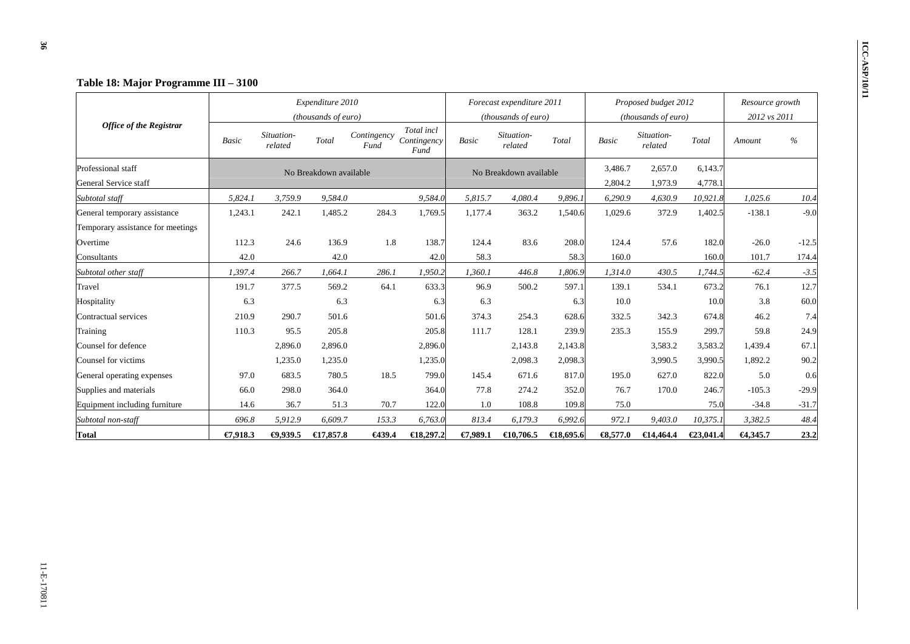|                                   |              |                       | Expenditure 2010       |                     |                                   |              | Forecast expenditure 2011 |                     |                     | Proposed budget 2012  | Resource growth |          |         |
|-----------------------------------|--------------|-----------------------|------------------------|---------------------|-----------------------------------|--------------|---------------------------|---------------------|---------------------|-----------------------|-----------------|----------|---------|
| <b>Office of the Registrar</b>    |              |                       | (thousands of euro)    |                     |                                   |              | (thousands of euro)       |                     |                     | (thousands of euro)   | 2012 vs 2011    |          |         |
|                                   | <b>Basic</b> | Situation-<br>related | Total                  | Contingency<br>Fund | Total incl<br>Contingency<br>Fund | <b>Basic</b> | Situation-<br>related     | Total               | <b>Basic</b>        | Situation-<br>related | Total           | Amount   | $\%$    |
| Professional staff                |              |                       | No Breakdown available |                     |                                   |              | No Breakdown available    |                     | 3,486.7             | 2,657.0               | 6,143.7         |          |         |
| General Service staff             |              |                       |                        |                     |                                   |              |                           |                     | 2,804.2             | 1,973.9               | 4,778.1         |          |         |
| Subtotal staff                    | 5,824.1      | 3,759.9               | 9,584.0                |                     | 9,584.0                           | 5,815.7      | 4,080.4                   | 9,896.1             | 6,290.9             | 4,630.9               | 10,921.8        | 1,025.6  | 10.4    |
| General temporary assistance      | 1,243.1      | 242.1                 | 1,485.2                | 284.3               | 1,769.5                           | 1,177.4      | 363.2                     | 1,540.6             | 1,029.6             | 372.9                 | 1,402.5         | $-138.1$ | $-9.0$  |
| Temporary assistance for meetings |              |                       |                        |                     |                                   |              |                           |                     |                     |                       |                 |          |         |
| Overtime                          | 112.3        | 24.6                  | 136.9                  | 1.8                 | 138.7                             | 124.4        | 83.6                      | 208.0               | 124.4               | 57.6                  | 182.0           | $-26.0$  | $-12.5$ |
| Consultants                       | 42.0         |                       | 42.0                   |                     | 42.0                              | 58.3         |                           | 58.3                | 160.0               |                       | 160.0           | 101.7    | 174.4   |
| Subtotal other staff              | 1,397.4      | 266.7                 | 1.664.1                | 286.1               | 1,950.2                           | 1,360.1      | 446.8                     | 1,806.9             | 1,314.0             | 430.5                 | 1,744.5         | $-62.4$  | $-3.5$  |
| Travel                            | 191.7        | 377.5                 | 569.2                  | 64.1                | 633.3                             | 96.9         | 500.2                     | 597.1               | 139.1               | 534.1                 | 673.2           | 76.1     | 12.7    |
| Hospitality                       | 6.3          |                       | 6.3                    |                     | 6.3                               | 6.3          |                           | 6.3                 | 10.0                |                       | 10.0            | 3.8      | 60.0    |
| Contractual services              | 210.9        | 290.7                 | 501.6                  |                     | 501.6                             | 374.3        | 254.3                     | 628.6               | 332.5               | 342.3                 | 674.8           | 46.2     | 7.4     |
| Training                          | 110.3        | 95.5                  | 205.8                  |                     | 205.8                             | 111.7        | 128.1                     | 239.9               | 235.3               | 155.9                 | 299.7           | 59.8     | 24.9    |
| Counsel for defence               |              | 2,896.0               | 2,896.0                |                     | 2,896.0                           |              | 2,143.8                   | 2,143.8             |                     | 3,583.2               | 3,583.2         | 1,439.4  | 67.1    |
| Counsel for victims               |              | 1,235.0               | 1,235.0                |                     | 1,235.0                           |              | 2,098.3                   | 2,098.3             |                     | 3,990.5               | 3,990.5         | 1,892.2  | 90.2    |
| General operating expenses        | 97.0         | 683.5                 | 780.5                  | 18.5                | 799.0                             | 145.4        | 671.6                     | 817.0               | 195.0               | 627.0                 | 822.0           | 5.0      | 0.6     |
| Supplies and materials            | 66.0         | 298.0                 | 364.0                  |                     | 364.0                             | 77.8         | 274.2                     | 352.0               | 76.7                | 170.0                 | 246.7           | $-105.3$ | $-29.9$ |
| Equipment including furniture     | 14.6         | 36.7                  | 51.3                   | 70.7                | 122.0                             | 1.0          | 108.8                     | 109.8               | 75.0                |                       | 75.0            | $-34.8$  | $-31.7$ |
| Subtotal non-staff                | 696.8        | 5,912.9               | 6,609.7                | 153.3               | 6,763.0                           | 813.4        | 6,179.3                   | 6,992.6             | 972.1               | 9,403.0               | 10,375.1        | 3,382.5  | 48.4    |
| <b>Total</b>                      | €7,918.3     | $-0.939.5$            | €17,857.8              | €439.4              | $\bigoplus$ 8,297.2               | €7,989.1     | $\bigoplus$ 0,706.5       | $\bigoplus$ 8.695.6 | $\bigoplus$ , 577.0 | €14,464.4             | €23,041.4       | €4,345.7 | 23.2    |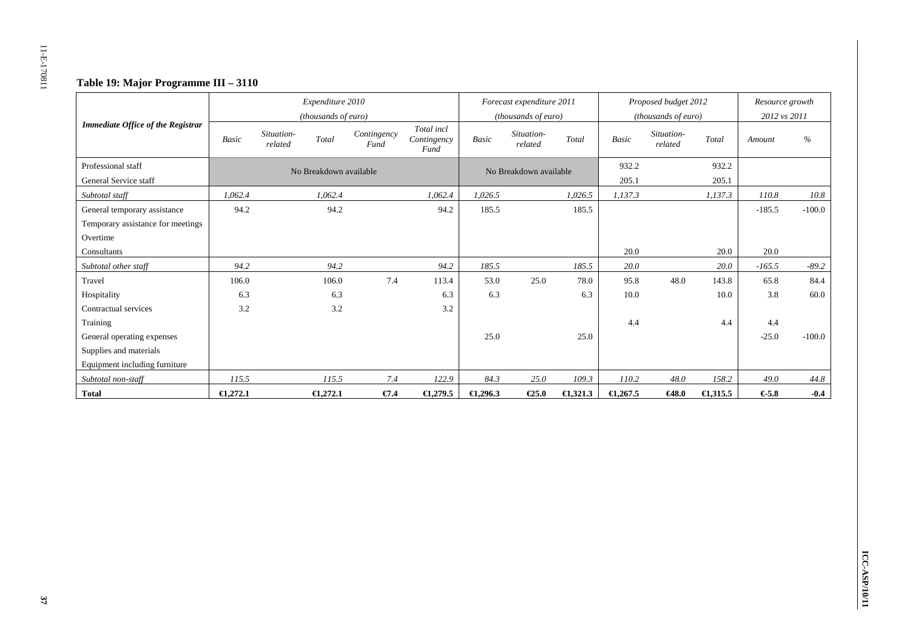# **Table 19: Major Programme III – 3110**

|                                             |                     |                       | Expenditure 2010             |                     |                                   |          | Forecast expenditure 2011                    |                    |                    | Proposed budget 2012                                  |                    | Resource growth        |               |
|---------------------------------------------|---------------------|-----------------------|------------------------------|---------------------|-----------------------------------|----------|----------------------------------------------|--------------------|--------------------|-------------------------------------------------------|--------------------|------------------------|---------------|
| <b>Immediate Office of the Registrar</b>    | Basic               | Situation-<br>related | (thousands of euro)<br>Total | Contingency<br>Fund | Total incl<br>Contingency<br>Fund | Basic    | (thousands of euro)<br>Situation-<br>related | Total              | <b>Basic</b>       | ( <i>thousands of euro</i> )<br>Situation-<br>related | Total              | 2012 vs 2011<br>Amount | $\frac{0}{0}$ |
| Professional staff<br>General Service staff |                     |                       | No Breakdown available       |                     |                                   |          | No Breakdown available                       |                    | 932.2<br>205.1     |                                                       | 932.2<br>205.1     |                        |               |
| Subtotal staff                              | 1.062.4             |                       | 1.062.4                      |                     | 1,062.4                           | 1,026.5  |                                              | 1,026.5            | 1,137.3            |                                                       | 1,137.3            | 110.8                  | 10.8          |
| General temporary assistance                | 94.2                |                       | 94.2                         |                     | 94.2                              | 185.5    |                                              | 185.5              |                    |                                                       |                    | $-185.5$               | $-100.0$      |
| Temporary assistance for meetings           |                     |                       |                              |                     |                                   |          |                                              |                    |                    |                                                       |                    |                        |               |
| Overtime                                    |                     |                       |                              |                     |                                   |          |                                              |                    |                    |                                                       |                    |                        |               |
| Consultants                                 |                     |                       |                              |                     |                                   |          |                                              |                    | 20.0               |                                                       | 20.0               | 20.0                   |               |
| Subtotal other staff                        | 94.2                |                       | 94.2                         |                     | 94.2                              | 185.5    |                                              | 185.5              | 20.0               |                                                       | 20.0               | $-165.5$               | $-89.2$       |
| Travel                                      | 106.0               |                       | 106.0                        | 7.4                 | 113.4                             | 53.0     | 25.0                                         | 78.0               | 95.8               | 48.0                                                  | 143.8              | 65.8                   | 84.4          |
| Hospitality                                 | 6.3                 |                       | 6.3                          |                     | 6.3                               | 6.3      |                                              | 6.3                | 10.0               |                                                       | 10.0               | 3.8                    | 60.0          |
| Contractual services                        | 3.2                 |                       | 3.2                          |                     | 3.2                               |          |                                              |                    |                    |                                                       |                    |                        |               |
| Training                                    |                     |                       |                              |                     |                                   |          |                                              |                    | 4.4                |                                                       | 4.4                | 4.4                    |               |
| General operating expenses                  |                     |                       |                              |                     |                                   | 25.0     |                                              | 25.0               |                    |                                                       |                    | $-25.0$                | $-100.0$      |
| Supplies and materials                      |                     |                       |                              |                     |                                   |          |                                              |                    |                    |                                                       |                    |                        |               |
| Equipment including furniture               |                     |                       |                              |                     |                                   |          |                                              |                    |                    |                                                       |                    |                        |               |
| Subtotal non-staff                          | 115.5               |                       | 115.5                        | 7.4                 | 122.9                             | 84.3     | 25.0                                         | 109.3              | 110.2              | 48.0                                                  | 158.2              | 49.0                   | 44.8          |
| <b>Total</b>                                | $\bigoplus$ , 272.1 |                       | $\bigoplus$ , 272.1          | $\epsilon$ 7.4      | $\epsilon$ 1,279.5                | €1,296.3 | €25.0                                        | $\epsilon$ 1,321.3 | $\epsilon$ 1,267.5 | C48.0                                                 | $\epsilon$ 1,315.5 | 65.8                   | $-0.4$        |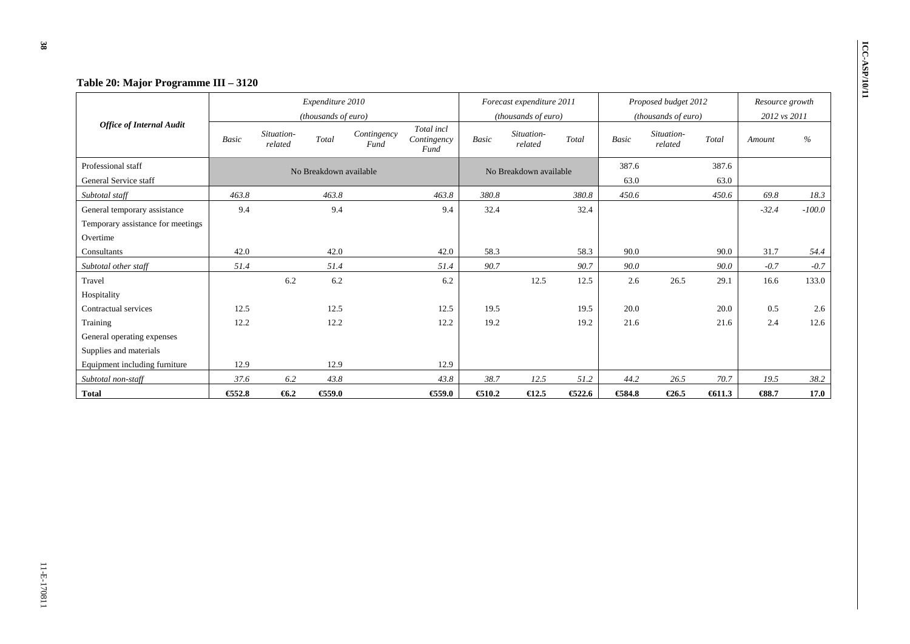|                                   |              |                       | Expenditure 2010       |                     |                                   |              | Forecast expenditure 2011 |       |              | Proposed budget 2012  |       | Resource growth |          |
|-----------------------------------|--------------|-----------------------|------------------------|---------------------|-----------------------------------|--------------|---------------------------|-------|--------------|-----------------------|-------|-----------------|----------|
|                                   |              |                       | (thousands of euro)    |                     |                                   |              | (thousands of euro)       |       |              | (thousands of euro)   |       | 2012 vs 2011    |          |
| <b>Office of Internal Audit</b>   | <b>Basic</b> | Situation-<br>related | Total                  | Contingency<br>Fund | Total incl<br>Contingency<br>Fund | <b>Basic</b> | Situation-<br>related     | Total | <b>Basic</b> | Situation-<br>related | Total | Amount          | $\%$     |
| Professional staff                |              |                       | No Breakdown available |                     |                                   |              | No Breakdown available    |       | 387.6        |                       | 387.6 |                 |          |
| General Service staff             |              |                       |                        |                     |                                   |              |                           |       | 63.0         |                       | 63.0  |                 |          |
| Subtotal staff                    | 463.8        |                       | 463.8                  |                     | 463.8                             | 380.8        |                           | 380.8 | 450.6        |                       | 450.6 | 69.8            | 18.3     |
| General temporary assistance      | 9.4          |                       | 9.4                    |                     | 9.4                               | 32.4         |                           | 32.4  |              |                       |       | $-32.4$         | $-100.0$ |
| Temporary assistance for meetings |              |                       |                        |                     |                                   |              |                           |       |              |                       |       |                 |          |
| Overtime                          |              |                       |                        |                     |                                   |              |                           |       |              |                       |       |                 |          |
| Consultants                       | 42.0         |                       | 42.0                   |                     | 42.0                              | 58.3         |                           | 58.3  | 90.0         |                       | 90.0  | 31.7            | 54.4     |
| Subtotal other staff              | 51.4         |                       | 51.4                   |                     | 51.4                              | 90.7         |                           | 90.7  | 90.0         |                       | 90.0  | $-0.7$          | $-0.7$   |
| Travel                            |              | 6.2                   | 6.2                    |                     | 6.2                               |              | 12.5                      | 12.5  | 2.6          | 26.5                  | 29.1  | 16.6            | 133.0    |
| Hospitality                       |              |                       |                        |                     |                                   |              |                           |       |              |                       |       |                 |          |
| Contractual services              | 12.5         |                       | 12.5                   |                     | 12.5                              | 19.5         |                           | 19.5  | 20.0         |                       | 20.0  | 0.5             | 2.6      |
| Training                          | 12.2         |                       | 12.2                   |                     | 12.2                              | 19.2         |                           | 19.2  | 21.6         |                       | 21.6  | 2.4             | 12.6     |
| General operating expenses        |              |                       |                        |                     |                                   |              |                           |       |              |                       |       |                 |          |
| Supplies and materials            |              |                       |                        |                     |                                   |              |                           |       |              |                       |       |                 |          |
| Equipment including furniture     | 12.9         |                       | 12.9                   |                     | 12.9                              |              |                           |       |              |                       |       |                 |          |
| Subtotal non-staff                | 37.6         | 6.2                   | 43.8                   |                     | 43.8                              | 38.7         | 12.5                      | 51.2  | 44.2         | 26.5                  | 70.7  | 19.5            | 38.2     |
| <b>Total</b>                      | €52.8        | 66.2                  | €59.0                  |                     | €59.0                             | €10.2        | $\epsilon$ 12.5           | 622.6 | €584.8       | $\epsilon$ 26.5       | 611.3 | $-688.7$        | 17.0     |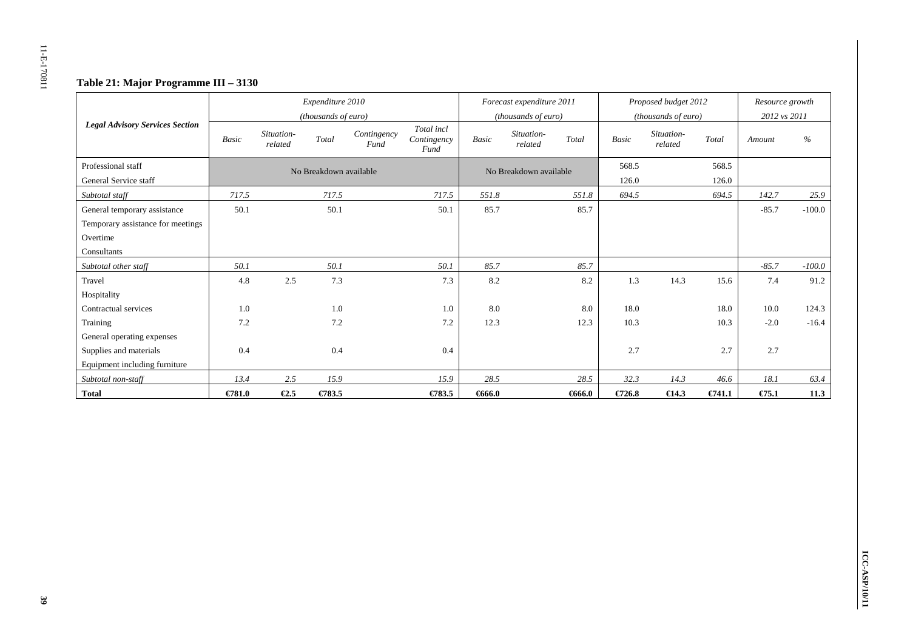# **Table 21: Major Programme III – 3130**

|                                        |              |                       | Expenditure 2010       |                     |                                   |              | Forecast expenditure 2011 |           |              | Proposed budget 2012  |           | Resource growth    |          |
|----------------------------------------|--------------|-----------------------|------------------------|---------------------|-----------------------------------|--------------|---------------------------|-----------|--------------|-----------------------|-----------|--------------------|----------|
|                                        |              |                       | (thousands of euro)    |                     |                                   |              | (thousands of euro)       |           |              | (thousands of euro)   |           | 2012 vs 2011       |          |
| <b>Legal Advisory Services Section</b> | <b>Basic</b> | Situation-<br>related | Total                  | Contingency<br>Fund | Total incl<br>Contingency<br>Fund | <b>Basic</b> | Situation-<br>related     | Total     | <b>Basic</b> | Situation-<br>related | Total     | Amount             | $\%$     |
| Professional staff                     |              |                       | No Breakdown available |                     |                                   |              | No Breakdown available    |           | 568.5        |                       | 568.5     |                    |          |
| General Service staff                  |              |                       |                        |                     |                                   |              |                           |           | 126.0        |                       | 126.0     |                    |          |
| Subtotal staff                         | 717.5        |                       | 717.5                  |                     | 717.5                             | 551.8        |                           | 551.8     | 694.5        |                       | 694.5     | 142.7              | 25.9     |
| General temporary assistance           | 50.1         |                       | 50.1                   |                     | 50.1                              | 85.7         |                           | 85.7      |              |                       |           | $-85.7$            | $-100.0$ |
| Temporary assistance for meetings      |              |                       |                        |                     |                                   |              |                           |           |              |                       |           |                    |          |
| Overtime                               |              |                       |                        |                     |                                   |              |                           |           |              |                       |           |                    |          |
| Consultants                            |              |                       |                        |                     |                                   |              |                           |           |              |                       |           |                    |          |
| Subtotal other staff                   | 50.1         |                       | 50.1                   |                     | 50.1                              | 85.7         |                           | 85.7      |              |                       |           | $-85.7$            | $-100.0$ |
| Travel                                 | 4.8          | 2.5                   | 7.3                    |                     | 7.3                               | 8.2          |                           | 8.2       | 1.3          | 14.3                  | 15.6      | 7.4                | 91.2     |
| Hospitality                            |              |                       |                        |                     |                                   |              |                           |           |              |                       |           |                    |          |
| Contractual services                   | 1.0          |                       | 1.0                    |                     | 1.0                               | 8.0          |                           | 8.0       | 18.0         |                       | 18.0      | 10.0               | 124.3    |
| Training                               | 7.2          |                       | 7.2                    |                     | 7.2                               | 12.3         |                           | 12.3      | 10.3         |                       | 10.3      | $-2.0$             | $-16.4$  |
| General operating expenses             |              |                       |                        |                     |                                   |              |                           |           |              |                       |           |                    |          |
| Supplies and materials                 | 0.4          |                       | 0.4                    |                     | 0.4                               |              |                           |           | 2.7          |                       | 2.7       | 2.7                |          |
| Equipment including furniture          |              |                       |                        |                     |                                   |              |                           |           |              |                       |           |                    |          |
| Subtotal non-staff                     | 13.4         | 2.5                   | 15.9                   |                     | 15.9                              | 28.5         |                           | 28.5      | 32.3         | 14.3                  | 46.6      | 18.1               | 63.4     |
| <b>Total</b>                           | $E$ 781.0    | $\epsilon$ 2.5        | €783.5                 |                     | $\epsilon$ 783.5                  | 666.0        |                           | $-6666.0$ | €726.8       | $\epsilon$ 14.3       | $E$ 741.1 | $E$ <sub>5.1</sub> | 11.3     |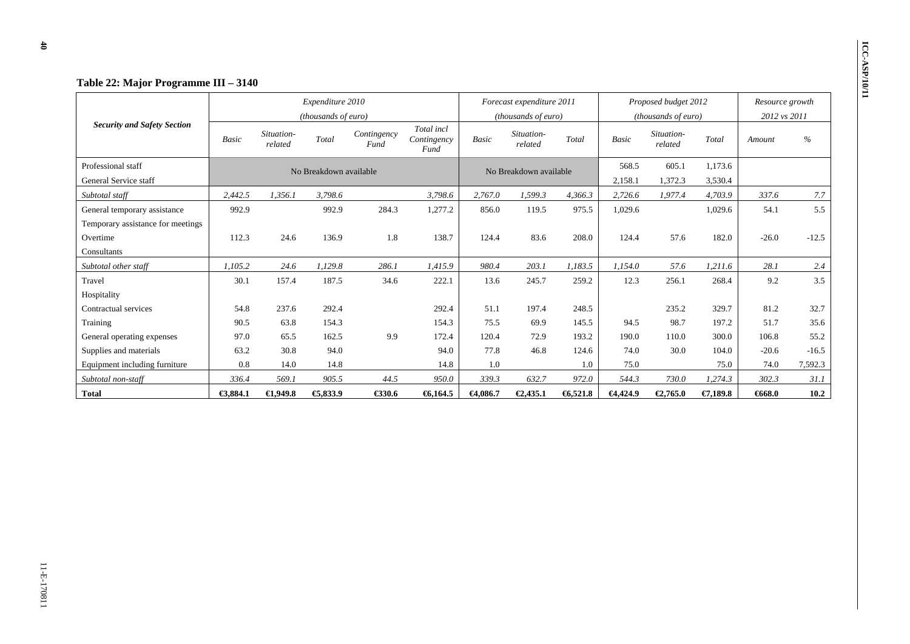|                                    |              |                       | Expenditure 2010       |                     |                                   |          | Forecast expenditure 2011 |         |              | Proposed budget 2012  |          | Resource growth |         |
|------------------------------------|--------------|-----------------------|------------------------|---------------------|-----------------------------------|----------|---------------------------|---------|--------------|-----------------------|----------|-----------------|---------|
|                                    |              |                       | (thousands of euro)    |                     |                                   |          | (thousands of euro)       |         |              | (thousands of euro)   |          | 2012 vs 2011    |         |
| <b>Security and Safety Section</b> | <b>Basic</b> | Situation-<br>related | Total                  | Contingency<br>Fund | Total incl<br>Contingency<br>Fund | Basic    | Situation-<br>related     | Total   | <b>Basic</b> | Situation-<br>related | Total    | Amount          | $\%$    |
| Professional staff                 |              |                       | No Breakdown available |                     |                                   |          | No Breakdown available    |         | 568.5        | 605.1                 | 1,173.6  |                 |         |
| General Service staff              |              |                       |                        |                     |                                   |          |                           |         | 2,158.1      | 1,372.3               | 3,530.4  |                 |         |
| Subtotal staff                     | 2,442.5      | 1,356.1               | 3,798.6                |                     | 3,798.6                           | 2,767.0  | 1,599.3                   | 4,366.3 | 2,726.6      | 1,977.4               | 4,703.9  | 337.6           | 7.7     |
| General temporary assistance       | 992.9        |                       | 992.9                  | 284.3               | 1,277.2                           | 856.0    | 119.5                     | 975.5   | 1,029.6      |                       | 1,029.6  | 54.1            | 5.5     |
| Temporary assistance for meetings  |              |                       |                        |                     |                                   |          |                           |         |              |                       |          |                 |         |
| Overtime                           | 112.3        | 24.6                  | 136.9                  | 1.8                 | 138.7                             | 124.4    | 83.6                      | 208.0   | 124.4        | 57.6                  | 182.0    | $-26.0$         | $-12.5$ |
| Consultants                        |              |                       |                        |                     |                                   |          |                           |         |              |                       |          |                 |         |
| Subtotal other staff               | 1.105.2      | 24.6                  | 1.129.8                | 286.1               | 1.415.9                           | 980.4    | 203.1                     | 1.183.5 | 1.154.0      | 57.6                  | 1.211.6  | 28.1            | 2.4     |
| Travel                             | 30.1         | 157.4                 | 187.5                  | 34.6                | 222.1                             | 13.6     | 245.7                     | 259.2   | 12.3         | 256.1                 | 268.4    | 9.2             | 3.5     |
| Hospitality                        |              |                       |                        |                     |                                   |          |                           |         |              |                       |          |                 |         |
| Contractual services               | 54.8         | 237.6                 | 292.4                  |                     | 292.4                             | 51.1     | 197.4                     | 248.5   |              | 235.2                 | 329.7    | 81.2            | 32.7    |
| Training                           | 90.5         | 63.8                  | 154.3                  |                     | 154.3                             | 75.5     | 69.9                      | 145.5   | 94.5         | 98.7                  | 197.2    | 51.7            | 35.6    |
| General operating expenses         | 97.0         | 65.5                  | 162.5                  | 9.9                 | 172.4                             | 120.4    | 72.9                      | 193.2   | 190.0        | 110.0                 | 300.0    | 106.8           | 55.2    |
| Supplies and materials             | 63.2         | 30.8                  | 94.0                   |                     | 94.0                              | 77.8     | 46.8                      | 124.6   | 74.0         | 30.0                  | 104.0    | $-20.6$         | $-16.5$ |
| Equipment including furniture      | 0.8          | 14.0                  | 14.8                   |                     | 14.8                              | 1.0      |                           | 1.0     | 75.0         |                       | 75.0     | 74.0            | 7,592.3 |
| Subtotal non-staff                 | 336.4        | 569.1                 | 905.5                  | 44.5                | 950.0                             | 339.3    | 632.7                     | 972.0   | 544.3        | 730.0                 | 1,274.3  | 302.3           | 31.1    |
| <b>Total</b>                       | €3,884.1     | €1,949.8              | €, 833.9               | €330.6              | 6,164.5                           | €4,086.7 | €2,435.1                  | 6,521.8 | 64,424.9     | €2,765.0              | €7,189.8 | 6668.0          | 10.2    |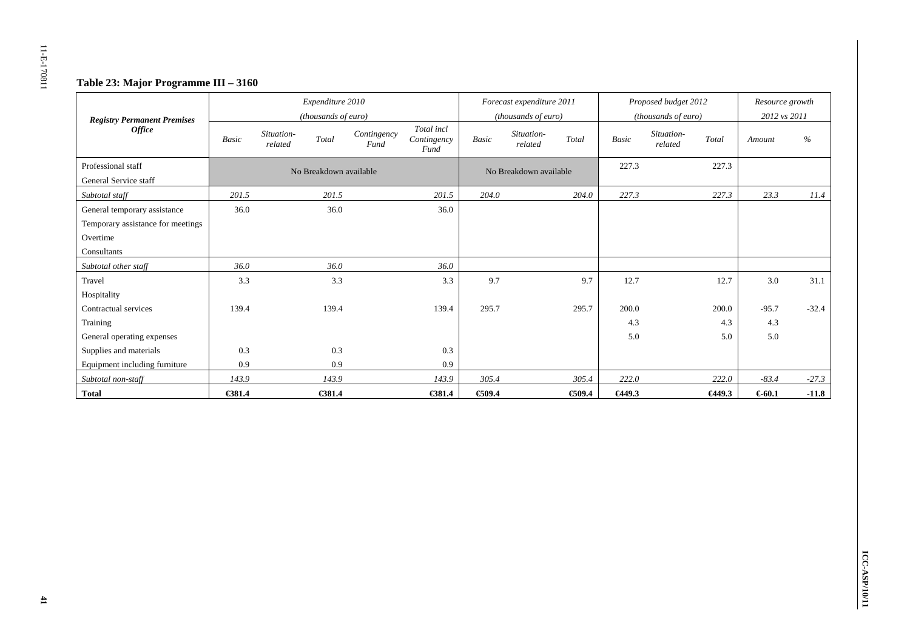# **Table 23: Major Programme III – 3160**

|                                                     |              |                       | Expenditure 2010<br>(thousands of euro) |                     |                                   |              | Forecast expenditure 2011<br>(thousands of euro) |       |        | Proposed budget 2012<br>(thousands of euro) |        | Resource growth<br>2012 vs 2011 |               |
|-----------------------------------------------------|--------------|-----------------------|-----------------------------------------|---------------------|-----------------------------------|--------------|--------------------------------------------------|-------|--------|---------------------------------------------|--------|---------------------------------|---------------|
| <b>Registry Permanent Premises</b><br><b>Office</b> | <b>Basic</b> | Situation-<br>related | Total                                   | Contingency<br>Fund | Total incl<br>Contingency<br>Fund | <b>Basic</b> | Situation-<br>related                            | Total | Basic  | Situation-<br>related                       | Total  | Amount                          | $\frac{0}{0}$ |
| Professional staff<br>General Service staff         |              |                       | No Breakdown available                  |                     |                                   |              | No Breakdown available                           |       | 227.3  |                                             | 227.3  |                                 |               |
| Subtotal staff                                      | 201.5        |                       | 201.5                                   |                     | 201.5                             | 204.0        |                                                  | 204.0 | 227.3  |                                             | 227.3  | 23.3                            | 11.4          |
| General temporary assistance                        | 36.0         |                       | 36.0                                    |                     | 36.0                              |              |                                                  |       |        |                                             |        |                                 |               |
| Temporary assistance for meetings                   |              |                       |                                         |                     |                                   |              |                                                  |       |        |                                             |        |                                 |               |
| Overtime                                            |              |                       |                                         |                     |                                   |              |                                                  |       |        |                                             |        |                                 |               |
| Consultants                                         |              |                       |                                         |                     |                                   |              |                                                  |       |        |                                             |        |                                 |               |
| Subtotal other staff                                | 36.0         |                       | 36.0                                    |                     | 36.0                              |              |                                                  |       |        |                                             |        |                                 |               |
| Travel                                              | 3.3          |                       | 3.3                                     |                     | 3.3                               | 9.7          |                                                  | 9.7   | 12.7   |                                             | 12.7   | 3.0                             | 31.1          |
| Hospitality                                         |              |                       |                                         |                     |                                   |              |                                                  |       |        |                                             |        |                                 |               |
| Contractual services                                | 139.4        |                       | 139.4                                   |                     | 139.4                             | 295.7        |                                                  | 295.7 | 200.0  |                                             | 200.0  | $-95.7$                         | $-32.4$       |
| Training                                            |              |                       |                                         |                     |                                   |              |                                                  |       | 4.3    |                                             | 4.3    | 4.3                             |               |
| General operating expenses                          |              |                       |                                         |                     |                                   |              |                                                  |       | 5.0    |                                             | 5.0    | 5.0                             |               |
| Supplies and materials                              | 0.3          |                       | 0.3                                     |                     | 0.3                               |              |                                                  |       |        |                                             |        |                                 |               |
| Equipment including furniture                       | 0.9          |                       | 0.9                                     |                     | 0.9                               |              |                                                  |       |        |                                             |        |                                 |               |
| Subtotal non-staff                                  | 143.9        |                       | 143.9                                   |                     | 143.9                             | 305.4        |                                                  | 305.4 | 222.0  |                                             | 222.0  | $-83.4$                         | $-27.3$       |
| <b>Total</b>                                        | €381.4       |                       | €381.4                                  |                     | €381.4                            | €09.4        |                                                  | €09.4 | €449.3 |                                             | €449.3 | € $60.1$                        | $-11.8$       |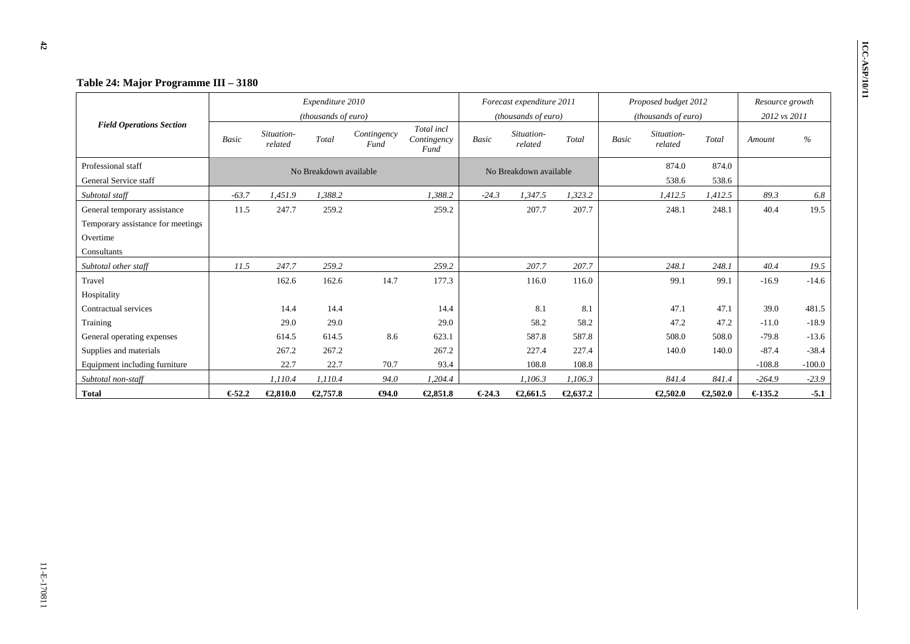|                                   |         |                       | Expenditure 2010       |                     |                                   |         | Forecast expenditure 2011 |          | Proposed budget 2012                  |          |          | Resource growth |          |
|-----------------------------------|---------|-----------------------|------------------------|---------------------|-----------------------------------|---------|---------------------------|----------|---------------------------------------|----------|----------|-----------------|----------|
|                                   |         |                       | (thousands of euro)    |                     |                                   |         | (thousands of euro)       |          | (thousands of euro)                   |          |          | 2012 vs 2011    |          |
| <b>Field Operations Section</b>   | Basic   | Situation-<br>related | Total                  | Contingency<br>Fund | Total incl<br>Contingency<br>Fund | Basic   | Situation-<br>related     | Total    | Situation-<br><b>Basic</b><br>related |          | Total    | Amount          | $\%$     |
| Professional staff                |         |                       | No Breakdown available |                     |                                   |         | No Breakdown available    |          |                                       | 874.0    | 874.0    |                 |          |
| General Service staff             |         |                       |                        |                     |                                   |         |                           |          |                                       | 538.6    | 538.6    |                 |          |
| Subtotal staff                    | $-63.7$ | 1,451.9               | 1,388.2                |                     | 1,388.2                           | $-24.3$ | 1,347.5                   | 1,323.2  |                                       | 1,412.5  | 1,412.5  | 89.3            | 6.8      |
| General temporary assistance      | 11.5    | 247.7                 | 259.2                  |                     | 259.2                             |         | 207.7                     | 207.7    |                                       | 248.1    | 248.1    | 40.4            | 19.5     |
| Temporary assistance for meetings |         |                       |                        |                     |                                   |         |                           |          |                                       |          |          |                 |          |
| Overtime                          |         |                       |                        |                     |                                   |         |                           |          |                                       |          |          |                 |          |
| Consultants                       |         |                       |                        |                     |                                   |         |                           |          |                                       |          |          |                 |          |
| Subtotal other staff              | 11.5    | 247.7                 | 259.2                  |                     | 259.2                             |         | 207.7                     | 207.7    |                                       | 248.1    | 248.1    | 40.4            | 19.5     |
| Travel                            |         | 162.6                 | 162.6                  | 14.7                | 177.3                             |         | 116.0                     | 116.0    |                                       | 99.1     | 99.1     | $-16.9$         | $-14.6$  |
| Hospitality                       |         |                       |                        |                     |                                   |         |                           |          |                                       |          |          |                 |          |
| Contractual services              |         | 14.4                  | 14.4                   |                     | 14.4                              |         | 8.1                       | 8.1      |                                       | 47.1     | 47.1     | 39.0            | 481.5    |
| Training                          |         | 29.0                  | 29.0                   |                     | 29.0                              |         | 58.2                      | 58.2     |                                       | 47.2     | 47.2     | $-11.0$         | $-18.9$  |
| General operating expenses        |         | 614.5                 | 614.5                  | 8.6                 | 623.1                             |         | 587.8                     | 587.8    |                                       | 508.0    | 508.0    | $-79.8$         | $-13.6$  |
| Supplies and materials            |         | 267.2                 | 267.2                  |                     | 267.2                             |         | 227.4                     | 227.4    |                                       | 140.0    | 140.0    | $-87.4$         | $-38.4$  |
| Equipment including furniture     |         | 22.7                  | 22.7                   | 70.7                | 93.4                              |         | 108.8                     | 108.8    |                                       |          |          | $-108.8$        | $-100.0$ |
| Subtotal non-staff                |         | 1,110.4               | 1,110.4                | 94.0                | 1,204.4                           |         | 1,106.3                   | 1,106.3  |                                       | 841.4    | 841.4    | $-264.9$        | $-23.9$  |
| <b>Total</b>                      | €52.2   | €2,810.0              | €2,757.8               | $\bigoplus 4.0$     | €2,851.8                          | €24.3   | €2,661.5                  | €2,637.2 |                                       | €2,502.0 | €2,502.0 | €135.2          | $-5.1$   |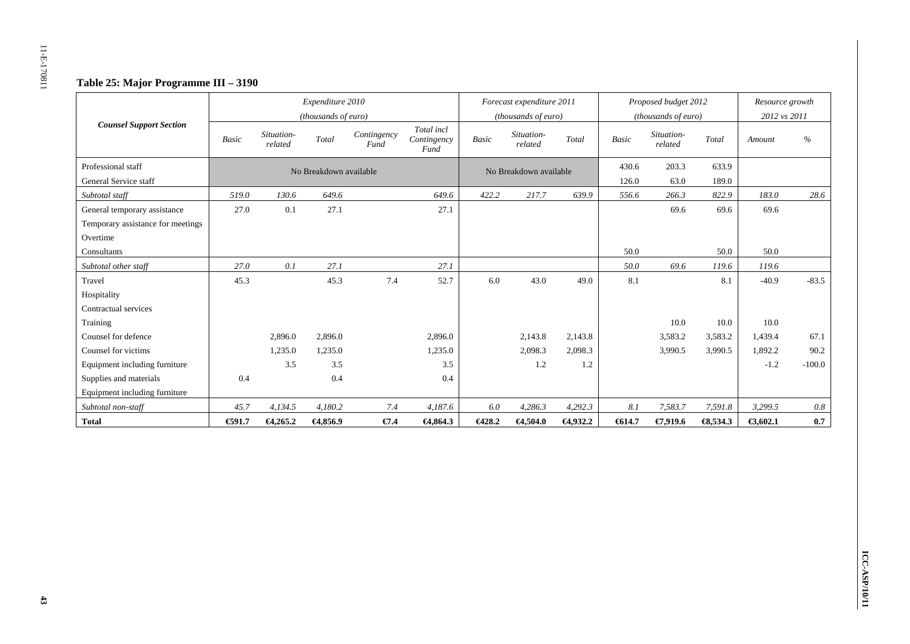# **Table 25: Major Programme III – 3190**

|                                   |              |                       | Expenditure 2010       |                     |                                   |              | Forecast expenditure 2011 |             |           | Proposed budget 2012  |                     | Resource growth |               |
|-----------------------------------|--------------|-----------------------|------------------------|---------------------|-----------------------------------|--------------|---------------------------|-------------|-----------|-----------------------|---------------------|-----------------|---------------|
|                                   |              |                       | (thousands of euro)    |                     |                                   |              | (thousands of euro)       |             |           | (thousands of euro)   |                     | 2012 vs 2011    |               |
| <b>Counsel Support Section</b>    | <b>Basic</b> | Situation-<br>related | Total                  | Contingency<br>Fund | Total incl<br>Contingency<br>Fund | <b>Basic</b> | Situation-<br>related     | Total       | Basic     | Situation-<br>related | Total               | Amount          | $\frac{0}{0}$ |
| Professional staff                |              |                       | No Breakdown available |                     |                                   |              | No Breakdown available    |             | 430.6     | 203.3                 | 633.9               |                 |               |
| General Service staff             |              |                       |                        |                     |                                   |              |                           |             | 126.0     | 63.0                  | 189.0               |                 |               |
| Subtotal staff                    | 519.0        | 130.6                 | 649.6                  |                     | 649.6                             | 422.2        | 217.7                     | 639.9       | 556.6     | 266.3                 | 822.9               | 183.0           | 28.6          |
| General temporary assistance      | 27.0         | 0.1                   | 27.1                   |                     | 27.1                              |              |                           |             |           | 69.6                  | 69.6                | 69.6            |               |
| Temporary assistance for meetings |              |                       |                        |                     |                                   |              |                           |             |           |                       |                     |                 |               |
| Overtime                          |              |                       |                        |                     |                                   |              |                           |             |           |                       |                     |                 |               |
| Consultants                       |              |                       |                        |                     |                                   |              |                           |             | 50.0      |                       | 50.0                | 50.0            |               |
| Subtotal other staff              | 27.0         | 0.1                   | 27.1                   |                     | 27.1                              |              |                           |             | 50.0      | 69.6                  | 119.6               | 119.6           |               |
| Travel                            | 45.3         |                       | 45.3                   | 7.4                 | 52.7                              | 6.0          | 43.0                      | 49.0        | 8.1       |                       | 8.1                 | $-40.9$         | $-83.5$       |
| Hospitality                       |              |                       |                        |                     |                                   |              |                           |             |           |                       |                     |                 |               |
| Contractual services              |              |                       |                        |                     |                                   |              |                           |             |           |                       |                     |                 |               |
| Training                          |              |                       |                        |                     |                                   |              |                           |             |           | 10.0                  | 10.0                | 10.0            |               |
| Counsel for defence               |              | 2,896.0               | 2,896.0                |                     | 2,896.0                           |              | 2,143.8                   | 2,143.8     |           | 3,583.2               | 3,583.2             | 1,439.4         | 67.1          |
| Counsel for victims               |              | 1,235.0               | 1,235.0                |                     | 1,235.0                           |              | 2,098.3                   | 2,098.3     |           | 3,990.5               | 3,990.5             | 1,892.2         | 90.2          |
| Equipment including furniture     |              | 3.5                   | 3.5                    |                     | 3.5                               |              | 1.2                       | 1.2         |           |                       |                     | $-1.2$          | $-100.0$      |
| Supplies and materials            | 0.4          |                       | 0.4                    |                     | 0.4                               |              |                           |             |           |                       |                     |                 |               |
| Equipment including furniture     |              |                       |                        |                     |                                   |              |                           |             |           |                       |                     |                 |               |
| Subtotal non-staff                | 45.7         | 4,134.5               | 4,180.2                | 7.4                 | 4,187.6                           | 6.0          | 4,286.3                   | 4,292.3     | 8.1       | 7,583.7               | 7,591.8             | 3,299.5         | 0.8           |
| <b>Total</b>                      | €91.7        | $\epsilon$ 4,265.2    | $-4,856.9$             | $\epsilon$ 7.4      | €4,864.3                          | $C$ 428.2    | €4,504.0                  | $-64,932.2$ | $-6514.7$ | €7,919.6              | $\textbf{63,}534.3$ | €3.602.1        | 0.7           |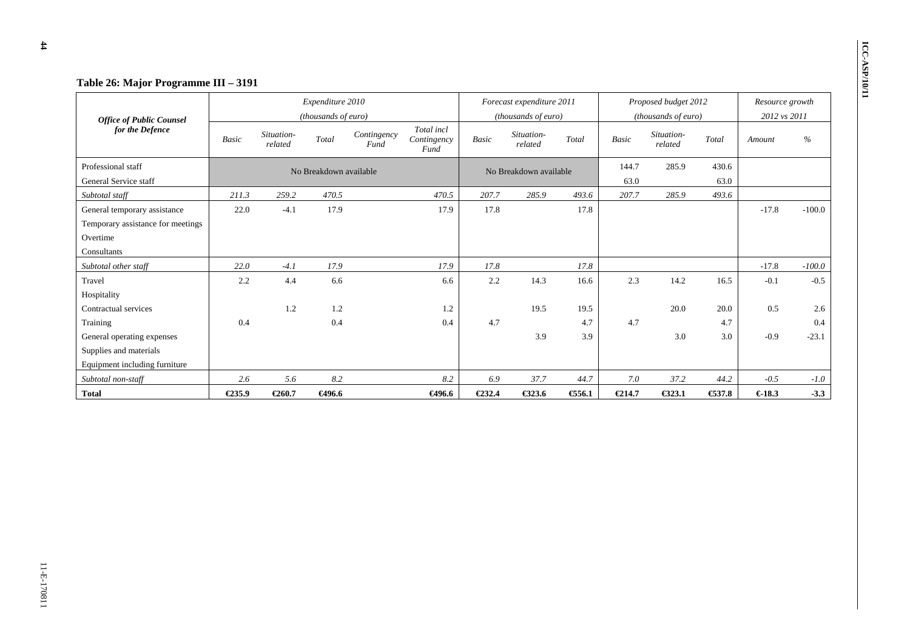|                                   |              |                       | Expenditure 2010       |                     |                                   |              | Forecast expenditure 2011 |       |              | Proposed budget 2012  |       | Resource growth |          |
|-----------------------------------|--------------|-----------------------|------------------------|---------------------|-----------------------------------|--------------|---------------------------|-------|--------------|-----------------------|-------|-----------------|----------|
| <b>Office of Public Counsel</b>   |              |                       | (thousands of euro)    |                     |                                   |              | (thousands of euro)       |       |              | (thousands of euro)   |       | 2012 vs 2011    |          |
| for the Defence                   | <b>Basic</b> | Situation-<br>related | Total                  | Contingency<br>Fund | Total incl<br>Contingency<br>Fund | <b>Basic</b> | Situation-<br>related     | Total | <b>Basic</b> | Situation-<br>related | Total | Amount          | $\%$     |
| Professional staff                |              |                       | No Breakdown available |                     |                                   |              | No Breakdown available    |       | 144.7        | 285.9                 | 430.6 |                 |          |
| General Service staff             |              |                       |                        |                     |                                   |              |                           |       | 63.0         |                       | 63.0  |                 |          |
| Subtotal staff                    | 211.3        | 259.2                 | 470.5                  |                     | 470.5                             | 207.7        | 285.9                     | 493.6 | 207.7        | 285.9                 | 493.6 |                 |          |
| General temporary assistance      | 22.0         | $-4.1$                | 17.9                   |                     | 17.9                              | 17.8         |                           | 17.8  |              |                       |       | $-17.8$         | $-100.0$ |
| Temporary assistance for meetings |              |                       |                        |                     |                                   |              |                           |       |              |                       |       |                 |          |
| Overtime                          |              |                       |                        |                     |                                   |              |                           |       |              |                       |       |                 |          |
| Consultants                       |              |                       |                        |                     |                                   |              |                           |       |              |                       |       |                 |          |
| Subtotal other staff              | 22.0         | $-4.1$                | 17.9                   |                     | 17.9                              | 17.8         |                           | 17.8  |              |                       |       | $-17.8$         | $-100.0$ |
| Travel                            | 2.2          | 4.4                   | 6.6                    |                     | 6.6                               | 2.2          | 14.3                      | 16.6  | 2.3          | 14.2                  | 16.5  | $-0.1$          | $-0.5$   |
| Hospitality                       |              |                       |                        |                     |                                   |              |                           |       |              |                       |       |                 |          |
| Contractual services              |              | 1.2                   | 1.2                    |                     | 1.2                               |              | 19.5                      | 19.5  |              | 20.0                  | 20.0  | 0.5             | 2.6      |
| Training                          | 0.4          |                       | 0.4                    |                     | 0.4                               | 4.7          |                           | 4.7   | 4.7          |                       | 4.7   |                 | 0.4      |
| General operating expenses        |              |                       |                        |                     |                                   |              | 3.9                       | 3.9   |              | 3.0                   | 3.0   | $-0.9$          | $-23.1$  |
| Supplies and materials            |              |                       |                        |                     |                                   |              |                           |       |              |                       |       |                 |          |
| Equipment including furniture     |              |                       |                        |                     |                                   |              |                           |       |              |                       |       |                 |          |
| Subtotal non-staff                | 2.6          | 5.6                   | 8.2                    |                     | $8.2\,$                           | 6.9          | 37.7                      | 44.7  | 7.0          | 37.2                  | 44.2  | $-0.5$          | $-1.0$   |
| <b>Total</b>                      | €235.9       | €260.7                | €496.6                 |                     | €496.6                            | €232.4       | €323.6                    | 656.1 | €214.7       | €323.1                | €37.8 | €18.3           | $-3.3$   |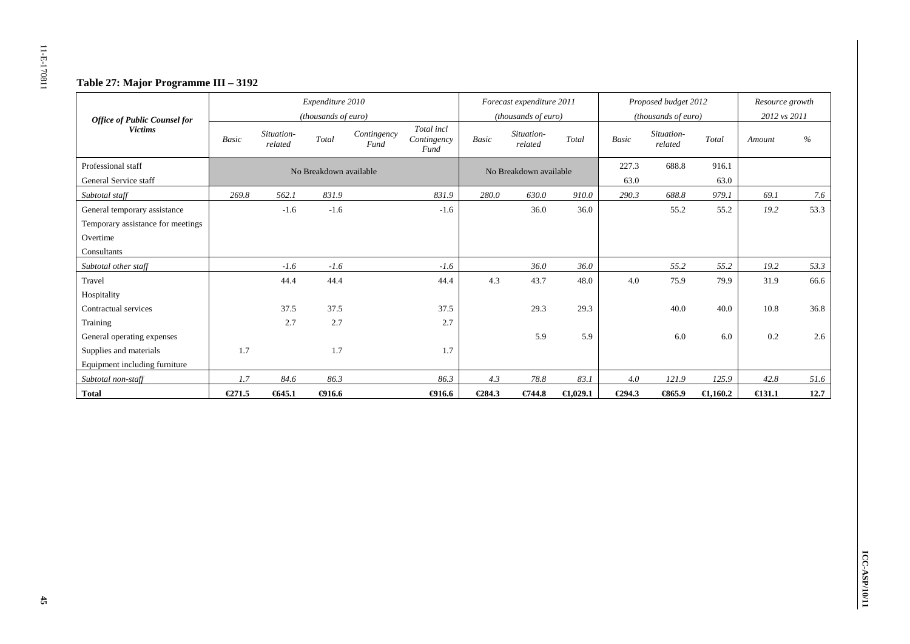# **Table 27: Major Programme III – 3192**

| <b>Office of Public Counsel for</b> |              |                       | Expenditure 2010<br>(thousands of euro) |                     |                                   |              | Forecast expenditure 2011<br>( <i>thousands of euro</i> ) |                    |        | Proposed budget 2012<br>(thousands of euro) |                    | Resource growth<br>2012 vs 2011 |      |
|-------------------------------------|--------------|-----------------------|-----------------------------------------|---------------------|-----------------------------------|--------------|-----------------------------------------------------------|--------------------|--------|---------------------------------------------|--------------------|---------------------------------|------|
| <b>Victims</b>                      | <b>Basic</b> | Situation-<br>related | Total                                   | Contingency<br>Fund | Total incl<br>Contingency<br>Fund | <b>Basic</b> | Situation-<br>related                                     | Total              | Basic  | Situation-<br>related                       | Total              | Amount                          | $\%$ |
| Professional staff                  |              |                       | No Breakdown available                  |                     |                                   |              | No Breakdown available                                    |                    | 227.3  | 688.8                                       | 916.1              |                                 |      |
| General Service staff               |              |                       |                                         |                     |                                   |              |                                                           |                    | 63.0   |                                             | 63.0               |                                 |      |
| Subtotal staff                      | 269.8        | 562.1                 | 831.9                                   |                     | 831.9                             | 280.0        | 630.0                                                     | 910.0              | 290.3  | 688.8                                       | 979.1              | 69.1                            | 7.6  |
| General temporary assistance        |              | $-1.6$                | $-1.6$                                  |                     | $-1.6$                            |              | 36.0                                                      | 36.0               |        | 55.2                                        | 55.2               | 19.2                            | 53.3 |
| Temporary assistance for meetings   |              |                       |                                         |                     |                                   |              |                                                           |                    |        |                                             |                    |                                 |      |
| Overtime                            |              |                       |                                         |                     |                                   |              |                                                           |                    |        |                                             |                    |                                 |      |
| Consultants                         |              |                       |                                         |                     |                                   |              |                                                           |                    |        |                                             |                    |                                 |      |
| Subtotal other staff                |              | $-1.6$                | $-1.6$                                  |                     | $-1.6$                            |              | 36.0                                                      | 36.0               |        | 55.2                                        | 55.2               | 19.2                            | 53.3 |
| Travel                              |              | 44.4                  | 44.4                                    |                     | 44.4                              | 4.3          | 43.7                                                      | 48.0               | 4.0    | 75.9                                        | 79.9               | 31.9                            | 66.6 |
| Hospitality                         |              |                       |                                         |                     |                                   |              |                                                           |                    |        |                                             |                    |                                 |      |
| Contractual services                |              | 37.5                  | 37.5                                    |                     | 37.5                              |              | 29.3                                                      | 29.3               |        | 40.0                                        | 40.0               | 10.8                            | 36.8 |
| Training                            |              | 2.7                   | 2.7                                     |                     | 2.7                               |              |                                                           |                    |        |                                             |                    |                                 |      |
| General operating expenses          |              |                       |                                         |                     |                                   |              | 5.9                                                       | 5.9                |        | 6.0                                         | 6.0                | 0.2                             | 2.6  |
| Supplies and materials              | 1.7          |                       | 1.7                                     |                     | 1.7                               |              |                                                           |                    |        |                                             |                    |                                 |      |
| Equipment including furniture       |              |                       |                                         |                     |                                   |              |                                                           |                    |        |                                             |                    |                                 |      |
| Subtotal non-staff                  | 1.7          | 84.6                  | 86.3                                    |                     | 86.3                              | 4.3          | 78.8                                                      | 83.1               | 4.0    | 121.9                                       | 125.9              | 42.8                            | 51.6 |
| <b>Total</b>                        | E271.5       | 645.1                 | $-4916.6$                               |                     | $-4916.6$                         | €284.3       | €744.8                                                    | $\bigoplus$ ,029.1 | €294.3 | €65.9                                       | $\epsilon$ 1,160.2 | $\epsilon$ 131.1                | 12.7 |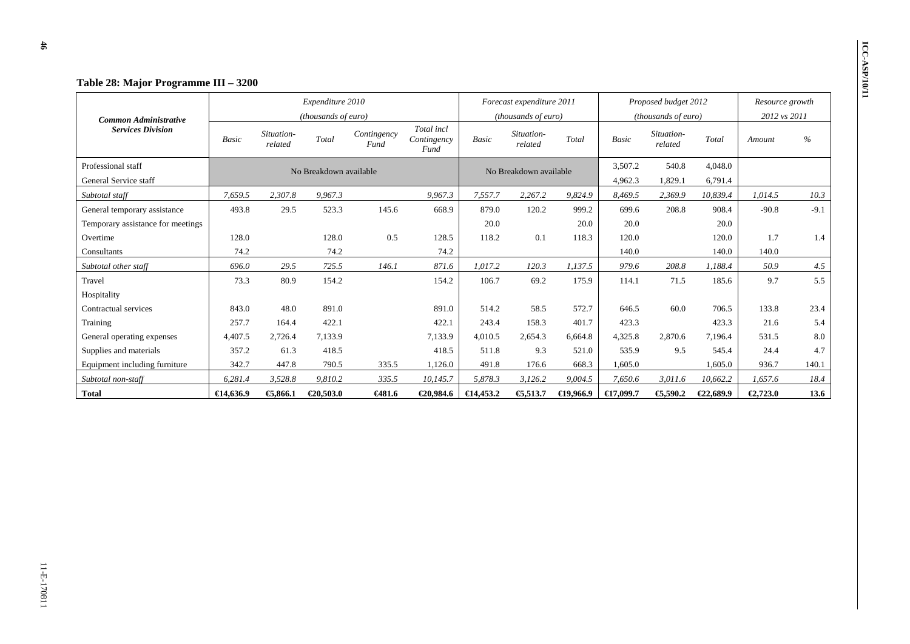|                                   |              |                       | Expenditure 2010       |                     |                                   |                     | Forecast expenditure 2011 |                     |              | Proposed budget 2012  |           | Resource growth |        |
|-----------------------------------|--------------|-----------------------|------------------------|---------------------|-----------------------------------|---------------------|---------------------------|---------------------|--------------|-----------------------|-----------|-----------------|--------|
| <b>Common Administrative</b>      |              |                       | (thousands of euro)    |                     |                                   |                     | (thousands of euro)       |                     |              | (thousands of euro)   |           | 2012 vs 2011    |        |
| <b>Services Division</b>          | <b>Basic</b> | Situation-<br>related | Total                  | Contingency<br>Fund | Total incl<br>Contingency<br>Fund | Basic               | Situation-<br>related     | Total               | <b>Basic</b> | Situation-<br>related | Total     | Amount          | $\%$   |
| Professional staff                |              |                       | No Breakdown available |                     |                                   |                     | No Breakdown available    |                     | 3,507.2      | 540.8                 | 4,048.0   |                 |        |
| General Service staff             |              |                       |                        |                     |                                   |                     |                           |                     | 4,962.3      | 1,829.1               | 6,791.4   |                 |        |
| Subtotal staff                    | 7,659.5      | 2,307.8               | 9,967.3                |                     | 9,967.3                           | 7,557.7             | 2,267.2                   | 9,824.9             | 8,469.5      | 2,369.9               | 10,839.4  | 1,014.5         | 10.3   |
| General temporary assistance      | 493.8        | 29.5                  | 523.3                  | 145.6               | 668.9                             | 879.0               | 120.2                     | 999.2               | 699.6        | 208.8                 | 908.4     | $-90.8$         | $-9.1$ |
| Temporary assistance for meetings |              |                       |                        |                     |                                   | 20.0                |                           | 20.0                | 20.0         |                       | 20.0      |                 |        |
| Overtime                          | 128.0        |                       | 128.0                  | 0.5                 | 128.5                             | 118.2               | 0.1                       | 118.3               | 120.0        |                       | 120.0     | 1.7             | 1.4    |
| Consultants                       | 74.2         |                       | 74.2                   |                     | 74.2                              |                     |                           |                     | 140.0        |                       | 140.0     | 140.0           |        |
| Subtotal other staff              | 696.0        | 29.5                  | 725.5                  | 146.1               | 871.6                             | 1.017.2             | 120.3                     | 1,137.5             | 979.6        | 208.8                 | 1.188.4   | 50.9            | 4.5    |
| Travel                            | 73.3         | 80.9                  | 154.2                  |                     | 154.2                             | 106.7               | 69.2                      | 175.9               | 114.1        | 71.5                  | 185.6     | 9.7             | 5.5    |
| Hospitality                       |              |                       |                        |                     |                                   |                     |                           |                     |              |                       |           |                 |        |
| Contractual services              | 843.0        | 48.0                  | 891.0                  |                     | 891.0                             | 514.2               | 58.5                      | 572.7               | 646.5        | 60.0                  | 706.5     | 133.8           | 23.4   |
| Training                          | 257.7        | 164.4                 | 422.1                  |                     | 422.1                             | 243.4               | 158.3                     | 401.7               | 423.3        |                       | 423.3     | 21.6            | 5.4    |
| General operating expenses        | 4,407.5      | 2,726.4               | 7,133.9                |                     | 7,133.9                           | 4,010.5             | 2,654.3                   | 6,664.8             | 4,325.8      | 2,870.6               | 7,196.4   | 531.5           | 8.0    |
| Supplies and materials            | 357.2        | 61.3                  | 418.5                  |                     | 418.5                             | 511.8               | 9.3                       | 521.0               | 535.9        | 9.5                   | 545.4     | 24.4            | 4.7    |
| Equipment including furniture     | 342.7        | 447.8                 | 790.5                  | 335.5               | 1,126.0                           | 491.8               | 176.6                     | 668.3               | 1,605.0      |                       | 1,605.0   | 936.7           | 140.1  |
| Subtotal non-staff                | 6,281.4      | 3,528.8               | 9,810.2                | 335.5               | 10,145.7                          | 5,878.3             | 3,126.2                   | 9,004.5             | 7,650.6      | 3,011.6               | 10,662.2  | 1,657.6         | 18.4   |
| <b>Total</b>                      | €14,636.9    | €,866.1               | € $20,503.0$           | €481.6              | €20,984.6                         | $\epsilon$ 14,453.2 | €5,513.7                  | $\bigoplus$ 9,966.9 | €17,099.7    | €5,590.2              | €22,689.9 | €2,723.0        | 13.6   |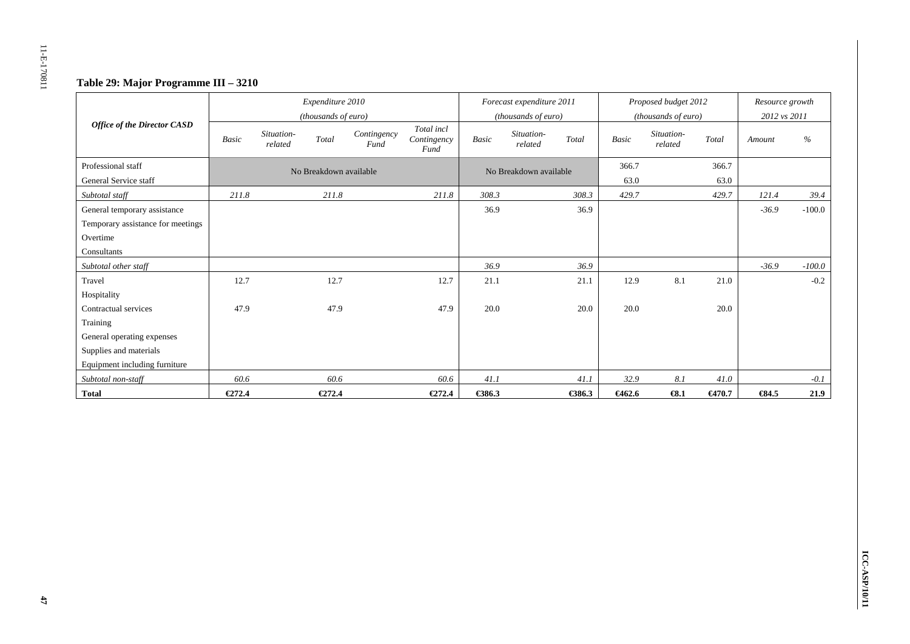# **Table 29: Major Programme III – 3210**

|                                    |              |                       | Expenditure 2010<br>(thousands of euro) |                     |                                   |              | Forecast expenditure 2011<br>(thousands of euro) |        |              | Proposed budget 2012<br>(thousands of euro) |        | Resource growth<br>2012 vs 2011 |          |
|------------------------------------|--------------|-----------------------|-----------------------------------------|---------------------|-----------------------------------|--------------|--------------------------------------------------|--------|--------------|---------------------------------------------|--------|---------------------------------|----------|
| <b>Office of the Director CASD</b> | <b>Basic</b> | Situation-<br>related | Total                                   | Contingency<br>Fund | Total incl<br>Contingency<br>Fund | <b>Basic</b> | Situation-<br>related                            | Total  | <b>Basic</b> | Situation-<br>related                       | Total  | Amount                          | $\%$     |
| Professional staff                 |              |                       | No Breakdown available                  |                     |                                   |              | No Breakdown available                           |        | 366.7        |                                             | 366.7  |                                 |          |
| General Service staff              |              |                       |                                         |                     |                                   |              |                                                  |        | 63.0         |                                             | 63.0   |                                 |          |
| Subtotal staff                     | 211.8        |                       | 211.8                                   |                     | 211.8                             | 308.3        |                                                  | 308.3  | 429.7        |                                             | 429.7  | 121.4                           | 39.4     |
| General temporary assistance       |              |                       |                                         |                     |                                   | 36.9         |                                                  | 36.9   |              |                                             |        | $-36.9$                         | $-100.0$ |
| Temporary assistance for meetings  |              |                       |                                         |                     |                                   |              |                                                  |        |              |                                             |        |                                 |          |
| Overtime                           |              |                       |                                         |                     |                                   |              |                                                  |        |              |                                             |        |                                 |          |
| Consultants                        |              |                       |                                         |                     |                                   |              |                                                  |        |              |                                             |        |                                 |          |
| Subtotal other staff               |              |                       |                                         |                     |                                   | 36.9         |                                                  | 36.9   |              |                                             |        | $-36.9$                         | $-100.0$ |
| Travel                             | 12.7         |                       | 12.7                                    |                     | 12.7                              | 21.1         |                                                  | 21.1   | 12.9         | 8.1                                         | 21.0   |                                 | $-0.2$   |
| Hospitality                        |              |                       |                                         |                     |                                   |              |                                                  |        |              |                                             |        |                                 |          |
| Contractual services               | 47.9         |                       | 47.9                                    |                     | 47.9                              | 20.0         |                                                  | 20.0   | 20.0         |                                             | 20.0   |                                 |          |
| Training                           |              |                       |                                         |                     |                                   |              |                                                  |        |              |                                             |        |                                 |          |
| General operating expenses         |              |                       |                                         |                     |                                   |              |                                                  |        |              |                                             |        |                                 |          |
| Supplies and materials             |              |                       |                                         |                     |                                   |              |                                                  |        |              |                                             |        |                                 |          |
| Equipment including furniture      |              |                       |                                         |                     |                                   |              |                                                  |        |              |                                             |        |                                 |          |
| Subtotal non-staff                 | 60.6         |                       | 60.6                                    |                     | 60.6                              | 41.1         |                                                  | 41.1   | 32.9         | 8.1                                         | 41.0   |                                 | $-0.1$   |
| <b>Total</b>                       | E272.4       |                       | €272.4                                  |                     | E272.4                            | €386.3       |                                                  | €386.3 | 6462.6       | $\epsilon$ 8.1                              | €470.7 | $-634.5$                        | 21.9     |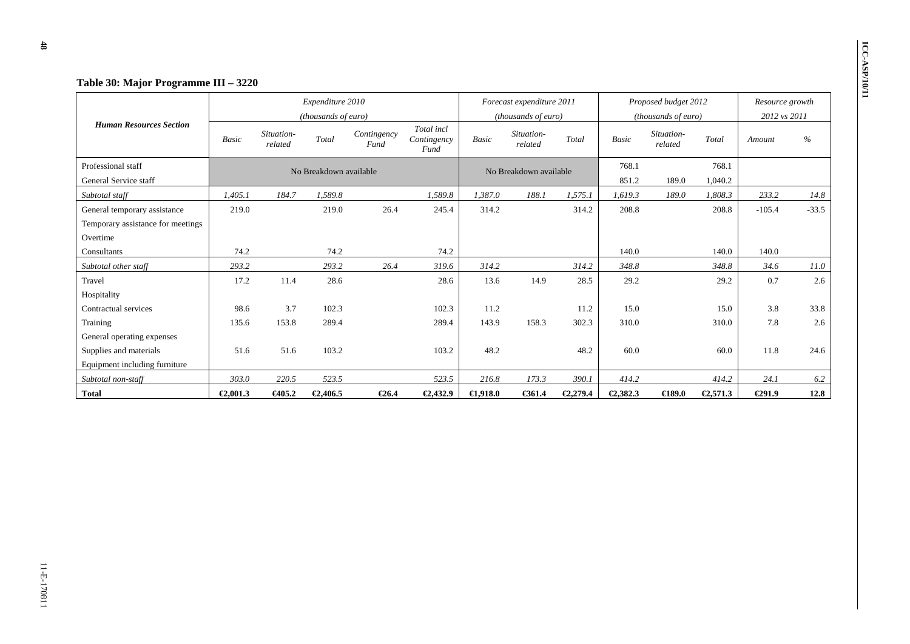|                                   |              |                       | Expenditure 2010       |                     |                                   |              | Forecast expenditure 2011 |          |              | Proposed budget 2012  |          | Resource growth |         |
|-----------------------------------|--------------|-----------------------|------------------------|---------------------|-----------------------------------|--------------|---------------------------|----------|--------------|-----------------------|----------|-----------------|---------|
|                                   |              |                       | (thousands of euro)    |                     |                                   |              | (thousands of euro)       |          |              | (thousands of euro)   |          | 2012 vs 2011    |         |
| <b>Human Resources Section</b>    | <b>Basic</b> | Situation-<br>related | Total                  | Contingency<br>Fund | Total incl<br>Contingency<br>Fund | <b>Basic</b> | Situation-<br>related     | Total    | <b>Basic</b> | Situation-<br>related | Total    | Amount          | $\%$    |
| Professional staff                |              |                       | No Breakdown available |                     |                                   |              | No Breakdown available    |          | 768.1        |                       | 768.1    |                 |         |
| General Service staff             |              |                       |                        |                     |                                   |              |                           |          | 851.2        | 189.0                 | 1,040.2  |                 |         |
| Subtotal staff                    | 1.405.1      | 184.7                 | 1.589.8                |                     | 1,589.8                           | 1.387.0      | 188.1                     | 1,575.1  | 1.619.3      | 189.0                 | 1,808.3  | 233.2           | 14.8    |
| General temporary assistance      | 219.0        |                       | 219.0                  | 26.4                | 245.4                             | 314.2        |                           | 314.2    | 208.8        |                       | 208.8    | $-105.4$        | $-33.5$ |
| Temporary assistance for meetings |              |                       |                        |                     |                                   |              |                           |          |              |                       |          |                 |         |
| Overtime                          |              |                       |                        |                     |                                   |              |                           |          |              |                       |          |                 |         |
| Consultants                       | 74.2         |                       | 74.2                   |                     | 74.2                              |              |                           |          | 140.0        |                       | 140.0    | 140.0           |         |
| Subtotal other staff              | 293.2        |                       | 293.2                  | 26.4                | 319.6                             | 314.2        |                           | 314.2    | 348.8        |                       | 348.8    | 34.6            | 11.0    |
| Travel                            | 17.2         | 11.4                  | 28.6                   |                     | 28.6                              | 13.6         | 14.9                      | 28.5     | 29.2         |                       | 29.2     | 0.7             | 2.6     |
| Hospitality                       |              |                       |                        |                     |                                   |              |                           |          |              |                       |          |                 |         |
| Contractual services              | 98.6         | 3.7                   | 102.3                  |                     | 102.3                             | 11.2         |                           | 11.2     | 15.0         |                       | 15.0     | 3.8             | 33.8    |
| Training                          | 135.6        | 153.8                 | 289.4                  |                     | 289.4                             | 143.9        | 158.3                     | 302.3    | 310.0        |                       | 310.0    | 7.8             | 2.6     |
| General operating expenses        |              |                       |                        |                     |                                   |              |                           |          |              |                       |          |                 |         |
| Supplies and materials            | 51.6         | 51.6                  | 103.2                  |                     | 103.2                             | 48.2         |                           | 48.2     | 60.0         |                       | 60.0     | 11.8            | 24.6    |
| Equipment including furniture     |              |                       |                        |                     |                                   |              |                           |          |              |                       |          |                 |         |
| Subtotal non-staff                | 303.0        | 220.5                 | 523.5                  |                     | 523.5                             | 216.8        | 173.3                     | 390.1    | 414.2        |                       | 414.2    | 24.1            | 6.2     |
| <b>Total</b>                      | €2,001.3     | €405.2                | €2,406.5               | $\epsilon$ 26.4     | €2,432.9                          | $-0.918.0$   | €361.4                    | €2,279.4 | €2,382.3     | $\bigoplus$ 89.0      | €2,571.3 | €291.9          | 12.8    |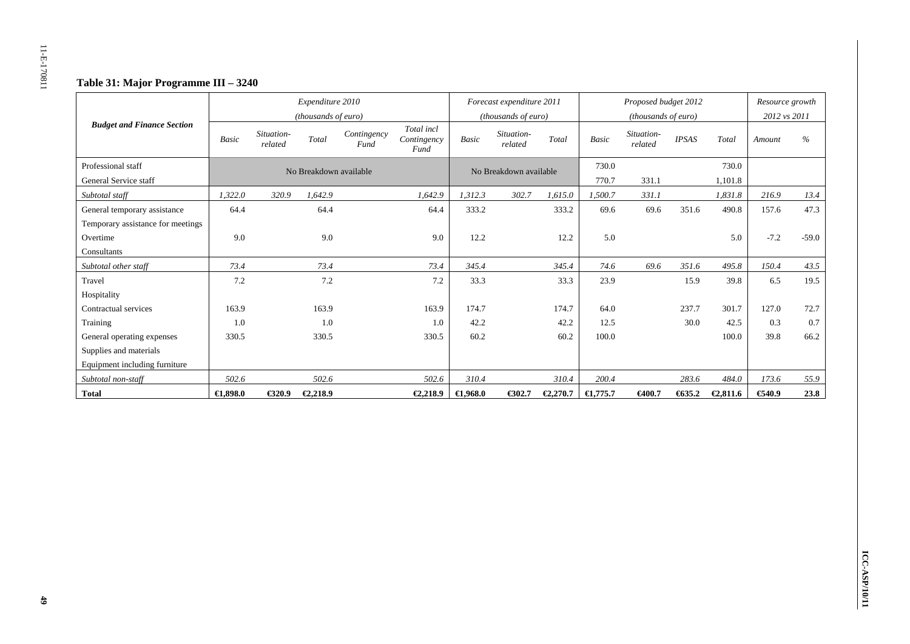# **Table 31: Major Programme III – 3240**

|                                   |                     |                       | Expenditure 2010       |                     |                                   |              | Forecast expenditure 2011 |          |                    | Proposed budget 2012  |              |          | Resource growth |         |
|-----------------------------------|---------------------|-----------------------|------------------------|---------------------|-----------------------------------|--------------|---------------------------|----------|--------------------|-----------------------|--------------|----------|-----------------|---------|
|                                   |                     |                       | (thousands of euro)    |                     |                                   |              | (thousands of euro)       |          |                    | (thousands of euro)   |              |          | 2012 vs 2011    |         |
| <b>Budget and Finance Section</b> | <b>Basic</b>        | Situation-<br>related | Total                  | Contingency<br>Fund | Total incl<br>Contingency<br>Fund | <b>Basic</b> | Situation-<br>related     | Total    | <b>Basic</b>       | Situation-<br>related | <b>IPSAS</b> | Total    | Amount          | $\%$    |
| Professional staff                |                     |                       | No Breakdown available |                     |                                   |              | No Breakdown available    |          | 730.0              |                       |              | 730.0    |                 |         |
| General Service staff             |                     |                       |                        |                     |                                   |              |                           |          | 770.7              | 331.1                 |              | 1,101.8  |                 |         |
| Subtotal staff                    | 1,322.0             | 320.9                 | 1.642.9                |                     | 1,642.9                           | 1,312.3      | 302.7                     | 1,615.0  | 1,500.7            | 331.1                 |              | 1,831.8  | 216.9           | 13.4    |
| General temporary assistance      | 64.4                |                       | 64.4                   |                     | 64.4                              | 333.2        |                           | 333.2    | 69.6               | 69.6                  | 351.6        | 490.8    | 157.6           | 47.3    |
| Temporary assistance for meetings |                     |                       |                        |                     |                                   |              |                           |          |                    |                       |              |          |                 |         |
| Overtime                          | 9.0                 |                       | 9.0                    |                     | 9.0                               | 12.2         |                           | 12.2     | 5.0                |                       |              | 5.0      | $-7.2$          | $-59.0$ |
| Consultants                       |                     |                       |                        |                     |                                   |              |                           |          |                    |                       |              |          |                 |         |
| Subtotal other staff              | 73.4                |                       | 73.4                   |                     | 73.4                              | 345.4        |                           | 345.4    | 74.6               | 69.6                  | 351.6        | 495.8    | 150.4           | 43.5    |
| Travel                            | 7.2                 |                       | 7.2                    |                     | 7.2                               | 33.3         |                           | 33.3     | 23.9               |                       | 15.9         | 39.8     | 6.5             | 19.5    |
| Hospitality                       |                     |                       |                        |                     |                                   |              |                           |          |                    |                       |              |          |                 |         |
| Contractual services              | 163.9               |                       | 163.9                  |                     | 163.9                             | 174.7        |                           | 174.7    | 64.0               |                       | 237.7        | 301.7    | 127.0           | 72.7    |
| Training                          | 1.0                 |                       | 1.0                    |                     | 1.0                               | 42.2         |                           | 42.2     | 12.5               |                       | 30.0         | 42.5     | 0.3             | 0.7     |
| General operating expenses        | 330.5               |                       | 330.5                  |                     | 330.5                             | 60.2         |                           | 60.2     | 100.0              |                       |              | 100.0    | 39.8            | 66.2    |
| Supplies and materials            |                     |                       |                        |                     |                                   |              |                           |          |                    |                       |              |          |                 |         |
| Equipment including furniture     |                     |                       |                        |                     |                                   |              |                           |          |                    |                       |              |          |                 |         |
| Subtotal non-staff                | 502.6               |                       | 502.6                  |                     | 502.6                             | 310.4        |                           | 310.4    | 200.4              |                       | 283.6        | 484.0    | 173.6           | 55.9    |
| <b>Total</b>                      | $\bigoplus$ , 898.0 | €320.9                | €2,218.9               |                     | €2,218.9                          | €1,968.0     | €302.7                    | €2,270.7 | $\epsilon$ 1,775.7 | €400.7                | 635.2        | €2,811.6 | €40.9           | 23.8    |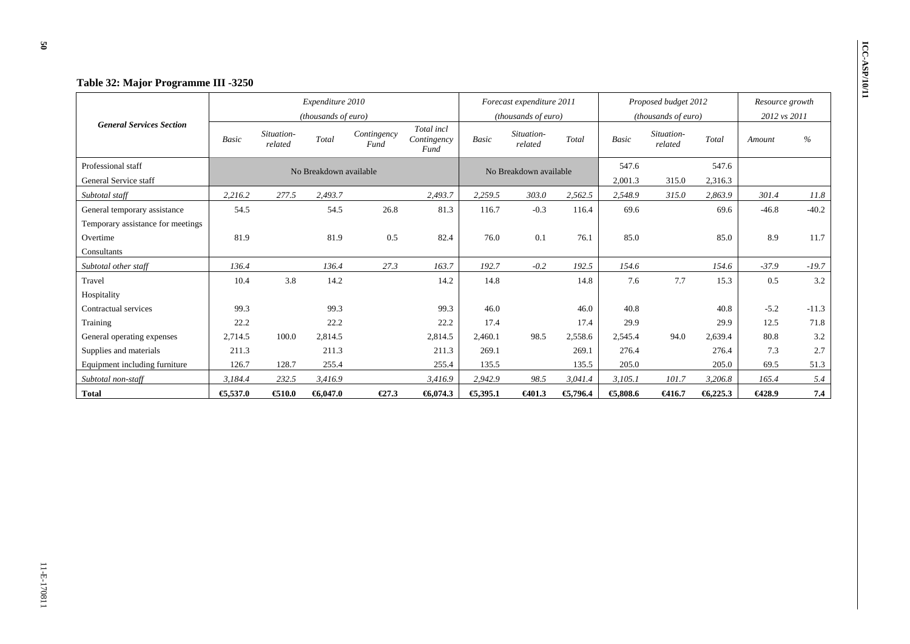|                                   |              |                       | Expenditure 2010       |                     |                                   |              | Forecast expenditure 2011 |          |              | Proposed budget 2012  |         | Resource growth |         |
|-----------------------------------|--------------|-----------------------|------------------------|---------------------|-----------------------------------|--------------|---------------------------|----------|--------------|-----------------------|---------|-----------------|---------|
|                                   |              |                       | (thousands of euro)    |                     |                                   |              | (thousands of euro)       |          |              | (thousands of euro)   |         | 2012 vs 2011    |         |
| <b>General Services Section</b>   | <b>Basic</b> | Situation-<br>related | Total                  | Contingency<br>Fund | Total incl<br>Contingency<br>Fund | <b>Basic</b> | Situation-<br>related     | Total    | <b>Basic</b> | Situation-<br>related | Total   | Amount          | $\%$    |
| Professional staff                |              |                       | No Breakdown available |                     |                                   |              | No Breakdown available    |          | 547.6        |                       | 547.6   |                 |         |
| General Service staff             |              |                       |                        |                     |                                   |              |                           |          | 2,001.3      | 315.0                 | 2,316.3 |                 |         |
| Subtotal staff                    | 2.216.2      | 277.5                 | 2,493.7                |                     | 2,493.7                           | 2,259.5      | 303.0                     | 2.562.5  | 2.548.9      | 315.0                 | 2,863.9 | 301.4           | 11.8    |
| General temporary assistance      | 54.5         |                       | 54.5                   | 26.8                | 81.3                              | 116.7        | $-0.3$                    | 116.4    | 69.6         |                       | 69.6    | $-46.8$         | $-40.2$ |
| Temporary assistance for meetings |              |                       |                        |                     |                                   |              |                           |          |              |                       |         |                 |         |
| Overtime                          | 81.9         |                       | 81.9                   | 0.5                 | 82.4                              | 76.0         | 0.1                       | 76.1     | 85.0         |                       | 85.0    | 8.9             | 11.7    |
| Consultants                       |              |                       |                        |                     |                                   |              |                           |          |              |                       |         |                 |         |
| Subtotal other staff              | 136.4        |                       | 136.4                  | 27.3                | 163.7                             | 192.7        | $-0.2$                    | 192.5    | 154.6        |                       | 154.6   | $-37.9$         | $-19.7$ |
| Travel                            | 10.4         | 3.8                   | 14.2                   |                     | 14.2                              | 14.8         |                           | 14.8     | 7.6          | 7.7                   | 15.3    | 0.5             | 3.2     |
| Hospitality                       |              |                       |                        |                     |                                   |              |                           |          |              |                       |         |                 |         |
| Contractual services              | 99.3         |                       | 99.3                   |                     | 99.3                              | 46.0         |                           | 46.0     | 40.8         |                       | 40.8    | $-5.2$          | $-11.3$ |
| Training                          | 22.2         |                       | 22.2                   |                     | 22.2                              | 17.4         |                           | 17.4     | 29.9         |                       | 29.9    | 12.5            | 71.8    |
| General operating expenses        | 2,714.5      | 100.0                 | 2,814.5                |                     | 2,814.5                           | 2,460.1      | 98.5                      | 2,558.6  | 2,545.4      | 94.0                  | 2,639.4 | 80.8            | 3.2     |
| Supplies and materials            | 211.3        |                       | 211.3                  |                     | 211.3                             | 269.1        |                           | 269.1    | 276.4        |                       | 276.4   | 7.3             | 2.7     |
| Equipment including furniture     | 126.7        | 128.7                 | 255.4                  |                     | 255.4                             | 135.5        |                           | 135.5    | 205.0        |                       | 205.0   | 69.5            | 51.3    |
| Subtotal non-staff                | 3,184.4      | 232.5                 | 3,416.9                |                     | 3,416.9                           | 2,942.9      | 98.5                      | 3,041.4  | 3,105.1      | 101.7                 | 3,206.8 | 165.4           | 5.4     |
| <b>Total</b>                      | €5,537.0     | €10.0                 | 6,047.0                | $\epsilon$ 27.3     | 6,074.3                           | €5,395.1     | €401.3                    | €5,796.4 | €,808.6      | €416.7                | 6,225.3 | 6428.9          | 7.4     |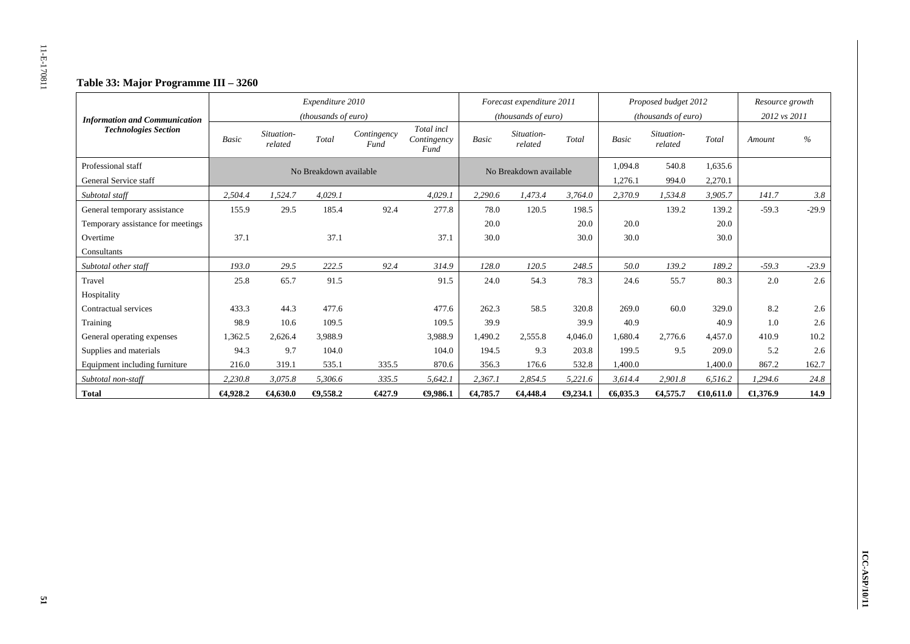# **Table 33: Major Programme III – 3260**

| <b>Information and Communication</b> |             |                       | Expenditure 2010<br>(thousands of euro) |                     |                                   |              | Forecast expenditure 2011<br>(thousands of euro) |                 |              | Proposed budget 2012<br>(thousands of euro) |           | Resource growth<br>2012 vs 2011 |               |
|--------------------------------------|-------------|-----------------------|-----------------------------------------|---------------------|-----------------------------------|--------------|--------------------------------------------------|-----------------|--------------|---------------------------------------------|-----------|---------------------------------|---------------|
| <b>Technologies Section</b>          | Basic       | Situation-<br>related | Total                                   | Contingency<br>Fund | Total incl<br>Contingency<br>Fund | <b>Basic</b> | Situation-<br>related                            | Total           | <b>Basic</b> | Situation-<br>related                       | Total     | Amount                          | $\frac{6}{6}$ |
| Professional staff                   |             |                       | No Breakdown available                  |                     |                                   |              | No Breakdown available                           |                 | 1.094.8      | 540.8                                       | 1.635.6   |                                 |               |
| General Service staff                |             |                       |                                         |                     |                                   |              |                                                  |                 | 1,276.1      | 994.0                                       | 2,270.1   |                                 |               |
| Subtotal staff                       | 2,504.4     | 1,524.7               | 4,029.1                                 |                     | 4,029.1                           | 2,290.6      | 1,473.4                                          | 3,764.0         | 2,370.9      | 1,534.8                                     | 3,905.7   | 141.7                           | 3.8           |
| General temporary assistance         | 155.9       | 29.5                  | 185.4                                   | 92.4                | 277.8                             | 78.0         | 120.5                                            | 198.5           |              | 139.2                                       | 139.2     | $-59.3$                         | $-29.9$       |
| Temporary assistance for meetings    |             |                       |                                         |                     |                                   | 20.0         |                                                  | 20.0            | 20.0         |                                             | 20.0      |                                 |               |
| Overtime                             | 37.1        |                       | 37.1                                    |                     | 37.1                              | 30.0         |                                                  | 30.0            | 30.0         |                                             | 30.0      |                                 |               |
| Consultants                          |             |                       |                                         |                     |                                   |              |                                                  |                 |              |                                             |           |                                 |               |
| Subtotal other staff                 | 193.0       | 29.5                  | 222.5                                   | 92.4                | 314.9                             | 128.0        | 120.5                                            | 248.5           | 50.0         | 139.2                                       | 189.2     | $-59.3$                         | $-23.9$       |
| Travel                               | 25.8        | 65.7                  | 91.5                                    |                     | 91.5                              | 24.0         | 54.3                                             | 78.3            | 24.6         | 55.7                                        | 80.3      | 2.0                             | 2.6           |
| Hospitality                          |             |                       |                                         |                     |                                   |              |                                                  |                 |              |                                             |           |                                 |               |
| Contractual services                 | 433.3       | 44.3                  | 477.6                                   |                     | 477.6                             | 262.3        | 58.5                                             | 320.8           | 269.0        | 60.0                                        | 329.0     | 8.2                             | 2.6           |
| Training                             | 98.9        | 10.6                  | 109.5                                   |                     | 109.5                             | 39.9         |                                                  | 39.9            | 40.9         |                                             | 40.9      | 1.0                             | 2.6           |
| General operating expenses           | 1,362.5     | 2,626.4               | 3,988.9                                 |                     | 3,988.9                           | 1,490.2      | 2,555.8                                          | 4,046.0         | 1,680.4      | 2,776.6                                     | 4.457.0   | 410.9                           | 10.2          |
| Supplies and materials               | 94.3        | 9.7                   | 104.0                                   |                     | 104.0                             | 194.5        | 9.3                                              | 203.8           | 199.5        | 9.5                                         | 209.0     | 5.2                             | 2.6           |
| Equipment including furniture        | 216.0       | 319.1                 | 535.1                                   | 335.5               | 870.6                             | 356.3        | 176.6                                            | 532.8           | 1,400.0      |                                             | 1,400.0   | 867.2                           | 162.7         |
| Subtotal non-staff                   | 2.230.8     | 3.075.8               | 5,306.6                                 | 335.5               | 5,642.1                           | 2.367.1      | 2,854.5                                          | 5,221.6         | 3,614.4      | 2,901.8                                     | 6.516.2   | 1,294.6                         | 24.8          |
| <b>Total</b>                         | $-64,928.2$ | €4,630.0              | $-0,558.2$                              | 6427.9              | $-0.986.1$                        | $-64,785.7$  | $-64,448.4$                                      | $\Theta$ ,234.1 | 6,035.3      | 64,575.7                                    | €10,611.0 | $\epsilon$ 1,376.9              | 14.9          |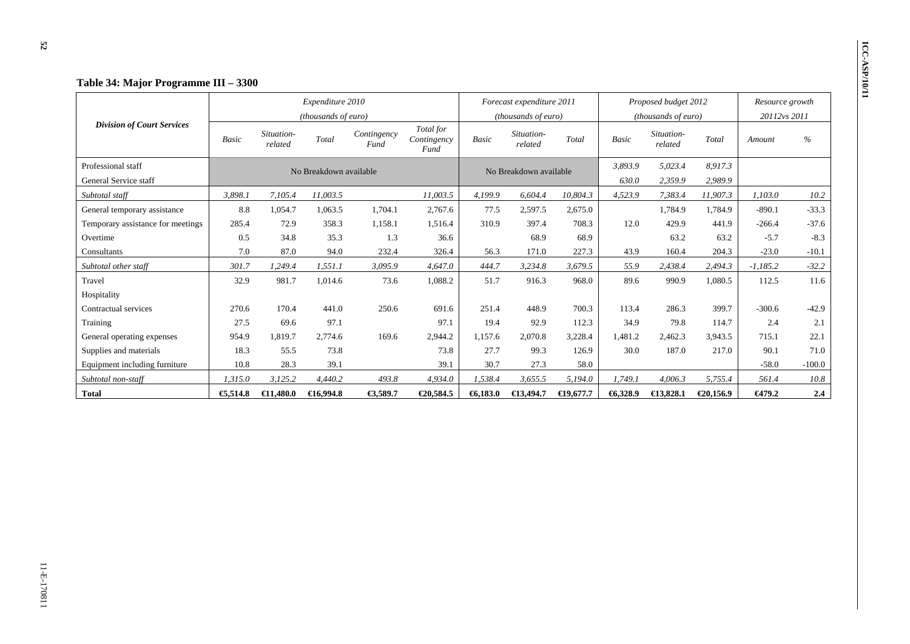|                                   |              |                       | Expenditure 2010       |                     |                                  |         | Forecast expenditure 2011 |           |              | Proposed budget 2012  |           | Resource growth |          |
|-----------------------------------|--------------|-----------------------|------------------------|---------------------|----------------------------------|---------|---------------------------|-----------|--------------|-----------------------|-----------|-----------------|----------|
|                                   |              |                       | (thousands of euro)    |                     |                                  |         | (thousands of euro)       |           |              | (thousands of euro)   |           | 20112vs 2011    |          |
| <b>Division of Court Services</b> | <b>Basic</b> | Situation-<br>related | Total                  | Contingency<br>Fund | Total for<br>Contingency<br>Fund | Basic   | Situation-<br>related     | Total     | <b>Basic</b> | Situation-<br>related | Total     | Amount          | $\%$     |
| Professional staff                |              |                       | No Breakdown available |                     |                                  |         | No Breakdown available    |           | 3,893.9      | 5,023.4               | 8,917.3   |                 |          |
| General Service staff             |              |                       |                        |                     |                                  |         |                           |           | 630.0        | 2,359.9               | 2,989.9   |                 |          |
| Subtotal staff                    | 3,898.1      | 7.105.4               | 11,003.5               |                     | 11,003.5                         | 4.199.9 | 6,604.4                   | 10.804.3  | 4,523.9      | 7,383.4               | 11,907.3  | 1.103.0         | 10.2     |
| General temporary assistance      | 8.8          | 1,054.7               | 1,063.5                | 1,704.1             | 2,767.6                          | 77.5    | 2,597.5                   | 2,675.0   |              | 1,784.9               | 1,784.9   | $-890.1$        | $-33.3$  |
| Temporary assistance for meetings | 285.4        | 72.9                  | 358.3                  | 1,158.1             | 1,516.4                          | 310.9   | 397.4                     | 708.3     | 12.0         | 429.9                 | 441.9     | $-266.4$        | $-37.6$  |
| Overtime                          | 0.5          | 34.8                  | 35.3                   | 1.3                 | 36.6                             |         | 68.9                      | 68.9      |              | 63.2                  | 63.2      | $-5.7$          | $-8.3$   |
| Consultants                       | 7.0          | 87.0                  | 94.0                   | 232.4               | 326.4                            | 56.3    | 171.0                     | 227.3     | 43.9         | 160.4                 | 204.3     | $-23.0$         | $-10.1$  |
| Subtotal other staff              | 301.7        | 1.249.4               | 1.551.1                | 3,095.9             | 4,647.0                          | 444.7   | 3,234.8                   | 3,679.5   | 55.9         | 2,438.4               | 2,494.3   | $-1,185.2$      | $-32.2$  |
| Travel                            | 32.9         | 981.7                 | 1,014.6                | 73.6                | 1,088.2                          | 51.7    | 916.3                     | 968.0     | 89.6         | 990.9                 | 1,080.5   | 112.5           | 11.6     |
| Hospitality                       |              |                       |                        |                     |                                  |         |                           |           |              |                       |           |                 |          |
| Contractual services              | 270.6        | 170.4                 | 441.0                  | 250.6               | 691.6                            | 251.4   | 448.9                     | 700.3     | 113.4        | 286.3                 | 399.7     | $-300.6$        | $-42.9$  |
| Training                          | 27.5         | 69.6                  | 97.1                   |                     | 97.1                             | 19.4    | 92.9                      | 112.3     | 34.9         | 79.8                  | 114.7     | 2.4             | 2.1      |
| General operating expenses        | 954.9        | 1,819.7               | 2,774.6                | 169.6               | 2,944.2                          | 1,157.6 | 2,070.8                   | 3,228.4   | 1,481.2      | 2,462.3               | 3,943.5   | 715.1           | 22.1     |
| Supplies and materials            | 18.3         | 55.5                  | 73.8                   |                     | 73.8                             | 27.7    | 99.3                      | 126.9     | 30.0         | 187.0                 | 217.0     | 90.1            | 71.0     |
| Equipment including furniture     | 10.8         | 28.3                  | 39.1                   |                     | 39.1                             | 30.7    | 27.3                      | 58.0      |              |                       |           | $-58.0$         | $-100.0$ |
| Subtotal non-staff                | 1,315.0      | 3,125.2               | 4,440.2                | 493.8               | 4,934.0                          | 1,538.4 | 3,655.5                   | 5,194.0   | 1,749.1      | 4,006.3               | 5,755.4   | 561.4           | 10.8     |
| <b>Total</b>                      | €5,514.8     | €1,480.0              | €16,994.8              | €3,589.7            | €20,584.5                        | 6,183.0 | $\bigoplus$ 3,494.7       | €19,677.7 | 6,328.9      | $\bigoplus$ 3,828.1   | €20,156.9 | €479.2          | 2.4      |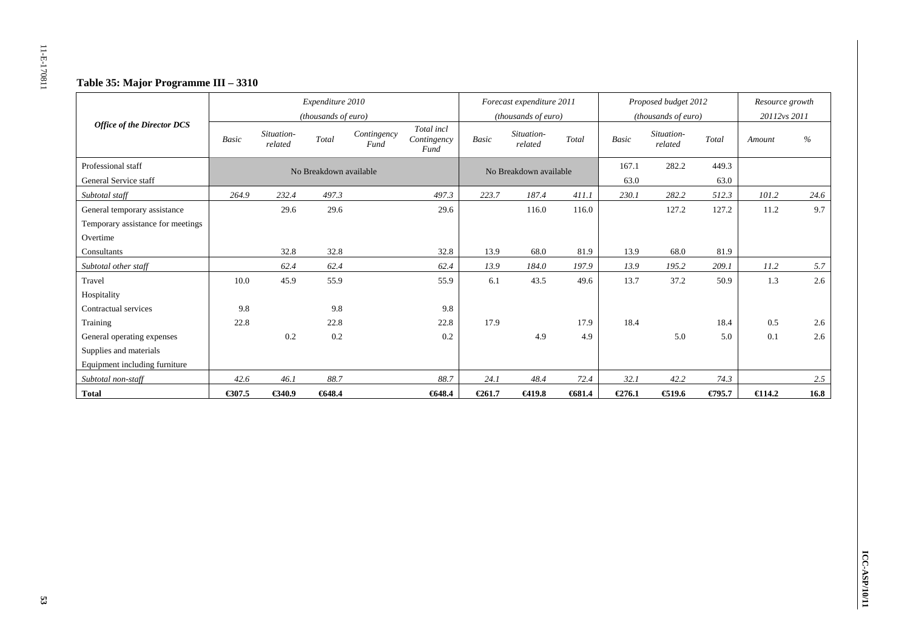# **Table 35: Major Programme III – 3310**

|                                   |              |                       | Expenditure 2010<br>(thousands of euro) |                     |                                   |              | Forecast expenditure 2011<br>( <i>thousands of euro</i> ) |          |        | Proposed budget 2012<br>(thousands of euro) |        | Resource growth<br>20112vs 2011 |      |
|-----------------------------------|--------------|-----------------------|-----------------------------------------|---------------------|-----------------------------------|--------------|-----------------------------------------------------------|----------|--------|---------------------------------------------|--------|---------------------------------|------|
| <b>Office of the Director DCS</b> | <b>Basic</b> | Situation-<br>related | Total                                   | Contingency<br>Fund | Total incl<br>Contingency<br>Fund | <b>Basic</b> | Situation-<br>related                                     | Total    | Basic  | Situation-<br>related                       | Total  | Amount                          | $\%$ |
| Professional staff                |              |                       | No Breakdown available                  |                     |                                   |              | No Breakdown available                                    |          | 167.1  | 282.2                                       | 449.3  |                                 |      |
| General Service staff             |              |                       |                                         |                     |                                   |              |                                                           |          | 63.0   |                                             | 63.0   |                                 |      |
| Subtotal staff                    | 264.9        | 232.4                 | 497.3                                   |                     | 497.3                             | 223.7        | 187.4                                                     | 411.1    | 230.1  | 282.2                                       | 512.3  | 101.2                           | 24.6 |
| General temporary assistance      |              | 29.6                  | 29.6                                    |                     | 29.6                              |              | 116.0                                                     | 116.0    |        | 127.2                                       | 127.2  | 11.2                            | 9.7  |
| Temporary assistance for meetings |              |                       |                                         |                     |                                   |              |                                                           |          |        |                                             |        |                                 |      |
| Overtime                          |              |                       |                                         |                     |                                   |              |                                                           |          |        |                                             |        |                                 |      |
| Consultants                       |              | 32.8                  | 32.8                                    |                     | 32.8                              | 13.9         | 68.0                                                      | 81.9     | 13.9   | 68.0                                        | 81.9   |                                 |      |
| Subtotal other staff              |              | 62.4                  | 62.4                                    |                     | 62.4                              | 13.9         | 184.0                                                     | 197.9    | 13.9   | 195.2                                       | 209.1  | 11.2                            | 5.7  |
| Travel                            | 10.0         | 45.9                  | 55.9                                    |                     | 55.9                              | 6.1          | 43.5                                                      | 49.6     | 13.7   | 37.2                                        | 50.9   | 1.3                             | 2.6  |
| Hospitality                       |              |                       |                                         |                     |                                   |              |                                                           |          |        |                                             |        |                                 |      |
| Contractual services              | 9.8          |                       | 9.8                                     |                     | 9.8                               |              |                                                           |          |        |                                             |        |                                 |      |
| Training                          | 22.8         |                       | 22.8                                    |                     | 22.8                              | 17.9         |                                                           | 17.9     | 18.4   |                                             | 18.4   | 0.5                             | 2.6  |
| General operating expenses        |              | 0.2                   | 0.2                                     |                     | 0.2                               |              | 4.9                                                       | 4.9      |        | 5.0                                         | 5.0    | 0.1                             | 2.6  |
| Supplies and materials            |              |                       |                                         |                     |                                   |              |                                                           |          |        |                                             |        |                                 |      |
| Equipment including furniture     |              |                       |                                         |                     |                                   |              |                                                           |          |        |                                             |        |                                 |      |
| Subtotal non-staff                | 42.6         | 46.1                  | 88.7                                    |                     | 88.7                              | 24.1         | 48.4                                                      | 72.4     | 32.1   | 42.2                                        | 74.3   |                                 | 2.5  |
| <b>Total</b>                      | € $307.5$    | €340.9                | €648.4                                  |                     | €648.4                            | €261.7       | €419.8                                                    | $-681.4$ | €276.1 | € $19.6$                                    | €795.7 | $\epsilon$ 14.2                 | 16.8 |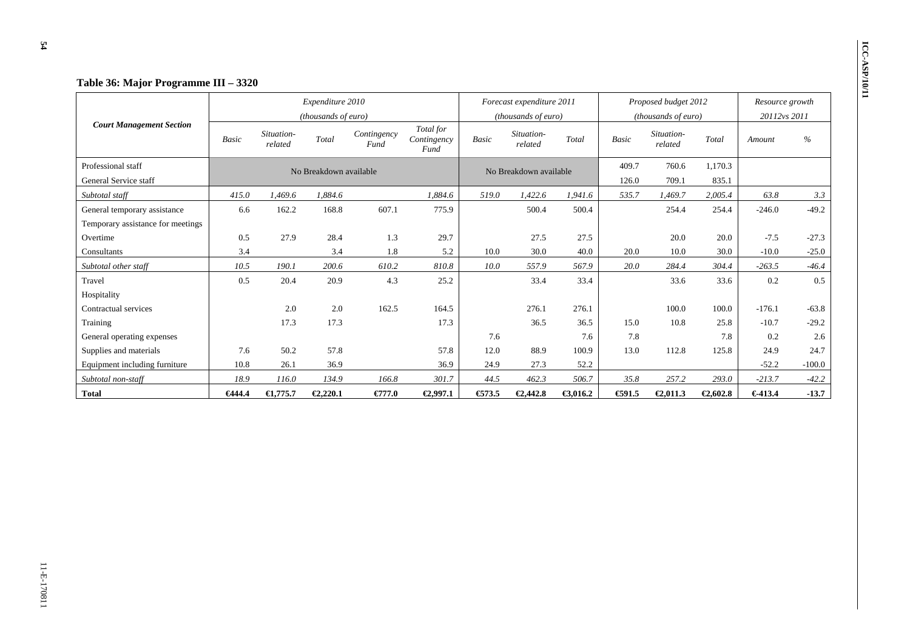|                                   |              |                       | Expenditure 2010       |                     |                                  |              | Forecast expenditure 2011 |          |              | Proposed budget 2012  |          | Resource growth |          |
|-----------------------------------|--------------|-----------------------|------------------------|---------------------|----------------------------------|--------------|---------------------------|----------|--------------|-----------------------|----------|-----------------|----------|
|                                   |              |                       | (thousands of euro)    |                     |                                  |              | (thousands of euro)       |          |              | (thousands of euro)   |          | 20112vs 2011    |          |
| <b>Court Management Section</b>   | <b>Basic</b> | Situation-<br>related | Total                  | Contingency<br>Fund | Total for<br>Contingency<br>Fund | <b>Basic</b> | Situation-<br>related     | Total    | <b>Basic</b> | Situation-<br>related | Total    | Amount          | $\%$     |
| Professional staff                |              |                       | No Breakdown available |                     |                                  |              | No Breakdown available    |          | 409.7        | 760.6                 | 1,170.3  |                 |          |
| General Service staff             |              |                       |                        |                     |                                  |              |                           |          | 126.0        | 709.1                 | 835.1    |                 |          |
| Subtotal staff                    | 415.0        | 1.469.6               | 1.884.6                |                     | 1.884.6                          | 519.0        | 1,422.6                   | 1.941.6  | 535.7        | 1,469.7               | 2,005.4  | 63.8            | 3.3      |
| General temporary assistance      | 6.6          | 162.2                 | 168.8                  | 607.1               | 775.9                            |              | 500.4                     | 500.4    |              | 254.4                 | 254.4    | $-246.0$        | $-49.2$  |
| Temporary assistance for meetings |              |                       |                        |                     |                                  |              |                           |          |              |                       |          |                 |          |
| Overtime                          | 0.5          | 27.9                  | 28.4                   | 1.3                 | 29.7                             |              | 27.5                      | 27.5     |              | 20.0                  | 20.0     | $-7.5$          | $-27.3$  |
| Consultants                       | 3.4          |                       | 3.4                    | 1.8                 | 5.2                              | 10.0         | 30.0                      | 40.0     | 20.0         | 10.0                  | 30.0     | $-10.0$         | $-25.0$  |
| Subtotal other staff              | 10.5         | 190.1                 | 200.6                  | 610.2               | 810.8                            | 10.0         | 557.9                     | 567.9    | 20.0         | 284.4                 | 304.4    | $-263.5$        | $-46.4$  |
| Travel                            | 0.5          | 20.4                  | 20.9                   | 4.3                 | 25.2                             |              | 33.4                      | 33.4     |              | 33.6                  | 33.6     | 0.2             | 0.5      |
| Hospitality                       |              |                       |                        |                     |                                  |              |                           |          |              |                       |          |                 |          |
| Contractual services              |              | 2.0                   | 2.0                    | 162.5               | 164.5                            |              | 276.1                     | 276.1    |              | 100.0                 | 100.0    | $-176.1$        | $-63.8$  |
| Training                          |              | 17.3                  | 17.3                   |                     | 17.3                             |              | 36.5                      | 36.5     | 15.0         | 10.8                  | 25.8     | $-10.7$         | $-29.2$  |
| General operating expenses        |              |                       |                        |                     |                                  | 7.6          |                           | 7.6      | 7.8          |                       | 7.8      | 0.2             | 2.6      |
| Supplies and materials            | 7.6          | 50.2                  | 57.8                   |                     | 57.8                             | 12.0         | 88.9                      | 100.9    | 13.0         | 112.8                 | 125.8    | 24.9            | 24.7     |
| Equipment including furniture     | 10.8         | 26.1                  | 36.9                   |                     | 36.9                             | 24.9         | 27.3                      | 52.2     |              |                       |          | $-52.2$         | $-100.0$ |
| Subtotal non-staff                | 18.9         | 116.0                 | 134.9                  | 166.8               | 301.7                            | 44.5         | 462.3                     | 506.7    | 35.8         | 257.2                 | 293.0    | $-213.7$        | $-42.2$  |
| <b>Total</b>                      | €444.4       | $\epsilon$ 1,775.7    | €2,220.1               | €77.0               | €2,997.1                         | € $73.5$     | €2,442.8                  | €3,016.2 | €91.5        | €2,011.3              | €2,602.8 | €413.4          | $-13.7$  |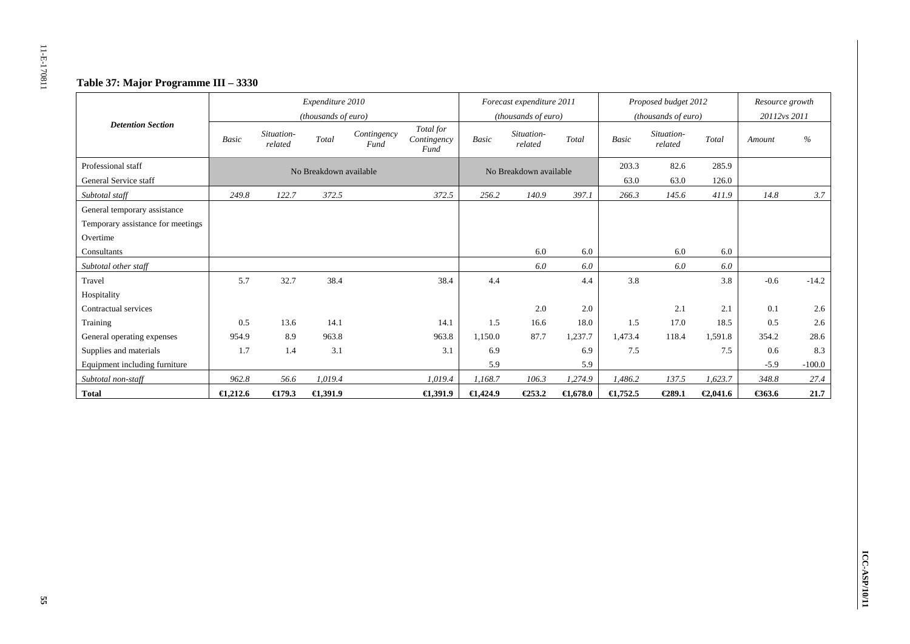# **Table 37: Major Programme III – 3330**

|                                   |                    |                       | Expenditure 2010<br>(thousands of euro) |                     |                                  |                    | Forecast expenditure 2011<br>( <i>thousands of euro</i> ) |         |                    | Proposed budget 2012<br>(thousands of euro) |          | Resource growth<br>20112vs 2011 |          |
|-----------------------------------|--------------------|-----------------------|-----------------------------------------|---------------------|----------------------------------|--------------------|-----------------------------------------------------------|---------|--------------------|---------------------------------------------|----------|---------------------------------|----------|
| <b>Detention Section</b>          | <b>Basic</b>       | Situation-<br>related | Total                                   | Contingency<br>Fund | Total for<br>Contingency<br>Fund | <b>Basic</b>       | Situation-<br>related                                     | Total   | Basic              | Situation-<br>related                       | Total    | Amount                          | $\%$     |
| Professional staff                |                    |                       | No Breakdown available                  |                     |                                  |                    | No Breakdown available                                    |         | 203.3              | 82.6                                        | 285.9    |                                 |          |
| General Service staff             |                    |                       |                                         |                     |                                  |                    |                                                           |         | 63.0               | 63.0                                        | 126.0    |                                 |          |
| Subtotal staff                    | 249.8              | 122.7                 | 372.5                                   |                     | 372.5                            | 256.2              | 140.9                                                     | 397.1   | 266.3              | 145.6                                       | 411.9    | 14.8                            | 3.7      |
| General temporary assistance      |                    |                       |                                         |                     |                                  |                    |                                                           |         |                    |                                             |          |                                 |          |
| Temporary assistance for meetings |                    |                       |                                         |                     |                                  |                    |                                                           |         |                    |                                             |          |                                 |          |
| Overtime                          |                    |                       |                                         |                     |                                  |                    |                                                           |         |                    |                                             |          |                                 |          |
| Consultants                       |                    |                       |                                         |                     |                                  |                    | 6.0                                                       | 6.0     |                    | 6.0                                         | 6.0      |                                 |          |
| Subtotal other staff              |                    |                       |                                         |                     |                                  |                    | 6.0                                                       | 6.0     |                    | 6.0                                         | 6.0      |                                 |          |
| Travel                            | 5.7                | 32.7                  | 38.4                                    |                     | 38.4                             | 4.4                |                                                           | 4.4     | 3.8                |                                             | 3.8      | $-0.6$                          | $-14.2$  |
| Hospitality                       |                    |                       |                                         |                     |                                  |                    |                                                           |         |                    |                                             |          |                                 |          |
| Contractual services              |                    |                       |                                         |                     |                                  |                    | 2.0                                                       | 2.0     |                    | 2.1                                         | 2.1      | 0.1                             | 2.6      |
| Training                          | 0.5                | 13.6                  | 14.1                                    |                     | 14.1                             | 1.5                | 16.6                                                      | 18.0    | 1.5                | 17.0                                        | 18.5     | 0.5                             | 2.6      |
| General operating expenses        | 954.9              | 8.9                   | 963.8                                   |                     | 963.8                            | 1.150.0            | 87.7                                                      | 1.237.7 | 1.473.4            | 118.4                                       | 1,591.8  | 354.2                           | 28.6     |
| Supplies and materials            | 1.7                | 1.4                   | 3.1                                     |                     | 3.1                              | 6.9                |                                                           | 6.9     | 7.5                |                                             | 7.5      | 0.6                             | 8.3      |
| Equipment including furniture     |                    |                       |                                         |                     |                                  | 5.9                |                                                           | 5.9     |                    |                                             |          | $-5.9$                          | $-100.0$ |
| Subtotal non-staff                | 962.8              | 56.6                  | 1,019.4                                 |                     | 1,019.4                          | 1,168.7            | 106.3                                                     | 1,274.9 | 1,486.2            | 137.5                                       | 1,623.7  | 348.8                           | 27.4     |
| <b>Total</b>                      | $\epsilon$ 1,212.6 | $\bigoplus$ 79.3      | E, 391.9                                |                     | $\bigoplus$ , 391.9              | $\epsilon$ 1,424.9 | $E$ 53.2                                                  | C,678.0 | $\epsilon$ 1,752.5 | €289.1                                      | €2,041.6 | €363.6                          | 21.7     |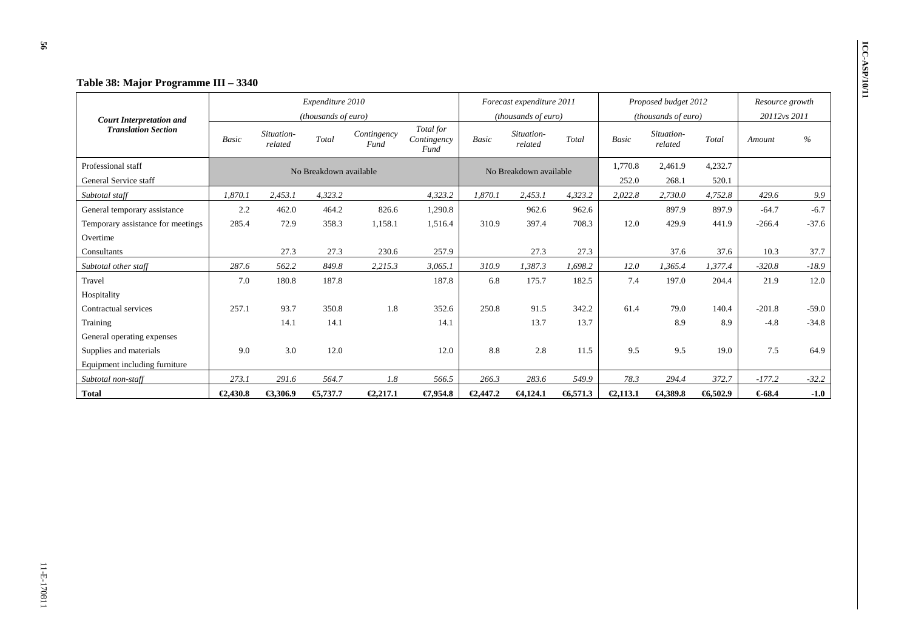|                                   |              |                       | Expenditure 2010       |                     |                                  |              | Forecast expenditure 2011 |         |              | Proposed budget 2012  |         | Resource growth |         |
|-----------------------------------|--------------|-----------------------|------------------------|---------------------|----------------------------------|--------------|---------------------------|---------|--------------|-----------------------|---------|-----------------|---------|
| <b>Court Interpretation and</b>   |              |                       | (thousands of euro)    |                     |                                  |              | (thousands of euro)       |         |              | (thousands of euro)   |         | 20112vs 2011    |         |
| <b>Translation Section</b>        | <b>Basic</b> | Situation-<br>related | Total                  | Contingency<br>Fund | Total for<br>Contingency<br>Fund | <b>Basic</b> | Situation-<br>related     | Total   | <b>Basic</b> | Situation-<br>related | Total   | Amount          | $\%$    |
| Professional staff                |              |                       | No Breakdown available |                     |                                  |              | No Breakdown available    |         | 1,770.8      | 2,461.9               | 4,232.7 |                 |         |
| General Service staff             |              |                       |                        |                     |                                  |              |                           |         | 252.0        | 268.1                 | 520.1   |                 |         |
| Subtotal staff                    | 1,870.1      | 2,453.1               | 4.323.2                |                     | 4,323.2                          | 1.870.1      | 2,453.1                   | 4.323.2 | 2,022.8      | 2,730.0               | 4,752.8 | 429.6           | 9.9     |
| General temporary assistance      | 2.2          | 462.0                 | 464.2                  | 826.6               | 1,290.8                          |              | 962.6                     | 962.6   |              | 897.9                 | 897.9   | $-64.7$         | $-6.7$  |
| Temporary assistance for meetings | 285.4        | 72.9                  | 358.3                  | 1,158.1             | 1,516.4                          | 310.9        | 397.4                     | 708.3   | 12.0         | 429.9                 | 441.9   | $-266.4$        | $-37.6$ |
| Overtime                          |              |                       |                        |                     |                                  |              |                           |         |              |                       |         |                 |         |
| Consultants                       |              | 27.3                  | 27.3                   | 230.6               | 257.9                            |              | 27.3                      | 27.3    |              | 37.6                  | 37.6    | 10.3            | 37.7    |
| Subtotal other staff              | 287.6        | 562.2                 | 849.8                  | 2.215.3             | 3,065.1                          | 310.9        | 1,387.3                   | 1,698.2 | 12.0         | 1.365.4               | 1,377.4 | $-320.8$        | $-18.9$ |
| Travel                            | 7.0          | 180.8                 | 187.8                  |                     | 187.8                            | 6.8          | 175.7                     | 182.5   | 7.4          | 197.0                 | 204.4   | 21.9            | 12.0    |
| Hospitality                       |              |                       |                        |                     |                                  |              |                           |         |              |                       |         |                 |         |
| Contractual services              | 257.1        | 93.7                  | 350.8                  | 1.8                 | 352.6                            | 250.8        | 91.5                      | 342.2   | 61.4         | 79.0                  | 140.4   | $-201.8$        | $-59.0$ |
| Training                          |              | 14.1                  | 14.1                   |                     | 14.1                             |              | 13.7                      | 13.7    |              | 8.9                   | 8.9     | $-4.8$          | $-34.8$ |
| General operating expenses        |              |                       |                        |                     |                                  |              |                           |         |              |                       |         |                 |         |
| Supplies and materials            | 9.0          | 3.0                   | 12.0                   |                     | 12.0                             | 8.8          | 2.8                       | 11.5    | 9.5          | 9.5                   | 19.0    | 7.5             | 64.9    |
| Equipment including furniture     |              |                       |                        |                     |                                  |              |                           |         |              |                       |         |                 |         |
| Subtotal non-staff                | 273.1        | 291.6                 | 564.7                  | 1.8                 | 566.5                            | 266.3        | 283.6                     | 549.9   | 78.3         | 294.4                 | 372.7   | $-177.2$        | $-32.2$ |
| <b>Total</b>                      | €2,430.8     | €3,306.9              | € $,737.7$             | €2,217.1            | €7,954.8                         | €2,447.2     | $-64,124.1$               | 6,571.3 | €2,113.1     | $-4,389.8$            | 6,502.9 | €68.4           | $-1.0$  |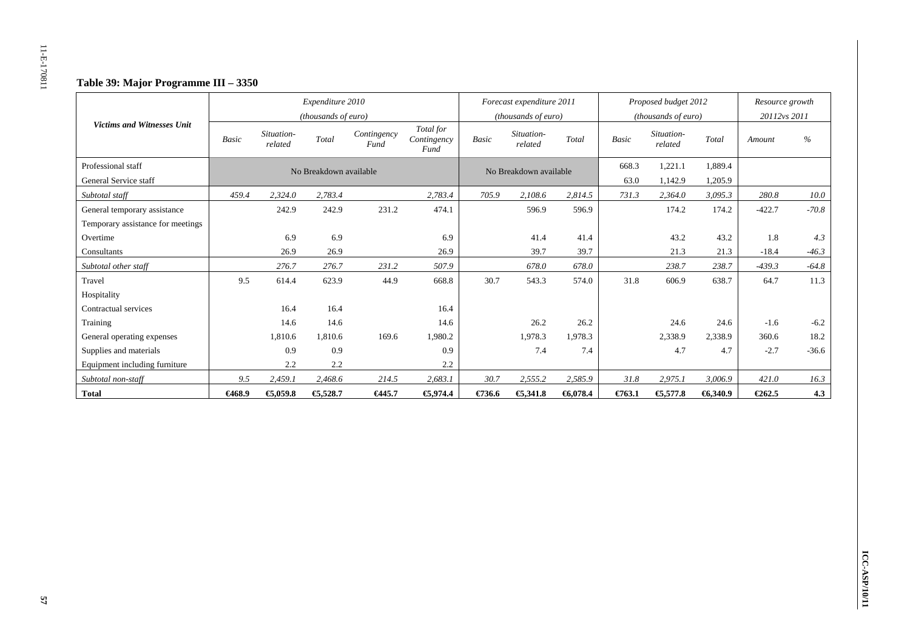# **Table 39: Major Programme III – 3350**

|                                             |              |                       | Expenditure 2010<br>(thousands of euro) |                     |                                  |        | Forecast expenditure 2011<br>(thousands of euro) |         |               | Proposed budget 2012<br>(thousands of euro) |                    | Resource growth<br>20112vs 2011 |         |
|---------------------------------------------|--------------|-----------------------|-----------------------------------------|---------------------|----------------------------------|--------|--------------------------------------------------|---------|---------------|---------------------------------------------|--------------------|---------------------------------|---------|
| <b>Victims and Witnesses Unit</b>           | <b>Basic</b> | Situation-<br>related | Total                                   | Contingency<br>Fund | Total for<br>Contingency<br>Fund | Basic  | Situation-<br>related                            | Total   | <b>Basic</b>  | Situation-<br>related                       | Total              | Amount                          | $\%$    |
| Professional staff<br>General Service staff |              |                       | No Breakdown available                  |                     |                                  |        | No Breakdown available                           |         | 668.3<br>63.0 | 1,221.1                                     | 1,889.4            |                                 |         |
| Subtotal staff                              | 459.4        | 2,324.0               | 2,783.4                                 |                     | 2,783.4                          | 705.9  | 2,108.6                                          | 2,814.5 | 731.3         | 1,142.9<br>2,364.0                          | 1,205.9<br>3,095.3 | 280.8                           | 10.0    |
| General temporary assistance                |              | 242.9                 | 242.9                                   | 231.2               | 474.1                            |        | 596.9                                            | 596.9   |               | 174.2                                       | 174.2              | $-422.7$                        | $-70.8$ |
| Temporary assistance for meetings           |              |                       |                                         |                     |                                  |        |                                                  |         |               |                                             |                    |                                 |         |
| Overtime                                    |              | 6.9                   | 6.9                                     |                     | 6.9                              |        | 41.4                                             | 41.4    |               | 43.2                                        | 43.2               | 1.8                             | 4.3     |
| Consultants                                 |              | 26.9                  | 26.9                                    |                     | 26.9                             |        | 39.7                                             | 39.7    |               | 21.3                                        | 21.3               | $-18.4$                         | $-46.3$ |
| Subtotal other staff                        |              | 276.7                 | 276.7                                   | 231.2               | 507.9                            |        | 678.0                                            | 678.0   |               | 238.7                                       | 238.7              | $-439.3$                        | $-64.8$ |
| Travel                                      | 9.5          | 614.4                 | 623.9                                   | 44.9                | 668.8                            | 30.7   | 543.3                                            | 574.0   | 31.8          | 606.9                                       | 638.7              | 64.7                            | 11.3    |
| Hospitality                                 |              |                       |                                         |                     |                                  |        |                                                  |         |               |                                             |                    |                                 |         |
| Contractual services                        |              | 16.4                  | 16.4                                    |                     | 16.4                             |        |                                                  |         |               |                                             |                    |                                 |         |
| Training                                    |              | 14.6                  | 14.6                                    |                     | 14.6                             |        | 26.2                                             | 26.2    |               | 24.6                                        | 24.6               | $-1.6$                          | $-6.2$  |
| General operating expenses                  |              | 1,810.6               | 1,810.6                                 | 169.6               | 1,980.2                          |        | 1,978.3                                          | 1,978.3 |               | 2,338.9                                     | 2,338.9            | 360.6                           | 18.2    |
| Supplies and materials                      |              | 0.9                   | 0.9                                     |                     | 0.9                              |        | 7.4                                              | 7.4     |               | 4.7                                         | 4.7                | $-2.7$                          | $-36.6$ |
| Equipment including furniture               |              | 2.2                   | 2.2                                     |                     | 2.2                              |        |                                                  |         |               |                                             |                    |                                 |         |
| Subtotal non-staff                          | 9.5          | 2,459.1               | 2,468.6                                 | 214.5               | 2,683.1                          | 30.7   | 2,555.2                                          | 2,585.9 | 31.8          | 2,975.1                                     | 3,006.9            | 421.0                           | 16.3    |
| <b>Total</b>                                | €468.9       | €5,059.8              | €5,528.7                                | €445.7              | €5,974.4                         | €736.6 | €,341.8                                          | 6,078.4 | $E$ 763.1     | € $,577.8$                                  | 6,340.9            | €262.5                          | 4.3     |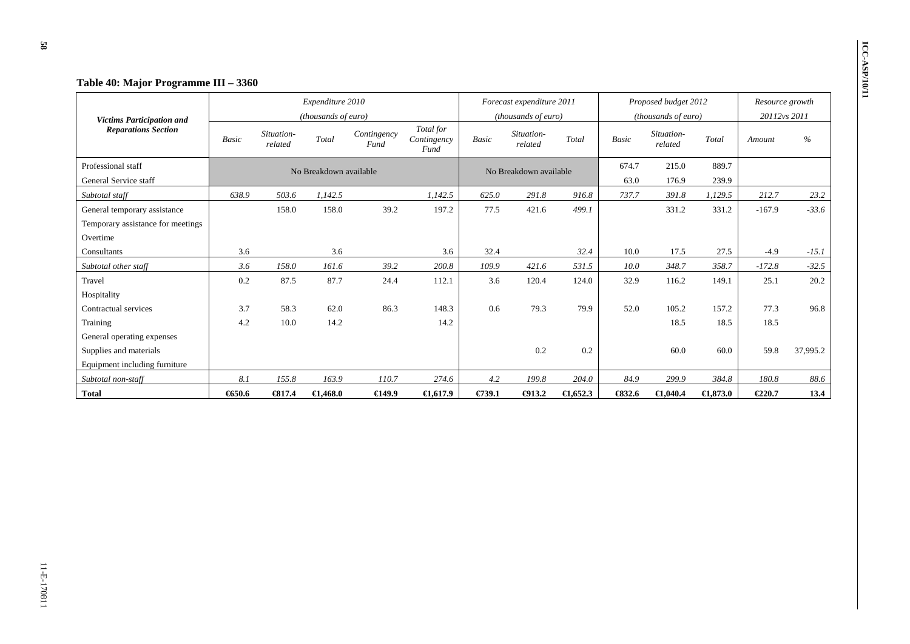|                                   |       |                       | Expenditure 2010       |                     |                                  |              | Forecast expenditure 2011 |                     |        | Proposed budget 2012  |                     | Resource growth |          |
|-----------------------------------|-------|-----------------------|------------------------|---------------------|----------------------------------|--------------|---------------------------|---------------------|--------|-----------------------|---------------------|-----------------|----------|
| <b>Victims Participation and</b>  |       |                       | (thousands of euro)    |                     |                                  |              | (thousands of euro)       |                     |        | (thousands of euro)   |                     | 20112vs 2011    |          |
| <b>Reparations Section</b>        | Basic | Situation-<br>related | Total                  | Contingency<br>Fund | Total for<br>Contingency<br>Fund | <b>Basic</b> | Situation-<br>related     | Total               | Basic  | Situation-<br>related | Total               | Amount          | $\%$     |
| Professional staff                |       |                       | No Breakdown available |                     |                                  |              | No Breakdown available    |                     | 674.7  | 215.0                 | 889.7               |                 |          |
| General Service staff             |       |                       |                        |                     |                                  |              |                           |                     | 63.0   | 176.9                 | 239.9               |                 |          |
| Subtotal staff                    | 638.9 | 503.6                 | 1,142.5                |                     | 1,142.5                          | 625.0        | 291.8                     | 916.8               | 737.7  | 391.8                 | 1,129.5             | 212.7           | 23.2     |
| General temporary assistance      |       | 158.0                 | 158.0                  | 39.2                | 197.2                            | 77.5         | 421.6                     | 499.1               |        | 331.2                 | 331.2               | $-167.9$        | $-33.6$  |
| Temporary assistance for meetings |       |                       |                        |                     |                                  |              |                           |                     |        |                       |                     |                 |          |
| Overtime                          |       |                       |                        |                     |                                  |              |                           |                     |        |                       |                     |                 |          |
| Consultants                       | 3.6   |                       | 3.6                    |                     | 3.6                              | 32.4         |                           | 32.4                | 10.0   | 17.5                  | 27.5                | $-4.9$          | $-15.1$  |
| Subtotal other staff              | 3.6   | 158.0                 | 161.6                  | 39.2                | 200.8                            | 109.9        | 421.6                     | 531.5               | 10.0   | 348.7                 | 358.7               | $-172.8$        | $-32.5$  |
| Travel                            | 0.2   | 87.5                  | 87.7                   | 24.4                | 112.1                            | 3.6          | 120.4                     | 124.0               | 32.9   | 116.2                 | 149.1               | 25.1            | 20.2     |
| Hospitality                       |       |                       |                        |                     |                                  |              |                           |                     |        |                       |                     |                 |          |
| Contractual services              | 3.7   | 58.3                  | 62.0                   | 86.3                | 148.3                            | 0.6          | 79.3                      | 79.9                | 52.0   | 105.2                 | 157.2               | 77.3            | 96.8     |
| Training                          | 4.2   | 10.0                  | 14.2                   |                     | 14.2                             |              |                           |                     |        | 18.5                  | 18.5                | 18.5            |          |
| General operating expenses        |       |                       |                        |                     |                                  |              |                           |                     |        |                       |                     |                 |          |
| Supplies and materials            |       |                       |                        |                     |                                  |              | 0.2                       | 0.2                 |        | 60.0                  | 60.0                | 59.8            | 37,995.2 |
| Equipment including furniture     |       |                       |                        |                     |                                  |              |                           |                     |        |                       |                     |                 |          |
| Subtotal non-staff                | 8.1   | 155.8                 | 163.9                  | 110.7               | 274.6                            | 4.2          | 199.8                     | 204.0               | 84.9   | 299.9                 | 384.8               | 180.8           | 88.6     |
| <b>Total</b>                      | 650.6 | $-6317.4$             | $\bigoplus$ ,468.0     | 649.9               | $\bigoplus$ , 617.9              | €739.1       | $\bigoplus$ 13.2          | $\bigoplus$ , 652.3 | \$32.6 | $\bigoplus$ ,040.4    | $\bigoplus$ , 873.0 | €220.7          | 13.4     |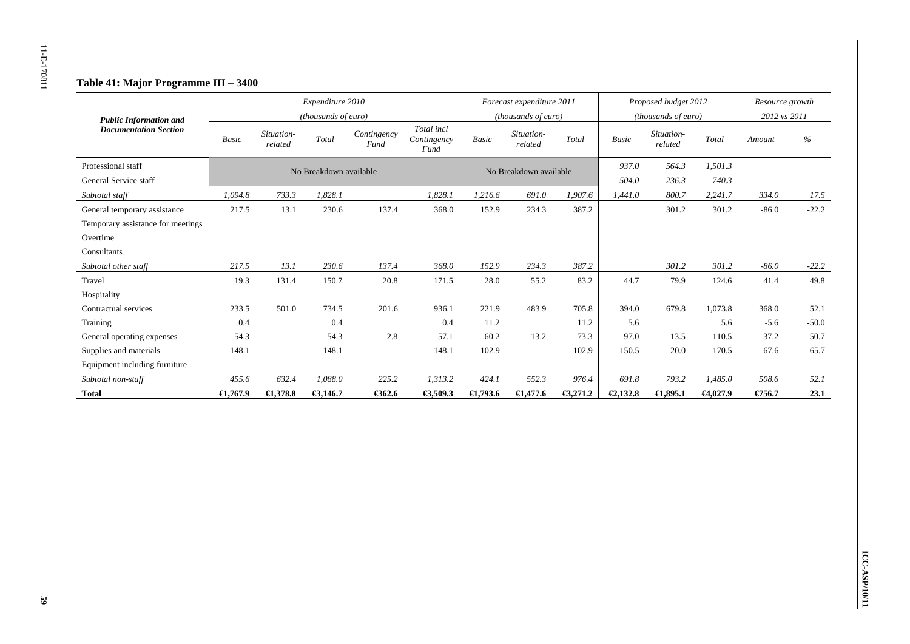# **Table 41: Major Programme III – 3400**

| <b>Public Information and</b>               |                    |                       | Expenditure 2010<br>(thousands of euro) |                     |                                   |                     | Forecast expenditure 2011<br>(thousands of euro) |          |                | Proposed budget 2012<br>(thousands of euro) |                    | Resource growth<br>2012 vs 2011 |         |
|---------------------------------------------|--------------------|-----------------------|-----------------------------------------|---------------------|-----------------------------------|---------------------|--------------------------------------------------|----------|----------------|---------------------------------------------|--------------------|---------------------------------|---------|
| <b>Documentation Section</b>                | <b>Basic</b>       | Situation-<br>related | Total                                   | Contingency<br>Fund | Total incl<br>Contingency<br>Fund | Basic               | Situation-<br>related                            | Total    | <b>Basic</b>   | Situation-<br>related                       | Total              | Amount                          | $\%$    |
| Professional staff<br>General Service staff |                    |                       | No Breakdown available                  |                     |                                   |                     | No Breakdown available                           |          | 937.0<br>504.0 | 564.3<br>236.3                              | 1,501.3<br>740.3   |                                 |         |
| Subtotal staff                              | 1,094.8            | 733.3                 | 1.828.1                                 |                     | 1,828.1                           | 1,216.6             | 691.0                                            | 1,907.6  | 1,441.0        | 800.7                                       | 2,241.7            | 334.0                           | 17.5    |
| General temporary assistance                | 217.5              | 13.1                  | 230.6                                   | 137.4               | 368.0                             | 152.9               | 234.3                                            | 387.2    |                | 301.2                                       | 301.2              | $-86.0$                         | $-22.2$ |
| Temporary assistance for meetings           |                    |                       |                                         |                     |                                   |                     |                                                  |          |                |                                             |                    |                                 |         |
| Overtime                                    |                    |                       |                                         |                     |                                   |                     |                                                  |          |                |                                             |                    |                                 |         |
| Consultants                                 |                    |                       |                                         |                     |                                   |                     |                                                  |          |                |                                             |                    |                                 |         |
| Subtotal other staff                        | 217.5              | 13.1                  | 230.6                                   | 137.4               | 368.0                             | 152.9               | 234.3                                            | 387.2    |                | 301.2                                       | 301.2              | $-86.0$                         | $-22.2$ |
| Travel                                      | 19.3               | 131.4                 | 150.7                                   | 20.8                | 171.5                             | 28.0                | 55.2                                             | 83.2     | 44.7           | 79.9                                        | 124.6              | 41.4                            | 49.8    |
| Hospitality                                 |                    |                       |                                         |                     |                                   |                     |                                                  |          |                |                                             |                    |                                 |         |
| Contractual services                        | 233.5              | 501.0                 | 734.5                                   | 201.6               | 936.1                             | 221.9               | 483.9                                            | 705.8    | 394.0          | 679.8                                       | 1,073.8            | 368.0                           | 52.1    |
| Training                                    | 0.4                |                       | 0.4                                     |                     | 0.4                               | 11.2                |                                                  | 11.2     | 5.6            |                                             | 5.6                | $-5.6$                          | $-50.0$ |
| General operating expenses                  | 54.3               |                       | 54.3                                    | 2.8                 | 57.1                              | 60.2                | 13.2                                             | 73.3     | 97.0           | 13.5                                        | 110.5              | 37.2                            | 50.7    |
| Supplies and materials                      | 148.1              |                       | 148.1                                   |                     | 148.1                             | 102.9               |                                                  | 102.9    | 150.5          | 20.0                                        | 170.5              | 67.6                            | 65.7    |
| Equipment including furniture               |                    |                       |                                         |                     |                                   |                     |                                                  |          |                |                                             |                    |                                 |         |
| Subtotal non-staff                          | 455.6              | 632.4                 | 1,088.0                                 | 225.2               | 1,313.2                           | 424.1               | 552.3                                            | 976.4    | 691.8          | 793.2                                       | 1,485.0            | 508.6                           | 52.1    |
| <b>Total</b>                                | $\epsilon$ 1,767.9 | $\epsilon$ 1,378.8    | €3,146.7                                | € $362.6$           | €3,509.3                          | $\bigoplus$ , 793.6 | $\epsilon$ 1,477.6                               | €3,271.2 | €2,132.8       | $\epsilon$ 1,895.1                          | $\bigoplus$ ,027.9 | €756.7                          | 23.1    |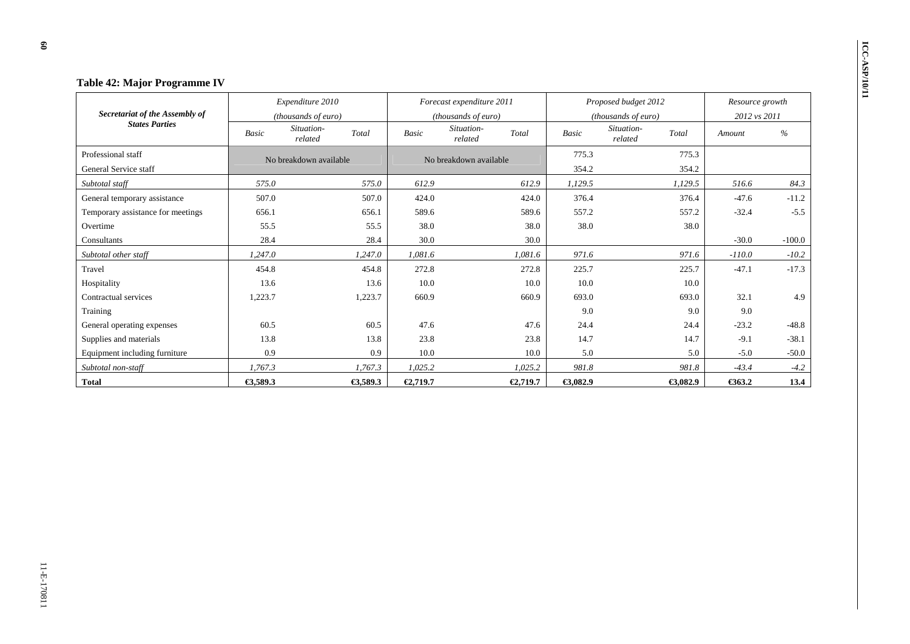| <b>Table 42: Major Programme IV</b> |                                  |                                |          |                                |          |                                |                 |          |
|-------------------------------------|----------------------------------|--------------------------------|----------|--------------------------------|----------|--------------------------------|-----------------|----------|
|                                     |                                  | Expenditure 2010               |          | Forecast expenditure 2011      |          | Proposed budget 2012           | Resource growth |          |
| Secretariat of the Assembly of      |                                  | (thousands of euro)            |          | (thousands of euro)            |          | (thousands of euro)            | 2012 vs 2011    |          |
| <b>States Parties</b>               | Basic                            | Situation-<br>Total<br>related | Basic    | Situation-<br>Total<br>related | Basic    | Situation-<br>Total<br>related | Amount          | $\%$     |
| Professional staff                  |                                  | No breakdown available         |          | No breakdown available         | 775.3    | 775.3                          |                 |          |
| General Service staff               |                                  |                                |          |                                | 354.2    | 354.2                          |                 |          |
| Subtotal staff                      | 575.0<br>575.0<br>507.0<br>507.0 |                                | 612.9    | 612.9                          | 1,129.5  | 1,129.5                        | 516.6           | 84.3     |
| General temporary assistance        | 656.1<br>656.1                   |                                | 424.0    | 424.0                          | 376.4    | 376.4                          | $-47.6$         | $-11.2$  |
| Temporary assistance for meetings   | 55.5<br>55.5                     |                                | 589.6    | 589.6                          | 557.2    | 557.2                          | $-32.4$         | $-5.5$   |
| Overtime                            |                                  |                                | 38.0     | 38.0                           | 38.0     | 38.0                           |                 |          |
| Consultants                         | 28.4                             | 28.4                           | 30.0     | 30.0                           |          |                                | $-30.0$         | $-100.0$ |
| Subtotal other staff                | 1,247.0                          | 1,247.0                        | 1,081.6  | 1,081.6                        | 971.6    | 971.6                          | $-110.0$        | $-10.2$  |
| Travel                              | 454.8                            | 454.8                          | 272.8    | 272.8                          | 225.7    | 225.7                          | $-47.1$         | $-17.3$  |
| Hospitality                         | 13.6                             | 13.6                           | 10.0     | 10.0                           | 10.0     | 10.0                           |                 |          |
| Contractual services                | 1,223.7                          | 1,223.7                        | 660.9    | 660.9                          | 693.0    | 693.0                          | 32.1            | 4.9      |
| Training                            |                                  |                                |          |                                | 9.0      | 9.0                            | 9.0             |          |
| General operating expenses          | 60.5                             | 60.5                           | 47.6     | 47.6                           | 24.4     | 24.4                           | $-23.2$         | $-48.8$  |
| Supplies and materials              | 13.8<br>13.8                     |                                | 23.8     | 23.8                           | 14.7     | 14.7                           | $-9.1$          | $-38.1$  |
| Equipment including furniture       | 0.9<br>0.9                       |                                | 10.0     | 10.0                           | 5.0      | 5.0                            | $-5.0$          | $-50.0$  |
| Subtotal non-staff                  | 1,767.3                          | 1,767.3                        | 1,025.2  | 1,025.2                        | 981.8    | 981.8                          | $-43.4$         | $-4.2$   |
| Total                               | €3,589.3                         | €3,589.3                       | €2,719.7 | €2,719.7                       | €3,082.9 | €3,082.9                       | €363.2          | 13.4     |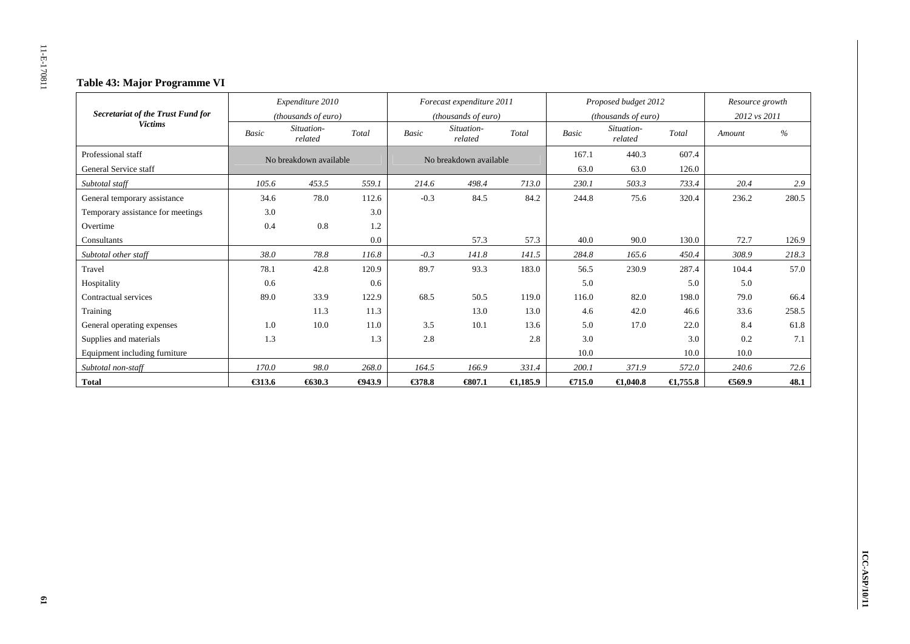# **Table 43: Major Programme VI**

|                                   |              | Expenditure 2010       |               |              | Forecast expenditure 2011 |                     |              | Proposed budget 2012  |                    | Resource growth |       |
|-----------------------------------|--------------|------------------------|---------------|--------------|---------------------------|---------------------|--------------|-----------------------|--------------------|-----------------|-------|
| Secretariat of the Trust Fund for |              | (thousands of euro)    |               |              | (thousands of euro)       |                     |              | (thousands of euro)   |                    | 2012 vs 2011    |       |
| <b>Victims</b>                    | <b>Basic</b> | Situation-<br>related  | Total         | <b>Basic</b> | Situation-<br>related     | Total               | <b>Basic</b> | Situation-<br>related | Total              | Amount          | $\%$  |
| Professional staff                |              | No breakdown available |               |              | No breakdown available    |                     | 167.1        | 440.3                 | 607.4              |                 |       |
| General Service staff             |              |                        |               |              |                           |                     | 63.0         | 63.0                  | 126.0              |                 |       |
| Subtotal staff                    | 105.6        | 453.5                  | 559.1         | 214.6        | 498.4                     | 713.0               | 230.1        | 503.3                 | 733.4              | 20.4            | 2.9   |
| General temporary assistance      | 34.6         | 78.0                   | 112.6         | $-0.3$       | 84.5                      | 84.2                | 244.8        | 75.6                  | 320.4              | 236.2           | 280.5 |
| Temporary assistance for meetings | 3.0          |                        | 3.0           |              |                           |                     |              |                       |                    |                 |       |
| Overtime                          | 0.4          | 0.8                    | 1.2           |              |                           |                     |              |                       |                    |                 |       |
| Consultants                       |              |                        | 0.0           |              | 57.3                      | 57.3                | 40.0         | 90.0                  | 130.0              | 72.7            | 126.9 |
| Subtotal other staff              | 38.0         | 78.8                   | 116.8         | $-0.3$       | 141.8                     | 141.5               | 284.8        | 165.6                 | 450.4              | 308.9           | 218.3 |
| Travel                            | 78.1         | 42.8                   | 120.9         | 89.7         | 93.3                      | 183.0               | 56.5         | 230.9                 | 287.4              | 104.4           | 57.0  |
| Hospitality                       | 0.6          |                        | 0.6           |              |                           |                     | 5.0          |                       | 5.0                | 5.0             |       |
| Contractual services              | 89.0         | 33.9                   | 122.9         | 68.5         | 50.5                      | 119.0               | 116.0        | 82.0                  | 198.0              | 79.0            | 66.4  |
| Training                          |              | 11.3                   | 11.3          |              | 13.0                      | 13.0                | 4.6          | 42.0                  | 46.6               | 33.6            | 258.5 |
| General operating expenses        | 1.0          | 10.0                   | 11.0          | 3.5          | 10.1                      | 13.6                | 5.0          | 17.0                  | 22.0               | 8.4             | 61.8  |
| Supplies and materials            | 1.3          |                        | 1.3           | 2.8          |                           | 2.8                 | 3.0          |                       | 3.0                | 0.2             | 7.1   |
| Equipment including furniture     |              |                        |               |              |                           |                     | 10.0         |                       | 10.0               | 10.0            |       |
| Subtotal non-staff                | 170.0        | 98.0                   | 268.0         | 164.5        | 166.9                     | 331.4               | 200.1        | 371.9                 | 572.0              | 240.6           | 72.6  |
| <b>Total</b>                      | €313.6       | 630.3                  | $\Theta$ 43.9 | €378.8       | 6807.1                    | $\bigoplus$ , 185.9 | €715.0       | $\bigoplus$ ,040.8    | $\epsilon$ 1,755.8 | 669.9           | 48.1  |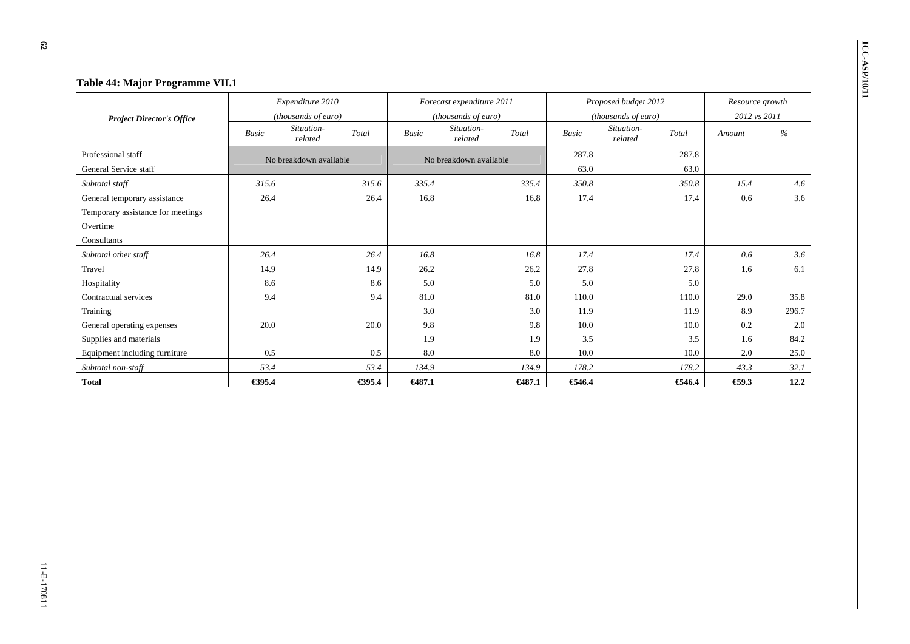| Table 44: Major Programme VII.1   |        |                        |        |              |                           |        |              |                       |        |                 |       |
|-----------------------------------|--------|------------------------|--------|--------------|---------------------------|--------|--------------|-----------------------|--------|-----------------|-------|
|                                   |        | Expenditure 2010       |        |              | Forecast expenditure 2011 |        |              | Proposed budget 2012  |        | Resource growth |       |
| <b>Project Director's Office</b>  |        | (thousands of euro)    |        |              | (thousands of euro)       |        |              | (thousands of euro)   |        | 2012 vs 2011    |       |
|                                   | Basic  | Situation-<br>related  | Total  | <b>Basic</b> | Situation-<br>related     | Total  | <b>Basic</b> | Situation-<br>related | Total  | Amount          | %     |
| Professional staff                |        | No breakdown available |        |              | No breakdown available    |        | 287.8        |                       | 287.8  |                 |       |
| General Service staff             |        |                        |        |              |                           |        | 63.0         |                       | 63.0   |                 |       |
| Subtotal staff                    | 315.6  |                        | 315.6  | 335.4        |                           | 335.4  | 350.8        |                       | 350.8  | 15.4            | 4.6   |
| General temporary assistance      | 26.4   |                        | 26.4   | 16.8         |                           | 16.8   | 17.4         |                       | 17.4   | 0.6             | 3.6   |
| Temporary assistance for meetings |        |                        |        |              |                           |        |              |                       |        |                 |       |
| Overtime                          |        |                        |        |              |                           |        |              |                       |        |                 |       |
| Consultants                       |        |                        |        |              |                           |        |              |                       |        |                 |       |
| Subtotal other staff              | 26.4   |                        | 26.4   | 16.8         |                           | 16.8   | 17.4         |                       | 17.4   | 0.6             | 3.6   |
| Travel                            | 14.9   |                        | 14.9   | 26.2         |                           | 26.2   | 27.8         |                       | 27.8   | 1.6             | 6.1   |
| Hospitality                       | 8.6    |                        | 8.6    | 5.0          |                           | 5.0    | 5.0          |                       | 5.0    |                 |       |
| Contractual services              | 9.4    |                        | 9.4    | 81.0         |                           | 81.0   | 110.0        |                       | 110.0  | 29.0            | 35.8  |
| Training                          |        |                        |        | 3.0          |                           | 3.0    | 11.9         |                       | 11.9   | 8.9             | 296.7 |
| General operating expenses        | 20.0   |                        | 20.0   | 9.8          |                           | 9.8    | 10.0         |                       | 10.0   | 0.2             | 2.0   |
| Supplies and materials            |        |                        |        | 1.9          |                           | 1.9    | 3.5          |                       | 3.5    | 1.6             | 84.2  |
| Equipment including furniture     | 0.5    |                        | 0.5    | 8.0          |                           | 8.0    | 10.0         |                       | 10.0   | 2.0             | 25.0  |
| Subtotal non-staff                | 53.4   |                        | 53.4   | 134.9        |                           | 134.9  | 178.2        |                       | 178.2  | 43.3            | 32.1  |
| <b>Total</b>                      | €395.4 |                        | €395.4 | €487.1       |                           | €487.1 | €46.4        |                       | €546.4 | $\epsilon$ 59.3 | 12.2  |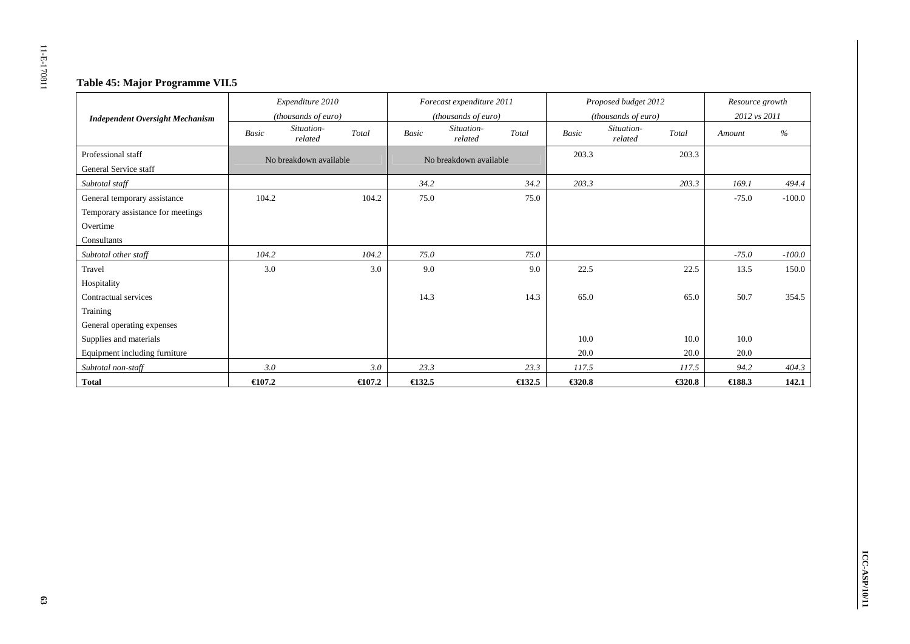# **Table 45: Major Programme VII.5**

|                                        |                     | Expenditure 2010       |                     |                  | Forecast expenditure 2011 |                     |              | Proposed budget 2012  |              | Resource growth  |          |
|----------------------------------------|---------------------|------------------------|---------------------|------------------|---------------------------|---------------------|--------------|-----------------------|--------------|------------------|----------|
| <b>Independent Oversight Mechanism</b> | (thousands of euro) |                        | (thousands of euro) |                  |                           | (thousands of euro) |              |                       | 2012 vs 2011 |                  |          |
|                                        | <b>Basic</b>        | Situation-<br>related  | Total               | <b>Basic</b>     | Situation-<br>related     | Total               | <b>Basic</b> | Situation-<br>related | Total        | Amount           | $\%$     |
| Professional staff                     |                     | No breakdown available |                     |                  | No breakdown available    |                     | 203.3        |                       | 203.3        |                  |          |
| General Service staff                  |                     |                        |                     |                  |                           |                     |              |                       |              |                  |          |
| Subtotal staff                         |                     |                        |                     | 34.2             |                           | 34.2                | 203.3        |                       | 203.3        | 169.1            | 494.4    |
| General temporary assistance           | 104.2               |                        | 104.2               | 75.0             |                           | 75.0                |              |                       |              | $-75.0$          | $-100.0$ |
| Temporary assistance for meetings      |                     |                        |                     |                  |                           |                     |              |                       |              |                  |          |
| Overtime                               |                     |                        |                     |                  |                           |                     |              |                       |              |                  |          |
| Consultants                            |                     |                        |                     |                  |                           |                     |              |                       |              |                  |          |
| Subtotal other staff                   | 104.2               |                        | 104.2               | 75.0             |                           | 75.0                |              |                       |              | $-75.0$          | $-100.0$ |
| Travel                                 | 3.0                 |                        | 3.0                 | 9.0              |                           | 9.0                 | 22.5         |                       | 22.5         | 13.5             | 150.0    |
| Hospitality                            |                     |                        |                     |                  |                           |                     |              |                       |              |                  |          |
| Contractual services                   |                     |                        |                     | 14.3             |                           | 14.3                | 65.0         |                       | 65.0         | 50.7             | 354.5    |
| Training                               |                     |                        |                     |                  |                           |                     |              |                       |              |                  |          |
| General operating expenses             |                     |                        |                     |                  |                           |                     |              |                       |              |                  |          |
| Supplies and materials                 |                     |                        |                     |                  |                           |                     | 10.0         |                       | 10.0         | 10.0             |          |
| Equipment including furniture          |                     |                        |                     |                  |                           |                     | 20.0         |                       | 20.0         | 20.0             |          |
| Subtotal non-staff                     | 3.0                 |                        | 3.0                 | 23.3             |                           | 23.3                | 117.5        |                       | 117.5        | 94.2             | 404.3    |
| <b>Total</b>                           | $\epsilon$ 107.2    |                        | $\epsilon$ 107.2    | $\epsilon$ 132.5 |                           | $\bigoplus$ 32.5    | €320.8       |                       | €320.8       | $\epsilon$ 188.3 | 142.1    |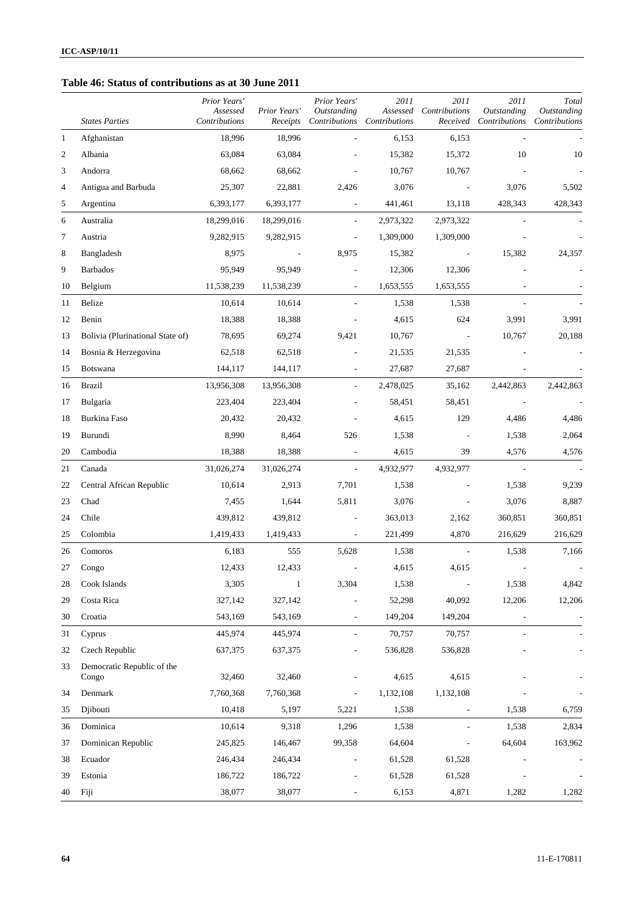### **Table 46: Status of contributions as at 30 June 2011**

|                          | <b>States Parties</b>               | Prior Years'<br>Assessed<br>Contributions | Prior Years'<br>Receipts | Prior Years'<br>Outstanding<br>Contributions | 2011<br>Assessed<br>Contributions | 2011<br>Contributions<br>Received | 2011<br>Outstanding<br>Contributions | Total<br><b>Outstanding</b><br>Contributions |
|--------------------------|-------------------------------------|-------------------------------------------|--------------------------|----------------------------------------------|-----------------------------------|-----------------------------------|--------------------------------------|----------------------------------------------|
| $\mathbf{1}$             | Afghanistan                         | 18,996                                    | 18,996                   |                                              | 6,153                             | 6,153                             |                                      |                                              |
| 2                        | Albania                             | 63,084                                    | 63,084                   |                                              | 15,382                            | 15,372                            | 10                                   | 10                                           |
| 3                        | Andorra                             | 68,662                                    | 68,662                   |                                              | 10,767                            | 10,767                            |                                      |                                              |
| $\overline{\mathcal{A}}$ | Antigua and Barbuda                 | 25,307                                    | 22,881                   | 2,426                                        | 3,076                             |                                   | 3,076                                | 5,502                                        |
| 5                        | Argentina                           | 6,393,177                                 | 6,393,177                | $\overline{\phantom{a}}$                     | 441,461                           | 13,118                            | 428,343                              | 428,343                                      |
| 6                        | Australia                           | 18,299,016                                | 18,299,016               | $\overline{\phantom{a}}$                     | 2,973,322                         | 2,973,322                         |                                      |                                              |
| 7                        | Austria                             | 9,282,915                                 | 9,282,915                |                                              | 1,309,000                         | 1,309,000                         |                                      |                                              |
| 8                        | Bangladesh                          | 8,975                                     |                          | 8,975                                        | 15,382                            |                                   | 15,382                               | 24,357                                       |
| 9                        | <b>Barbados</b>                     | 95,949                                    | 95,949                   |                                              | 12,306                            | 12,306                            |                                      |                                              |
| 10                       | Belgium                             | 11,538,239                                | 11,538,239               | $\blacksquare$                               | 1,653,555                         | 1,653,555                         |                                      |                                              |
| 11                       | Belize                              | 10,614                                    | 10,614                   |                                              | 1,538                             | 1,538                             |                                      |                                              |
| 12                       | Benin                               | 18,388                                    | 18,388                   |                                              | 4,615                             | 624                               | 3,991                                | 3,991                                        |
| 13                       | Bolivia (Plurinational State of)    | 78,695                                    | 69,274                   | 9,421                                        | 10,767                            |                                   | 10,767                               | 20,188                                       |
| 14                       | Bosnia & Herzegovina                | 62,518                                    | 62,518                   |                                              | 21,535                            | 21,535                            |                                      |                                              |
| 15                       | Botswana                            | 144,117                                   | 144,117                  |                                              | 27,687                            | 27,687                            |                                      |                                              |
| 16                       | <b>Brazil</b>                       | 13,956,308                                | 13,956,308               | $\overline{\phantom{a}}$                     | 2,478,025                         | 35,162                            | 2,442,863                            | 2,442,863                                    |
| 17                       | Bulgaria                            | 223,404                                   | 223,404                  |                                              | 58,451                            | 58,451                            |                                      |                                              |
| 18                       | Burkina Faso                        | 20,432                                    | 20,432                   |                                              | 4,615                             | 129                               | 4,486                                | 4,486                                        |
| 19                       | Burundi                             | 8,990                                     | 8,464                    | 526                                          | 1,538                             |                                   | 1,538                                | 2,064                                        |
| 20                       | Cambodia                            | 18,388                                    | 18,388                   |                                              | 4,615                             | 39                                | 4,576                                | 4,576                                        |
| 21                       | Canada                              | 31,026,274                                | 31,026,274               | $\overline{\phantom{a}}$                     | 4,932,977                         | 4,932,977                         | $\overline{\phantom{a}}$             |                                              |
| 22                       | Central African Republic            | 10,614                                    | 2,913                    | 7,701                                        | 1,538                             |                                   | 1,538                                | 9,239                                        |
| 23                       | Chad                                | 7,455                                     | 1,644                    | 5,811                                        | 3,076                             |                                   | 3,076                                | 8,887                                        |
| 24                       | Chile                               | 439,812                                   | 439,812                  |                                              | 363,013                           | 2,162                             | 360,851                              | 360,851                                      |
| 25                       | Colombia                            | 1,419,433                                 | 1,419,433                | $\overline{\phantom{a}}$                     | 221,499                           | 4,870                             | 216,629                              | 216,629                                      |
| 26                       | Comoros                             | 6,183                                     | 555                      | 5,628                                        | 1,538                             | $\sim$                            | 1,538                                | 7,166                                        |
| 27                       | Congo                               | 12,433                                    | 12,433                   |                                              | 4,615                             | 4,615                             |                                      |                                              |
| 28                       | Cook Islands                        | 3,305                                     | $\mathbf{1}$             | 3,304                                        | 1,538                             |                                   | 1,538                                | 4,842                                        |
| 29                       | Costa Rica                          | 327,142                                   | 327,142                  |                                              | 52,298                            | 40,092                            | 12,206                               | 12,206                                       |
| 30                       | Croatia                             | 543,169                                   | 543,169                  | $\overline{\phantom{a}}$                     | 149,204                           | 149,204                           | $\overline{a}$                       | $\overline{\phantom{a}}$                     |
| 31                       | Cyprus                              | 445,974                                   | 445,974                  | $\overline{\phantom{a}}$                     | 70,757                            | 70,757                            | $\overline{\phantom{a}}$             |                                              |
| 32                       | Czech Republic                      | 637,375                                   | 637,375                  | $\overline{\phantom{0}}$                     | 536,828                           | 536,828                           |                                      |                                              |
| 33                       | Democratic Republic of the<br>Congo | 32,460                                    | 32,460                   |                                              | 4,615                             | 4,615                             |                                      |                                              |
| 34                       | Denmark                             | 7,760,368                                 | 7,760,368                | $\overline{\phantom{a}}$                     | 1,132,108                         | 1,132,108                         |                                      |                                              |
| 35                       | Djibouti                            | 10,418                                    | 5,197                    | 5,221                                        | 1,538                             |                                   | 1,538                                | 6,759                                        |
| 36                       | Dominica                            | 10,614                                    | 9,318                    | 1,296                                        | 1,538                             |                                   | 1,538                                | 2,834                                        |
| 37                       | Dominican Republic                  | 245,825                                   | 146,467                  | 99,358                                       | 64,604                            |                                   | 64,604                               | 163,962                                      |
| 38                       | Ecuador                             | 246,434                                   | 246,434                  | L,                                           | 61,528                            | 61,528                            |                                      |                                              |
| 39                       | Estonia                             | 186,722                                   | 186,722                  |                                              | 61,528                            | 61,528                            |                                      |                                              |
| 40                       | Fiji                                | 38,077                                    | 38,077                   | $\overline{\phantom{m}}$                     | 6,153                             | 4,871                             | 1,282                                | 1,282                                        |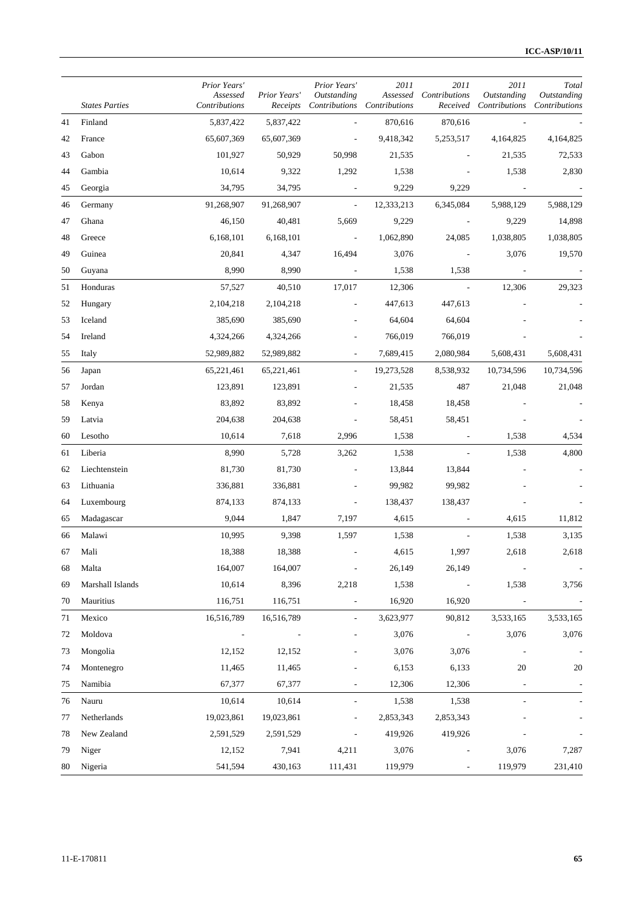|    | <b>States Parties</b> | Prior Years'<br>Assessed<br>Contributions | Prior Years'<br>Receipts | Prior Years'<br>Outstanding | 2011<br>Contributions Contributions | 2011<br>Assessed Contributions<br>Received | 2011<br>Outstanding<br>Contributions | Total<br>Outstanding<br>Contributions |
|----|-----------------------|-------------------------------------------|--------------------------|-----------------------------|-------------------------------------|--------------------------------------------|--------------------------------------|---------------------------------------|
| 41 | Finland               | 5,837,422                                 | 5,837,422                |                             | 870,616                             | 870,616                                    |                                      |                                       |
| 42 | France                | 65,607,369                                | 65,607,369               | $\overline{\phantom{a}}$    | 9,418,342                           | 5,253,517                                  | 4,164,825                            | 4,164,825                             |
| 43 | Gabon                 | 101,927                                   | 50,929                   | 50,998                      | 21,535                              |                                            | 21,535                               | 72,533                                |
| 44 | Gambia                | 10,614                                    | 9,322                    | 1,292                       | 1,538                               |                                            | 1,538                                | 2,830                                 |
| 45 | Georgia               | 34,795                                    | 34,795                   | $\overline{\phantom{a}}$    | 9,229                               | 9,229                                      |                                      |                                       |
| 46 | Germany               | 91,268,907                                | 91,268,907               | $\overline{\phantom{a}}$    | 12,333,213                          | 6,345,084                                  | 5,988,129                            | 5,988,129                             |
| 47 | Ghana                 | 46,150                                    | 40,481                   | 5,669                       | 9,229                               |                                            | 9,229                                | 14,898                                |
| 48 | Greece                | 6,168,101                                 | 6,168,101                | $\overline{\phantom{a}}$    | 1,062,890                           | 24,085                                     | 1,038,805                            | 1,038,805                             |
| 49 | Guinea                | 20,841                                    | 4,347                    | 16,494                      | 3,076                               |                                            | 3,076                                | 19,570                                |
| 50 | Guyana                | 8,990                                     | 8,990                    | $\sim$                      | 1,538                               | 1,538                                      |                                      |                                       |
| 51 | Honduras              | 57,527                                    | 40,510                   | 17,017                      | 12,306                              | $\overline{\phantom{a}}$                   | 12,306                               | 29,323                                |
| 52 | Hungary               | 2,104,218                                 | 2,104,218                |                             | 447,613                             | 447,613                                    |                                      |                                       |
| 53 | Iceland               | 385,690                                   | 385,690                  | $\overline{a}$              | 64,604                              | 64,604                                     |                                      |                                       |
| 54 | Ireland               | 4,324,266                                 | 4,324,266                |                             | 766,019                             | 766,019                                    |                                      |                                       |
| 55 | Italy                 | 52,989,882                                | 52,989,882               | $\overline{\phantom{a}}$    | 7,689,415                           | 2,080,984                                  | 5,608,431                            | 5,608,431                             |
| 56 | Japan                 | 65,221,461                                | 65,221,461               | $\overline{\phantom{a}}$    | 19,273,528                          | 8,538,932                                  | 10,734,596                           | 10,734,596                            |
| 57 | Jordan                | 123,891                                   | 123,891                  |                             | 21,535                              | 487                                        | 21,048                               | 21,048                                |
| 58 | Kenya                 | 83,892                                    | 83,892                   |                             | 18,458                              | 18,458                                     |                                      |                                       |
| 59 | Latvia                | 204,638                                   | 204,638                  |                             | 58,451                              | 58,451                                     |                                      |                                       |
| 60 | Lesotho               | 10,614                                    | 7,618                    | 2,996                       | 1,538                               |                                            | 1,538                                | 4,534                                 |
| 61 | Liberia               | 8,990                                     | 5,728                    | 3,262                       | 1,538                               |                                            | 1,538                                | 4,800                                 |
| 62 | Liechtenstein         | 81,730                                    | 81,730                   |                             | 13,844                              | 13,844                                     |                                      |                                       |
| 63 | Lithuania             | 336,881                                   | 336,881                  |                             | 99,982                              | 99,982                                     |                                      |                                       |
| 64 | Luxembourg            | 874,133                                   | 874,133                  | $\overline{\phantom{a}}$    | 138,437                             | 138,437                                    |                                      |                                       |
| 65 | Madagascar            | 9,044                                     | 1,847                    | 7,197                       | 4,615                               |                                            | 4,615                                | 11,812                                |
| 66 | Malawi                | 10,995                                    | 9,398                    | 1,597                       | 1,538                               |                                            | 1,538                                | 3,135                                 |
| 67 | Mali                  | 18,388                                    | 18,388                   |                             | 4,615                               | 1,997                                      | 2,618                                | 2,618                                 |
| 68 | Malta                 | 164,007                                   | 164,007                  | $\overline{\phantom{a}}$    | 26,149                              | 26,149                                     |                                      | $\overline{\phantom{a}}$              |
| 69 | Marshall Islands      | 10,614                                    | 8,396                    | 2,218                       | 1,538                               | $\overline{\phantom{a}}$                   | 1,538                                | 3,756                                 |
| 70 | Mauritius             | 116,751                                   | 116,751                  | $\blacksquare$              | 16,920                              | 16,920                                     |                                      |                                       |
| 71 | Mexico                | 16,516,789                                | 16,516,789               |                             | 3,623,977                           | 90,812                                     | 3,533,165                            | 3,533,165                             |
| 72 | Moldova               |                                           |                          |                             | 3,076                               | $\overline{\phantom{a}}$                   | 3,076                                | 3,076                                 |
| 73 | Mongolia              | 12,152                                    | 12,152                   |                             | 3,076                               | 3,076                                      |                                      |                                       |
| 74 | Montenegro            | 11,465                                    | 11,465                   |                             | 6,153                               | 6,133                                      | 20                                   | 20                                    |
| 75 | Namibia               | 67,377                                    | 67,377                   | $\overline{\phantom{a}}$    | 12,306                              | 12,306                                     | $\overline{\phantom{a}}$             |                                       |
| 76 | Nauru                 | 10,614                                    | 10,614                   | $\overline{\phantom{a}}$    | 1,538                               | 1,538                                      |                                      |                                       |
| 77 | Netherlands           | 19,023,861                                | 19,023,861               | $\overline{\phantom{a}}$    | 2,853,343                           | 2,853,343                                  |                                      |                                       |
| 78 | New Zealand           | 2,591,529                                 | 2,591,529                |                             | 419,926                             | 419,926                                    |                                      |                                       |
| 79 | Niger                 | 12,152                                    | 7,941                    | 4,211                       | 3,076                               |                                            | 3,076                                | 7,287                                 |
| 80 | Nigeria               | 541,594                                   | 430,163                  | 111,431                     | 119,979                             | $\overline{\phantom{a}}$                   | 119,979                              | 231,410                               |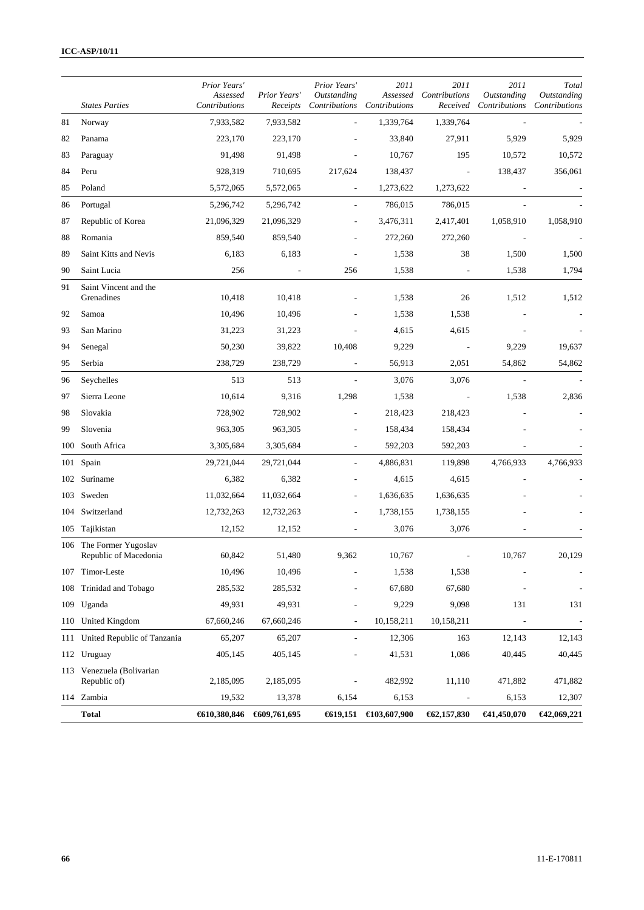|     |                                                  | Prior Years'<br>Assessed | Prior Years' | Prior Years'<br>Outstanding  | 2011<br>Assessed            | 2011<br>Contributions    | 2011<br>Outstanding      | Total<br>Outstanding     |
|-----|--------------------------------------------------|--------------------------|--------------|------------------------------|-----------------------------|--------------------------|--------------------------|--------------------------|
|     | <b>States Parties</b>                            | Contributions            | Receipts     |                              | Contributions Contributions | Received                 | Contributions            | Contributions            |
| 81  | Norway                                           | 7,933,582                | 7,933,582    |                              | 1,339,764                   | 1,339,764                |                          |                          |
| 82  | Panama                                           | 223,170                  | 223,170      |                              | 33,840                      | 27,911                   | 5,929                    | 5,929                    |
| 83  | Paraguay                                         | 91,498                   | 91,498       |                              | 10,767                      | 195                      | 10,572                   | 10,572                   |
| 84  | Peru                                             | 928,319                  | 710,695      | 217,624                      | 138,437                     | L,                       | 138,437                  | 356,061                  |
| 85  | Poland                                           | 5,572,065                | 5,572,065    | $\overline{\phantom{a}}$     | 1,273,622                   | 1,273,622                |                          |                          |
| 86  | Portugal                                         | 5,296,742                | 5,296,742    | $\overline{\phantom{a}}$     | 786,015                     | 786,015                  |                          |                          |
| 87  | Republic of Korea                                | 21,096,329               | 21,096,329   | $\overline{a}$               | 3,476,311                   | 2,417,401                | 1,058,910                | 1,058,910                |
| 88  | Romania                                          | 859,540                  | 859,540      |                              | 272,260                     | 272,260                  |                          |                          |
| 89  | Saint Kitts and Nevis                            | 6,183                    | 6,183        |                              | 1,538                       | 38                       | 1,500                    | 1,500                    |
| 90  | Saint Lucia                                      | 256                      |              | 256                          | 1,538                       | $\overline{\phantom{a}}$ | 1,538                    | 1,794                    |
| 91  | Saint Vincent and the<br>Grenadines              | 10,418                   | 10,418       |                              | 1,538                       | 26                       | 1,512                    | 1,512                    |
| 92  | Samoa                                            | 10,496                   | 10,496       |                              | 1,538                       | 1,538                    |                          |                          |
| 93  | San Marino                                       | 31,223                   | 31,223       |                              | 4,615                       | 4,615                    |                          |                          |
| 94  | Senegal                                          | 50,230                   | 39,822       | 10,408                       | 9,229                       |                          | 9,229                    | 19,637                   |
| 95  | Serbia                                           | 238,729                  | 238,729      |                              | 56,913                      | 2,051                    | 54,862                   | 54,862                   |
| 96  | Seychelles                                       | 513                      | 513          |                              | 3,076                       | 3,076                    |                          |                          |
| 97  | Sierra Leone                                     | 10,614                   | 9,316        | 1,298                        | 1,538                       |                          | 1,538                    | 2,836                    |
| 98  | Slovakia                                         | 728,902                  | 728,902      | $\overline{a}$               | 218,423                     | 218,423                  |                          |                          |
| 99  | Slovenia                                         | 963,305                  | 963,305      |                              | 158,434                     | 158,434                  |                          |                          |
| 100 | South Africa                                     | 3,305,684                | 3,305,684    | $\overline{\phantom{a}}$     | 592,203                     | 592,203                  |                          |                          |
| 101 | Spain                                            | 29,721,044               | 29,721,044   |                              | 4,886,831                   | 119,898                  | 4,766,933                | 4,766,933                |
| 102 | Suriname                                         | 6,382                    | 6,382        |                              | 4,615                       | 4,615                    |                          |                          |
|     | 103 Sweden                                       | 11,032,664               | 11,032,664   | $\overline{a}$               | 1,636,635                   | 1,636,635                |                          |                          |
| 104 | Switzerland                                      | 12,732,263               | 12,732,263   |                              | 1,738,155                   | 1,738,155                |                          |                          |
|     | 105 Tajikistan                                   | 12,152                   | 12,152       | $\qquad \qquad \blacksquare$ | 3,076                       | 3,076                    |                          |                          |
|     | 106 The Former Yugoslav<br>Republic of Macedonia | 60,842                   | 51,480       | 9,362                        | 10,767                      |                          | 10,767                   | 20,129                   |
|     | 107 Timor-Leste                                  | 10,496                   | 10,496       |                              | 1,538                       | 1,538                    |                          | $\overline{\phantom{a}}$ |
| 108 | Trinidad and Tobago                              | 285,532                  | 285,532      |                              | 67,680                      | 67,680                   |                          |                          |
|     | 109 Uganda                                       | 49,931                   | 49,931       |                              | 9,229                       | 9,098                    | 131                      | 131                      |
|     | 110 United Kingdom                               | 67,660,246               | 67,660,246   |                              | 10,158,211                  | 10,158,211               | $\overline{\phantom{a}}$ | $\overline{\phantom{a}}$ |
| 111 | United Republic of Tanzania                      | 65,207                   | 65,207       |                              | 12,306                      | 163                      | 12,143                   | 12,143                   |
| 112 | Uruguay                                          | 405,145                  | 405,145      |                              | 41,531                      | 1,086                    | 40,445                   | 40,445                   |
|     | 113 Venezuela (Bolivarian<br>Republic of)        | 2,185,095                | 2,185,095    |                              | 482,992                     | 11,110                   | 471,882                  | 471,882                  |
|     | 114 Zambia                                       | 19,532                   | 13,378       | 6,154                        | 6,153                       |                          | 6,153                    | 12,307                   |
|     | <b>Total</b>                                     | €610,380,846             | €609,761,695 |                              | $€19,151$ €103,607,900      | 62,157,830               | €41,450,070              | €42,069,221              |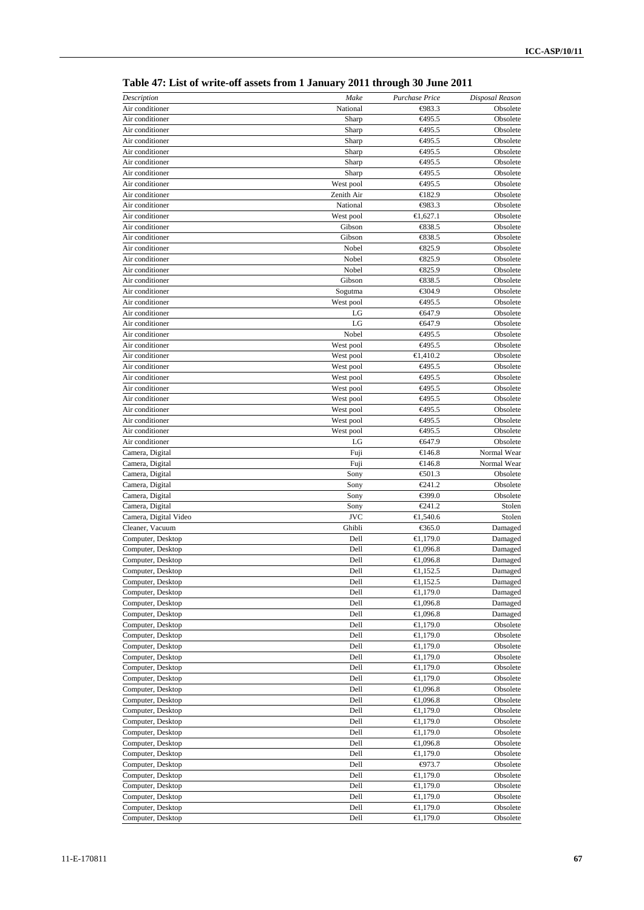| Description                            | Make                   | Purchase Price               | Disposal Reason      |
|----------------------------------------|------------------------|------------------------------|----------------------|
| Air conditioner                        | National               | $\Theta$ 83.3                | Obsolete             |
| Air conditioner                        | Sharp                  | <del>€</del> 495.5           | Obsolete             |
| Air conditioner                        | Sharp                  | €495.5                       | Obsolete             |
| Air conditioner                        | Sharp                  | €495.5                       | Obsolete             |
| Air conditioner                        | Sharp                  | <del>€</del> 495.5           | Obsolete             |
| Air conditioner                        | Sharp                  | €495.5                       | Obsolete             |
| Air conditioner                        | Sharp                  | <del>€</del> 495.5           | Obsolete             |
| Air conditioner                        | West pool              | €495.5                       | Obsolete             |
| Air conditioner                        | Zenith Air             | €182.9                       | Obsolete             |
| Air conditioner                        | National               | $\Leftrightarrow$ 83.3       | Obsolete             |
| Air conditioner                        | West pool              | €1,627.1                     | Obsolete             |
| Air conditioner                        | Gibson                 | €38.5                        | Obsolete             |
| Air conditioner                        | Gibson                 | €38.5                        | Obsolete             |
| Air conditioner                        | Nobel                  | $-825.9$                     | Obsolete             |
| Air conditioner                        | Nobel                  | $\xi$ 25.9                   | Obsolete             |
| Air conditioner                        | Nobel                  | $\xi$ 25.9                   | Obsolete             |
| Air conditioner                        | Gibson                 | €38.5                        | Obsolete             |
| Air conditioner                        | Sogutma                | €304.9                       | Obsolete             |
| Air conditioner<br>Air conditioner     | West pool              | €495.5<br>€647.9             | Obsolete             |
| Air conditioner                        | LG<br>LG               | €647.9                       | Obsolete             |
| Air conditioner                        | Nobel                  |                              | Obsolete<br>Obsolete |
| Air conditioner                        | West pool              | <del>€</del> 495.5<br>€495.5 | Obsolete             |
| Air conditioner                        |                        | €1,410.2                     | Obsolete             |
| Air conditioner                        | West pool<br>West pool | €495.5                       | Obsolete             |
| Air conditioner                        | West pool              | €495.5                       | Obsolete             |
| Air conditioner                        | West pool              | €495.5                       | Obsolete             |
| Air conditioner                        | West pool              | €495.5                       | Obsolete             |
| Air conditioner                        | West pool              | <del>€</del> 495.5           | Obsolete             |
| Air conditioner                        | West pool              | €495.5                       | Obsolete             |
| Air conditioner                        | West pool              | €495.5                       | Obsolete             |
| Air conditioner                        | LG                     | €647.9                       | Obsolete             |
| Camera, Digital                        | Fuji                   | €146.8                       | Normal Wear          |
| Camera, Digital                        | Fuji                   | €146.8                       | Normal Wear          |
| Camera, Digital                        | Sony                   | € $01.3$                     | Obsolete             |
| Camera, Digital                        | Sony                   | €241.2                       | Obsolete             |
| Camera, Digital                        | Sony                   | €399.0                       | Obsolete             |
| Camera, Digital                        | Sony                   | €241.2                       | Stolen               |
| Camera, Digital Video                  | <b>JVC</b>             | €1,540.6                     | Stolen               |
| Cleaner, Vacuum                        | Ghibli                 | €365.0                       | Damaged              |
| Computer, Desktop                      | Dell                   | €1,179.0                     | Damaged              |
| Computer, Desktop                      | Dell                   | €1,096.8                     | Damaged              |
| Computer, Desktop                      | Dell                   | €1,096.8                     | Damaged              |
| Computer, Desktop                      | Dell                   | €1,152.5                     | Damaged              |
| Computer, Desktop                      | Dell                   | €1,152.5                     | Damaged              |
| Computer, Desktop                      | Dell                   | €1,179.0                     | Damaged              |
| Computer, Desktop                      | Dell                   | €1,096.8                     | Damaged              |
| Computer, Desktop                      | Dell                   | €1,096.8                     | Damaged              |
| Computer, Desktop                      | Dell                   | € $1,179.0$                  | Obsolete             |
| Computer, Desktop                      | Dell                   | €1,179.0                     | Obsolete             |
| Computer, Desktop                      | Dell                   | €1,179.0                     | Obsolete             |
| Computer, Desktop                      | Dell                   | €1,179.0                     | Obsolete             |
| Computer, Desktop                      | Dell                   | €1,179.0                     | Obsolete             |
| Computer, Desktop                      | Dell                   | €1,179.0                     | Obsolete             |
| Computer, Desktop                      | Dell                   | €1,096.8                     | Obsolete             |
| Computer, Desktop                      | Dell                   | €1,096.8                     | Obsolete             |
| Computer, Desktop                      | Dell                   | €1,179.0                     | Obsolete             |
| Computer, Desktop                      | Dell                   | €1,179.0                     | Obsolete             |
| Computer, Desktop                      | Dell                   | €1,179.0                     | Obsolete             |
| Computer, Desktop                      | Dell                   | €1,096.8                     | Obsolete             |
| Computer, Desktop                      | Dell                   | €1,179.0                     | Obsolete             |
| Computer, Desktop                      | Dell<br>Dell           | $-0.73$<br>€1,179.0          | Obsolete             |
| Computer, Desktop<br>Computer, Desktop | Dell                   | €1,179.0                     | Obsolete<br>Obsolete |
| Computer, Desktop                      | Dell                   | €1,179.0                     | Obsolete             |
| Computer, Desktop                      | Dell                   | € $1,179.0$                  | Obsolete             |
| Computer, Desktop                      | Dell                   | €1,179.0                     | Obsolete             |
|                                        |                        |                              |                      |

**Table 47: List of write-off assets from 1 January 2011 through 30 June 2011**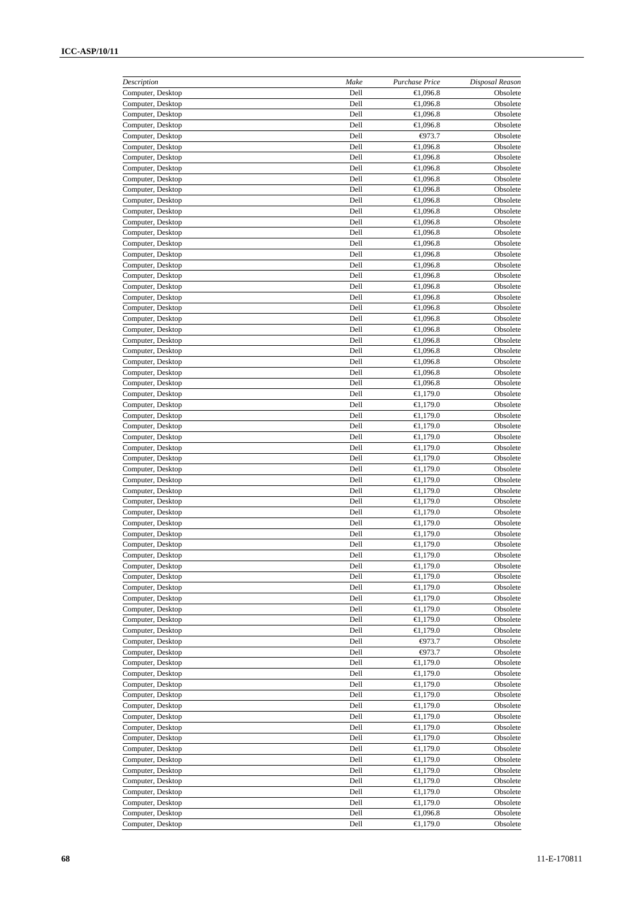| Description                            | Make         | Purchase Price          | Disposal Reason      |
|----------------------------------------|--------------|-------------------------|----------------------|
| Computer, Desktop                      | Dell         | €1,096.8                | Obsolete             |
| Computer, Desktop                      | Dell         | €1,096.8                | Obsolete             |
| Computer, Desktop                      | Dell<br>Dell | €1,096.8<br>€1,096.8    | Obsolete<br>Obsolete |
| Computer, Desktop<br>Computer, Desktop | Dell         | $-073.7$                | Obsolete             |
| Computer, Desktop                      | Dell         | €1,096.8                | Obsolete             |
| Computer, Desktop                      | Dell         | €1,096.8                | Obsolete             |
| Computer, Desktop                      | Dell         | €1,096.8                | Obsolete             |
| Computer, Desktop                      | Dell         | €1,096.8                | Obsolete             |
| Computer, Desktop                      | Dell         | €1,096.8                | Obsolete             |
| Computer, Desktop                      | Dell         | €1,096.8                | Obsolete             |
| Computer, Desktop                      | Dell         | €1,096.8                | Obsolete             |
| Computer, Desktop                      | Dell         | €1,096.8                | Obsolete             |
| Computer, Desktop                      | Dell         | €1,096.8                | Obsolete             |
| Computer, Desktop                      | Dell         | €1,096.8                | Obsolete             |
| Computer, Desktop                      | Dell         | €1,096.8                | Obsolete             |
| Computer, Desktop                      | Dell         | €1,096.8                | Obsolete             |
| Computer, Desktop<br>Computer, Desktop | Dell<br>Dell | €1,096.8<br>€1,096.8    | Obsolete<br>Obsolete |
| Computer, Desktop                      | Dell         | €1,096.8                | Obsolete             |
| Computer, Desktop                      | Dell         | €1,096.8                | Obsolete             |
| Computer, Desktop                      | Dell         | €1,096.8                | Obsolete             |
| Computer, Desktop                      | Dell         | €1,096.8                | Obsolete             |
| Computer, Desktop                      | Dell         | €1,096.8                | Obsolete             |
| Computer, Desktop                      | Dell         | €1,096.8                | Obsolete             |
| Computer, Desktop                      | Dell         | €1,096.8                | Obsolete             |
| Computer, Desktop                      | Dell         | €1,096.8                | Obsolete             |
| Computer, Desktop                      | Dell         | €1,096.8                | Obsolete             |
| Computer, Desktop                      | Dell         | €1,179.0                | Obsolete             |
| Computer, Desktop                      | Dell         | €1,179.0                | Obsolete             |
| Computer, Desktop                      | Dell         | €1,179.0                | Obsolete             |
| Computer, Desktop                      | Dell         | €1,179.0                | Obsolete             |
| Computer, Desktop                      | Dell         | €1,179.0                | Obsolete             |
| Computer, Desktop                      | Dell         | €1,179.0                | Obsolete             |
| Computer, Desktop                      | Dell         | €1,179.0                | Obsolete             |
| Computer, Desktop<br>Computer, Desktop | Dell<br>Dell | €1,179.0<br>€1,179.0    | Obsolete<br>Obsolete |
| Computer, Desktop                      | Dell         | €1,179.0                | Obsolete             |
| Computer, Desktop                      | Dell         | €1,179.0                | Obsolete             |
| Computer, Desktop                      | Dell         | €1,179.0                | Obsolete             |
| Computer, Desktop                      | Dell         | €1,179.0                | Obsolete             |
| Computer, Desktop                      | Dell         | €1,179.0                | Obsolete             |
| Computer, Desktop                      | Dell         | €1,179.0                | Obsolete             |
| Computer, Desktop                      | Dell         | €1,179.0                | Obsolete             |
| Computer, Desktop                      | Dell         | €1,179.0                | Obsolete             |
| Computer, Desktop                      | Dell         | €1,179.0                | Obsolete             |
| Computer, Desktop                      | Dell         | €1,179.0                | Obsolete             |
| Computer, Desktop                      | Dell         | €1,179.0                | Obsolete             |
| Computer, Desktop                      | Dell         | €1,179.0                | Obsolete             |
| Computer, Desktop                      | Dell         | €1,179.0<br>€1,179.0    | Obsolete             |
| Computer, Desktop<br>Computer, Desktop | Dell<br>Dell | $-073.7$                | Obsolete<br>Obsolete |
| Computer, Desktop                      | Dell         | $-073.7$                | Obsolete             |
| Computer, Desktop                      | Dell         | €1,179.0                | Obsolete             |
| Computer, Desktop                      | Dell         | €1,179.0                | Obsolete             |
| Computer, Desktop                      | Dell         | €1,179.0                | Obsolete             |
| Computer, Desktop                      | Dell         | €1,179.0                | Obsolete             |
| Computer, Desktop                      | Dell         | €1,179.0                | Obsolete             |
| Computer, Desktop                      | Dell         | €1,179.0                | Obsolete             |
| Computer, Desktop                      | Dell         | € $1,179.0$             | Obsolete             |
| Computer, Desktop                      | Dell         | €1,179.0                | Obsolete             |
| Computer, Desktop                      | Dell         | €1,179.0                | Obsolete             |
| Computer, Desktop                      | Dell         | €1,179.0                | Obsolete             |
| Computer, Desktop                      | Dell         | €1,179.0                | Obsolete             |
| Computer, Desktop                      | Dell         | €1,179.0                | Obsolete             |
| Computer, Desktop<br>Computer, Desktop | Dell<br>Dell | €1,179.0<br>€ $1,179.0$ | Obsolete<br>Obsolete |
| Computer, Desktop                      | Dell         | €1,096.8                | Obsolete             |
| Computer, Desktop                      | Dell         | €1,179.0                | Obsolete             |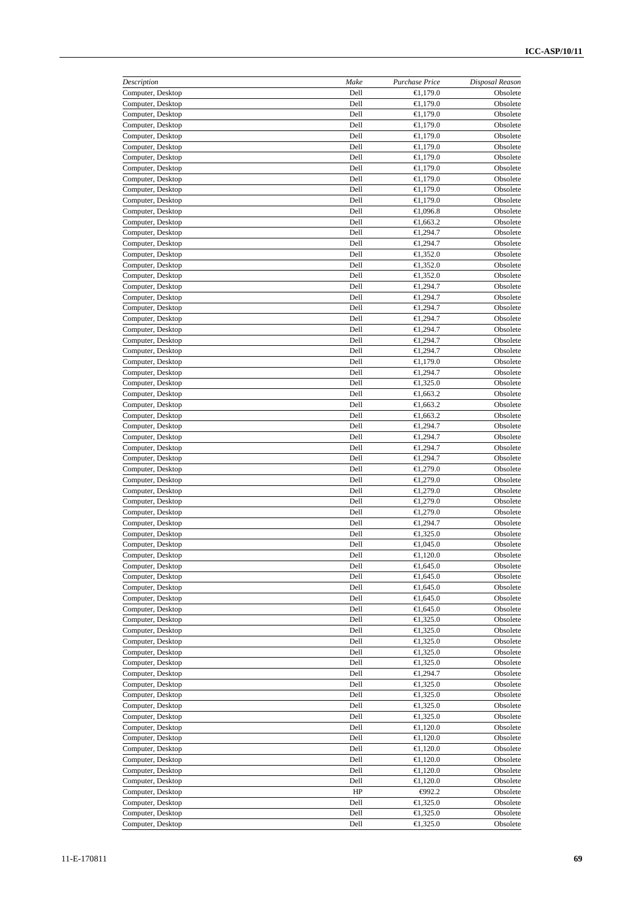| Description                            | Make         | Purchase Price       | Disposal Reason      |
|----------------------------------------|--------------|----------------------|----------------------|
| Computer, Desktop                      | Dell         | €1,179.0             | Obsolete             |
| Computer, Desktop                      | Dell         | €1,179.0             | Obsolete             |
| Computer, Desktop                      | Dell         | €1,179.0             | Obsolete             |
| Computer, Desktop                      | Dell         | €1,179.0             | Obsolete             |
| Computer, Desktop                      | Dell         | €1,179.0             | Obsolete             |
| Computer, Desktop                      | Dell         | €1,179.0             | Obsolete             |
| Computer, Desktop                      | Dell         | €1,179.0             | Obsolete             |
| Computer, Desktop                      | Dell         | €1,179.0             | Obsolete             |
| Computer, Desktop                      | Dell<br>Dell | €1,179.0             | Obsolete             |
| Computer, Desktop<br>Computer, Desktop | Dell         | €1,179.0<br>€1,179.0 | Obsolete<br>Obsolete |
| Computer, Desktop                      | Dell         | €1,096.8             | Obsolete             |
| Computer, Desktop                      | Dell         | €1,663.2             | Obsolete             |
| Computer, Desktop                      | Dell         | €1,294.7             | Obsolete             |
| Computer, Desktop                      | Dell         | €1,294.7             | Obsolete             |
| Computer, Desktop                      | Dell         | €1,352.0             | Obsolete             |
| Computer, Desktop                      | Dell         | €1,352.0             | Obsolete             |
| Computer, Desktop                      | Dell         | €1,352.0             | Obsolete             |
| Computer, Desktop                      | Dell         | €1,294.7             | Obsolete             |
| Computer, Desktop                      | Dell         | €1,294.7             | Obsolete             |
| Computer, Desktop                      | Dell         | €1,294.7             | Obsolete             |
| Computer, Desktop                      | Dell         | €1,294.7             | Obsolete             |
| Computer, Desktop                      | Dell         | €1,294.7             | Obsolete             |
| Computer, Desktop                      | Dell         | €1,294.7             | Obsolete             |
| Computer, Desktop                      | Dell         | €1,294.7             | Obsolete             |
| Computer, Desktop                      | Dell         | €1,179.0             | Obsolete             |
| Computer, Desktop                      | Dell         | €1,294.7             | Obsolete             |
| Computer, Desktop                      | Dell         | €1,325.0             | Obsolete             |
| Computer, Desktop                      | Dell         | €1,663.2             | Obsolete             |
| Computer, Desktop                      | Dell         | €1,663.2             | Obsolete             |
| Computer, Desktop                      | Dell         | €1,663.2             | Obsolete             |
| Computer, Desktop                      | Dell         | €1,294.7             | Obsolete             |
| Computer, Desktop                      | Dell         | €1,294.7             | Obsolete             |
| Computer, Desktop                      | Dell         | €1,294.7             | Obsolete             |
| Computer, Desktop                      | Dell         | €1,294.7             | Obsolete             |
| Computer, Desktop                      | Dell<br>Dell | €1,279.0<br>€1,279.0 | Obsolete             |
| Computer, Desktop                      | Dell         | €1,279.0             | Obsolete             |
| Computer, Desktop<br>Computer, Desktop | Dell         | €1,279.0             | Obsolete<br>Obsolete |
| Computer, Desktop                      | Dell         | €1,279.0             | Obsolete             |
| Computer, Desktop                      | Dell         | €1,294.7             | Obsolete             |
| Computer, Desktop                      | Dell         | €1,325.0             | Obsolete             |
| Computer, Desktop                      | Dell         | €1,045.0             | Obsolete             |
| Computer, Desktop                      | Dell         | € $1,120.0$          | Obsolete             |
| Computer, Desktop                      | Dell         | €1,645.0             | Obsolete             |
| Computer, Desktop                      | Dell         | €1,645.0             | Obsolete             |
| Computer, Desktop                      | Dell         | € $1,645.0$          | Obsolete             |
| Computer, Desktop                      | Dell         | €1,645.0             | Obsolete             |
| Computer, Desktop                      | Dell         | €1,645.0             | Obsolete             |
| Computer, Desktop                      | Dell         | €1,325.0             | Obsolete             |
| Computer, Desktop                      | Dell         | €1,325.0             | Obsolete             |
| Computer, Desktop                      | Dell         | €1,325.0             | Obsolete             |
| Computer, Desktop                      | Dell         | €1,325.0             | Obsolete             |
| Computer, Desktop                      | Dell         | €1,325.0             | Obsolete             |
| Computer, Desktop                      | Dell         | €1,294.7             | Obsolete             |
| Computer, Desktop                      | Dell         | €1,325.0             | Obsolete             |
| Computer, Desktop                      | Dell         | €1,325.0             | Obsolete             |
| Computer, Desktop                      | Dell         | €1,325.0             | Obsolete             |
| Computer, Desktop                      | Dell         | €1,325.0             | Obsolete             |
| Computer, Desktop                      | Dell         | €1,120.0             | Obsolete             |
| Computer, Desktop                      | Dell         | €1,120.0             | Obsolete             |
| Computer, Desktop                      | Dell         | €1,120.0             | Obsolete             |
| Computer, Desktop                      | Dell         | €1,120.0             | Obsolete             |
| Computer, Desktop                      | Dell         | €1,120.0             | Obsolete             |
| Computer, Desktop<br>Computer, Desktop | Dell<br>HP   | €1,120.0<br>$-092.2$ | Obsolete<br>Obsolete |
| Computer, Desktop                      | Dell         | €1,325.0             | Obsolete             |
| Computer, Desktop                      | Dell         | €1,325.0             | Obsolete             |
| Computer, Desktop                      | Dell         | €1,325.0             | Obsolete             |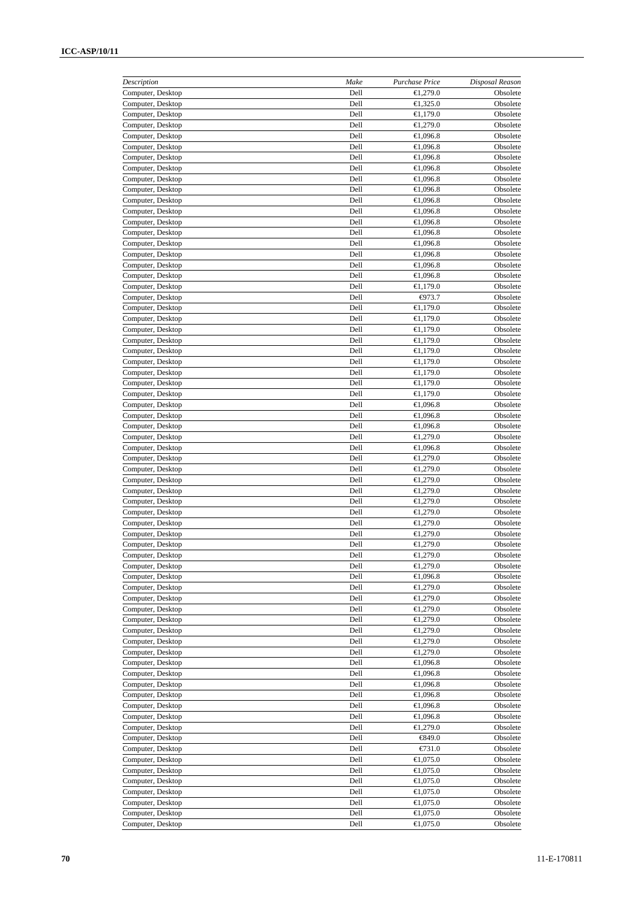| Description                            | Make         | Purchase Price          | Disposal Reason      |
|----------------------------------------|--------------|-------------------------|----------------------|
| Computer, Desktop                      | Dell         | €1,279.0                | Obsolete             |
| Computer, Desktop                      | Dell         | €1,325.0                | Obsolete             |
| Computer, Desktop                      | Dell<br>Dell | €1,179.0<br>€1,279.0    | Obsolete<br>Obsolete |
| Computer, Desktop<br>Computer, Desktop | Dell         | €1,096.8                | Obsolete             |
| Computer, Desktop                      | Dell         | €1,096.8                | Obsolete             |
| Computer, Desktop                      | Dell         | €1,096.8                | Obsolete             |
| Computer, Desktop                      | Dell         | €1,096.8                | Obsolete             |
| Computer, Desktop                      | Dell         | €1,096.8                | Obsolete             |
| Computer, Desktop                      | Dell         | €1,096.8                | Obsolete             |
| Computer, Desktop                      | Dell         | €1,096.8                | Obsolete             |
| Computer, Desktop                      | Dell         | €1,096.8                | Obsolete             |
| Computer, Desktop                      | Dell         | €1,096.8                | Obsolete             |
| Computer, Desktop                      | Dell         | €1,096.8                | Obsolete             |
| Computer, Desktop                      | Dell         | €1,096.8                | Obsolete             |
| Computer, Desktop                      | Dell         | €1,096.8                | Obsolete             |
| Computer, Desktop                      | Dell         | €1,096.8                | Obsolete             |
| Computer, Desktop<br>Computer, Desktop | Dell<br>Dell | €1,096.8<br>€1,179.0    | Obsolete<br>Obsolete |
| Computer, Desktop                      | Dell         | $-073.7$                | Obsolete             |
| Computer, Desktop                      | Dell         | €1,179.0                | Obsolete             |
| Computer, Desktop                      | Dell         | €1,179.0                | Obsolete             |
| Computer, Desktop                      | Dell         | €1,179.0                | Obsolete             |
| Computer, Desktop                      | Dell         | €1,179.0                | Obsolete             |
| Computer, Desktop                      | Dell         | €1,179.0                | Obsolete             |
| Computer, Desktop                      | Dell         | €1,179.0                | Obsolete             |
| Computer, Desktop                      | Dell         | €1,179.0                | Obsolete             |
| Computer, Desktop                      | Dell         | €1,179.0                | Obsolete             |
| Computer, Desktop                      | Dell         | €1,179.0                | Obsolete             |
| Computer, Desktop                      | Dell         | €1,096.8                | Obsolete             |
| Computer, Desktop                      | Dell         | €1,096.8                | Obsolete             |
| Computer, Desktop                      | Dell         | €1,096.8                | Obsolete             |
| Computer, Desktop                      | Dell         | €1,279.0                | Obsolete             |
| Computer, Desktop                      | Dell         | €1,096.8                | Obsolete             |
| Computer, Desktop                      | Dell         | €1,279.0                | Obsolete             |
| Computer, Desktop<br>Computer, Desktop | Dell<br>Dell | €1,279.0<br>€1,279.0    | Obsolete<br>Obsolete |
| Computer, Desktop                      | Dell         | €1,279.0                | Obsolete             |
| Computer, Desktop                      | Dell         | €1,279.0                | Obsolete             |
| Computer, Desktop                      | Dell         | €1,279.0                | Obsolete             |
| Computer, Desktop                      | Dell         | €1,279.0                | Obsolete             |
| Computer, Desktop                      | Dell         | €1,279.0                | Obsolete             |
| Computer, Desktop                      | Dell         | €1,279.0                | Obsolete             |
| Computer, Desktop                      | Dell         | €1,279.0                | Obsolete             |
| Computer, Desktop                      | Dell         | €1,279.0                | Obsolete             |
| Computer, Desktop                      | Dell         | €1,096.8                | Obsolete             |
| Computer, Desktop                      | Dell         | €1,279.0                | Obsolete             |
| Computer, Desktop                      | Dell         | €1,279.0                | Obsolete             |
| Computer, Desktop                      | Dell         | €1,279.0                | Obsolete             |
| Computer, Desktop                      | Dell         | €1,279.0                | Obsolete             |
| Computer, Desktop<br>Computer, Desktop | Dell<br>Dell | €1,279.0<br>€1,279.0    | Obsolete<br>Obsolete |
| Computer, Desktop                      | Dell         | €1,279.0                | Obsolete             |
| Computer, Desktop                      | Dell         | €1,096.8                | Obsolete             |
| Computer, Desktop                      | Dell         | €1,096.8                | Obsolete             |
| Computer, Desktop                      | Dell         | €1,096.8                | Obsolete             |
| Computer, Desktop                      | Dell         | €1,096.8                | Obsolete             |
| Computer, Desktop                      | Dell         | €1,096.8                | Obsolete             |
| Computer, Desktop                      | Dell         | €1,096.8                | Obsolete             |
| Computer, Desktop                      | Dell         | €1,279.0                | Obsolete             |
| Computer, Desktop                      | Dell         | €849.0                  | Obsolete             |
| Computer, Desktop                      | Dell         | $E$ 731.0               | Obsolete             |
| Computer, Desktop                      | Dell         | € $1,075.0$             | Obsolete             |
| Computer, Desktop                      | Dell         | €1,075.0                | Obsolete             |
| Computer, Desktop                      | Dell         | €1,075.0                | Obsolete             |
| Computer, Desktop<br>Computer, Desktop | Dell<br>Dell | €1,075.0<br>€ $1,075.0$ | Obsolete<br>Obsolete |
| Computer, Desktop                      | Dell         | €1,075.0                | Obsolete             |
| Computer, Desktop                      | Dell         | €1,075.0                | Obsolete             |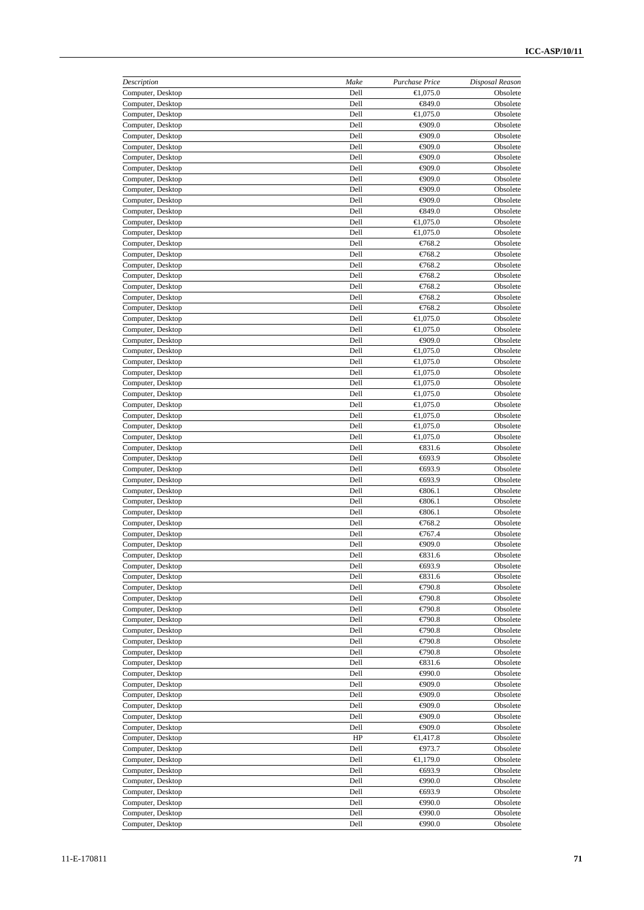| Description                            | Make         | Purchase Price                       | Disposal Reason      |
|----------------------------------------|--------------|--------------------------------------|----------------------|
| Computer, Desktop                      | Dell         | €1,075.0                             | Obsolete             |
| Computer, Desktop                      | Dell         | €849.0                               | Obsolete             |
| Computer, Desktop                      | Dell         | €1,075.0                             | Obsolete             |
| Computer, Desktop                      | Dell         | $\Leftrightarrow$ 09.0               | Obsolete             |
| Computer, Desktop<br>Computer, Desktop | Dell<br>Dell | $\bigoplus$ 09.0<br>$\bigoplus$ 09.0 | Obsolete<br>Obsolete |
| Computer, Desktop                      | Dell         | $\Leftrightarrow$ 09.0               | Obsolete             |
| Computer, Desktop                      | Dell         | $\bigoplus$ 09.0                     | Obsolete             |
| Computer, Desktop                      | Dell         | $\bigoplus$ 09.0                     | Obsolete             |
| Computer, Desktop                      | Dell         | $\bigoplus$ 09.0                     | Obsolete             |
| Computer, Desktop                      | Dell         | €909.0                               | Obsolete             |
| Computer, Desktop                      | Dell         | €849.0                               | Obsolete             |
| Computer, Desktop                      | Dell         | €1,075.0                             | Obsolete             |
| Computer, Desktop                      | Dell         | €1,075.0                             | Obsolete             |
| Computer, Desktop                      | Dell         | €768.2                               | Obsolete             |
| Computer, Desktop                      | Dell         | €768.2                               | Obsolete             |
| Computer, Desktop                      | Dell         | €768.2                               | Obsolete             |
| Computer, Desktop                      | Dell         | €768.2                               | Obsolete             |
| Computer, Desktop<br>Computer, Desktop | Dell<br>Dell | €768.2<br>€768.2                     | Obsolete<br>Obsolete |
| Computer, Desktop                      | Dell         | €768.2                               | Obsolete             |
| Computer, Desktop                      | Dell         | €1,075.0                             | Obsolete             |
| Computer, Desktop                      | Dell         | €1,075.0                             | Obsolete             |
| Computer, Desktop                      | Dell         | $-0.096$                             | Obsolete             |
| Computer, Desktop                      | Dell         | €1,075.0                             | Obsolete             |
| Computer, Desktop                      | Dell         | €1,075.0                             | Obsolete             |
| Computer, Desktop                      | Dell         | €1,075.0                             | Obsolete             |
| Computer, Desktop                      | Dell         | €1,075.0                             | Obsolete             |
| Computer, Desktop                      | Dell         | €1,075.0                             | Obsolete             |
| Computer, Desktop                      | Dell         | €1,075.0                             | Obsolete             |
| Computer, Desktop                      | Dell         | €1,075.0                             | Obsolete             |
| Computer, Desktop                      | Dell         | €1,075.0                             | Obsolete             |
| Computer, Desktop                      | Dell         | €1,075.0                             | Obsolete             |
| Computer, Desktop                      | Dell         | $\xi$ 31.6                           | Obsolete             |
| Computer, Desktop                      | Dell<br>Dell | €693.9<br>€693.9                     | Obsolete             |
| Computer, Desktop<br>Computer, Desktop | Dell         | €693.9                               | Obsolete<br>Obsolete |
| Computer, Desktop                      | Dell         | €806.1                               | Obsolete             |
| Computer, Desktop                      | Dell         | €806.1                               | Obsolete             |
| Computer, Desktop                      | Dell         | €806.1                               | Obsolete             |
| Computer, Desktop                      | Dell         | €768.2                               | Obsolete             |
| Computer, Desktop                      | Dell         | €767.4                               | Obsolete             |
| Computer, Desktop                      | Dell         | $\bigoplus$ 09.0                     | Obsolete             |
| Computer, Desktop                      | Dell         | €831.6                               | Obsolete             |
| Computer, Desktop                      | Dell         | €693.9                               | Obsolete             |
| Computer, Desktop                      | Dell         | €831.6                               | Obsolete             |
| Computer, Desktop                      | Dell         | €790.8                               | Obsolete             |
| Computer, Desktop                      | Dell         | €790.8                               | Obsolete             |
| Computer, Desktop                      | Dell<br>Dell | €790.8<br>€790.8                     | Obsolete             |
| Computer, Desktop<br>Computer, Desktop | Dell         | €790.8                               | Obsolete<br>Obsolete |
| Computer, Desktop                      | Dell         | €790.8                               | Obsolete             |
| Computer, Desktop                      | Dell         | €790.8                               | Obsolete             |
| Computer, Desktop                      | Dell         | €831.6                               | Obsolete             |
| Computer, Desktop                      | Dell         | $\bigoplus$ 90.0                     | Obsolete             |
| Computer, Desktop                      | Dell         | $\bigoplus$ 09.0                     | Obsolete             |
| Computer, Desktop                      | Dell         | €909.0                               | Obsolete             |
| Computer, Desktop                      | Dell         | $\bigoplus$ 09.0                     | Obsolete             |
| Computer, Desktop                      | Dell         | $\bigoplus$ 09.0                     | Obsolete             |
| Computer, Desktop                      | Dell         | €909.0                               | Obsolete             |
| Computer, Desktop                      | HP           | €1,417.8                             | Obsolete             |
| Computer, Desktop                      | Dell         | $-073.7$                             | Obsolete             |
| Computer, Desktop                      | Dell         | €1,179.0                             | Obsolete             |
| Computer, Desktop<br>Computer, Desktop | Dell<br>Dell | $-693.9$<br>$-0.0$                   | Obsolete<br>Obsolete |
| Computer, Desktop                      | Dell         | €693.9                               | Obsolete             |
| Computer, Desktop                      | Dell         | $\Leftrightarrow$ 990.0              | Obsolete             |
| Computer, Desktop                      | Dell         | $-0.0$                               | Obsolete             |
| Computer, Desktop                      | Dell         | $\bigoplus$ 90.0                     | Obsolete             |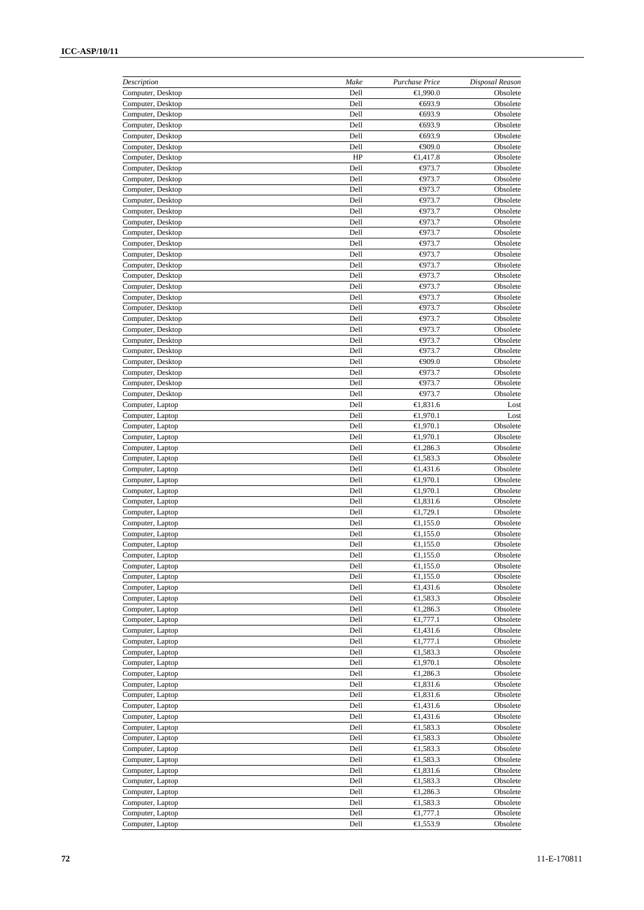| Description                            | Make         | Purchase Price       | Disposal Reason      |
|----------------------------------------|--------------|----------------------|----------------------|
| Computer, Desktop                      | Dell         | €1,990.0             | Obsolete             |
| Computer, Desktop                      | Dell         | €693.9               | Obsolete             |
| Computer, Desktop                      | Dell<br>Dell | €693.9<br>€693.9     | Obsolete<br>Obsolete |
| Computer, Desktop<br>Computer, Desktop | Dell         | €693.9               | Obsolete             |
| Computer, Desktop                      | Dell         | $\epsilon 909.0$     | Obsolete             |
| Computer, Desktop                      | HP           | €1,417.8             | Obsolete             |
| Computer, Desktop                      | Dell         | $-073.7$             | Obsolete             |
| Computer, Desktop                      | Dell         | $-073.7$             | Obsolete             |
| Computer, Desktop                      | Dell         | $-073.7$             | Obsolete             |
| Computer, Desktop                      | Dell         | $-073.7$             | Obsolete             |
| Computer, Desktop                      | Dell         | $-073.7$             | Obsolete             |
| Computer, Desktop                      | Dell         | $-073.7$             | Obsolete             |
| Computer, Desktop                      | Dell         | ⊕73.7                | Obsolete             |
| Computer, Desktop                      | Dell         | $-073.7$             | Obsolete             |
| Computer, Desktop                      | Dell         | $-073.7$             | Obsolete             |
| Computer, Desktop                      | Dell         | $-073.7$             | Obsolete             |
| Computer, Desktop<br>Computer, Desktop | Dell<br>Dell | $-073.7$<br>$-073.7$ | Obsolete<br>Obsolete |
| Computer, Desktop                      | Dell         | $\Theta$ 73.7        | Obsolete             |
| Computer, Desktop                      | Dell         | ⊕73.7                | Obsolete             |
| Computer, Desktop                      | Dell         | $-073.7$             | Obsolete             |
| Computer, Desktop                      | Dell         | $-073.7$             | Obsolete             |
| Computer, Desktop                      | Dell         | ⊕73.7                | Obsolete             |
| Computer, Desktop                      | Dell         | $-073.7$             | Obsolete             |
| Computer, Desktop                      | Dell         | $\epsilon_{909.0}$   | Obsolete             |
| Computer, Desktop                      | Dell         | $-073.7$             | Obsolete             |
| Computer, Desktop                      | Dell         | $-073.7$             | Obsolete             |
| Computer, Desktop                      | Dell         | $-073.7$             | Obsolete             |
| Computer, Laptop                       | Dell         | €1,831.6             | Lost                 |
| Computer, Laptop                       | Dell         | €1,970.1             | Lost                 |
| Computer, Laptop                       | Dell         | €1,970.1             | Obsolete             |
| Computer, Laptop                       | Dell         | €1,970.1             | Obsolete             |
| Computer, Laptop                       | Dell         | €1,286.3             | Obsolete             |
| Computer, Laptop                       | Dell         | €1,583.3             | Obsolete             |
| Computer, Laptop<br>Computer, Laptop   | Dell<br>Dell | €1,431.6<br>€1,970.1 | Obsolete<br>Obsolete |
| Computer, Laptop                       | Dell         | €1,970.1             | Obsolete             |
| Computer, Laptop                       | Dell         | €1,831.6             | Obsolete             |
| Computer, Laptop                       | Dell         | €1,729.1             | Obsolete             |
| Computer, Laptop                       | Dell         | € $1,155.0$          | Obsolete             |
| Computer, Laptop                       | Dell         | €1,155.0             | Obsolete             |
| Computer, Laptop                       | Dell         | €1,155.0             | Obsolete             |
| Computer, Laptop                       | Dell         | €1,155.0             | Obsolete             |
| Computer, Laptop                       | Dell         | € $1,155.0$          | Obsolete             |
| Computer, Laptop                       | Dell         | €1,155.0             | Obsolete             |
| Computer, Laptop                       | Dell         | €1,431.6             | Obsolete             |
| Computer, Laptop                       | Dell         | €1,583.3             | Obsolete             |
| Computer, Laptop                       | Dell         | €1,286.3             | Obsolete             |
| Computer, Laptop                       | Dell         | €1,777.1             | Obsolete             |
| Computer, Laptop<br>Computer, Laptop   | Dell<br>Dell | €1,431.6<br>€1,777.1 | Obsolete<br>Obsolete |
| Computer, Laptop                       | Dell         | €1,583.3             | Obsolete             |
| Computer, Laptop                       | Dell         | €1,970.1             | Obsolete             |
| Computer, Laptop                       | Dell         | €1,286.3             | Obsolete             |
| Computer, Laptop                       | Dell         | € $1,831.6$          | Obsolete             |
| Computer, Laptop                       | Dell         | €1,831.6             | Obsolete             |
| Computer, Laptop                       | Dell         | €1,431.6             | Obsolete             |
| Computer, Laptop                       | Dell         | €1,431.6             | Obsolete             |
| Computer, Laptop                       | Dell         | €1,583.3             | Obsolete             |
| Computer, Laptop                       | Dell         | €1,583.3             | Obsolete             |
| Computer, Laptop                       | Dell         | €1,583.3             | Obsolete             |
| Computer, Laptop                       | Dell         | €1,583.3             | Obsolete             |
| Computer, Laptop                       | Dell         | €1,831.6             | Obsolete             |
| Computer, Laptop                       | Dell         | €1,583.3             | Obsolete             |
| Computer, Laptop                       | Dell         | €1,286.3             | Obsolete             |
| Computer, Laptop                       | Dell<br>Dell | €1,583.3<br>€1,777.1 | Obsolete<br>Obsolete |
| Computer, Laptop<br>Computer, Laptop   | Dell         | €1,553.9             | Obsolete             |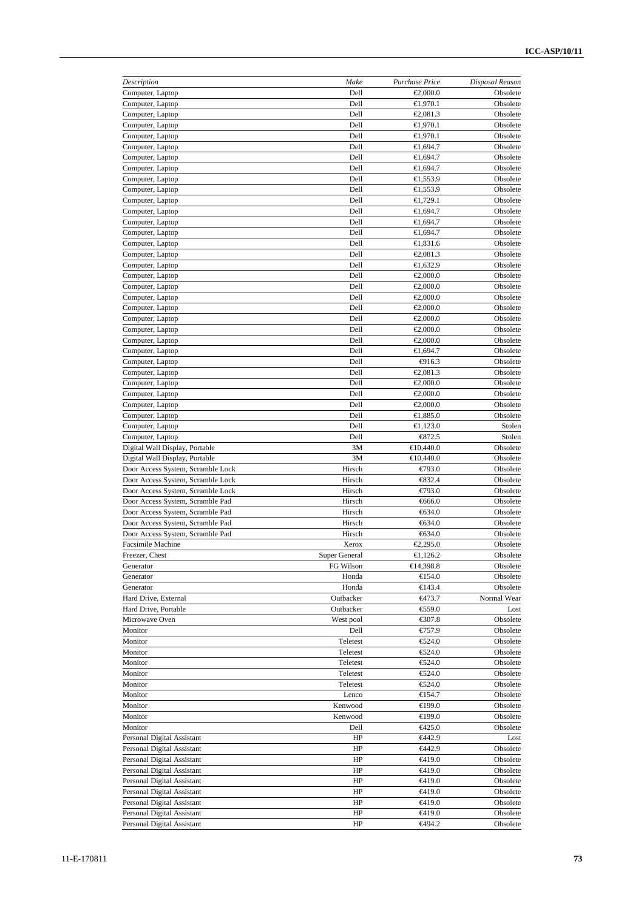| Description                                        | Make          | Purchase Price       | Disposal Reason      |
|----------------------------------------------------|---------------|----------------------|----------------------|
| Computer, Laptop                                   | Dell          | €2,000.0             | Obsolete             |
| Computer, Laptop                                   | Dell          | €1,970.1             | Obsolete             |
| Computer, Laptop                                   | Dell          | €2,081.3             | Obsolete             |
| Computer, Laptop                                   | Dell          | €1,970.1             | Obsolete             |
| Computer, Laptop                                   | Dell          | €1,970.1             | Obsolete             |
| Computer, Laptop                                   | Dell          | €1,694.7             | Obsolete             |
| Computer, Laptop                                   | Dell          | €1,694.7             | Obsolete             |
| Computer, Laptop                                   | Dell          | €1,694.7             | Obsolete             |
| Computer, Laptop                                   | Dell          | €1,553.9             | Obsolete             |
| Computer, Laptop                                   | Dell          | €1,553.9             | Obsolete             |
| Computer, Laptop                                   | Dell          | €1,729.1             | Obsolete             |
| Computer, Laptop                                   | Dell          | €1,694.7             | Obsolete             |
| Computer, Laptop                                   | Dell          | €1,694.7             | Obsolete             |
| Computer, Laptop                                   | Dell          | €1,694.7             | Obsolete             |
| Computer, Laptop                                   | Dell          | €1,831.6             | Obsolete             |
| Computer, Laptop                                   | Dell          | €2,081.3             | Obsolete             |
| Computer, Laptop                                   | Dell          | €1,632.9             | Obsolete             |
| Computer, Laptop                                   | Dell          | €2,000.0             | Obsolete             |
| Computer, Laptop                                   | Dell          | €2,000.0             | Obsolete             |
| Computer, Laptop                                   | Dell<br>Dell  | €2,000.0             | Obsolete             |
| Computer, Laptop                                   |               | €2,000.0             | Obsolete             |
| Computer, Laptop                                   | Dell          | €2,000.0             | Obsolete             |
| Computer, Laptop                                   | Dell          | €2,000.0             | Obsolete             |
| Computer, Laptop                                   | Dell          | €2,000.0             | Obsolete             |
| Computer, Laptop                                   | Dell          | €1,694.7             | Obsolete             |
| Computer, Laptop                                   | Dell          | $-$ 916.3            | Obsolete             |
| Computer, Laptop                                   | Dell          | €2,081.3<br>€2,000.0 | Obsolete             |
| Computer, Laptop                                   | Dell          |                      | Obsolete             |
| Computer, Laptop                                   | Dell<br>Dell  | €2,000.0<br>€2,000.0 | Obsolete<br>Obsolete |
| Computer, Laptop                                   | Dell          | €1,885.0             | Obsolete             |
| Computer, Laptop<br>Computer, Laptop               | Dell          | €1,123.0             | Stolen               |
|                                                    | Dell          | $\xi$ 372.5          | Stolen               |
| Computer, Laptop<br>Digital Wall Display, Portable | 3M            | €10,440.0            | Obsolete             |
| Digital Wall Display, Portable                     | 3M            | €10,440.0            | Obsolete             |
| Door Access System, Scramble Lock                  | Hirsch        | $E$ 93.0             | Obsolete             |
| Door Access System, Scramble Lock                  | Hirsch        | $\xi$ 32.4           | Obsolete             |
| Door Access System, Scramble Lock                  | Hirsch        | E793.0               | Obsolete             |
| Door Access System, Scramble Pad                   | Hirsch        | €666.0               | Obsolete             |
| Door Access System, Scramble Pad                   | Hirsch        | $-634.0$             | Obsolete             |
| Door Access System, Scramble Pad                   | Hirsch        | $-634.0$             | Obsolete             |
| Door Access System, Scramble Pad                   | Hirsch        | $-634.0$             | Obsolete             |
| <b>Facsimile Machine</b>                           | Xerox         | €2,295.0             | Obsolete             |
| Freezer, Chest                                     | Super General | €1,126.2             | Obsolete             |
| Generator                                          | FG Wilson     | €14,398.8            | Obsolete             |
| Generator                                          | Honda         | €154.0               | Obsolete             |
| Generator                                          | Honda         | €143.4               | Obsolete             |
| Hard Drive, External                               | Outbacker     | $-6473.7$            | Normal Wear          |
| Hard Drive, Portable                               | Outbacker     | €59.0                | Lost                 |
| Microwave Oven                                     | West pool     | €307.8               | Obsolete             |
| Monitor                                            | Dell          | €757.9               | Obsolete             |
| Monitor                                            | Teletest      | €524.0               | Obsolete             |
| Monitor                                            | Teletest      | €24.0                | Obsolete             |
| Monitor                                            | Teletest      | €24.0                | Obsolete             |
| Monitor                                            | Teletest      | €524.0               | Obsolete             |
| Monitor                                            | Teletest      | €524.0               | Obsolete             |
| Monitor                                            | Lenco         | €154.7               | Obsolete             |
| Monitor                                            | Kenwood       | €199.0               | Obsolete             |
| Monitor                                            | Kenwood       | €199.0               | Obsolete             |
| Monitor                                            | Dell          | €425.0               | Obsolete             |
| Personal Digital Assistant                         | HP            | €442.9               | Lost                 |
| Personal Digital Assistant                         | HP            | €442.9               | Obsolete             |
| Personal Digital Assistant                         | HP            | €419.0               | Obsolete             |
| Personal Digital Assistant                         | HP            | €419.0               | Obsolete             |
| Personal Digital Assistant                         | HP            | €419.0               | Obsolete             |
| Personal Digital Assistant                         | HP            | €419.0               | Obsolete             |
| Personal Digital Assistant                         | HP            | €419.0               | Obsolete             |
| Personal Digital Assistant                         | HP            | €419.0               | Obsolete             |
| Personal Digital Assistant                         | HP            | €494.2               | Obsolete             |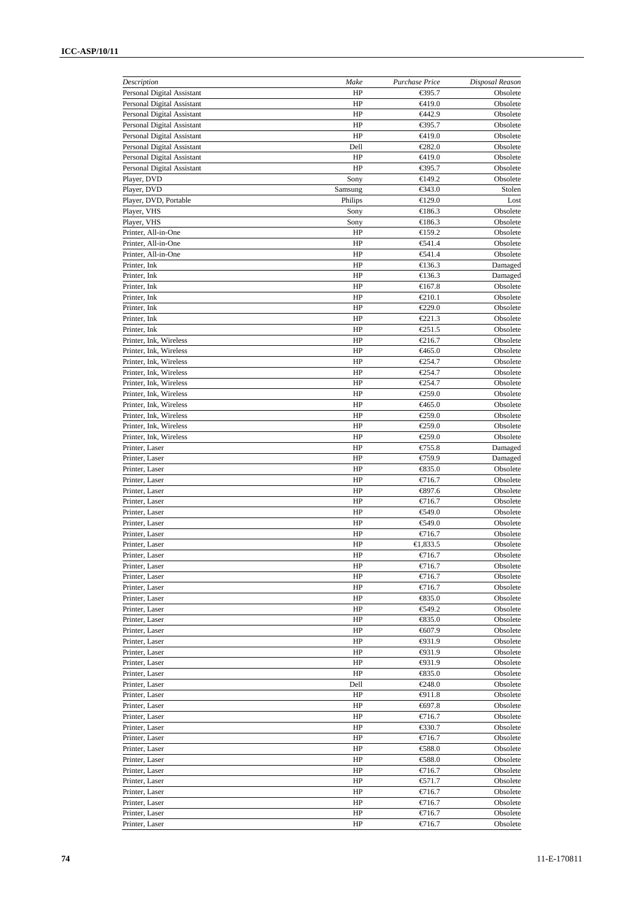| Description                          | Make               | Purchase Price                    | Disposal Reason      |
|--------------------------------------|--------------------|-----------------------------------|----------------------|
| Personal Digital Assistant           | HP                 | €395.7                            | Obsolete             |
| Personal Digital Assistant           | HP                 | €419.0                            | Obsolete             |
| Personal Digital Assistant           | HP                 | €442.9                            | Obsolete             |
| Personal Digital Assistant           | HP                 | €395.7                            | Obsolete             |
| Personal Digital Assistant           | HP                 | €419.0                            | Obsolete             |
| Personal Digital Assistant           | Dell               | €282.0                            | Obsolete             |
| Personal Digital Assistant           | HP                 | <del>€</del> 419.0                | Obsolete             |
| Personal Digital Assistant           | HP                 | €395.7                            | Obsolete             |
| Player, DVD                          | Sony               | €149.2                            | Obsolete             |
| Player, DVD<br>Player, DVD, Portable | Samsung<br>Philips | €343.0<br>€129.0                  | Stolen<br>Lost       |
| Player, VHS                          | Sony               | €186.3                            | Obsolete             |
| Player, VHS                          | Sony               | €186.3                            | Obsolete             |
| Printer, All-in-One                  | HP                 | €159.2                            | Obsolete             |
| Printer, All-in-One                  | HP                 | €41.4                             | Obsolete             |
| Printer, All-in-One                  | HP                 | €41.4                             | Obsolete             |
| Printer, Ink                         | HP                 | €136.3                            | Damaged              |
| Printer, Ink                         | HP                 | €136.3                            | Damaged              |
| Printer, Ink                         | HP                 | €167.8                            | Obsolete             |
| Printer, Ink                         | HP                 | €210.1                            | Obsolete             |
| Printer, Ink                         | HP                 | €229.0                            | Obsolete             |
| Printer, Ink                         | HP                 | $\epsilon$ 221.3                  | Obsolete             |
| Printer, Ink                         | HP                 | €251.5                            | Obsolete             |
| Printer, Ink, Wireless               | HP                 | €216.7                            | Obsolete             |
| Printer, Ink, Wireless               | HP                 | €465.0                            | Obsolete             |
| Printer, Ink, Wireless               | HP                 | €254.7                            | Obsolete             |
| Printer, Ink, Wireless               | HP                 | €254.7                            | Obsolete             |
| Printer, Ink, Wireless               | HP                 | €254.7                            | Obsolete             |
| Printer, Ink, Wireless               | HP                 | €259.0                            | Obsolete             |
| Printer, Ink, Wireless               | HP                 | €465.0                            | Obsolete             |
| Printer, Ink, Wireless               | HP                 | €259.0                            | Obsolete             |
| Printer, Ink, Wireless               | HP                 | €259.0                            | Obsolete             |
| Printer, Ink, Wireless               | HP                 | €259.0                            | Obsolete             |
| Printer, Laser                       | HP                 | €755.8                            | Damaged              |
| Printer, Laser                       | HP<br>HP           | €759.9                            | Damaged              |
| Printer, Laser<br>Printer, Laser     | HP                 | $\bigoplus$ 35.0<br>€716.7        | Obsolete<br>Obsolete |
| Printer, Laser                       | HP                 | €397.6                            | Obsolete             |
| Printer, Laser                       | HP                 | €716.7                            | Obsolete             |
| Printer, Laser                       | HP                 | €49.0                             | Obsolete             |
| Printer, Laser                       | HP                 | €49.0                             | Obsolete             |
| Printer, Laser                       | HP                 | €716.7                            | Obsolete             |
| Printer, Laser                       | HP                 | €1,833.5                          | Obsolete             |
| Printer, Laser                       | HP                 | €716.7                            | Obsolete             |
| Printer, Laser                       | HP                 | €716.7                            | Obsolete             |
| Printer, Laser                       | HP                 | €716.7                            | Obsolete             |
| Printer, Laser                       | HP                 | €716.7                            | Obsolete             |
| Printer, Laser                       | HP                 | $\xi$ 35.0                        | Obsolete             |
| Printer, Laser                       | HP                 | €49.2                             | Obsolete             |
| Printer, Laser                       | HP                 | $\textcolor{red}{\textbf{635.0}}$ | Obsolete             |
| Printer, Laser                       | HP                 | €607.9                            | Obsolete             |
| Printer, Laser                       | HP                 | $\bigoplus$ 31.9                  | Obsolete             |
| Printer, Laser                       | HP                 | ⊕31.9                             | Obsolete             |
| Printer, Laser                       | HP                 | $\bigoplus$ 31.9                  | Obsolete             |
| Printer, Laser                       | HP                 | $\xi$ 35.0                        | Obsolete             |
| Printer, Laser                       | Dell               | €248.0                            | Obsolete             |
| Printer, Laser                       | HP                 | $-011.8$                          | Obsolete             |
| Printer, Laser                       | HP                 | €697.8                            | Obsolete             |
| Printer, Laser<br>Printer, Laser     | HP<br>HP           | €716.7<br>€30.7                   | Obsolete<br>Obsolete |
| Printer, Laser                       | HP                 | €716.7                            | Obsolete             |
| Printer, Laser                       | HP                 | €88.0                             | Obsolete             |
| Printer, Laser                       | HP                 | €88.0                             | Obsolete             |
| Printer, Laser                       | HP                 | €716.7                            | Obsolete             |
| Printer, Laser                       | HP                 | € $71.7$                          | Obsolete             |
| Printer, Laser                       | HP                 | €716.7                            | Obsolete             |
| Printer, Laser                       | HP                 | €716.7                            | Obsolete             |
| Printer, Laser                       | HP                 | €716.7                            | Obsolete             |
| Printer, Laser                       | HP                 | €716.7                            | Obsolete             |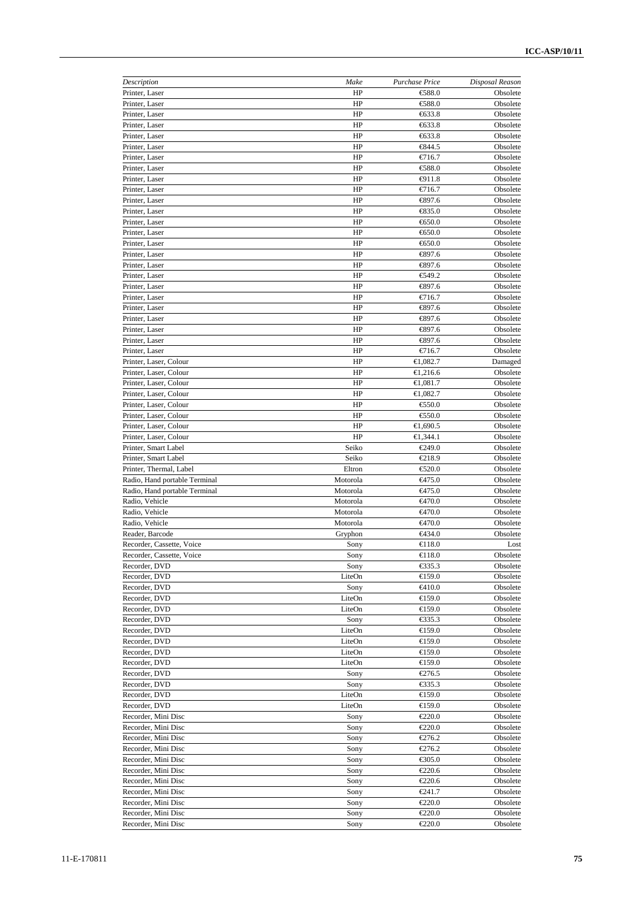| Description                                     | Make               | Purchase Price             | Disposal Reason      |
|-------------------------------------------------|--------------------|----------------------------|----------------------|
| Printer, Laser                                  | HP                 | €88.0                      | Obsolete             |
| Printer, Laser                                  | HP                 | €88.0                      | Obsolete             |
| Printer, Laser                                  | HP                 | €633.8                     | Obsolete             |
| Printer, Laser                                  | HP                 | €633.8                     | Obsolete             |
| Printer, Laser                                  | HP                 | €633.8                     | Obsolete             |
| Printer, Laser                                  | HP                 | €344.5                     | Obsolete             |
| Printer, Laser                                  | HP                 | €716.7                     | Obsolete             |
| Printer, Laser                                  | HP                 | €88.0                      | Obsolete             |
| Printer, Laser<br>Printer, Laser                | HP<br>HP           | $-911.8$<br>€716.7         | Obsolete<br>Obsolete |
| Printer, Laser                                  | HP                 | €897.6                     | Obsolete             |
| Printer, Laser                                  | HP                 | € 35.0                     | Obsolete             |
| Printer, Laser                                  | HP                 | €650.0                     | Obsolete             |
| Printer, Laser                                  | HP                 | €650.0                     | Obsolete             |
| Printer, Laser                                  | HP                 | €650.0                     | Obsolete             |
| Printer, Laser                                  | HP                 | €397.6                     | Obsolete             |
| Printer, Laser                                  | HP                 | €397.6                     | Obsolete             |
| Printer, Laser                                  | HP                 | €49.2                      | Obsolete             |
| Printer, Laser                                  | HP                 | €897.6                     | Obsolete             |
| Printer, Laser                                  | HP                 | €716.7                     | Obsolete             |
| Printer, Laser                                  | HP                 | €897.6                     | Obsolete             |
| Printer, Laser                                  | HP                 | €897.6                     | Obsolete             |
| Printer, Laser                                  | HP                 | €897.6                     | Obsolete             |
| Printer, Laser                                  | HP                 | €897.6                     | Obsolete             |
| Printer, Laser                                  | HP                 | €716.7                     | Obsolete             |
| Printer, Laser, Colour                          | HP                 | €1,082.7                   | Damaged              |
| Printer, Laser, Colour                          | HP                 | €1,216.6                   | Obsolete             |
| Printer, Laser, Colour                          | HP                 | €1,081.7                   | Obsolete             |
| Printer, Laser, Colour                          | HP                 | €1,082.7                   | Obsolete             |
| Printer, Laser, Colour                          | HP                 | €50.0                      | Obsolete             |
| Printer, Laser, Colour                          | HP                 | €50.0                      | Obsolete             |
| Printer, Laser, Colour                          | HP                 | €1,690.5                   | Obsolete             |
| Printer, Laser, Colour                          | HP                 | €1,344.1                   | Obsolete             |
| Printer, Smart Label                            | Seiko              | €249.0                     | Obsolete             |
| Printer, Smart Label<br>Printer, Thermal, Label | Seiko              | €218.9                     | Obsolete             |
| Radio, Hand portable Terminal                   | Eltron<br>Motorola | €520.0<br>€475.0           | Obsolete<br>Obsolete |
| Radio, Hand portable Terminal                   | Motorola           | <del>€</del> 475.0         | Obsolete             |
| Radio, Vehicle                                  | Motorola           | €470.0                     | Obsolete             |
| Radio, Vehicle                                  | Motorola           | €470.0                     | Obsolete             |
| Radio, Vehicle                                  | Motorola           | €470.0                     | Obsolete             |
| Reader, Barcode                                 | Gryphon            | €434.0                     | Obsolete             |
| Recorder, Cassette, Voice                       | Sony               | €118.0                     | Lost                 |
| Recorder, Cassette, Voice                       | Sony               | €118.0                     | Obsolete             |
| Recorder, DVD                                   | Sony               | €35.3                      | Obsolete             |
| Recorder, DVD                                   | LiteOn             | $\bigoplus$ 59.0           | Obsolete             |
| Recorder, DVD                                   | Sony               | €410.0                     | Obsolete             |
| Recorder, DVD                                   | LiteOn             | €159.0                     | Obsolete             |
| Recorder, DVD                                   | LiteOn             | €159.0                     | Obsolete             |
| Recorder, DVD                                   | Sony               | €335.3                     | Obsolete             |
| Recorder, DVD                                   | LiteOn             | €159.0                     | Obsolete             |
| Recorder, DVD                                   | LiteOn             | €159.0                     | Obsolete             |
| Recorder, DVD                                   | LiteOn             | €159.0                     | Obsolete             |
| Recorder, DVD                                   | LiteOn             | €159.0                     | Obsolete             |
| Recorder, DVD                                   | Sony               | €276.5                     | Obsolete             |
| Recorder, DVD                                   | Sony               | $\epsilon$ 35.3            | Obsolete             |
| Recorder, DVD                                   | LiteOn             | €159.0                     | Obsolete             |
| Recorder, DVD                                   | LiteOn             | €159.0                     | Obsolete             |
| Recorder, Mini Disc                             | Sony<br>Sony       | $\epsilon$ 220.0<br>€220.0 | Obsolete             |
| Recorder, Mini Disc<br>Recorder, Mini Disc      |                    |                            | Obsolete             |
|                                                 |                    |                            |                      |
|                                                 | Sony               | €276.2                     |                      |
| Recorder, Mini Disc                             | Sony               | €276.2                     | Obsolete             |
| Recorder, Mini Disc                             | Sony               | €305.0                     | Obsolete             |
| Recorder, Mini Disc                             | Sony               | €220.6                     | Obsolete<br>Obsolete |
| Recorder, Mini Disc                             | Sony               | €220.6                     | Obsolete             |
| Recorder, Mini Disc                             | Sony               | €241.7                     | Obsolete             |
| Recorder, Mini Disc<br>Recorder, Mini Disc      | Sony<br>Sony       | €220.0<br>$\epsilon$ 220.0 | Obsolete<br>Obsolete |